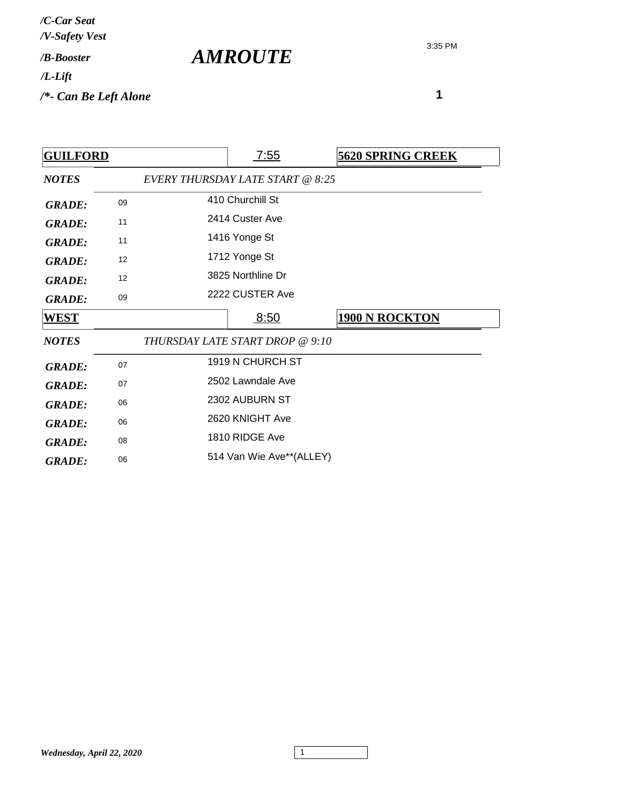3:35 PM

| <b>GUILFORD</b> |    |                   | <u>7:55</u>                      | <b>5620 SPRING CREEK</b> |
|-----------------|----|-------------------|----------------------------------|--------------------------|
| <b>NOTES</b>    |    |                   | EVERY THURSDAY LATE START @ 8:25 |                          |
| <b>GRADE:</b>   | 09 |                   | 410 Churchill St                 |                          |
| <b>GRADE:</b>   | 11 |                   | 2414 Custer Ave                  |                          |
| <b>GRADE:</b>   | 11 | 1416 Yonge St     |                                  |                          |
| <b>GRADE:</b>   | 12 |                   | 1712 Yonge St                    |                          |
| <b>GRADE:</b>   | 12 | 3825 Northline Dr |                                  |                          |
| <b>GRADE:</b>   | 09 |                   | 2222 CUSTER Ave                  |                          |
| <b>WEST</b>     |    |                   | 8:50                             | <b>1900 N ROCKTON</b>    |
| <b>NOTES</b>    |    |                   |                                  |                          |
|                 |    |                   | THURSDAY LATE START DROP @ 9:10  |                          |
| <b>GRADE:</b>   | 07 |                   | 1919 N CHURCH ST                 |                          |
| <b>GRADE:</b>   | 07 |                   | 2502 Lawndale Ave                |                          |
| <b>GRADE:</b>   | 06 |                   | 2302 AUBURN ST                   |                          |
| <b>GRADE:</b>   | 06 |                   | 2620 KNIGHT Ave                  |                          |
| <b>GRADE:</b>   | 08 |                   | 1810 RIDGE Ave                   |                          |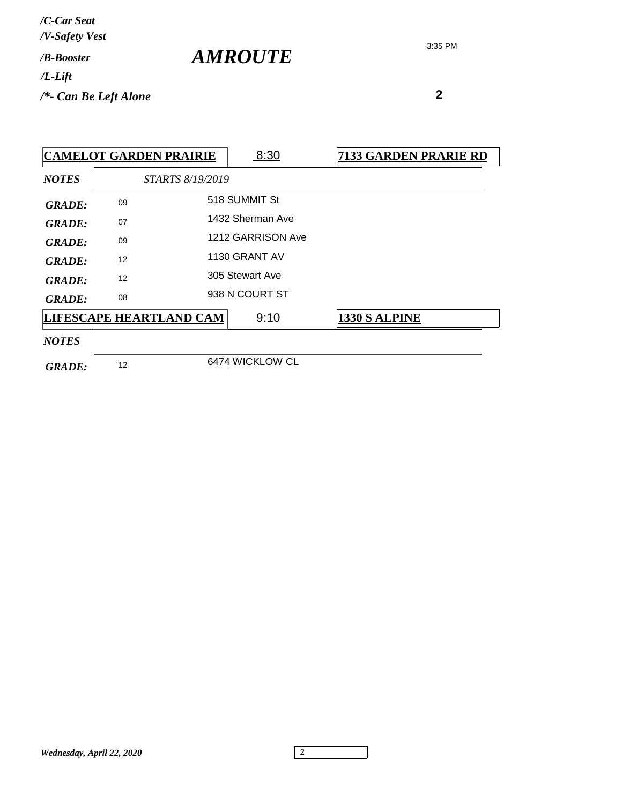| / <b><i>B-Booster</i></b> | /C-Car Seat<br>/V-Safety Vest |  |
|---------------------------|-------------------------------|--|
|                           |                               |  |
|                           | /*- Can Be Left Alone         |  |

 **2**

*NOTES STARTS 8/19/2019* **CAMELOT GARDEN PRAIRIE** | 8:30 7133 GARDEN PRARIE RD GRADE: 09 518 SUMMIT St 1432 Sherman Ave *GRADE:* <sup>07</sup> 1212 GARRISON Ave *GRADE:* <sup>09</sup> 1130 GRANT AV *GRADE:* <sup>12</sup> 305 Stewart Ave *GRADE:* <sup>12</sup> GRADE: 08 938 N COURT ST *NOTES* **LIFESCAPE HEARTLAND CAM** 9:10 **1330 S ALPINE** 

*AMROUTE*

GRADE: <sup>12</sup> 6474 WICKLOW CL

*Wednesday, April 22, 2020* 2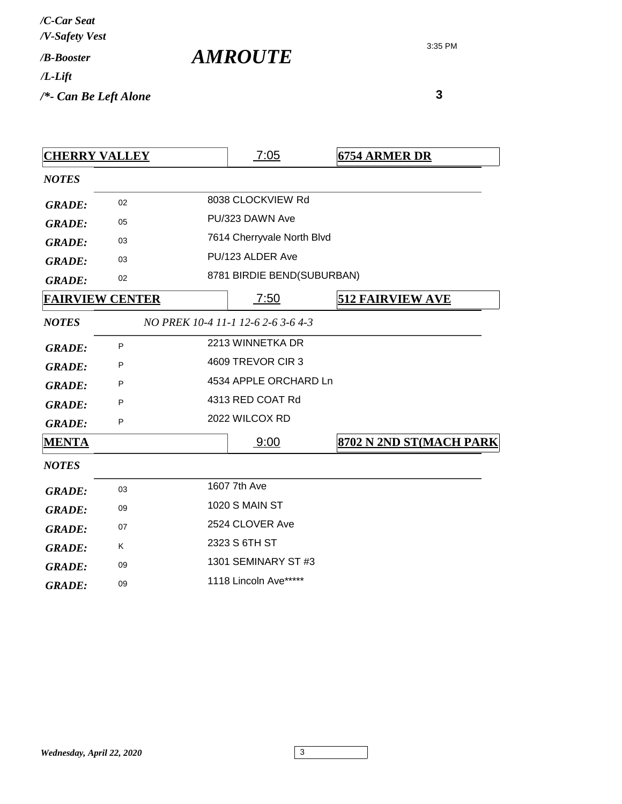| /C-Car Seat<br>/V-Safety Vest |  |
|-------------------------------|--|
| / <i>R-Booster</i>            |  |
| /L-Lift                       |  |
| /*- Can Be Left Alone         |  |

*AMROUTE*

| <b>CHERRY VALLEY</b> |                        | <u>7:05</u>                        | <b>6754 ARMER DR</b>    |
|----------------------|------------------------|------------------------------------|-------------------------|
| <b>NOTES</b>         |                        |                                    |                         |
| <b>GRADE:</b>        | 02                     | 8038 CLOCKVIEW Rd                  |                         |
| <b>GRADE:</b>        | 05                     | PU/323 DAWN Ave                    |                         |
| <b>GRADE:</b>        | 03                     | 7614 Cherryvale North Blvd         |                         |
| <b>GRADE:</b>        | 03                     | PU/123 ALDER Ave                   |                         |
| <b>GRADE:</b>        | 02                     | 8781 BIRDIE BEND(SUBURBAN)         |                         |
|                      | <b>FAIRVIEW CENTER</b> | 7:50                               | <b>512 FAIRVIEW AVE</b> |
| <b>NOTES</b>         |                        | NO PREK 10-4 11-1 12-6 2-6 3-6 4-3 |                         |
| <b>GRADE:</b>        | P                      | 2213 WINNETKA DR                   |                         |
| <b>GRADE:</b>        | P                      | 4609 TREVOR CIR 3                  |                         |
| <b>GRADE:</b>        | P                      | 4534 APPLE ORCHARD Ln              |                         |
| <b>GRADE:</b>        | P                      | 4313 RED COAT Rd                   |                         |
| <b>GRADE:</b>        | P                      | 2022 WILCOX RD                     |                         |
| <b>MENTA</b>         |                        | 9:00                               | 8702 N 2ND ST(MACH PARK |
| <b>NOTES</b>         |                        |                                    |                         |
| <b>GRADE:</b>        | 03                     | 1607 7th Ave                       |                         |
| <b>GRADE:</b>        | 09                     | <b>1020 S MAIN ST</b>              |                         |
| <b>GRADE:</b>        | 07                     | 2524 CLOVER Ave                    |                         |
| <b>GRADE:</b>        | K                      | 2323 S 6TH ST                      |                         |
| <b>GRADE:</b>        | 09                     | 1301 SEMINARY ST #3                |                         |
| <b>GRADE:</b>        | 09                     | 1118 Lincoln Ave*****              |                         |
|                      |                        |                                    |                         |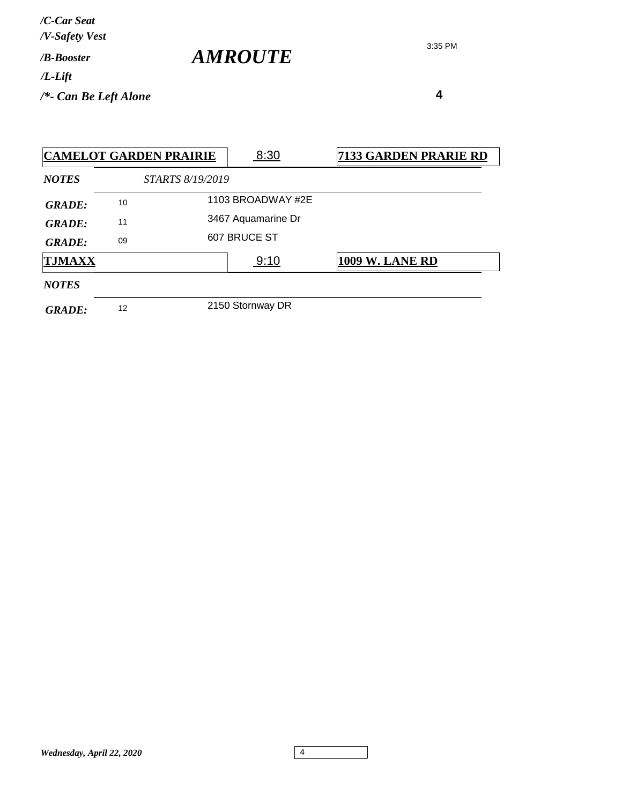| /C-Car Seat<br>/V-Safety Vest   |                |
|---------------------------------|----------------|
| / <b>B-Booster</b>              | <b>AMROUTE</b> |
| /L-Lift                         |                |
| $\frac{1}{2}$ Can Be Left Alone |                |

|               |    | <b>CAMELOT GARDEN PRAIRIE</b> | 8:30               | 7133 GARDEN PRARIE RD  |
|---------------|----|-------------------------------|--------------------|------------------------|
| <b>NOTES</b>  |    | <i>STARTS 8/19/2019</i>       |                    |                        |
| <b>GRADE:</b> | 10 |                               | 1103 BROADWAY #2E  |                        |
| <b>GRADE:</b> | 11 |                               | 3467 Aquamarine Dr |                        |
| <b>GRADE:</b> | 09 |                               | 607 BRUCE ST       |                        |
| <b>TJMAXX</b> |    |                               | 9:10               | <b>1009 W. LANE RD</b> |
| <b>NOTES</b>  |    |                               |                    |                        |
| <b>GRADE:</b> | 12 |                               | 2150 Stornway DR   |                        |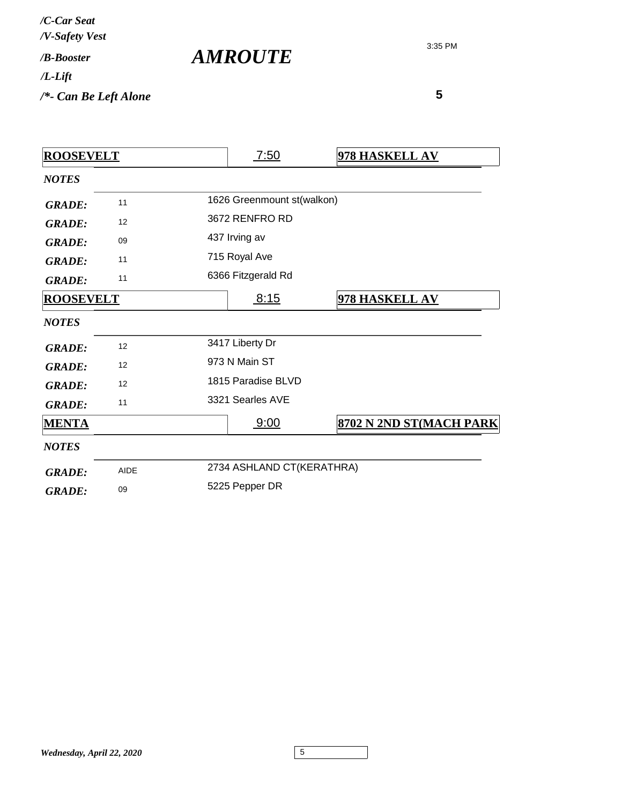| /C-Car Seat<br>/V-Safety Vest |                       |
|-------------------------------|-----------------------|
| / <b><i>B-Booster</i></b>     | <i><b>AMROUTE</b></i> |
| $/L$ -Lift                    |                       |
| $/*$ - Can Be Left Alone      |                       |

| <b>ROOSEVELT</b> |             |                    | 7:50                       | 978 HASKELL AV          |  |
|------------------|-------------|--------------------|----------------------------|-------------------------|--|
| <b>NOTES</b>     |             |                    |                            |                         |  |
| <b>GRADE:</b>    | 11          |                    | 1626 Greenmount st(walkon) |                         |  |
| <b>GRADE:</b>    | 12          |                    | 3672 RENFRO RD             |                         |  |
| <b>GRADE:</b>    | 09          | 437 Irving av      |                            |                         |  |
| <b>GRADE:</b>    | 11          | 715 Royal Ave      |                            |                         |  |
| <b>GRADE:</b>    | 11          |                    | 6366 Fitzgerald Rd         |                         |  |
| <b>ROOSEVELT</b> |             |                    | 8:15                       | 978 HASKELL AV          |  |
| <b>NOTES</b>     |             |                    |                            |                         |  |
| <b>GRADE:</b>    | 12          |                    | 3417 Liberty Dr            |                         |  |
| <b>GRADE:</b>    | 12          | 973 N Main ST      |                            |                         |  |
| <b>GRADE:</b>    | 12          | 1815 Paradise BLVD |                            |                         |  |
| <b>GRADE:</b>    | 11          | 3321 Searles AVE   |                            |                         |  |
| <b>MENTA</b>     |             |                    | 9:00                       | 8702 N 2ND ST(MACH PARK |  |
| <b>NOTES</b>     |             |                    |                            |                         |  |
| <b>GRADE:</b>    | <b>AIDE</b> |                    | 2734 ASHLAND CT(KERATHRA)  |                         |  |
| <b>GRADE:</b>    | 09          | 5225 Pepper DR     |                            |                         |  |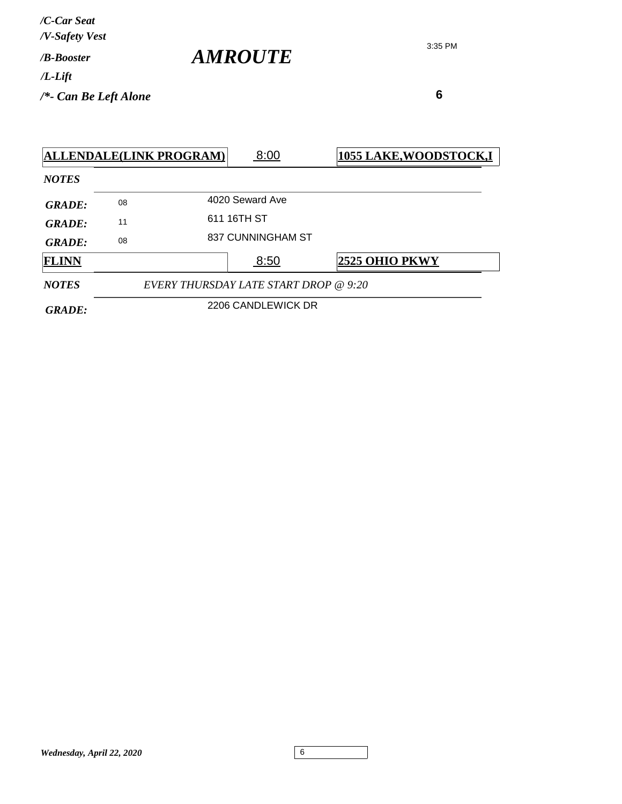| /C-Car Seat<br>/V-Safety Vest |                       |
|-------------------------------|-----------------------|
| / <b><i>B-Booster</i></b>     | <i><b>AMROUTE</b></i> |
| $/L$ -Lift                    |                       |
| $/*$ - Can Be Left Alone      |                       |

|               |                    | <b>ALLENDALE(LINK PROGRAM)</b> | 8:00                                  | <b>1055 LAKE, WOODSTOCK, I</b> |
|---------------|--------------------|--------------------------------|---------------------------------------|--------------------------------|
| <b>NOTES</b>  |                    |                                |                                       |                                |
| <b>GRADE:</b> | 08                 |                                | 4020 Seward Ave                       |                                |
| <b>GRADE:</b> | 11                 |                                | 611 16TH ST                           |                                |
| <b>GRADE:</b> | 08                 |                                | 837 CUNNINGHAM ST                     |                                |
| <b>FLINN</b>  |                    |                                | 8:50                                  | 2525 OHIO PKWY                 |
| <b>NOTES</b>  |                    |                                | EVERY THURSDAY LATE START DROP @ 9:20 |                                |
| <b>GRADE:</b> | 2206 CANDLEWICK DR |                                |                                       |                                |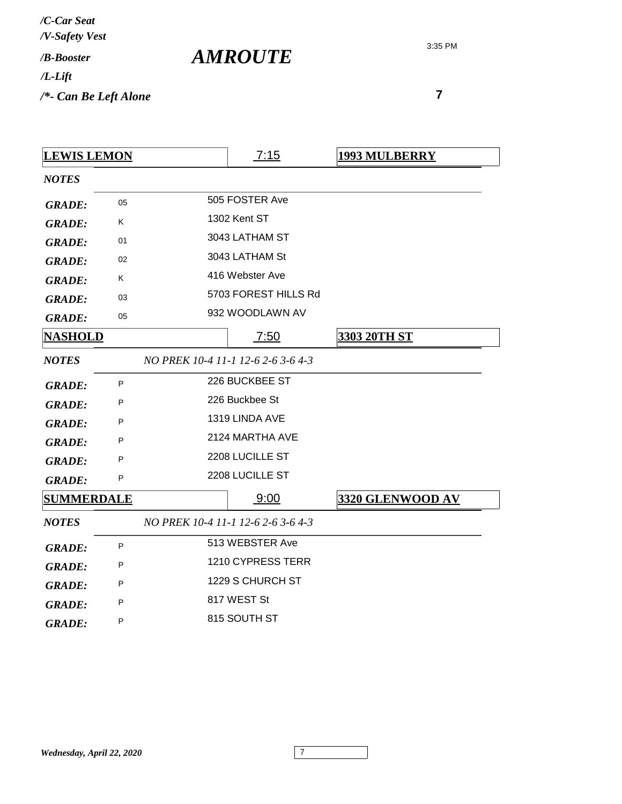| /C-Car Seat<br>/V-Safety Vest |  |
|-------------------------------|--|
| / <b><i>B-Booster</i></b>     |  |
| /L-Lift                       |  |
| /*- Can Be Left Alone         |  |

*AMROUTE*

| <b>LEWIS LEMON</b> |    | 7:15                               | <b>1993 MULBERRY</b> |
|--------------------|----|------------------------------------|----------------------|
| <b>NOTES</b>       |    |                                    |                      |
| <b>GRADE:</b>      | 05 | 505 FOSTER Ave                     |                      |
| <b>GRADE:</b>      | K. | 1302 Kent ST                       |                      |
| <b>GRADE:</b>      | 01 | 3043 LATHAM ST                     |                      |
| <b>GRADE:</b>      | 02 | 3043 LATHAM St                     |                      |
| <b>GRADE:</b>      | Κ  | 416 Webster Ave                    |                      |
| <b>GRADE:</b>      | 03 | 5703 FOREST HILLS Rd               |                      |
| <b>GRADE:</b>      | 05 | 932 WOODLAWN AV                    |                      |
| <b>NASHOLD</b>     |    | 7:50                               | <b>3303 20TH ST</b>  |
| <b>NOTES</b>       |    | NO PREK 10-4 11-1 12-6 2-6 3-6 4-3 |                      |
| <b>GRADE:</b>      | P  | 226 BUCKBEE ST                     |                      |
| <b>GRADE:</b>      | P  | 226 Buckbee St                     |                      |
| <b>GRADE:</b>      | P  | 1319 LINDA AVE                     |                      |
| <b>GRADE:</b>      | P  | 2124 MARTHA AVE                    |                      |
| <b>GRADE:</b>      | P  | 2208 LUCILLE ST                    |                      |
| <b>GRADE:</b>      | P  | 2208 LUCILLE ST                    |                      |
| <b>SUMMERDALE</b>  |    | 9:00                               | 3320 GLENWOOD AV     |
| <b>NOTES</b>       |    | NO PREK 10-4 11-1 12-6 2-6 3-6 4-3 |                      |
| <b>GRADE:</b>      | P  | 513 WEBSTER Ave                    |                      |
| <b>GRADE:</b>      | P  | 1210 CYPRESS TERR                  |                      |
| <b>GRADE:</b>      | P  | 1229 S CHURCH ST                   |                      |
| <b>GRADE:</b>      | P  | 817 WEST St                        |                      |
| <b>GRADE:</b>      | P  | 815 SOUTH ST                       |                      |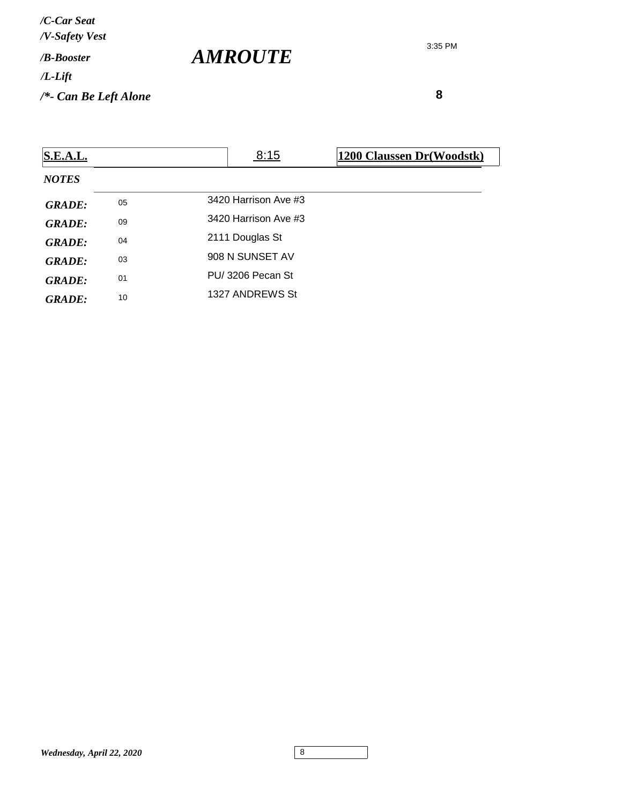*/V-Safety Vest /C-Car Seat*

*/B-Booster*

*/L-Lift*

*/\*- Can Be Left Alone*

3:35 PM

 **8**

| <b>S.E.A.L.</b> |    | 8:15                 | 1200 Claussen Dr(Woodstk) |
|-----------------|----|----------------------|---------------------------|
| <b>NOTES</b>    |    |                      |                           |
| <b>GRADE:</b>   | 05 | 3420 Harrison Ave #3 |                           |
| <b>GRADE:</b>   | 09 | 3420 Harrison Ave #3 |                           |
| <b>GRADE:</b>   | 04 | 2111 Douglas St      |                           |
| <b>GRADE:</b>   | 03 | 908 N SUNSET AV      |                           |
| GRADE:          | 01 | PU/3206 Pecan St     |                           |
| GRADE:          | 10 | 1327 ANDREWS St      |                           |

*AMROUTE*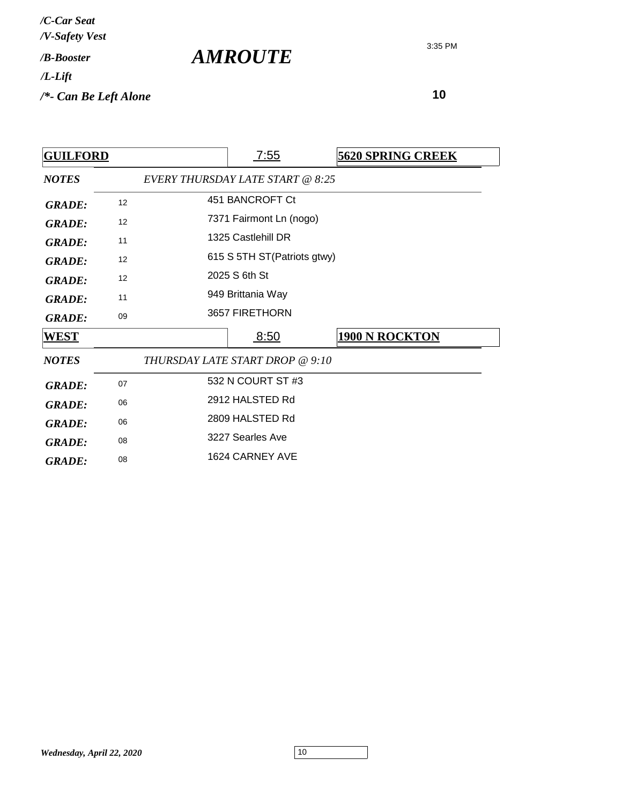| /C-Car Seat<br>/V-Safety Vest   |                       |
|---------------------------------|-----------------------|
| / <b><i>B-Booster</i></b>       | <i><b>AMROUTE</b></i> |
| $/L$ -Lift                      |                       |
| $\frac{1}{2}$ Can Be Left Alone |                       |

| <b>GUILFORD</b> |    |                 | <u>7:55</u>                      | <b>5620 SPRING CREEK</b> |  |
|-----------------|----|-----------------|----------------------------------|--------------------------|--|
| <b>NOTES</b>    |    |                 | EVERY THURSDAY LATE START @ 8:25 |                          |  |
| <b>GRADE:</b>   | 12 | 451 BANCROFT Ct |                                  |                          |  |
| <b>GRADE:</b>   | 12 |                 | 7371 Fairmont Ln (nogo)          |                          |  |
| <b>GRADE:</b>   | 11 |                 | 1325 Castlehill DR               |                          |  |
| <b>GRADE:</b>   | 12 |                 | 615 S 5TH ST (Patriots gtwy)     |                          |  |
| <b>GRADE:</b>   | 12 |                 | 2025 S 6th St                    |                          |  |
| <b>GRADE:</b>   | 11 |                 | 949 Brittania Way                |                          |  |
| <b>GRADE:</b>   | 09 |                 | 3657 FIRETHORN                   |                          |  |
| <u>WEST</u>     |    |                 | <u>8:50</u>                      | <b>1900 N ROCKTON</b>    |  |
| <b>NOTES</b>    |    |                 | THURSDAY LATE START DROP @ 9:10  |                          |  |
| <b>GRADE:</b>   | 07 |                 | 532 N COURT ST #3                |                          |  |
| <b>GRADE:</b>   | 06 | 2912 HALSTED Rd |                                  |                          |  |
| <b>GRADE:</b>   | 06 |                 | 2809 HALSTED Rd                  |                          |  |
| <b>GRADE:</b>   | 08 |                 | 3227 Searles Ave                 |                          |  |
| <b>GRADE:</b>   | 08 |                 | 1624 CARNEY AVE                  |                          |  |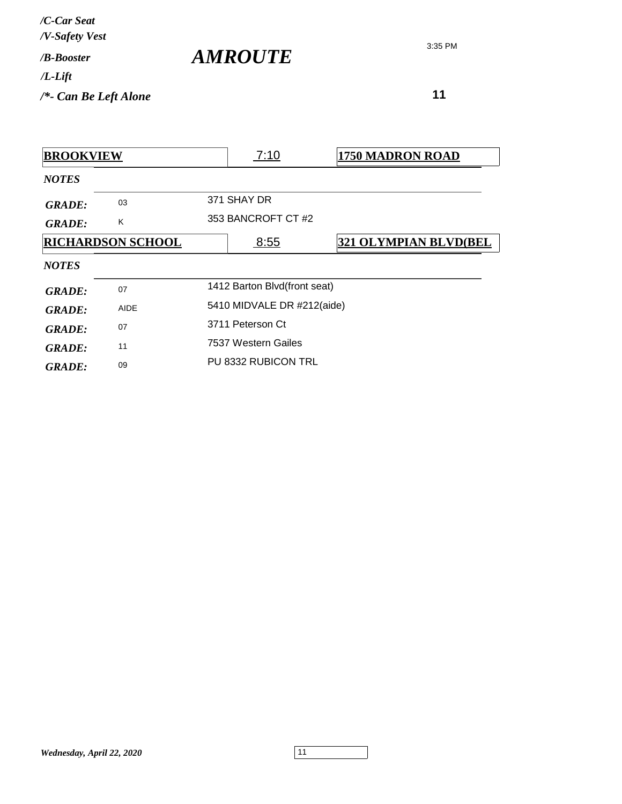| /C-Car Seat<br>/V-Safety Vest   |                       |
|---------------------------------|-----------------------|
| / <b>B-Booster</b>              | <i><b>AMROUTE</b></i> |
| $/L$ -Lift                      |                       |
| $\frac{1}{2}$ Can Be Left Alone |                       |

 **11**

*NOTES* **BROOKVIEW 7:10 1750 MADRON ROAD** 371 SHAY DR *GRADE:* <sup>03</sup> GRADE: K 353 BANCROFT CT #2 *NOTES* **RICHARDSON SCHOOL** 8:55 **321 OLYMPIAN BLVD(BEL** GRADE: 07 1412 Barton Blvd(front seat) GRADE: AIDE 5410 MIDVALE DR #212(aide) GRADE: 07 3711 Peterson Ct 7537 Western Gailes *GRADE:* <sup>11</sup> PU 8332 RUBICON TRL *GRADE:* <sup>09</sup>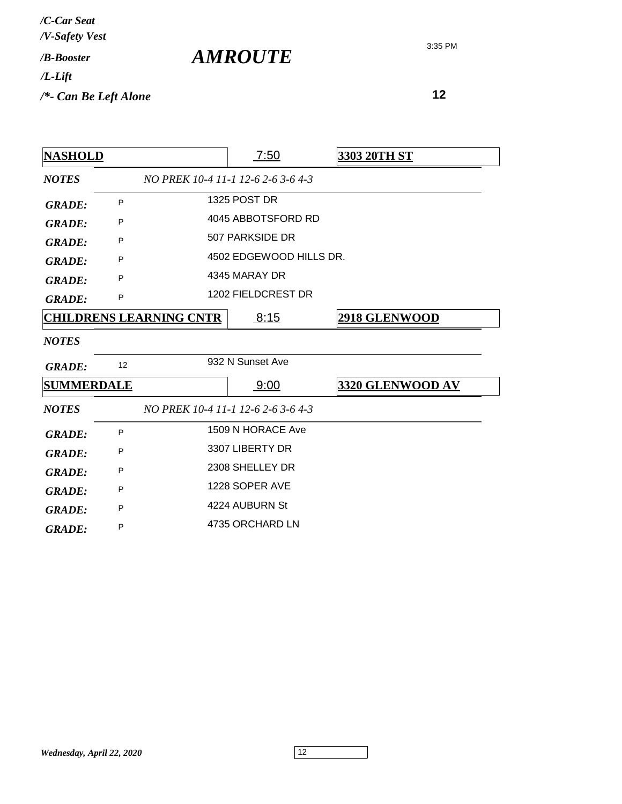| /C-Car Seat<br>/V-Safety Vest   |                       |
|---------------------------------|-----------------------|
| / <b>B-Booster</b>              | <i><b>AMROUTE</b></i> |
| $/L$ -Lift                      |                       |
| $\frac{1}{2}$ Can Be Left Alone |                       |

| <b>NASHOLD</b>                                     |    |                                    | 7:50                    | 3303 20TH ST            |  |
|----------------------------------------------------|----|------------------------------------|-------------------------|-------------------------|--|
| NO PREK 10-4 11-1 12-6 2-6 3-6 4-3<br><b>NOTES</b> |    |                                    |                         |                         |  |
| <b>GRADE:</b>                                      | P  |                                    | 1325 POST DR            |                         |  |
| <b>GRADE:</b>                                      | P  |                                    | 4045 ABBOTSFORD RD      |                         |  |
| <b>GRADE:</b>                                      | P  |                                    | 507 PARKSIDE DR         |                         |  |
| <b>GRADE:</b>                                      | P  |                                    | 4502 EDGEWOOD HILLS DR. |                         |  |
| <b>GRADE:</b>                                      | P  |                                    | 4345 MARAY DR           |                         |  |
| <b>GRADE:</b>                                      | P  |                                    | 1202 FIELDCREST DR      |                         |  |
| <u>CHILDRENS LEARNING CNTR</u>                     |    |                                    | 8:15                    | <b>2918 GLENWOOD</b>    |  |
| <b>NOTES</b>                                       |    |                                    |                         |                         |  |
| <b>GRADE:</b>                                      | 12 |                                    | 932 N Sunset Ave        |                         |  |
| <b>SUMMERDALE</b>                                  |    |                                    | 9:00                    | <b>3320 GLENWOOD AV</b> |  |
| <b>NOTES</b>                                       |    | NO PREK 10-4 11-1 12-6 2-6 3-6 4-3 |                         |                         |  |
| <b>GRADE:</b>                                      | P  | 1509 N HORACE Ave                  |                         |                         |  |
| <b>GRADE:</b>                                      | P  |                                    | 3307 LIBERTY DR         |                         |  |
| <b>GRADE:</b>                                      | P  | 2308 SHELLEY DR                    |                         |                         |  |
| <b>GRADE:</b>                                      | P  | 1228 SOPER AVE                     |                         |                         |  |
| <b>GRADE:</b>                                      | P  |                                    | 4224 AUBURN St          |                         |  |
| <b>GRADE:</b>                                      | P  |                                    | 4735 ORCHARD LN         |                         |  |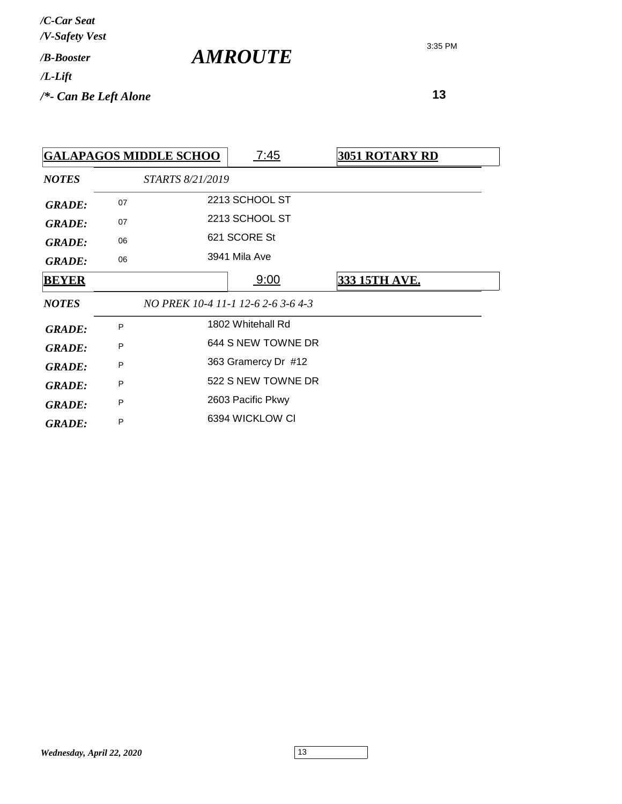**13**

|               |    | <b>GALAPAGOS MIDDLE SCHOO</b> | 7:45                               | <b>3051 ROTARY RD</b> |
|---------------|----|-------------------------------|------------------------------------|-----------------------|
| <b>NOTES</b>  |    | STARTS 8/21/2019              |                                    |                       |
| <b>GRADE:</b> | 07 |                               | 2213 SCHOOL ST                     |                       |
| <b>GRADE:</b> | 07 |                               | 2213 SCHOOL ST                     |                       |
| <b>GRADE:</b> | 06 |                               | 621 SCORE St                       |                       |
| <b>GRADE:</b> | 06 |                               | 3941 Mila Ave                      |                       |
| <b>BEYER</b>  |    |                               | 9:00                               | 333 15TH AVE.         |
| <b>NOTES</b>  |    |                               | NO PREK 10-4 11-1 12-6 2-6 3-6 4-3 |                       |
| <b>GRADE:</b> | P  |                               | 1802 Whitehall Rd                  |                       |
| <b>GRADE:</b> | P  |                               | 644 S NEW TOWNE DR                 |                       |
| <b>GRADE:</b> | P  |                               | 363 Gramercy Dr #12                |                       |
| <b>GRADE:</b> | P  |                               | 522 S NEW TOWNE DR                 |                       |
| <b>GRADE:</b> | P  |                               | 2603 Pacific Pkwy                  |                       |
| <b>GRADE:</b> | P  |                               | 6394 WICKLOW CI                    |                       |

3:35 PM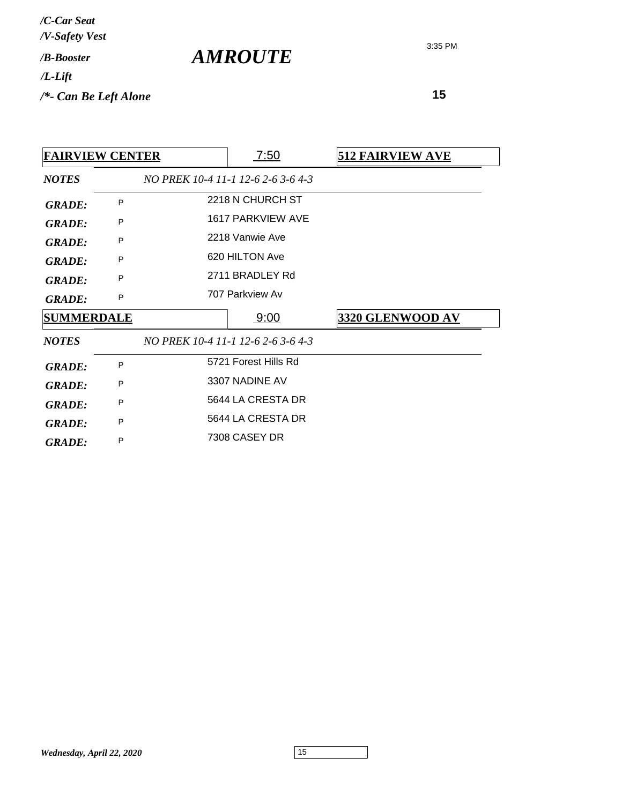| /C-Car Seat<br>/V-Safety Vest   |                |
|---------------------------------|----------------|
| / <b>B-Booster</b>              | <b>AMROUTE</b> |
| $/L$ -Lift                      |                |
| $\frac{1}{2}$ Can Be Left Alone |                |

| <b>FAIRVIEW CENTER</b> |   |                   | <u>7:50</u>                        | <b>512 FAIRVIEW AVE</b> |
|------------------------|---|-------------------|------------------------------------|-------------------------|
| <b>NOTES</b>           |   |                   | NO PREK 10-4 11-1 12-6 2-6 3-6 4-3 |                         |
| <b>GRADE:</b>          | P |                   | 2218 N CHURCH ST                   |                         |
| <b>GRADE:</b>          | P |                   | 1617 PARKVIEW AVE                  |                         |
| <b>GRADE:</b>          | P |                   | 2218 Vanwie Ave                    |                         |
| <b>GRADE:</b>          | P |                   | 620 HILTON Ave                     |                         |
| <b>GRADE:</b>          | P |                   | 2711 BRADLEY Rd                    |                         |
| <b>GRADE:</b>          | P |                   | 707 Parkview Av                    |                         |
| <b>SUMMERDALE</b>      |   |                   | 9:00                               | 3320 GLENWOOD AV        |
| <b>NOTES</b>           |   |                   | NO PREK 10-4 11-1 12-6 2-6 3-6 4-3 |                         |
| <b>GRADE:</b>          | P |                   | 5721 Forest Hills Rd               |                         |
| <b>GRADE:</b>          | P | 3307 NADINE AV    |                                    |                         |
| <b>GRADE:</b>          | P | 5644 LA CRESTA DR |                                    |                         |
| <b>GRADE:</b>          | P | 5644 LA CRESTA DR |                                    |                         |
|                        |   | 7308 CASEY DR     |                                    |                         |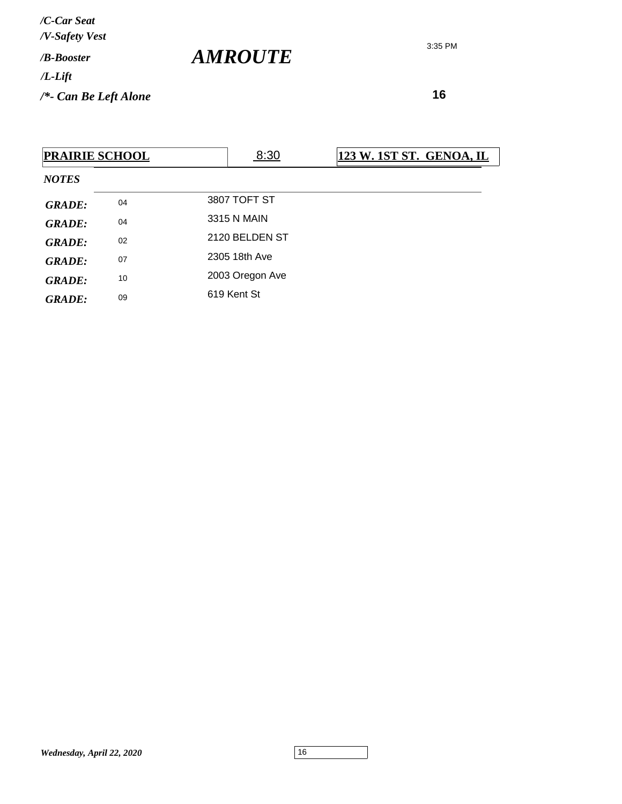3:35 PM

| <b>PRAIRIE SCHOOL</b> |    |                 | 8:30 | 123 W. 1ST ST. GENOA, IL |
|-----------------------|----|-----------------|------|--------------------------|
| <b>NOTES</b>          |    |                 |      |                          |
| <b>GRADE:</b>         | 04 | 3807 TOFT ST    |      |                          |
| <b>GRADE:</b>         | 04 | 3315 N MAIN     |      |                          |
| <b>GRADE:</b>         | 02 | 2120 BELDEN ST  |      |                          |
| <b>GRADE:</b>         | 07 | 2305 18th Ave   |      |                          |
| GRADE:                | 10 | 2003 Oregon Ave |      |                          |
| <b>GRADE:</b>         | 09 | 619 Kent St     |      |                          |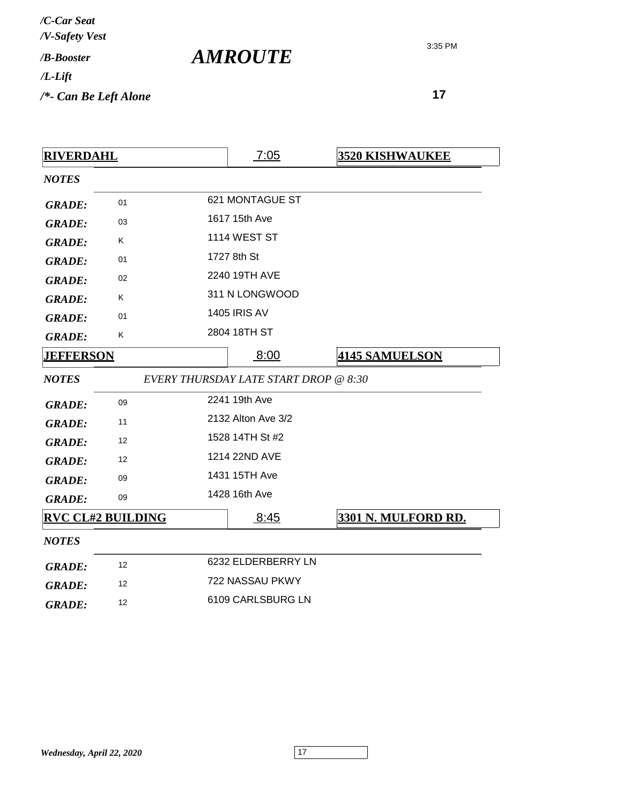| /C-Car Seat<br>/V-Safety Vest   |                |
|---------------------------------|----------------|
| / <b>B-Booster</b>              | <b>AMROUTE</b> |
| $/L$ -Lift                      |                |
| $\frac{1}{2}$ Can Be Left Alone |                |

| <b>RIVERDAHL</b>         |                   |                   | 7:05                                  | <b>3520 KISHWAUKEE</b> |
|--------------------------|-------------------|-------------------|---------------------------------------|------------------------|
| <b>NOTES</b>             |                   |                   |                                       |                        |
| <b>GRADE:</b>            | 01                |                   | 621 MONTAGUE ST                       |                        |
| <b>GRADE:</b>            | 03                |                   | 1617 15th Ave                         |                        |
| <b>GRADE:</b>            | Κ                 |                   | <b>1114 WEST ST</b>                   |                        |
| <b>GRADE:</b>            | 01                |                   | 1727 8th St                           |                        |
| <b>GRADE:</b>            | 02                |                   | 2240 19TH AVE                         |                        |
| <b>GRADE:</b>            | Κ                 |                   | 311 N LONGWOOD                        |                        |
| <b>GRADE:</b>            | 01                |                   | <b>1405 IRIS AV</b>                   |                        |
| <b>GRADE:</b>            | Κ                 |                   | 2804 18TH ST                          |                        |
| <b>JEFFERSON</b>         |                   | 8:00              | <b>4145 SAMUELSON</b>                 |                        |
| <b>NOTES</b>             |                   |                   | EVERY THURSDAY LATE START DROP @ 8:30 |                        |
| <b>GRADE:</b>            | 09                |                   | 2241 19th Ave                         |                        |
| <b>GRADE:</b>            | 11                |                   | 2132 Alton Ave 3/2                    |                        |
| <b>GRADE:</b>            | 12                |                   | 1528 14TH St #2                       |                        |
| <b>GRADE:</b>            | $12 \overline{ }$ |                   | 1214 22ND AVE                         |                        |
| <b>GRADE:</b>            | 09                |                   | 1431 15TH Ave                         |                        |
| <b>GRADE:</b>            | 09                |                   | 1428 16th Ave                         |                        |
| <b>RVC CL#2 BUILDING</b> |                   | 8:45              | 3301 N. MULFORD RD.                   |                        |
| <b>NOTES</b>             |                   |                   |                                       |                        |
| <b>GRADE:</b>            | 12                |                   | 6232 ELDERBERRY LN                    |                        |
| <b>GRADE:</b>            | 12                | 722 NASSAU PKWY   |                                       |                        |
| 12<br><b>GRADE:</b>      |                   | 6109 CARLSBURG LN |                                       |                        |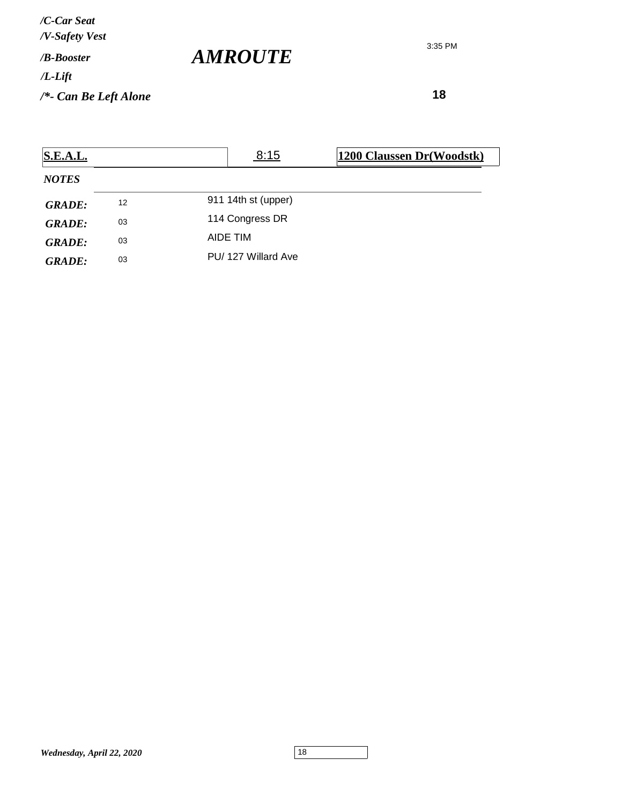*/V-Safety Vest /C-Car Seat*

*/B-Booster*

*/L-Lift*

*/\*- Can Be Left Alone*

3:35 PM

 **18**

| S.E.A.L.      |    | 8:15                | 1200 Claussen Dr(Woodstk) |
|---------------|----|---------------------|---------------------------|
| <b>NOTES</b>  |    |                     |                           |
| <b>GRADE:</b> | 12 | 911 14th st (upper) |                           |
| <b>GRADE:</b> | 03 | 114 Congress DR     |                           |
| <b>GRADE:</b> | 03 | AIDE TIM            |                           |
| <b>GRADE:</b> | 03 | PU/127 Willard Ave  |                           |

*AMROUTE*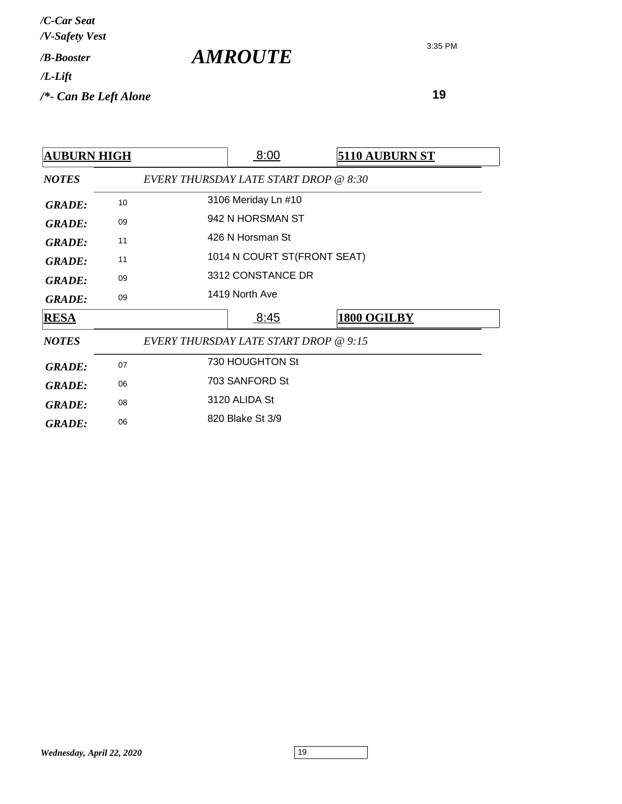| /C-Car Seat<br>/V-Safety Vest   |                       |
|---------------------------------|-----------------------|
| / <b>B-Booster</b>              | <i><b>AMROUTE</b></i> |
| $/L$ -Lift                      |                       |
| $\frac{1}{2}$ Can Be Left Alone |                       |

| <b>AUBURN HIGH</b> |    |                                       | 8:00                        | <b>5110 AUBURN ST</b> |  |
|--------------------|----|---------------------------------------|-----------------------------|-----------------------|--|
| <b>NOTES</b>       |    | EVERY THURSDAY LATE START DROP @ 8:30 |                             |                       |  |
| <b>GRADE:</b>      | 10 |                                       | 3106 Meriday Ln #10         |                       |  |
| <b>GRADE:</b>      | 09 |                                       | 942 N HORSMAN ST            |                       |  |
| <b>GRADE:</b>      | 11 |                                       | 426 N Horsman St            |                       |  |
| <b>GRADE:</b>      | 11 |                                       | 1014 N COURT ST(FRONT SEAT) |                       |  |
| <b>GRADE:</b>      | 09 |                                       | 3312 CONSTANCE DR           |                       |  |
| <b>GRADE:</b>      | 09 |                                       | 1419 North Ave              |                       |  |
| <b>RESA</b>        |    |                                       | 8:45                        | 1800 OGILBY           |  |
| <b>NOTES</b>       |    | EVERY THURSDAY LATE START DROP @ 9:15 |                             |                       |  |
| <b>GRADE:</b>      | 07 |                                       | 730 HOUGHTON St             |                       |  |
| <b>GRADE:</b>      | 06 |                                       | 703 SANFORD St              |                       |  |
| <b>GRADE:</b>      | 08 |                                       | 3120 ALIDA St               |                       |  |
| <b>GRADE:</b>      | 06 |                                       | 820 Blake St 3/9            |                       |  |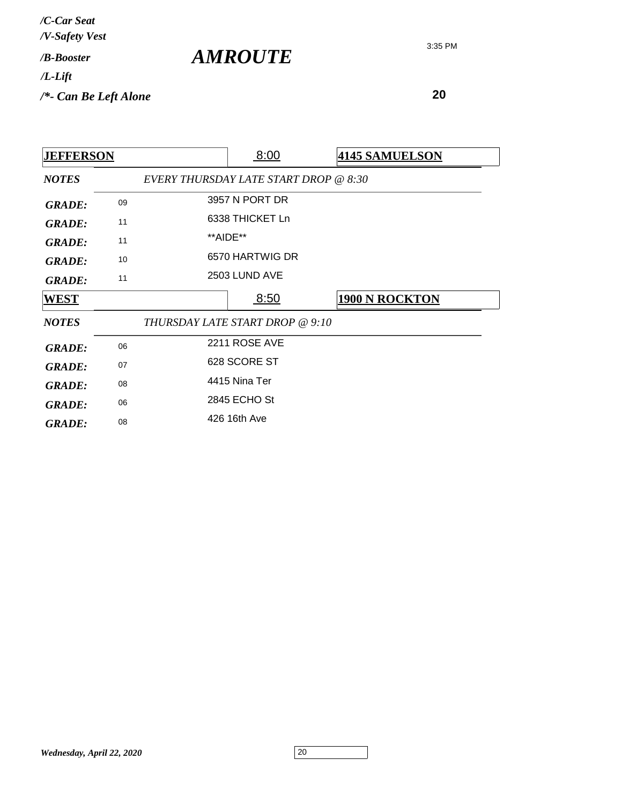| /C-Car Seat<br>/V-Safety Vest |                       |
|-------------------------------|-----------------------|
| / <b>B-Booster</b>            | <i><b>AMROUTE</b></i> |
| $/L$ -Lift                    |                       |
| $/*$ - Can Be Left Alone      |                       |

| <b>JEFFERSON</b> |    |                                       | 8:00            | <b>4145 SAMUELSON</b> |
|------------------|----|---------------------------------------|-----------------|-----------------------|
| <b>NOTES</b>     |    | EVERY THURSDAY LATE START DROP @ 8:30 |                 |                       |
| <b>GRADE:</b>    | 09 |                                       | 3957 N PORT DR  |                       |
| <b>GRADE:</b>    | 11 |                                       | 6338 THICKET Ln |                       |
| <b>GRADE:</b>    | 11 |                                       | **AIDE**        |                       |
| <b>GRADE:</b>    | 10 |                                       | 6570 HARTWIG DR |                       |
| <b>GRADE:</b>    | 11 |                                       | 2503 LUND AVE   |                       |
| WEST             |    |                                       | 8:50            | <b>1900 N ROCKTON</b> |
| <b>NOTES</b>     |    | THURSDAY LATE START DROP @ 9:10       |                 |                       |
| <b>GRADE:</b>    | 06 |                                       | 2211 ROSE AVE   |                       |
| <b>GRADE:</b>    | 07 |                                       | 628 SCORE ST    |                       |
| <b>GRADE:</b>    | 08 |                                       | 4415 Nina Ter   |                       |
| <b>GRADE:</b>    | 06 |                                       | 2845 ECHO St    |                       |
| <b>GRADE:</b>    | 08 |                                       | 426 16th Ave    |                       |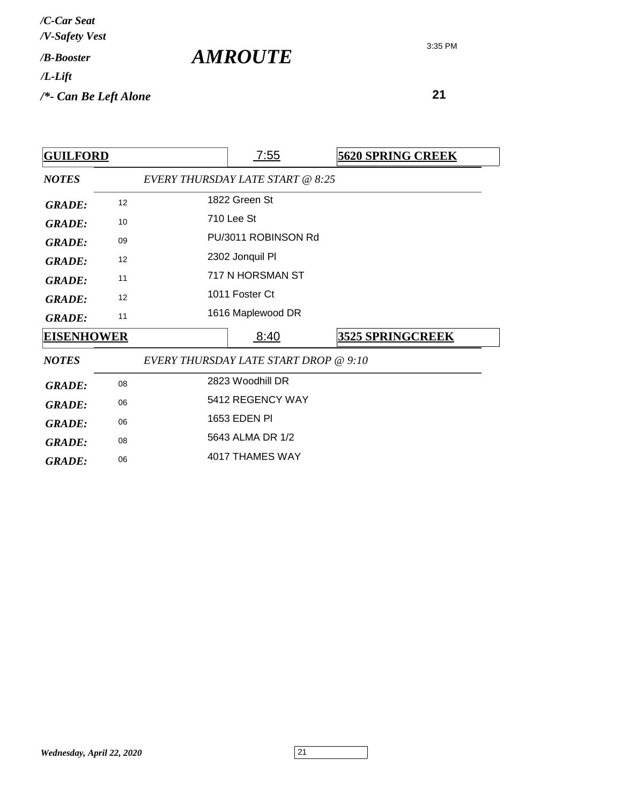| /C-Car Seat<br>/V-Safety Vest   |                |
|---------------------------------|----------------|
| / <b>B-Booster</b>              | <b>AMROUTE</b> |
| $/L$ -Lift                      |                |
| $\frac{1}{2}$ Can Be Left Alone |                |

| <b>GUILFORD</b>   |    | <u>7:55</u>                           | <b>5620 SPRING CREEK</b> |
|-------------------|----|---------------------------------------|--------------------------|
| <b>NOTES</b>      |    | EVERY THURSDAY LATE START @ 8:25      |                          |
| <b>GRADE:</b>     | 12 | 1822 Green St                         |                          |
| <b>GRADE:</b>     | 10 | 710 Lee St                            |                          |
| <b>GRADE:</b>     | 09 | PU/3011 ROBINSON Rd                   |                          |
| <b>GRADE:</b>     | 12 | 2302 Jonquil Pl                       |                          |
| <b>GRADE:</b>     | 11 | 717 N HORSMAN ST                      |                          |
| <b>GRADE:</b>     | 12 | 1011 Foster Ct                        |                          |
| <b>GRADE:</b>     | 11 | 1616 Maplewood DR                     |                          |
| <b>EISENHOWER</b> |    | 8:40                                  | <b>3525 SPRINGCREEK</b>  |
| <b>NOTES</b>      |    | EVERY THURSDAY LATE START DROP @ 9:10 |                          |
| <b>GRADE:</b>     | 08 | 2823 Woodhill DR                      |                          |
| <b>GRADE:</b>     | 06 | 5412 REGENCY WAY                      |                          |
| <b>GRADE:</b>     | 06 | 1653 EDEN PI                          |                          |
| <b>GRADE:</b>     | 08 | 5643 ALMA DR 1/2                      |                          |
| <b>GRADE:</b>     | 06 | 4017 THAMES WAY                       |                          |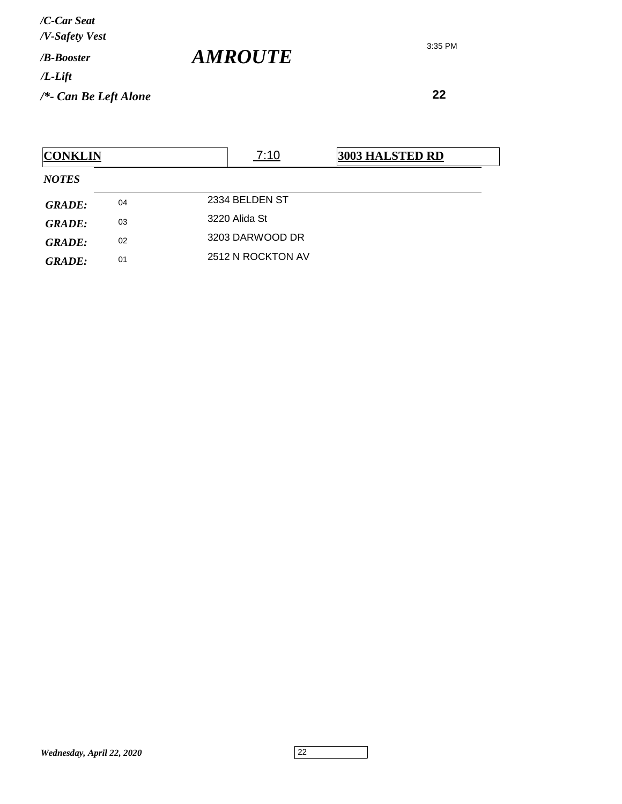3:35 PM

| <b>CONKLIN</b> |    | 7:10<br><b>3003 HALSTED RD</b> |  |
|----------------|----|--------------------------------|--|
| <b>NOTES</b>   |    |                                |  |
| <b>GRADE:</b>  | 04 | 2334 BELDEN ST                 |  |
| <b>GRADE:</b>  | 03 | 3220 Alida St                  |  |
| <b>GRADE:</b>  | 02 | 3203 DARWOOD DR                |  |
| <b>GRADE:</b>  | 01 | 2512 N ROCKTON AV              |  |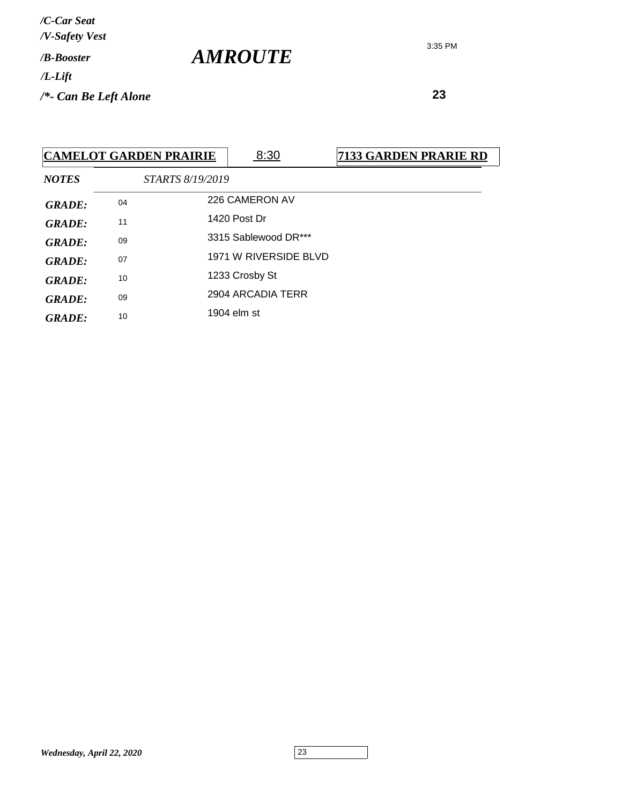3:35 PM

 **23**

|               |    | <b>CAMELOT GARDEN PRAIRIE</b> | 8:30                  | 7133 GARDEN PRARIE RD |
|---------------|----|-------------------------------|-----------------------|-----------------------|
| <b>NOTES</b>  |    | STARTS 8/19/2019              |                       |                       |
| <b>GRADE:</b> | 04 |                               | 226 CAMERON AV        |                       |
| <b>GRADE:</b> | 11 |                               | 1420 Post Dr          |                       |
| <b>GRADE:</b> | 09 |                               | 3315 Sablewood DR***  |                       |
| GRADE:        | 07 |                               | 1971 W RIVERSIDE BLVD |                       |
| <b>GRADE:</b> | 10 |                               | 1233 Crosby St        |                       |
| <b>GRADE:</b> | 09 |                               | 2904 ARCADIA TERR     |                       |
| <b>GRADE:</b> | 10 |                               | 1904 elm st           |                       |
|               |    |                               |                       |                       |

*AMROUTE*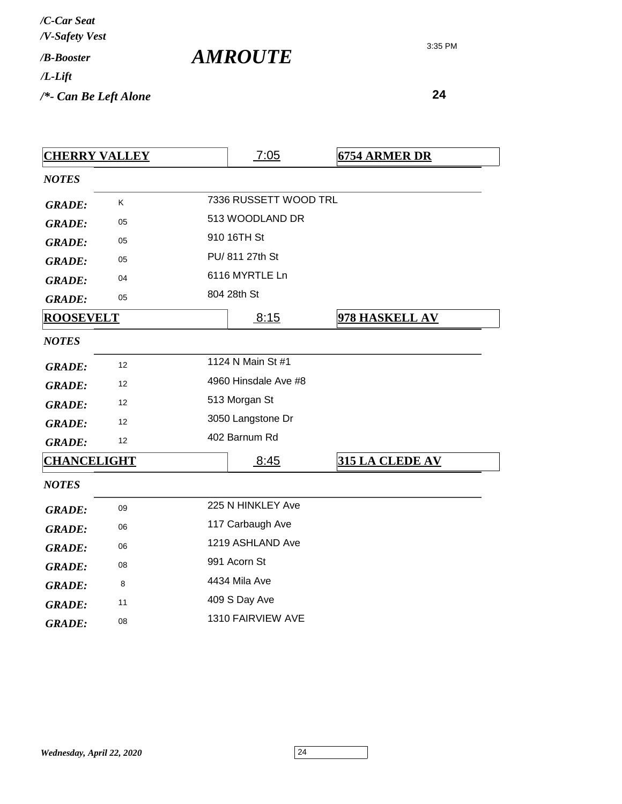| /C-Car Seat<br>/V-Safety Vest |                       |
|-------------------------------|-----------------------|
| / <b>B-Booster</b>            | <i><b>AMROUTE</b></i> |
| $/L$ -Lift                    |                       |
| $/*$ - Can Be Left Alone      |                       |

| <b>CHERRY VALLEY</b> |    | 7:05                  | <b>6754 ARMER DR</b>   |
|----------------------|----|-----------------------|------------------------|
| <b>NOTES</b>         |    |                       |                        |
| <b>GRADE:</b>        | K  | 7336 RUSSETT WOOD TRL |                        |
| <b>GRADE:</b>        | 05 | 513 WOODLAND DR       |                        |
| <b>GRADE:</b>        | 05 | 910 16TH St           |                        |
| <b>GRADE:</b>        | 05 | PU/ 811 27th St       |                        |
| <b>GRADE:</b>        | 04 | 6116 MYRTLE Ln        |                        |
| <b>GRADE:</b>        | 05 | 804 28th St           |                        |
| <b>ROOSEVELT</b>     |    | 8:15                  | 978 HASKELL AV         |
| <b>NOTES</b>         |    |                       |                        |
| <b>GRADE:</b>        | 12 | 1124 N Main St #1     |                        |
| <b>GRADE:</b>        | 12 | 4960 Hinsdale Ave #8  |                        |
| <b>GRADE:</b>        | 12 | 513 Morgan St         |                        |
| <b>GRADE:</b>        | 12 | 3050 Langstone Dr     |                        |
| <b>GRADE:</b>        | 12 | 402 Barnum Rd         |                        |
| <b>CHANCELIGHT</b>   |    | 8:45                  | <b>315 LA CLEDE AV</b> |
| <b>NOTES</b>         |    |                       |                        |
| <b>GRADE:</b>        | 09 | 225 N HINKLEY Ave     |                        |
| <b>GRADE:</b>        | 06 | 117 Carbaugh Ave      |                        |
| <b>GRADE:</b>        | 06 | 1219 ASHLAND Ave      |                        |
| <b>GRADE:</b>        | 08 | 991 Acorn St          |                        |
| <b>GRADE:</b>        | 8  | 4434 Mila Ave         |                        |
| <b>GRADE:</b>        | 11 | 409 S Day Ave         |                        |
| <b>GRADE:</b>        | 08 | 1310 FAIRVIEW AVE     |                        |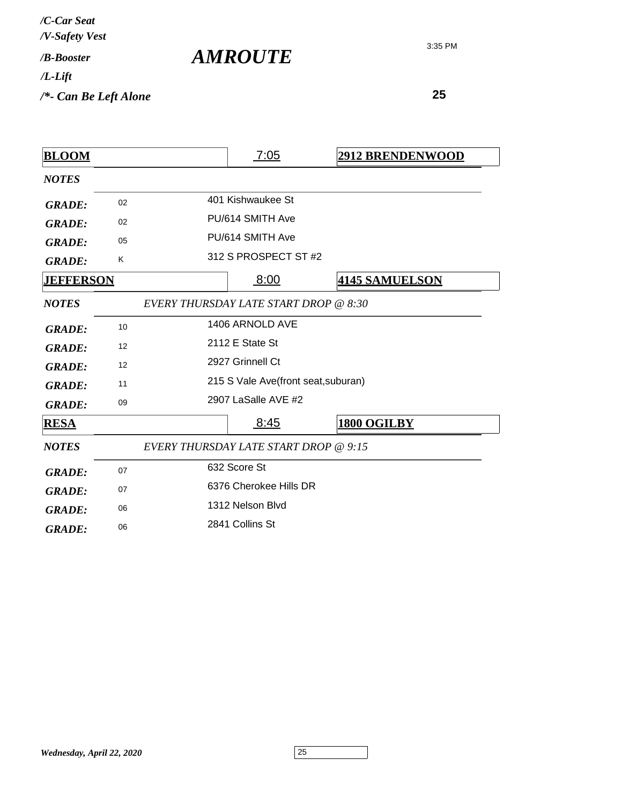| /C-Car Seat<br>/V-Safety Vest |  |
|-------------------------------|--|
| /R-Booster                    |  |
| /L-Lift                       |  |

*AMROUTE*

*/\*- Can Be Left Alone*

| <b>BLOOM</b>     |    | <u>7:05</u>                           | <b>2912 BRENDENWOOD</b> |
|------------------|----|---------------------------------------|-------------------------|
| <b>NOTES</b>     |    |                                       |                         |
| <b>GRADE:</b>    | 02 | 401 Kishwaukee St                     |                         |
| <b>GRADE:</b>    | 02 | PU/614 SMITH Ave                      |                         |
| <b>GRADE:</b>    | 05 | PU/614 SMITH Ave                      |                         |
| <b>GRADE:</b>    | Κ  | 312 S PROSPECT ST #2                  |                         |
| <b>JEFFERSON</b> |    | 8:00                                  | <b>4145 SAMUELSON</b>   |
| <b>NOTES</b>     |    | EVERY THURSDAY LATE START DROP @ 8:30 |                         |
| <b>GRADE:</b>    | 10 | 1406 ARNOLD AVE                       |                         |
| <b>GRADE:</b>    | 12 | 2112 E State St                       |                         |
| <b>GRADE:</b>    | 12 | 2927 Grinnell Ct                      |                         |
| <b>GRADE:</b>    | 11 | 215 S Vale Ave(front seat, suburan)   |                         |
| <b>GRADE:</b>    | 09 | 2907 LaSalle AVE #2                   |                         |
| <b>RESA</b>      |    | 8:45                                  | 1800 OGILBY             |
| <b>NOTES</b>     |    | EVERY THURSDAY LATE START DROP @ 9:15 |                         |
| <b>GRADE:</b>    | 07 | 632 Score St                          |                         |
| <b>GRADE:</b>    | 07 | 6376 Cherokee Hills DR                |                         |
| <b>GRADE:</b>    | 06 | 1312 Nelson Blvd                      |                         |
| <b>GRADE:</b>    | 06 | 2841 Collins St                       |                         |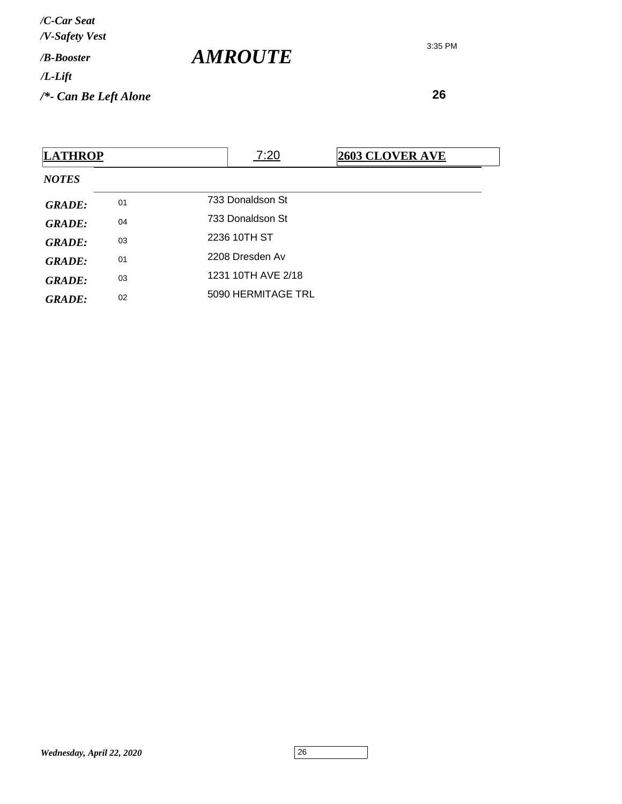**26**

| <b>LATHROP</b> |    | 7:20               | <b>2603 CLOVER AVE</b> |
|----------------|----|--------------------|------------------------|
| <b>NOTES</b>   |    |                    |                        |
| <b>GRADE:</b>  | 01 | 733 Donaldson St   |                        |
| <b>GRADE:</b>  | 04 | 733 Donaldson St   |                        |
| <b>GRADE:</b>  | 03 | 2236 10TH ST       |                        |
| <b>GRADE:</b>  | 01 | 2208 Dresden Av    |                        |
| <b>GRADE:</b>  | 03 | 1231 10TH AVE 2/18 |                        |
| <b>GRADE:</b>  | 02 | 5090 HERMITAGE TRL |                        |

*AMROUTE*

3:35 PM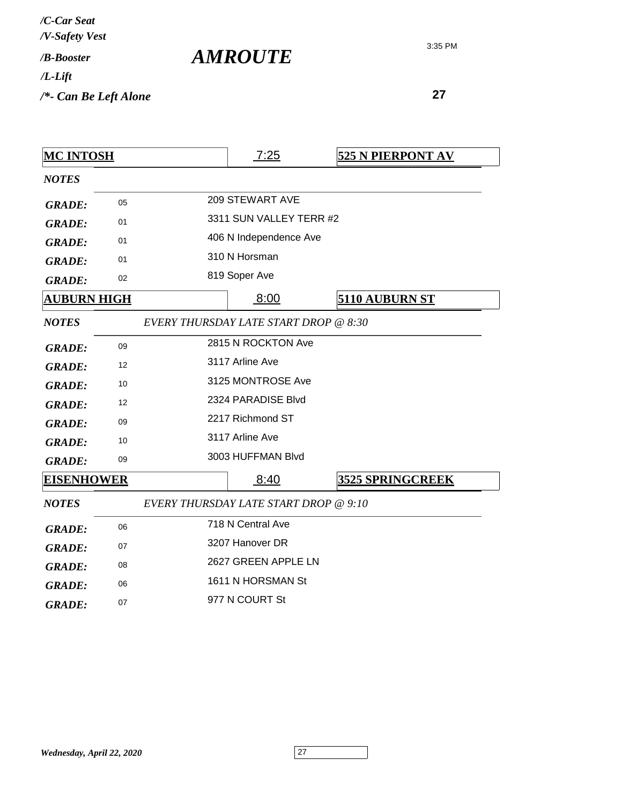| /C-Car Seat<br>/V-Safety Vest |  |
|-------------------------------|--|
| / <b><i>B-Booster</i></b>     |  |
| /L-Lift                       |  |
| /*- Can Be Left Alone         |  |

*AMROUTE*

| <b>MC INTOSH</b>   |    | 7:25                                         | <b>525 N PIERPONT AV</b> |
|--------------------|----|----------------------------------------------|--------------------------|
| <b>NOTES</b>       |    |                                              |                          |
| <b>GRADE:</b>      | 05 | 209 STEWART AVE                              |                          |
| <b>GRADE:</b>      | 01 | 3311 SUN VALLEY TERR #2                      |                          |
| <b>GRADE:</b>      | 01 | 406 N Independence Ave                       |                          |
| <b>GRADE:</b>      | 01 | 310 N Horsman                                |                          |
| <b>GRADE:</b>      | 02 | 819 Soper Ave                                |                          |
| <b>AUBURN HIGH</b> |    | 8:00                                         | 5110 AUBURN ST           |
| <b>NOTES</b>       |    | <b>EVERY THURSDAY LATE START DROP @ 8:30</b> |                          |
| <b>GRADE:</b>      | 09 | 2815 N ROCKTON Ave                           |                          |
| <b>GRADE:</b>      | 12 | 3117 Arline Ave                              |                          |
| <b>GRADE:</b>      | 10 | 3125 MONTROSE Ave                            |                          |
| <b>GRADE:</b>      | 12 | 2324 PARADISE Blvd                           |                          |
| <b>GRADE:</b>      | 09 | 2217 Richmond ST                             |                          |
| <b>GRADE:</b>      | 10 | 3117 Arline Ave                              |                          |
| <b>GRADE:</b>      | 09 | 3003 HUFFMAN Blvd                            |                          |
| <b>EISENHOWER</b>  |    | 8:40                                         | <b>3525 SPRINGCREEK</b>  |
| <b>NOTES</b>       |    | EVERY THURSDAY LATE START DROP @ 9:10        |                          |
| <b>GRADE:</b>      | 06 | 718 N Central Ave                            |                          |
| <b>GRADE:</b>      | 07 | 3207 Hanover DR                              |                          |
| <b>GRADE:</b>      | 08 | 2627 GREEN APPLE LN                          |                          |
| <b>GRADE:</b>      | 06 | 1611 N HORSMAN St                            |                          |
| <b>GRADE:</b>      | 07 | 977 N COURT St                               |                          |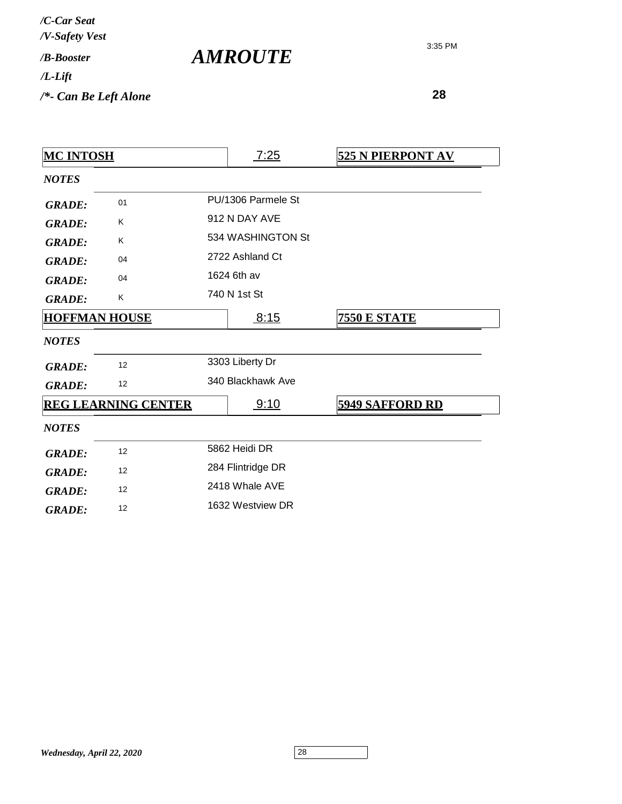| /C-Car Seat<br>/V-Safety Vest   |                       |
|---------------------------------|-----------------------|
| / <b>B-Booster</b>              | <i><b>AMROUTE</b></i> |
| /L-Lift                         |                       |
| $\frac{1}{2}$ Can Be Left Alone |                       |

| <b>MC INTOSH</b>     |                            | <u>7:25</u>        | <b>525 N PIERPONT AV</b> |
|----------------------|----------------------------|--------------------|--------------------------|
| <b>NOTES</b>         |                            |                    |                          |
| <b>GRADE:</b>        | 01                         | PU/1306 Parmele St |                          |
| <b>GRADE:</b>        | Κ                          | 912 N DAY AVE      |                          |
| <b>GRADE:</b>        | K                          | 534 WASHINGTON St  |                          |
| <b>GRADE:</b>        | 04                         | 2722 Ashland Ct    |                          |
| <b>GRADE:</b>        | 04                         | 1624 6th av        |                          |
| <b>GRADE:</b>        | Κ                          | 740 N 1st St       |                          |
| <b>HOFFMAN HOUSE</b> |                            | 8:15               | <b>7550 E STATE</b>      |
| <b>NOTES</b>         |                            |                    |                          |
| <b>GRADE:</b>        | 12                         | 3303 Liberty Dr    |                          |
| <b>GRADE:</b>        | 12                         | 340 Blackhawk Ave  |                          |
|                      | <b>REG LEARNING CENTER</b> | 9:10               | <b>5949 SAFFORD RD</b>   |
| <b>NOTES</b>         |                            |                    |                          |
| <b>GRADE:</b>        | 12                         | 5862 Heidi DR      |                          |
| <b>GRADE:</b>        | 12                         | 284 Flintridge DR  |                          |
| <b>GRADE:</b>        | 12                         | 2418 Whale AVE     |                          |
| <b>GRADE:</b>        | 12                         | 1632 Westview DR   |                          |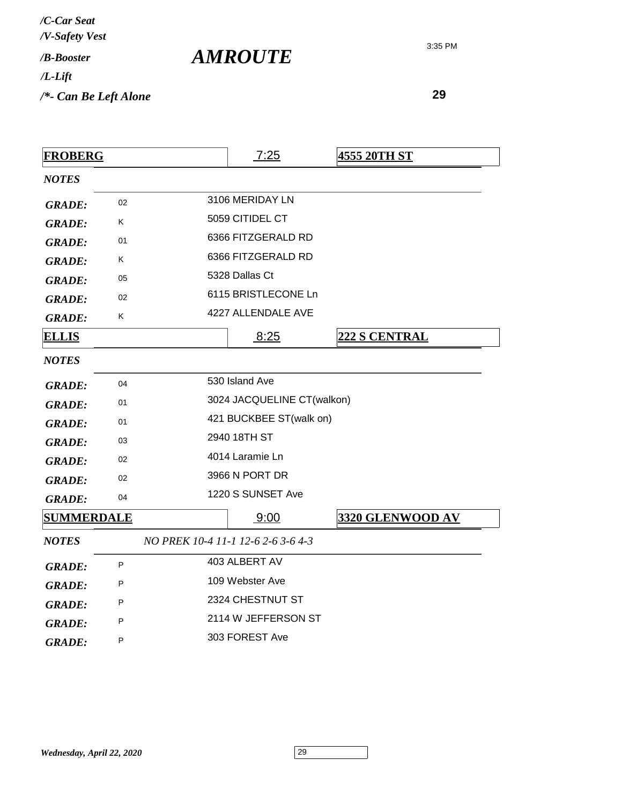| /C-Car Seat<br>/V-Safety Vest |  |
|-------------------------------|--|
| $/R$ - <i>Rooster</i>         |  |
| /L-Lift                       |  |
| /*- Can Be Left Alone         |  |

*AMROUTE*

| <b>FROBERG</b>    |    | 7:25                               | <u>4555 20TH ST</u>  |
|-------------------|----|------------------------------------|----------------------|
| <b>NOTES</b>      |    |                                    |                      |
| <b>GRADE:</b>     | 02 | 3106 MERIDAY LN                    |                      |
| <b>GRADE:</b>     | K  | 5059 CITIDEL CT                    |                      |
| <b>GRADE:</b>     | 01 | 6366 FITZGERALD RD                 |                      |
| <b>GRADE:</b>     | K  | 6366 FITZGERALD RD                 |                      |
| <b>GRADE:</b>     | 05 | 5328 Dallas Ct                     |                      |
| <b>GRADE:</b>     | 02 | 6115 BRISTLECONE Ln                |                      |
| <b>GRADE:</b>     | Κ  | 4227 ALLENDALE AVE                 |                      |
| <u>ELLIS</u>      |    | 8:25                               | <b>222 S CENTRAL</b> |
| <b>NOTES</b>      |    |                                    |                      |
| <b>GRADE:</b>     | 04 | 530 Island Ave                     |                      |
| <b>GRADE:</b>     | 01 | 3024 JACQUELINE CT(walkon)         |                      |
| <b>GRADE:</b>     | 01 | 421 BUCKBEE ST(walk on)            |                      |
| <b>GRADE:</b>     | 03 | 2940 18TH ST                       |                      |
| <b>GRADE:</b>     | 02 | 4014 Laramie Ln                    |                      |
| <b>GRADE:</b>     | 02 | 3966 N PORT DR                     |                      |
| <b>GRADE:</b>     | 04 | 1220 S SUNSET Ave                  |                      |
| <b>SUMMERDALE</b> |    | 9:00                               | 3320 GLENWOOD AV     |
| <b>NOTES</b>      |    | NO PREK 10-4 11-1 12-6 2-6 3-6 4-3 |                      |
| <b>GRADE:</b>     | P  | 403 ALBERT AV                      |                      |
| <b>GRADE:</b>     | P  | 109 Webster Ave                    |                      |
| <b>GRADE:</b>     | P  | 2324 CHESTNUT ST                   |                      |
| <b>GRADE:</b>     | P  | 2114 W JEFFERSON ST                |                      |
| <b>GRADE:</b>     | P  | 303 FOREST Ave                     |                      |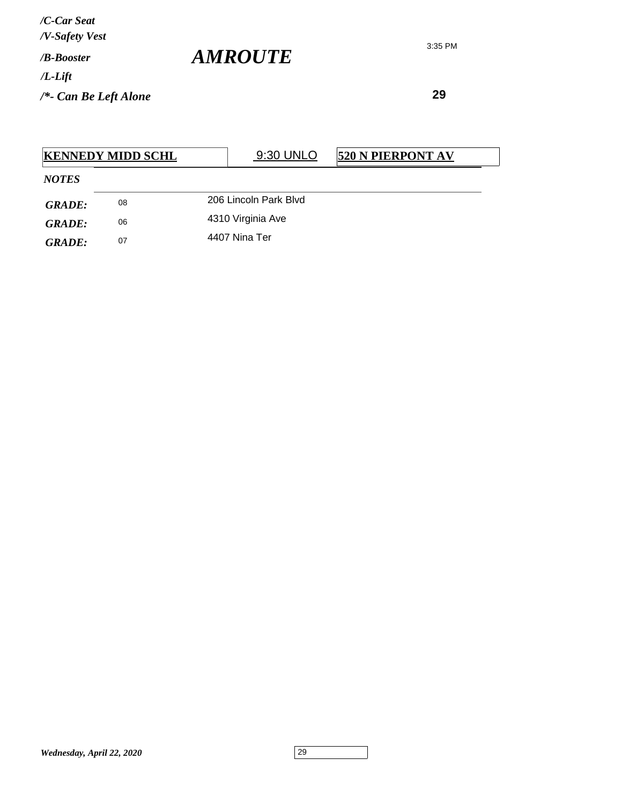*AMROUTE*

|               | <b>KENNEDY MIDD SCHL</b> | 9:30 UNLO             | <b>520 N PIERPONT AV</b> |
|---------------|--------------------------|-----------------------|--------------------------|
| <b>NOTES</b>  |                          |                       |                          |
| <b>GRADE:</b> | 08                       | 206 Lincoln Park Blyd |                          |
| GRADE:        | 06                       | 4310 Virginia Ave     |                          |
| GRADE:        | 07                       | 4407 Nina Ter         |                          |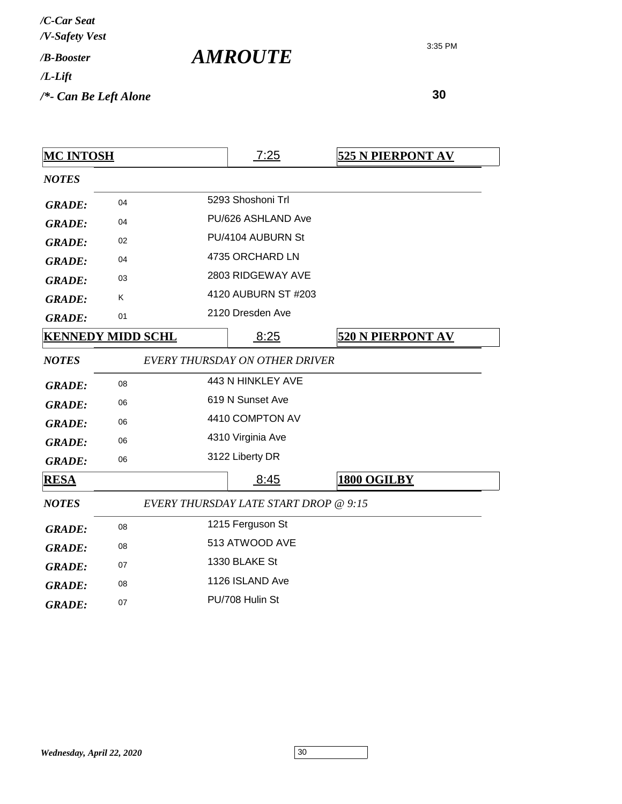| <b>MC INTOSH</b> |                          | 7:25                                  | 525 N PIERPONT AV        |
|------------------|--------------------------|---------------------------------------|--------------------------|
| <b>NOTES</b>     |                          |                                       |                          |
| <b>GRADE:</b>    | 04                       | 5293 Shoshoni Trl                     |                          |
| <b>GRADE:</b>    | 04                       | PU/626 ASHLAND Ave                    |                          |
| <b>GRADE:</b>    | 02                       | PU/4104 AUBURN St                     |                          |
| <b>GRADE:</b>    | 04                       | 4735 ORCHARD LN                       |                          |
| <b>GRADE:</b>    | 03                       | 2803 RIDGEWAY AVE                     |                          |
| <b>GRADE:</b>    | Κ                        | 4120 AUBURN ST #203                   |                          |
| <b>GRADE:</b>    | 01                       | 2120 Dresden Ave                      |                          |
|                  | <b>KENNEDY MIDD SCHL</b> | 8:25                                  | <b>520 N PIERPONT AV</b> |
| <b>NOTES</b>     |                          | EVERY THURSDAY ON OTHER DRIVER        |                          |
| <b>GRADE:</b>    | 08                       | 443 N HINKLEY AVE                     |                          |
| <b>GRADE:</b>    | 06                       | 619 N Sunset Ave                      |                          |
| <b>GRADE:</b>    | 06                       | 4410 COMPTON AV                       |                          |
| <b>GRADE:</b>    | 06                       | 4310 Virginia Ave                     |                          |
| <b>GRADE:</b>    | 06                       | 3122 Liberty DR                       |                          |
| <b>RESA</b>      |                          | 8:45                                  | 1800 OGILBY              |
| <b>NOTES</b>     |                          | EVERY THURSDAY LATE START DROP @ 9:15 |                          |
| <b>GRADE:</b>    | 08                       | 1215 Ferguson St                      |                          |
| <b>GRADE:</b>    | 08                       | 513 ATWOOD AVE                        |                          |
| <b>GRADE:</b>    | 07                       | 1330 BLAKE St                         |                          |
| <b>GRADE:</b>    | 08                       | 1126 ISLAND Ave                       |                          |
| <b>GRADE:</b>    | 07                       | PU/708 Hulin St                       |                          |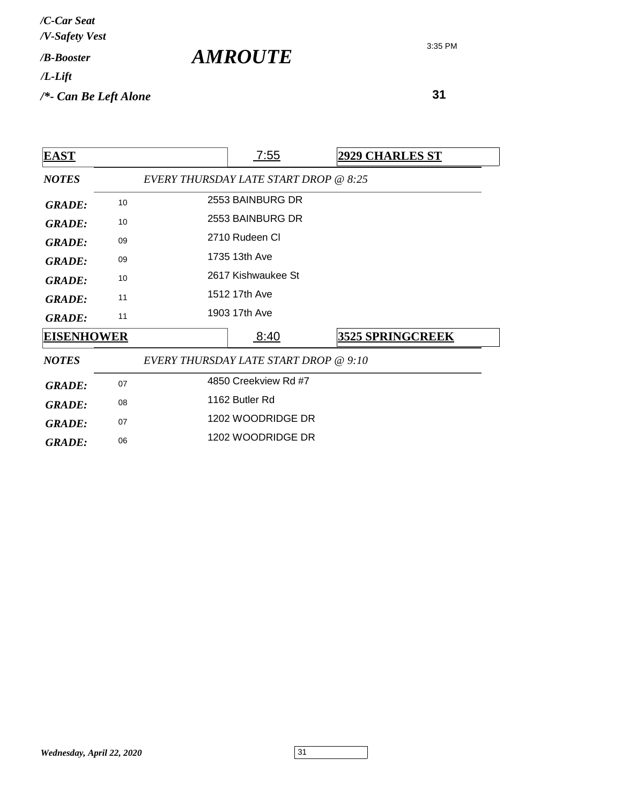| <b>EAST</b>       |    | 7:55                                  | <b>2929 CHARLES ST</b>  |  |
|-------------------|----|---------------------------------------|-------------------------|--|
| <b>NOTES</b>      |    | EVERY THURSDAY LATE START DROP @ 8:25 |                         |  |
| <b>GRADE:</b>     | 10 | 2553 BAINBURG DR                      |                         |  |
| <b>GRADE:</b>     | 10 | 2553 BAINBURG DR                      |                         |  |
| <b>GRADE:</b>     | 09 | 2710 Rudeen CI                        |                         |  |
| <b>GRADE:</b>     | 09 | 1735 13th Ave                         |                         |  |
| <b>GRADE:</b>     | 10 | 2617 Kishwaukee St                    |                         |  |
| <b>GRADE:</b>     | 11 | 1512 17th Ave                         |                         |  |
| <b>GRADE:</b>     | 11 | 1903 17th Ave                         |                         |  |
| <b>EISENHOWER</b> |    | 8:40                                  | <b>3525 SPRINGCREEK</b> |  |
| <b>NOTES</b>      |    | EVERY THURSDAY LATE START DROP @ 9:10 |                         |  |
| <b>GRADE:</b>     | 07 | 4850 Creekview Rd #7                  |                         |  |
| <b>GRADE:</b>     | 08 | 1162 Butler Rd                        |                         |  |
| <b>GRADE:</b>     | 07 | 1202 WOODRIDGE DR                     |                         |  |
| <b>GRADE:</b>     | 06 | 1202 WOODRIDGE DR                     |                         |  |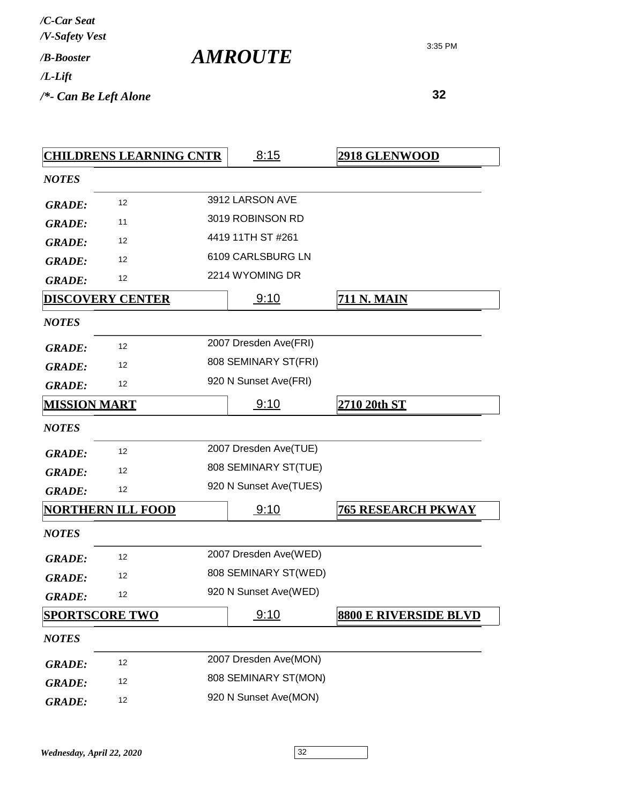3:35 PM

|                         | <b>CHILDRENS LEARNING CNTR</b> | 8:15                   | <b>2918 GLENWOOD</b>         |
|-------------------------|--------------------------------|------------------------|------------------------------|
| <b>NOTES</b>            |                                |                        |                              |
| <b>GRADE:</b>           | 12                             | 3912 LARSON AVE        |                              |
| <b>GRADE:</b>           | 11                             | 3019 ROBINSON RD       |                              |
| <b>GRADE:</b>           | 12                             | 4419 11TH ST #261      |                              |
| <b>GRADE:</b>           | 12                             | 6109 CARLSBURG LN      |                              |
| <b>GRADE:</b>           | 12                             | 2214 WYOMING DR        |                              |
| <b>DISCOVERY CENTER</b> |                                | 9:10                   | <u>711 N. MAIN</u>           |
| <b>NOTES</b>            |                                |                        |                              |
| <b>GRADE:</b>           | 12                             | 2007 Dresden Ave(FRI)  |                              |
| <b>GRADE:</b>           | 12                             | 808 SEMINARY ST(FRI)   |                              |
| <b>GRADE:</b>           | 12                             | 920 N Sunset Ave(FRI)  |                              |
| <b>MISSION MART</b>     |                                | 9:10                   | 2710 20th ST                 |
| <b>NOTES</b>            |                                |                        |                              |
| <b>GRADE:</b>           | 12                             | 2007 Dresden Ave(TUE)  |                              |
| <b>GRADE:</b>           | 12                             | 808 SEMINARY ST(TUE)   |                              |
| <b>GRADE:</b>           | 12                             | 920 N Sunset Ave(TUES) |                              |
|                         | <u>NORTHERN ILL FOOD</u>       | 9:10                   | <b>765 RESEARCH PKWAY</b>    |
| <b>NOTES</b>            |                                |                        |                              |
| <b>GRADE:</b>           | 12                             | 2007 Dresden Ave(WED)  |                              |
| <b>GRADE:</b>           | 12                             | 808 SEMINARY ST(WED)   |                              |
| <b>GRADE:</b>           | 12                             | 920 N Sunset Ave(WED)  |                              |
| <b>SPORTSCORE TWO</b>   |                                | 9:10                   | <b>8800 E RIVERSIDE BLVD</b> |
| <b>NOTES</b>            |                                |                        |                              |
| <b>GRADE:</b>           | 12                             | 2007 Dresden Ave(MON)  |                              |
| <b>GRADE:</b>           | 12                             | 808 SEMINARY ST(MON)   |                              |
| <b>GRADE:</b>           | 12                             | 920 N Sunset Ave(MON)  |                              |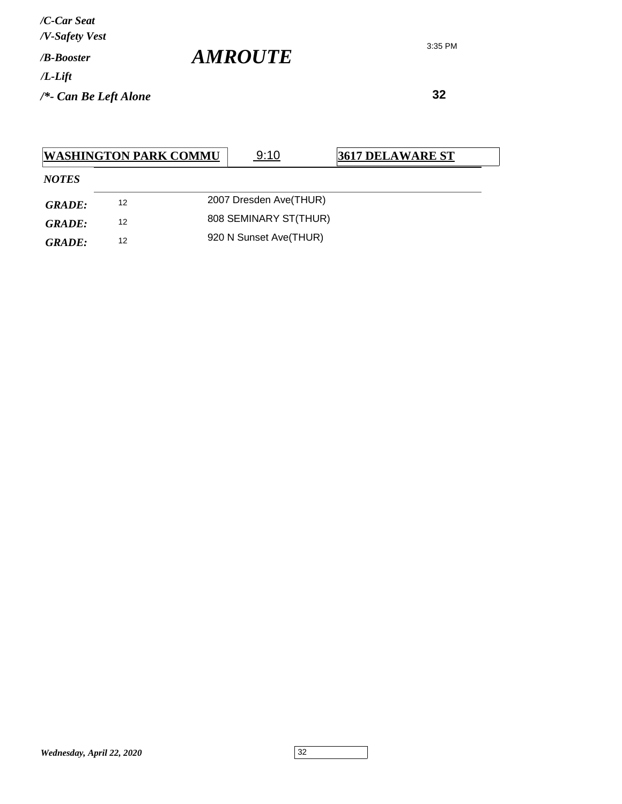**32**

|              | <b>WASHINGTON PARK COMMU</b> | 9:10                   | <b>3617 DELAWARE ST</b> |  |
|--------------|------------------------------|------------------------|-------------------------|--|
| <b>NOTES</b> |                              |                        |                         |  |
| GRADE:       | 12                           | 2007 Dresden Ave(THUR) |                         |  |
| GRADE:       | 12                           | 808 SEMINARY ST(THUR)  |                         |  |
| GRADE:       | 12                           | 920 N Sunset Ave(THUR) |                         |  |

3:35 PM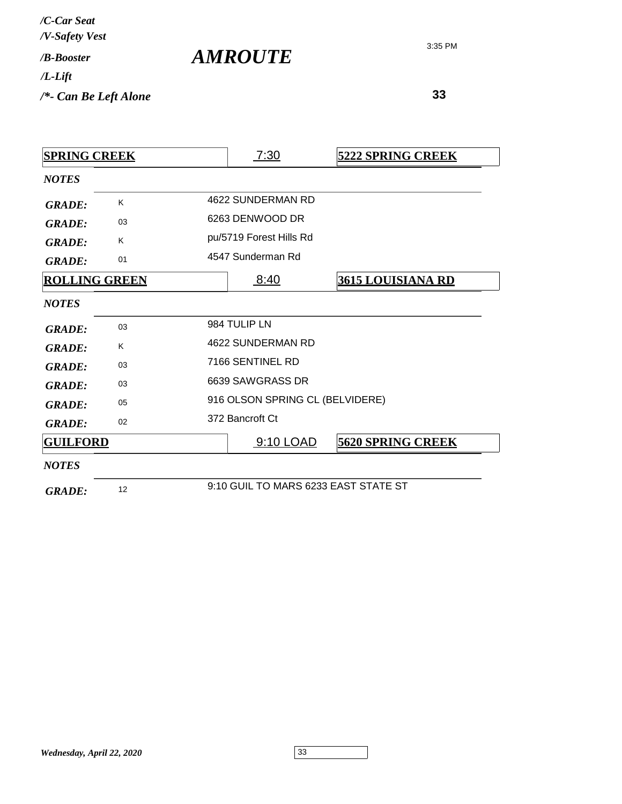| /C-Car Seat<br>/V-Safety Vest   |                       |
|---------------------------------|-----------------------|
| / <b>B-Booster</b>              | <i><b>AMROUTE</b></i> |
| $/L$ -Lift                      |                       |
| $\frac{1}{2}$ Can Be Left Alone |                       |

| <b>SPRING CREEK</b>  |    | 7:30                                 | <b>5222 SPRING CREEK</b> |
|----------------------|----|--------------------------------------|--------------------------|
| <b>NOTES</b>         |    |                                      |                          |
| <b>GRADE:</b>        | K  | 4622 SUNDERMAN RD                    |                          |
| <b>GRADE:</b>        | 03 | 6263 DENWOOD DR                      |                          |
| <b>GRADE:</b>        | Κ  | pu/5719 Forest Hills Rd              |                          |
| <b>GRADE:</b>        | 01 | 4547 Sunderman Rd                    |                          |
| <b>ROLLING GREEN</b> |    | 8:40                                 | <u>3615 LOUISIANA RD</u> |
| <b>NOTES</b>         |    |                                      |                          |
| <b>GRADE:</b>        | 03 | 984 TULIP LN                         |                          |
| <b>GRADE:</b>        | Κ  | 4622 SUNDERMAN RD                    |                          |
| <b>GRADE:</b>        | 03 | 7166 SENTINEL RD                     |                          |
| <b>GRADE:</b>        | 03 | 6639 SAWGRASS DR                     |                          |
| <b>GRADE:</b>        | 05 | 916 OLSON SPRING CL (BELVIDERE)      |                          |
| <b>GRADE:</b>        | 02 | 372 Bancroft Ct                      |                          |
| <b>GUILFORD</b>      |    | <u>9:10 LOAD</u>                     | <b>5620 SPRING CREEK</b> |
| <b>NOTES</b>         |    |                                      |                          |
| <b>GRADE:</b>        | 12 | 9:10 GUIL TO MARS 6233 EAST STATE ST |                          |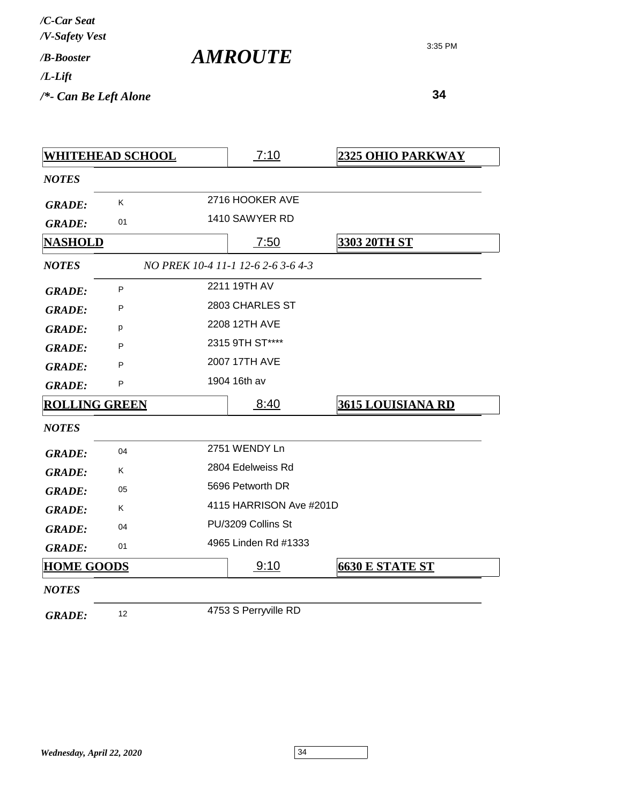*AMROUTE*

|                      | <u>WHITEHEAD SCHOOL</u> | 7:10                               | 2325 OHIO PARKWAY        |
|----------------------|-------------------------|------------------------------------|--------------------------|
| <b>NOTES</b>         |                         |                                    |                          |
| <b>GRADE:</b>        | K                       | 2716 HOOKER AVE                    |                          |
| <b>GRADE:</b>        | 01                      | 1410 SAWYER RD                     |                          |
| <u>NASHOLD</u>       |                         | 7:50                               | 3303 20TH ST             |
| <b>NOTES</b>         |                         | NO PREK 10-4 11-1 12-6 2-6 3-6 4-3 |                          |
| <b>GRADE:</b>        | P                       | 2211 19TH AV                       |                          |
| <b>GRADE:</b>        | P                       | 2803 CHARLES ST                    |                          |
| <b>GRADE:</b>        | p                       | 2208 12TH AVE                      |                          |
| <b>GRADE:</b>        | P                       | 2315 9TH ST****                    |                          |
| <b>GRADE:</b>        | P                       | 2007 17TH AVE                      |                          |
| <b>GRADE:</b>        | P                       | 1904 16th av                       |                          |
| <b>ROLLING GREEN</b> |                         | 8:40                               | <b>3615 LOUISIANA RD</b> |
| <b>NOTES</b>         |                         |                                    |                          |
| <b>GRADE:</b>        | 04                      | 2751 WENDY Ln                      |                          |
| <b>GRADE:</b>        | K.                      | 2804 Edelweiss Rd                  |                          |
| <b>GRADE:</b>        | 05                      | 5696 Petworth DR                   |                          |
| <b>GRADE:</b>        | K.                      | 4115 HARRISON Ave #201D            |                          |
| <b>GRADE:</b>        | 04                      | PU/3209 Collins St                 |                          |
| <b>GRADE:</b>        | 01                      | 4965 Linden Rd #1333               |                          |
| <b>HOME GOODS</b>    |                         | 9:10                               | <b>6630 E STATE ST</b>   |
| <b>NOTES</b>         |                         |                                    |                          |
| <b>GRADE:</b>        | 12                      | 4753 S Perryville RD               |                          |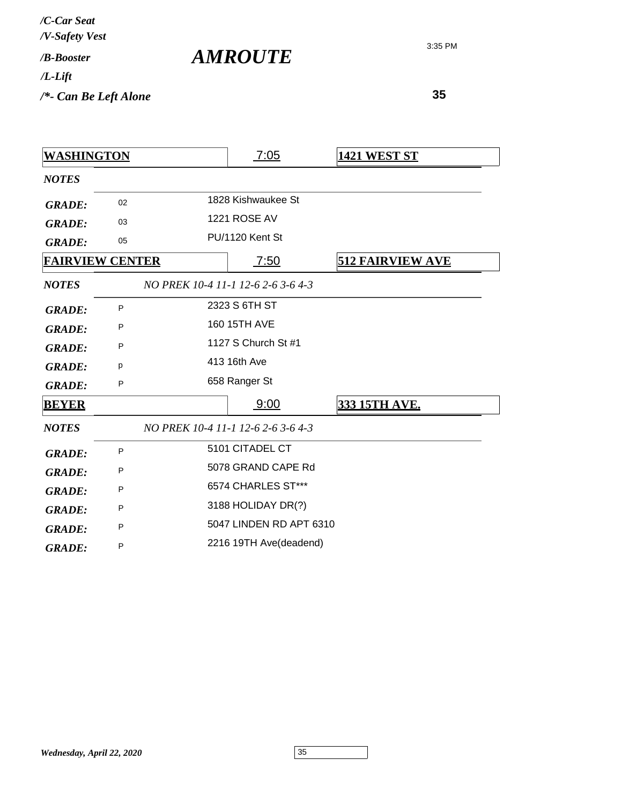| /C-Car Seat<br>/V-Safety Vest |  |
|-------------------------------|--|
| /R-Booster                    |  |
| $/L$ -Lift                    |  |

*/\*- Can Be Left Alone*

3:35 PM

 **35**

| <u>WASHINGTON</u> |                        | 7:05                               | <b>1421 WEST ST</b>     |
|-------------------|------------------------|------------------------------------|-------------------------|
| <b>NOTES</b>      |                        |                                    |                         |
| <b>GRADE:</b>     | 02                     | 1828 Kishwaukee St                 |                         |
| <b>GRADE:</b>     | 03                     | <b>1221 ROSE AV</b>                |                         |
| <b>GRADE:</b>     | 05                     | PU/1120 Kent St                    |                         |
|                   | <b>FAIRVIEW CENTER</b> | 7:50                               | <b>512 FAIRVIEW AVE</b> |
| <b>NOTES</b>      |                        | NO PREK 10-4 11-1 12-6 2-6 3-6 4-3 |                         |
| <b>GRADE:</b>     | P                      | 2323 S 6TH ST                      |                         |
| <b>GRADE:</b>     | P                      | 160 15TH AVE                       |                         |
| <b>GRADE:</b>     | P                      | 1127 S Church St #1                |                         |
| <b>GRADE:</b>     | р                      | 413 16th Ave                       |                         |
| <b>GRADE:</b>     | P                      | 658 Ranger St                      |                         |
| <b>BEYER</b>      |                        | 9:00                               | <b>333 15TH AVE.</b>    |
| <b>NOTES</b>      |                        | NO PREK 10-4 11-1 12-6 2-6 3-6 4-3 |                         |
| <b>GRADE:</b>     | P                      | 5101 CITADEL CT                    |                         |
| <b>GRADE:</b>     | P                      | 5078 GRAND CAPE Rd                 |                         |
| <b>GRADE:</b>     | P                      | 6574 CHARLES ST***                 |                         |
| <b>GRADE:</b>     | P                      | 3188 HOLIDAY DR(?)                 |                         |
| <b>GRADE:</b>     | P                      | 5047 LINDEN RD APT 6310            |                         |
| <b>GRADE:</b>     | P                      | 2216 19TH Ave(deadend)             |                         |

*AMROUTE*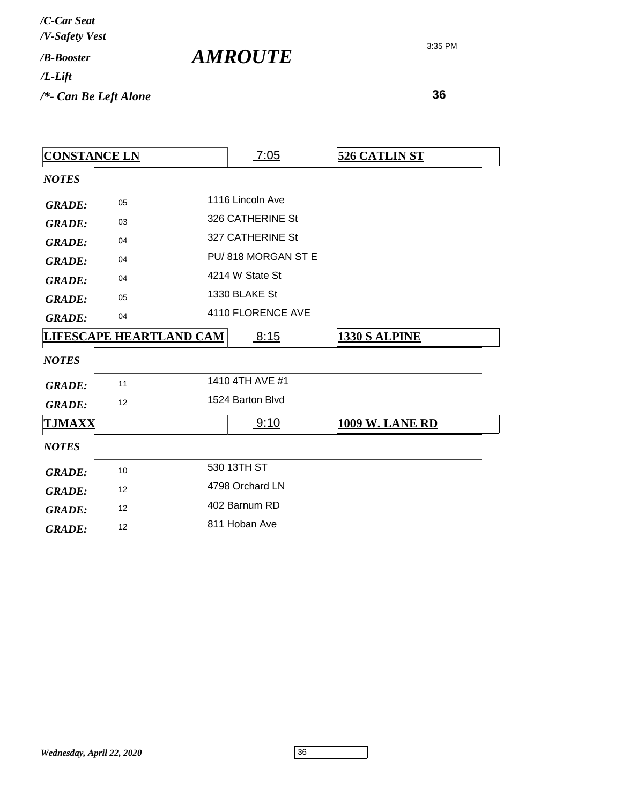| /C-Car Seat<br>/V-Safety Vest |  |
|-------------------------------|--|
| / <b><i>B-Booster</i></b>     |  |
| /L-Lift                       |  |
| /*- Can Be Left Alone         |  |

*AMROUTE*

| <b>CONSTANCE LN</b> |                                |  | 7:05               | <b>526 CATLIN ST</b>   |
|---------------------|--------------------------------|--|--------------------|------------------------|
| <b>NOTES</b>        |                                |  |                    |                        |
| <b>GRADE:</b>       | 05                             |  | 1116 Lincoln Ave   |                        |
| <b>GRADE:</b>       | 03                             |  | 326 CATHERINE St   |                        |
| <b>GRADE:</b>       | 04                             |  | 327 CATHERINE St   |                        |
| <b>GRADE:</b>       | 04                             |  | PU/818 MORGAN ST E |                        |
| <b>GRADE:</b>       | 04                             |  | 4214 W State St    |                        |
| <b>GRADE:</b>       | 05                             |  | 1330 BLAKE St      |                        |
| <b>GRADE:</b>       | 04                             |  | 4110 FLORENCE AVE  |                        |
|                     | <b>LIFESCAPE HEARTLAND CAM</b> |  | 8:15               | <b>1330 S ALPINE</b>   |
| <b>NOTES</b>        |                                |  |                    |                        |
| <b>GRADE:</b>       | 11                             |  | 1410 4TH AVE #1    |                        |
| <b>GRADE:</b>       | 12                             |  | 1524 Barton Blvd   |                        |
| <u>TJMAXX</u>       |                                |  | 9:10               | <b>1009 W. LANE RD</b> |
| <b>NOTES</b>        |                                |  |                    |                        |
| <b>GRADE:</b>       | 10                             |  | 530 13TH ST        |                        |
| <b>GRADE:</b>       | 12                             |  | 4798 Orchard LN    |                        |
| <b>GRADE:</b>       | 12                             |  | 402 Barnum RD      |                        |
| <b>GRADE:</b>       | 12                             |  | 811 Hoban Ave      |                        |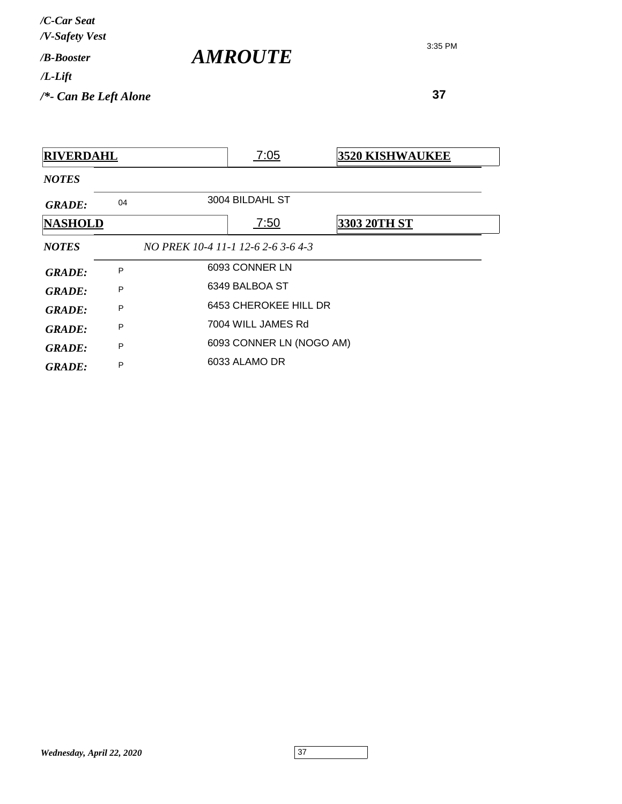| /C-Car Seat<br>/V-Safety Vest |                       |
|-------------------------------|-----------------------|
| / <i>B-Booster</i>            | <i><b>AMROUTE</b></i> |
| $/L$ -Lift                    |                       |
| $/*$ - Can Be Left Alone      |                       |

| <b>RIVERDAHL</b> |    |                                    | 7:05                     | <b>3520 KISHWAUKEE</b> |
|------------------|----|------------------------------------|--------------------------|------------------------|
| <b>NOTES</b>     |    |                                    |                          |                        |
| <b>GRADE:</b>    | 04 |                                    | 3004 BILDAHL ST          |                        |
| <b>NASHOLD</b>   |    |                                    | 7:50                     | <b>3303 20TH ST</b>    |
| <b>NOTES</b>     |    | NO PREK 10-4 11-1 12-6 2-6 3-6 4-3 |                          |                        |
| GRADE:           | P  |                                    | 6093 CONNER LN           |                        |
| GRADE:           | P  |                                    | 6349 BALBOA ST           |                        |
| GRADE:           | P  |                                    | 6453 CHEROKEE HILL DR    |                        |
| <b>GRADE:</b>    | P  |                                    | 7004 WILL JAMES Rd       |                        |
| <b>GRADE:</b>    | P  |                                    | 6093 CONNER LN (NOGO AM) |                        |
| <b>GRADE:</b>    | P  |                                    | 6033 ALAMO DR            |                        |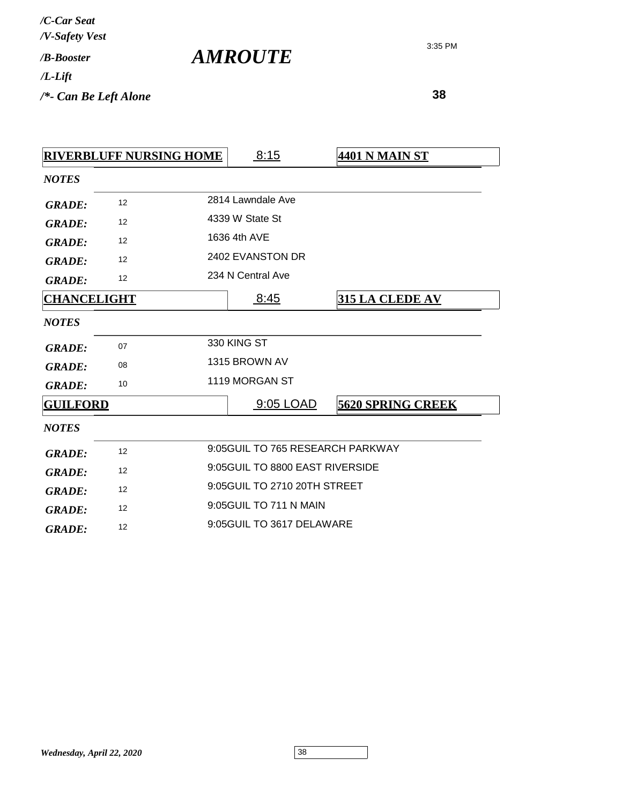| /C-Car Seat<br>/V-Safety Vest |  |
|-------------------------------|--|
| / <b><i>B-Booster</i></b>     |  |
| /L-Lift                       |  |
| /*- Can Be Left Alone         |  |

*AMROUTE*

|                    | <b>RIVERBLUFF NURSING HOME</b> |                              | 8:15                             | <b>4401 N MAIN ST</b>    |
|--------------------|--------------------------------|------------------------------|----------------------------------|--------------------------|
| <b>NOTES</b>       |                                |                              |                                  |                          |
| <b>GRADE:</b>      | 12                             |                              | 2814 Lawndale Ave                |                          |
| <b>GRADE:</b>      | 12                             |                              | 4339 W State St                  |                          |
| <b>GRADE:</b>      | 12                             |                              | 1636 4th AVE                     |                          |
| <b>GRADE:</b>      | 12                             |                              | 2402 EVANSTON DR                 |                          |
| <b>GRADE:</b>      | 12                             |                              | 234 N Central Ave                |                          |
| <b>CHANCELIGHT</b> |                                |                              | 8:45                             | <b>315 LA CLEDE AV</b>   |
| <b>NOTES</b>       |                                |                              |                                  |                          |
| <b>GRADE:</b>      | 07                             |                              | 330 KING ST                      |                          |
| <b>GRADE:</b>      | 08                             |                              | 1315 BROWN AV                    |                          |
| <b>GRADE:</b>      | 10                             |                              | 1119 MORGAN ST                   |                          |
| <b>GUILFORD</b>    |                                |                              | 9:05 LOAD                        | <b>5620 SPRING CREEK</b> |
| <b>NOTES</b>       |                                |                              |                                  |                          |
| <b>GRADE:</b>      | 12                             |                              | 9:05GUIL TO 765 RESEARCH PARKWAY |                          |
| <b>GRADE:</b>      | 12                             |                              | 9:05GUIL TO 8800 EAST RIVERSIDE  |                          |
| <b>GRADE:</b>      | 12                             | 9:05GUIL TO 2710 20TH STREET |                                  |                          |
| <b>GRADE:</b>      | 12                             |                              | 9:05 GUIL TO 711 N MAIN          |                          |
| <b>GRADE:</b>      | 12                             |                              | 9:05GUIL TO 3617 DELAWARE        |                          |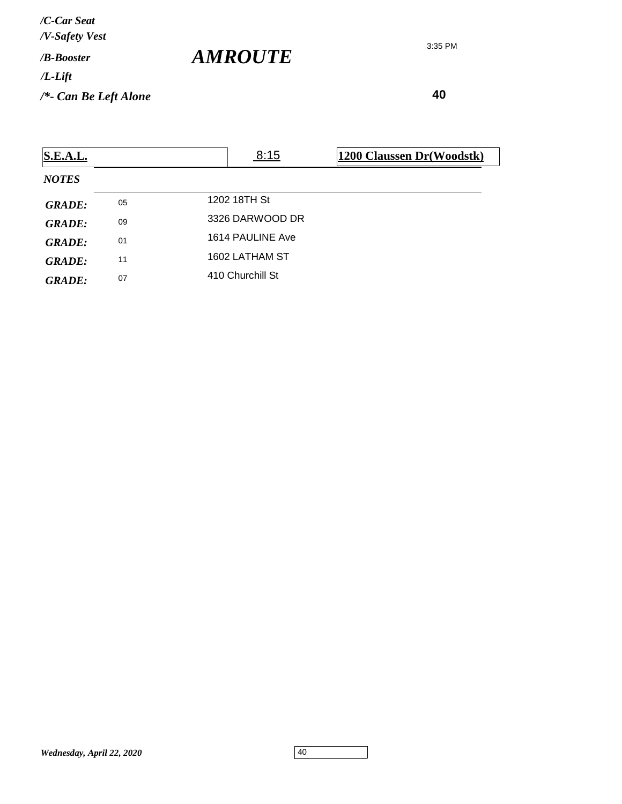*/V-Safety Vest /C-Car Seat*

*/B-Booster*

*/L-Lift*

*/\*- Can Be Left Alone*

3:35 PM

 **40**

| <b>S.E.A.L.</b> |    | 8:15             | 1200 Claussen Dr(Woodstk) |
|-----------------|----|------------------|---------------------------|
| <b>NOTES</b>    |    |                  |                           |
| <b>GRADE:</b>   | 05 | 1202 18TH St     |                           |
| <b>GRADE:</b>   | 09 | 3326 DARWOOD DR  |                           |
| <b>GRADE:</b>   | 01 | 1614 PAULINE Ave |                           |
| <b>GRADE:</b>   | 11 | 1602 LATHAM ST   |                           |
| <b>GRADE:</b>   | 07 | 410 Churchill St |                           |

*AMROUTE*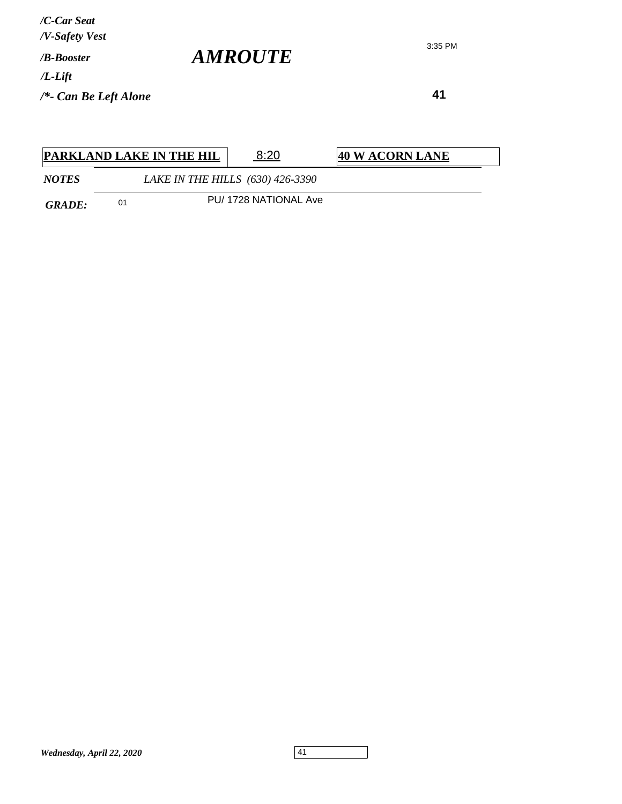**41**

3:35 PM

|              |    | <b>PARKLAND LAKE IN THE HIL</b> | 8:20                             | 40 W ACORN LANE |
|--------------|----|---------------------------------|----------------------------------|-----------------|
| <b>NOTES</b> |    |                                 | LAKE IN THE HILLS (630) 426-3390 |                 |
| GRADE:       | 01 |                                 | PU/1728 NATIONAL Ave             |                 |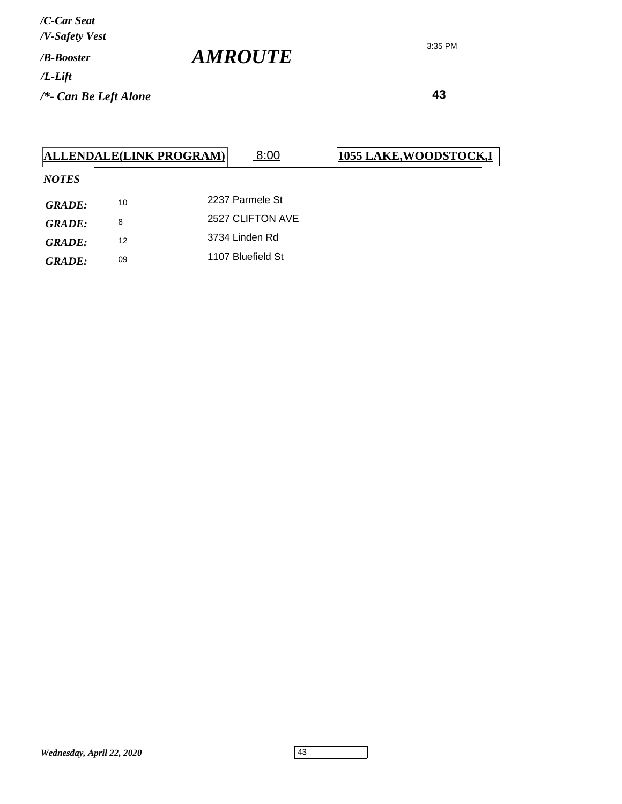3:35 PM

|               |    | ALLENDALE(LINK PROGRAM) | 8:00              | <b>1055 LAKE, WOODSTOCK, I</b> |
|---------------|----|-------------------------|-------------------|--------------------------------|
| <b>NOTES</b>  |    |                         |                   |                                |
| <b>GRADE:</b> | 10 |                         | 2237 Parmele St   |                                |
| <b>GRADE:</b> | 8  |                         | 2527 CLIFTON AVE  |                                |
| GRADE:        | 12 |                         | 3734 Linden Rd    |                                |
| <b>GRADE:</b> | 09 |                         | 1107 Bluefield St |                                |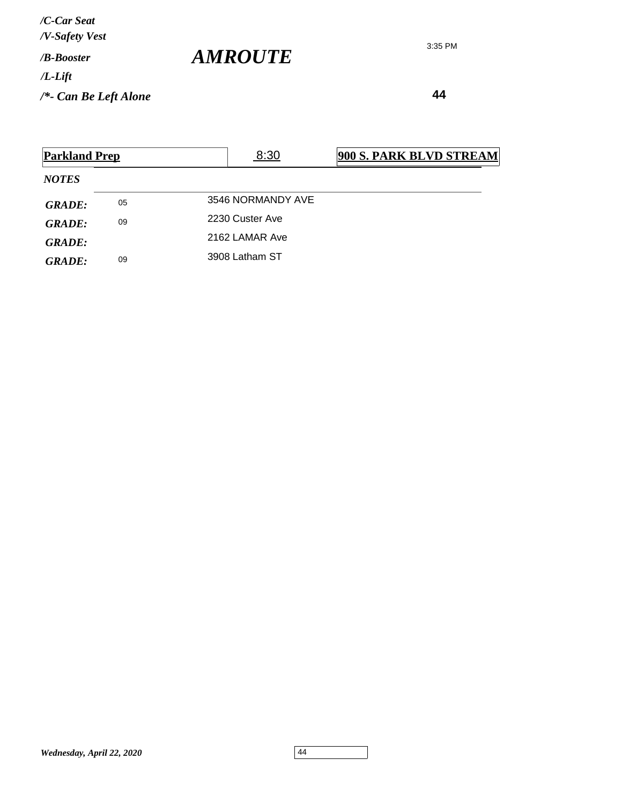**44**

| <b>Parkland Prep</b> |                      | 8:30              | <b>900 S. PARK BLVD STREAM</b> |  |
|----------------------|----------------------|-------------------|--------------------------------|--|
| <b>NOTES</b>         |                      |                   |                                |  |
| <b>GRADE:</b>        | 05                   | 3546 NORMANDY AVE |                                |  |
| GRADE:               | 09                   | 2230 Custer Ave   |                                |  |
| GRADE:               |                      | 2162 LAMAR Ave    |                                |  |
| <b>GRADE:</b>        | 3908 Latham ST<br>09 |                   |                                |  |

*AMROUTE*

3:35 PM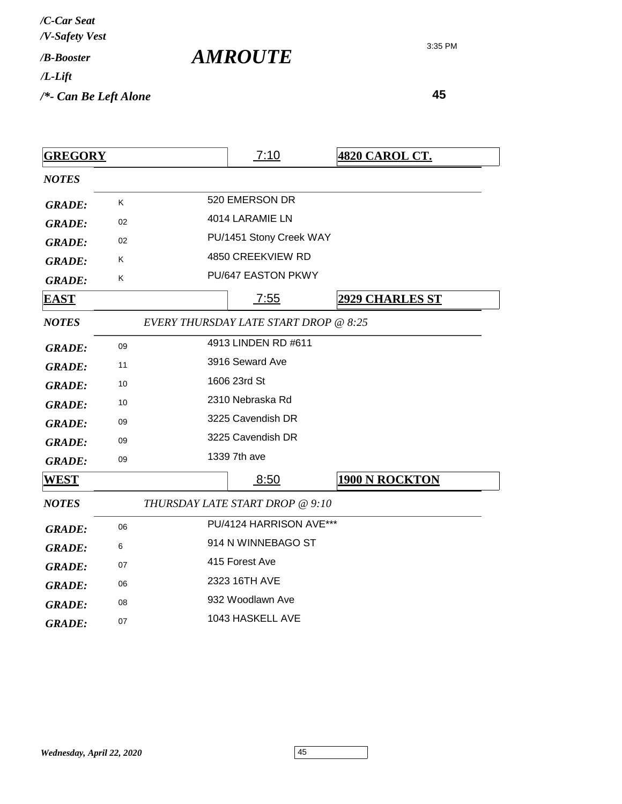| /C-Car Seat<br>/V-Safety Vest |                       |
|-------------------------------|-----------------------|
| /B-Booster                    | <i><b>AMROUTE</b></i> |
| $/L$ -Lift                    |                       |
| $/*$ - Can Be Left Alone      |                       |

| <b>GREGORY</b> |    | 7:10                                         | <b>4820 CAROL CT.</b>  |
|----------------|----|----------------------------------------------|------------------------|
| <b>NOTES</b>   |    |                                              |                        |
| <b>GRADE:</b>  | K  | 520 EMERSON DR                               |                        |
| <b>GRADE:</b>  | 02 | 4014 LARAMIE LN                              |                        |
| <b>GRADE:</b>  | 02 | PU/1451 Stony Creek WAY                      |                        |
| <b>GRADE:</b>  | Κ  | 4850 CREEKVIEW RD                            |                        |
| <b>GRADE:</b>  | K  | <b>PU/647 EASTON PKWY</b>                    |                        |
| <u>EAST</u>    |    | 7:55                                         | <b>2929 CHARLES ST</b> |
| <b>NOTES</b>   |    | <b>EVERY THURSDAY LATE START DROP @ 8:25</b> |                        |
| <b>GRADE:</b>  | 09 | 4913 LINDEN RD #611                          |                        |
| <b>GRADE:</b>  | 11 | 3916 Seward Ave                              |                        |
| <b>GRADE:</b>  | 10 | 1606 23rd St                                 |                        |
| <b>GRADE:</b>  | 10 | 2310 Nebraska Rd                             |                        |
| <b>GRADE:</b>  | 09 | 3225 Cavendish DR                            |                        |
| <b>GRADE:</b>  | 09 | 3225 Cavendish DR                            |                        |
| <b>GRADE:</b>  | 09 | 1339 7th ave                                 |                        |
| <b>WEST</b>    |    | 8:50                                         | <b>1900 N ROCKTON</b>  |
| <b>NOTES</b>   |    | THURSDAY LATE START DROP @ 9:10              |                        |
| <b>GRADE:</b>  | 06 | PU/4124 HARRISON AVE***                      |                        |
| <b>GRADE:</b>  | 6  | 914 N WINNEBAGO ST                           |                        |
| <b>GRADE:</b>  | 07 | 415 Forest Ave                               |                        |
| <b>GRADE:</b>  | 06 | 2323 16TH AVE                                |                        |
| <b>GRADE:</b>  | 08 | 932 Woodlawn Ave                             |                        |
| <b>GRADE:</b>  | 07 | 1043 HASKELL AVE                             |                        |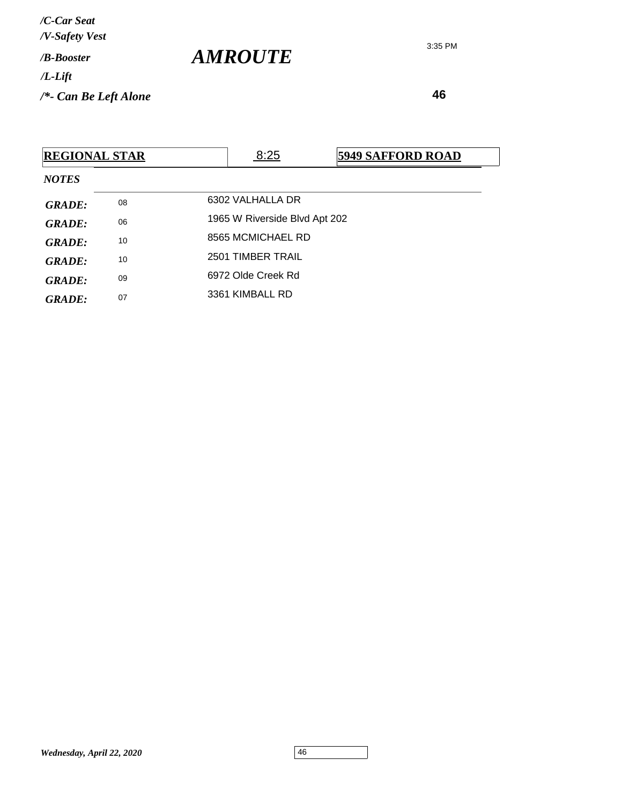*AMROUTE*

|               | <b>REGIONAL STAR</b> | 8:25                          | <b>5949 SAFFORD ROAD</b> |  |
|---------------|----------------------|-------------------------------|--------------------------|--|
| <b>NOTES</b>  |                      |                               |                          |  |
| <b>GRADE:</b> | 08                   | 6302 VALHALLA DR              |                          |  |
| <b>GRADE:</b> | 06                   | 1965 W Riverside Blvd Apt 202 |                          |  |
| <b>GRADE:</b> | 10                   | 8565 MCMICHAEL RD             |                          |  |
| <b>GRADE:</b> | 10                   | 2501 TIMBER TRAIL             |                          |  |
| <b>GRADE:</b> | 09                   | 6972 Olde Creek Rd            |                          |  |
| <b>GRADE:</b> | 07                   | 3361 KIMBALL RD               |                          |  |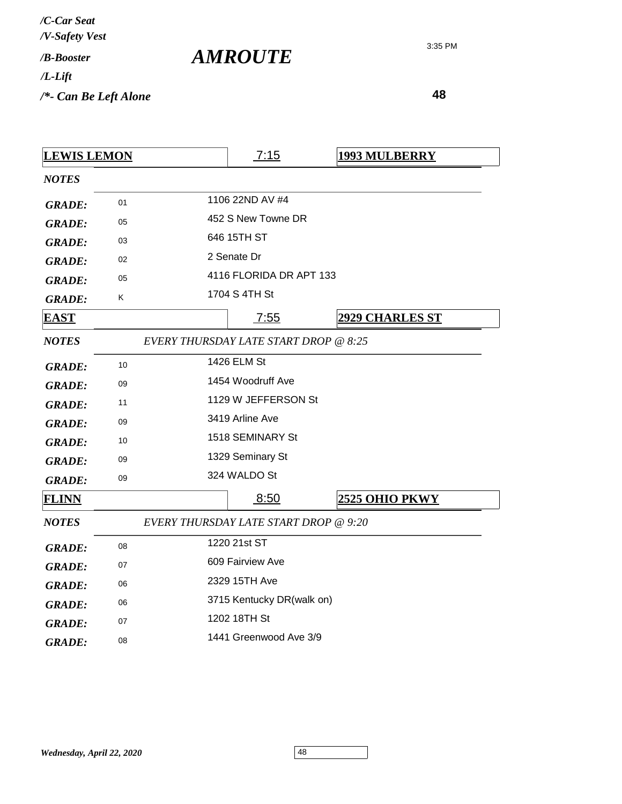| /C-Car Seat<br>/V-Safety Vest |  |
|-------------------------------|--|
| / <b><i>B-Booster</i></b>     |  |
| /L-Lift                       |  |
| /*- Can Be Left Alone         |  |

*AMROUTE*

| <u>LEWIS LEMON</u> |    |                  | 7:15                                  | <b>1993 MULBERRY</b>   |
|--------------------|----|------------------|---------------------------------------|------------------------|
| <b>NOTES</b>       |    |                  |                                       |                        |
| <b>GRADE:</b>      | 01 |                  | 1106 22ND AV #4                       |                        |
| <b>GRADE:</b>      | 05 |                  | 452 S New Towne DR                    |                        |
| <b>GRADE:</b>      | 03 |                  | 646 15TH ST                           |                        |
| <b>GRADE:</b>      | 02 |                  | 2 Senate Dr                           |                        |
| <b>GRADE:</b>      | 05 |                  | 4116 FLORIDA DR APT 133               |                        |
| <b>GRADE:</b>      | Κ  |                  | 1704 S 4TH St                         |                        |
| <u>EAST</u>        |    |                  | 7:55                                  | <b>2929 CHARLES ST</b> |
| <b>NOTES</b>       |    |                  | EVERY THURSDAY LATE START DROP @ 8:25 |                        |
| <b>GRADE:</b>      | 10 |                  | 1426 ELM St                           |                        |
| <b>GRADE:</b>      | 09 |                  | 1454 Woodruff Ave                     |                        |
| <b>GRADE:</b>      | 11 |                  | 1129 W JEFFERSON St                   |                        |
| <b>GRADE:</b>      | 09 |                  | 3419 Arline Ave                       |                        |
| <b>GRADE:</b>      | 10 |                  | 1518 SEMINARY St                      |                        |
| <b>GRADE:</b>      | 09 |                  | 1329 Seminary St                      |                        |
| <b>GRADE:</b>      | 09 |                  | 324 WALDO St                          |                        |
| <b>FLINN</b>       |    |                  | 8:50                                  | 2525 OHIO PKWY         |
| <b>NOTES</b>       |    |                  | EVERY THURSDAY LATE START DROP @ 9:20 |                        |
| <b>GRADE:</b>      | 08 |                  | 1220 21st ST                          |                        |
| <b>GRADE:</b>      | 07 | 609 Fairview Ave |                                       |                        |
| <b>GRADE:</b>      | 06 |                  | 2329 15TH Ave                         |                        |
| <b>GRADE:</b>      | 06 |                  | 3715 Kentucky DR(walk on)             |                        |
| <b>GRADE:</b>      | 07 |                  | 1202 18TH St                          |                        |
| <b>GRADE:</b>      | 08 |                  | 1441 Greenwood Ave 3/9                |                        |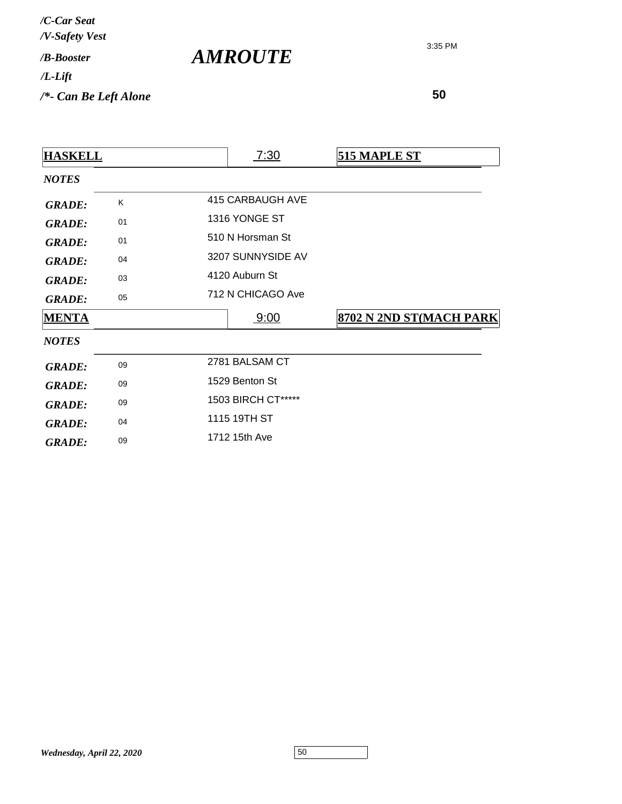*AMROUTE*

| <b>HASKELL</b> |    | 7:30               | <b>515 MAPLE ST</b>     |
|----------------|----|--------------------|-------------------------|
| <b>NOTES</b>   |    |                    |                         |
| <b>GRADE:</b>  | K  | 415 CARBAUGH AVE   |                         |
| <b>GRADE:</b>  | 01 | 1316 YONGE ST      |                         |
| <b>GRADE:</b>  | 01 | 510 N Horsman St   |                         |
| <b>GRADE:</b>  | 04 | 3207 SUNNYSIDE AV  |                         |
| <b>GRADE:</b>  | 03 | 4120 Auburn St     |                         |
| <b>GRADE:</b>  | 05 | 712 N CHICAGO Ave  |                         |
| <b>MENTA</b>   |    | 9:00               | 8702 N 2ND ST(MACH PARK |
| <b>NOTES</b>   |    |                    |                         |
| <b>GRADE:</b>  | 09 | 2781 BALSAM CT     |                         |
| <b>GRADE:</b>  | 09 | 1529 Benton St     |                         |
| <b>GRADE:</b>  | 09 | 1503 BIRCH CT***** |                         |
| <b>GRADE:</b>  | 04 | 1115 19TH ST       |                         |
| <b>GRADE:</b>  | 09 | 1712 15th Ave      |                         |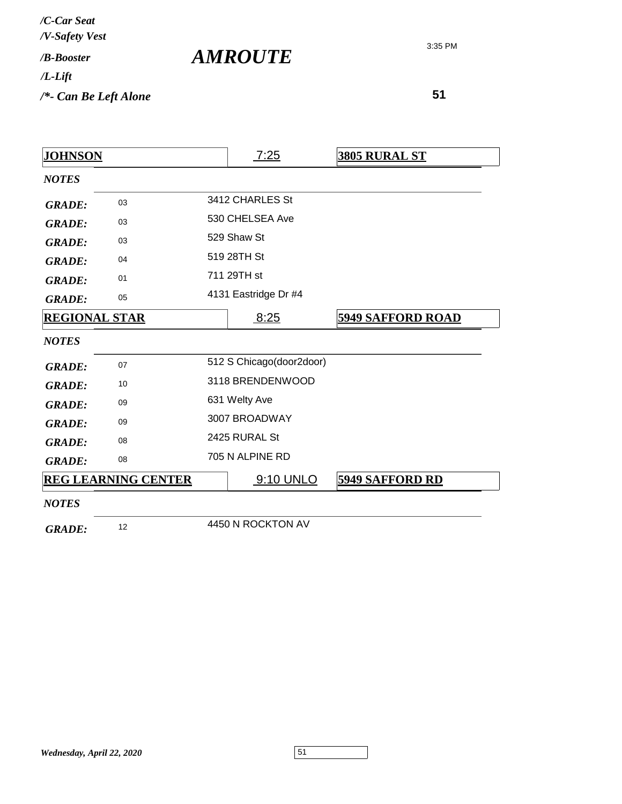| /C-Car Seat<br>/V-Safety Vest |  |
|-------------------------------|--|
| / <i>R-Booster</i>            |  |
| /L-Lift                       |  |
| /*- Can Be Left Alone         |  |

*AMROUTE*

| <u>JOHNSON</u>       |                            | 7:25                     | <u>3805 RURAL ST</u>     |
|----------------------|----------------------------|--------------------------|--------------------------|
| <b>NOTES</b>         |                            |                          |                          |
| <b>GRADE:</b>        | 03                         | 3412 CHARLES St          |                          |
| <b>GRADE:</b>        | 03                         | 530 CHELSEA Ave          |                          |
| <b>GRADE:</b>        | 03                         | 529 Shaw St              |                          |
| <b>GRADE:</b>        | 04                         | 519 28TH St              |                          |
| <b>GRADE:</b>        | 01                         | 711 29TH st              |                          |
| <b>GRADE:</b>        | 05                         | 4131 Eastridge Dr #4     |                          |
| <b>REGIONAL STAR</b> |                            | 8:25                     | <b>5949 SAFFORD ROAD</b> |
| <b>NOTES</b>         |                            |                          |                          |
| <b>GRADE:</b>        | 07                         | 512 S Chicago(door2door) |                          |
| <b>GRADE:</b>        | 10                         | 3118 BRENDENWOOD         |                          |
| <b>GRADE:</b>        | 09                         | 631 Welty Ave            |                          |
| <b>GRADE:</b>        | 09                         | 3007 BROADWAY            |                          |
| <b>GRADE:</b>        | 08                         | 2425 RURAL St            |                          |
| <b>GRADE:</b>        | 08                         | 705 N ALPINE RD          |                          |
|                      | <b>REG LEARNING CENTER</b> | 9:10 UNLO                | <b>5949 SAFFORD RD</b>   |
| <b>NOTES</b>         |                            |                          |                          |
| <b>GRADE:</b>        | 12                         | 4450 N ROCKTON AV        |                          |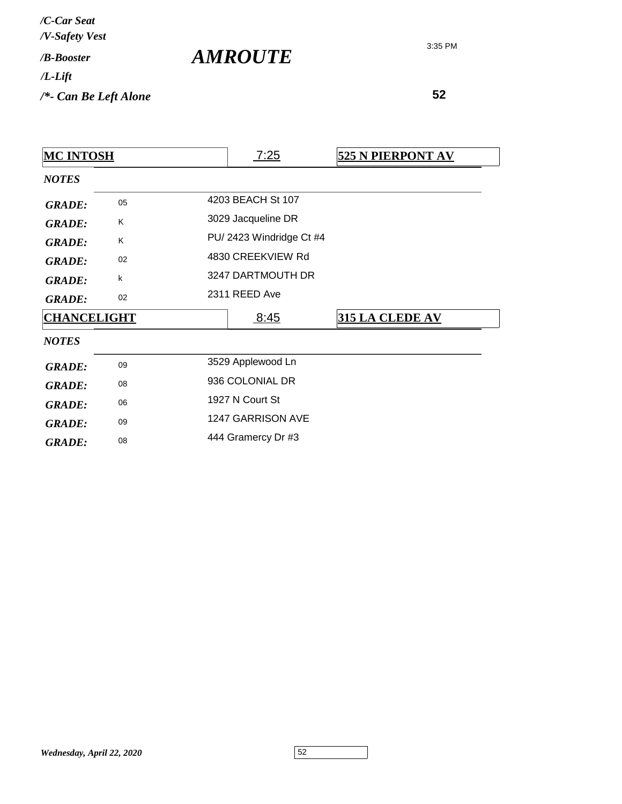| /C-Car Seat<br>/V-Safety Vest   |                       |
|---------------------------------|-----------------------|
| / <b>B-Booster</b>              | <i><b>AMROUTE</b></i> |
| $/L$ -Lift                      |                       |
| $\frac{1}{2}$ Can Be Left Alone |                       |

| <b>MC INTOSH</b>   |    |                    | 7:25                    | 525 N PIERPONT AV |
|--------------------|----|--------------------|-------------------------|-------------------|
| <b>NOTES</b>       |    |                    |                         |                   |
| <b>GRADE:</b>      | 05 |                    | 4203 BEACH St 107       |                   |
| <b>GRADE:</b>      | K. |                    | 3029 Jacqueline DR      |                   |
| <b>GRADE:</b>      | Κ  |                    | PU/2423 Windridge Ct #4 |                   |
| <b>GRADE:</b>      | 02 |                    | 4830 CREEKVIEW Rd       |                   |
| <b>GRADE:</b>      | k  |                    | 3247 DARTMOUTH DR       |                   |
| <b>GRADE:</b>      | 02 |                    | 2311 REED Ave           |                   |
| <b>CHANCELIGHT</b> |    |                    | 8:45                    | 315 LA CLEDE AV   |
| <b>NOTES</b>       |    |                    |                         |                   |
| <b>GRADE:</b>      | 09 |                    | 3529 Applewood Ln       |                   |
| <b>GRADE:</b>      | 08 | 936 COLONIAL DR    |                         |                   |
| <b>GRADE:</b>      | 06 | 1927 N Court St    |                         |                   |
| <b>GRADE:</b>      | 09 | 1247 GARRISON AVE  |                         |                   |
| <b>GRADE:</b>      | 08 | 444 Gramercy Dr #3 |                         |                   |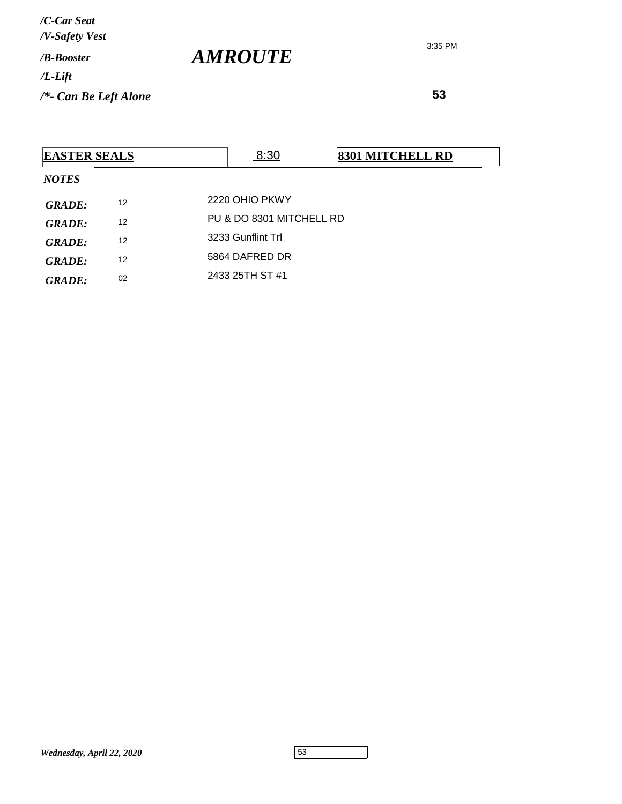**53**

| <b>EASTER SEALS</b> |    | 8:30                     | <b>8301 MITCHELL RD</b> |  |  |  |  |
|---------------------|----|--------------------------|-------------------------|--|--|--|--|
| <b>NOTES</b>        |    |                          |                         |  |  |  |  |
| <b>GRADE:</b>       | 12 | 2220 OHIO PKWY           |                         |  |  |  |  |
| GRADE:              | 12 | PU & DO 8301 MITCHELL RD |                         |  |  |  |  |
| GRADE:              | 12 | 3233 Gunflint Trl        |                         |  |  |  |  |
| <b>GRADE:</b>       | 12 | 5864 DAFRED DR           |                         |  |  |  |  |
| <b>GRADE:</b>       | 02 | 2433 25TH ST #1          |                         |  |  |  |  |

*AMROUTE*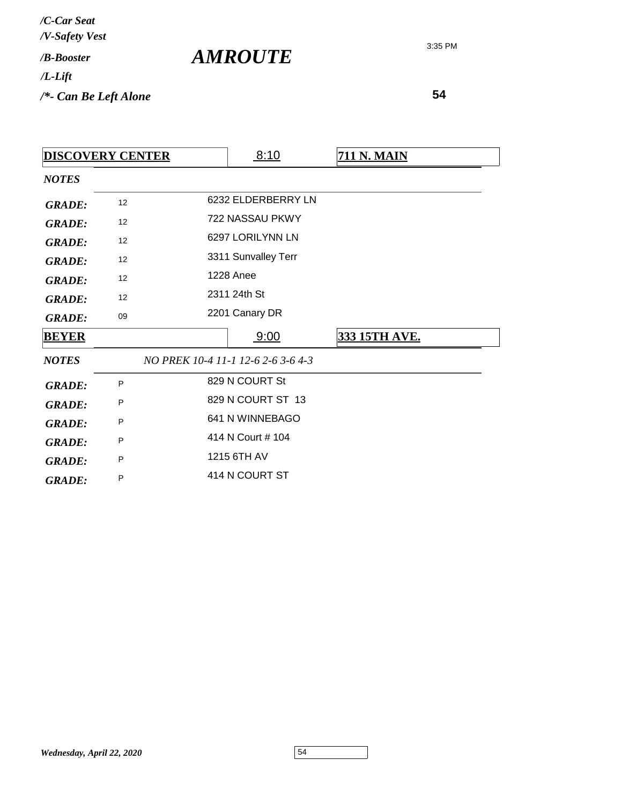*AMROUTE*

3:35 PM

|               | <b>DISCOVERY CENTER</b> | 8:10                               | <b>711 N. MAIN</b> |
|---------------|-------------------------|------------------------------------|--------------------|
| <b>NOTES</b>  |                         |                                    |                    |
| <b>GRADE:</b> | 12                      | 6232 ELDERBERRY LN                 |                    |
| <b>GRADE:</b> | 12                      | 722 NASSAU PKWY                    |                    |
| <b>GRADE:</b> | 12                      | 6297 LORILYNN LN                   |                    |
| <b>GRADE:</b> | 12                      | 3311 Sunvalley Terr                |                    |
| <b>GRADE:</b> | 12                      | <b>1228 Anee</b>                   |                    |
| <b>GRADE:</b> | 12                      | 2311 24th St                       |                    |
| <b>GRADE:</b> | 09                      | 2201 Canary DR                     |                    |
| <b>BEYER</b>  |                         | 9:00                               | 333 15TH AVE.      |
| <b>NOTES</b>  |                         | NO PREK 10-4 11-1 12-6 2-6 3-6 4-3 |                    |
| <b>GRADE:</b> | P                       | 829 N COURT St                     |                    |
| <b>GRADE:</b> | P                       | 829 N COURT ST 13                  |                    |
| <b>GRADE:</b> | P                       | 641 N WINNEBAGO                    |                    |
| <b>GRADE:</b> | P                       | 414 N Court # 104                  |                    |
| <b>GRADE:</b> | P                       | 1215 6TH AV                        |                    |
| <b>GRADE:</b> | P                       | 414 N COURT ST                     |                    |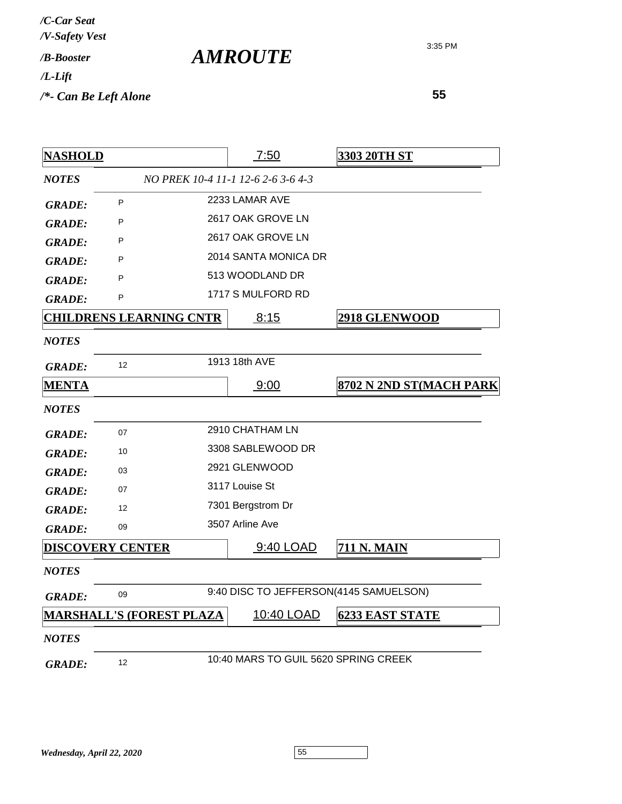| /C-Car Seat<br>/V-Safety Vest |                       |
|-------------------------------|-----------------------|
| / <b><i>B-Booster</i></b>     | <i><b>AMROUTE</b></i> |
| $/L$ -Lift                    |                       |
| $/*$ - Can Be Left Alone      |                       |

| <b>NASHOLD</b> |                                 | 7:50                                   | 3303 20TH ST            |
|----------------|---------------------------------|----------------------------------------|-------------------------|
| <b>NOTES</b>   |                                 | NO PREK 10-4 11-1 12-6 2-6 3-6 4-3     |                         |
| <b>GRADE:</b>  | P                               | 2233 LAMAR AVE                         |                         |
| <b>GRADE:</b>  | P                               | 2617 OAK GROVE LN                      |                         |
| <b>GRADE:</b>  | P                               | 2617 OAK GROVE LN                      |                         |
| <b>GRADE:</b>  | P                               | 2014 SANTA MONICA DR                   |                         |
| <b>GRADE:</b>  | P                               | 513 WOODLAND DR                        |                         |
| <b>GRADE:</b>  | P                               | 1717 S MULFORD RD                      |                         |
|                | <b>CHILDRENS LEARNING CNTR</b>  | 8:15                                   | <b>2918 GLENWOOD</b>    |
| <b>NOTES</b>   |                                 |                                        |                         |
| <b>GRADE:</b>  | 12                              | 1913 18th AVE                          |                         |
| <b>MENTA</b>   |                                 | 9:00                                   | 8702 N 2ND ST(MACH PARK |
| <b>NOTES</b>   |                                 |                                        |                         |
| <b>GRADE:</b>  | 07                              | 2910 CHATHAM LN                        |                         |
| <b>GRADE:</b>  | 10                              | 3308 SABLEWOOD DR                      |                         |
| <b>GRADE:</b>  | 03                              | 2921 GLENWOOD                          |                         |
| <b>GRADE:</b>  | 07                              | 3117 Louise St                         |                         |
| <b>GRADE:</b>  | $12 \overline{ }$               | 7301 Bergstrom Dr                      |                         |
| <b>GRADE:</b>  | 09                              | 3507 Arline Ave                        |                         |
|                | <b>DISCOVERY CENTER</b>         | 9:40 LOAD                              | <b>711 N. MAIN</b>      |
| <b>NOTES</b>   |                                 |                                        |                         |
| <b>GRADE:</b>  | 09                              | 9:40 DISC TO JEFFERSON(4145 SAMUELSON) |                         |
|                | <b>MARSHALL'S (FOREST PLAZA</b> | 10:40 LOAD                             | <b>6233 EAST STATE</b>  |
| <b>NOTES</b>   |                                 |                                        |                         |
| <b>GRADE:</b>  | 12                              | 10:40 MARS TO GUIL 5620 SPRING CREEK   |                         |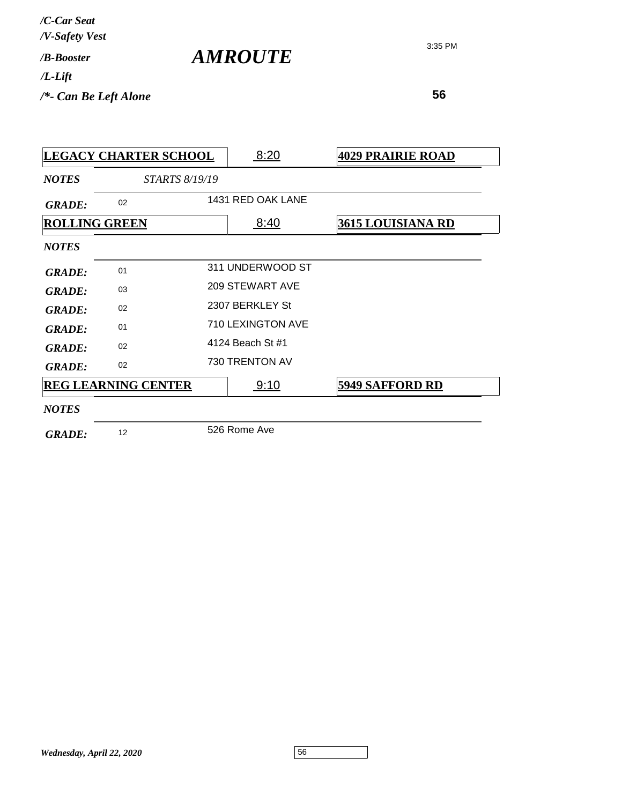3:35 PM

*AMROUTE*

| <b>LEGACY CHARTER SCHOOL</b> |                            |  | 8:20              | <b>4029 PRAIRIE ROAD</b> |
|------------------------------|----------------------------|--|-------------------|--------------------------|
| <b>NOTES</b>                 | <b>STARTS 8/19/19</b>      |  |                   |                          |
| <b>GRADE:</b>                | 02                         |  | 1431 RED OAK LANE |                          |
|                              | <b>ROLLING GREEN</b>       |  | 8:40              | <b>3615 LOUISIANA RD</b> |
| <b>NOTES</b>                 |                            |  |                   |                          |
| <b>GRADE:</b>                | 01                         |  | 311 UNDERWOOD ST  |                          |
| <b>GRADE:</b>                | 03                         |  | 209 STEWART AVE   |                          |
| <b>GRADE:</b>                | 02                         |  | 2307 BERKLEY St   |                          |
| <b>GRADE:</b>                | 01                         |  | 710 LEXINGTON AVE |                          |
| <b>GRADE:</b>                | 02                         |  | 4124 Beach St #1  |                          |
| <b>GRADE:</b>                | 02                         |  | 730 TRENTON AV    |                          |
|                              | <b>REG LEARNING CENTER</b> |  | 9:10              | <b>5949 SAFFORD RD</b>   |
| <b>NOTES</b>                 |                            |  |                   |                          |
| <b>GRADE:</b>                | 12                         |  | 526 Rome Ave      |                          |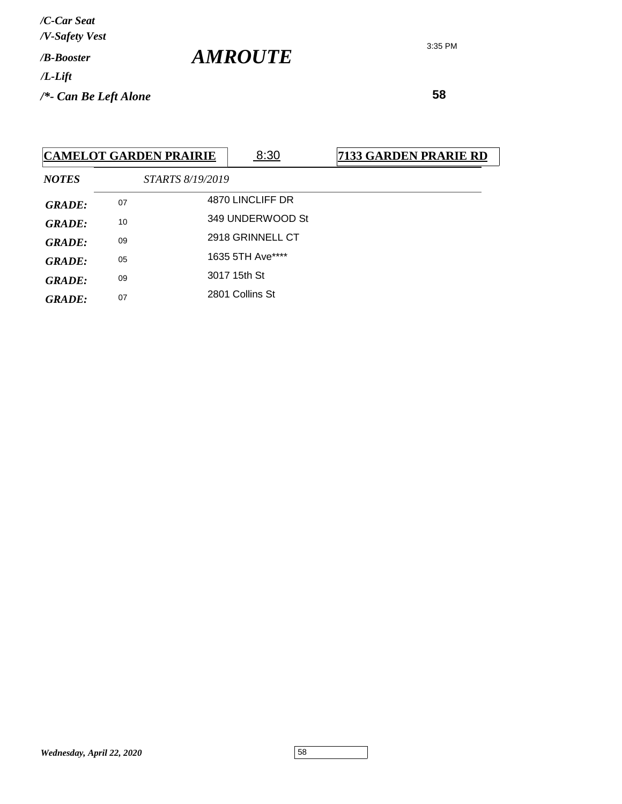3:35 PM

 **58**

|               |    | <b>CAMELOT GARDEN PRAIRIE</b> | 8:30             | 7133 GARDEN PRARIE RD |
|---------------|----|-------------------------------|------------------|-----------------------|
| <b>NOTES</b>  |    | STARTS 8/19/2019              |                  |                       |
| <b>GRADE:</b> | 07 |                               | 4870 LINCLIFF DR |                       |
| <b>GRADE:</b> | 10 |                               | 349 UNDERWOOD St |                       |
| <b>GRADE:</b> | 09 |                               | 2918 GRINNELL CT |                       |
| <b>GRADE:</b> | 05 |                               | 1635 5TH Ave**** |                       |
| <b>GRADE:</b> | 09 |                               | 3017 15th St     |                       |
| <b>GRADE:</b> | 07 |                               | 2801 Collins St  |                       |

*AMROUTE*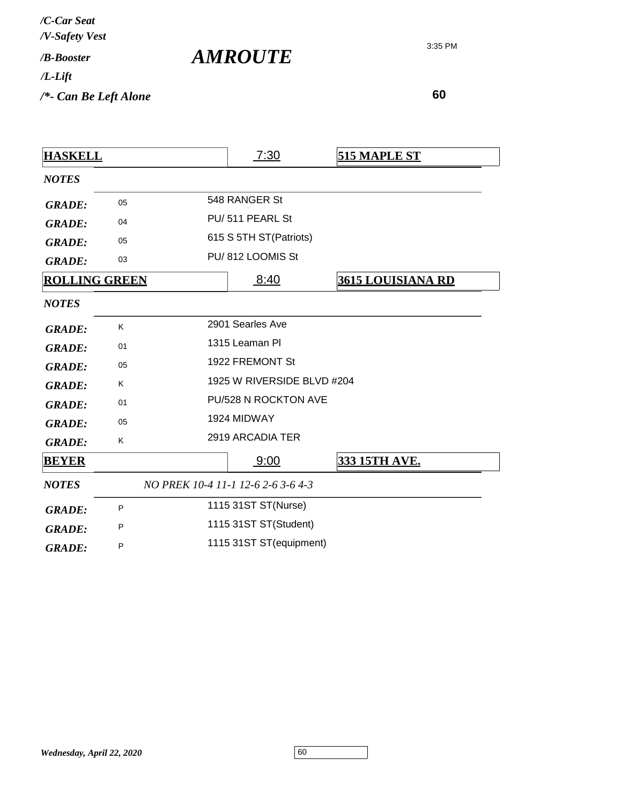*AMROUTE*

3:35 PM

| <b>HASKELL</b>       |    | 7:30                               | <b>515 MAPLE ST</b>      |  |
|----------------------|----|------------------------------------|--------------------------|--|
| <b>NOTES</b>         |    |                                    |                          |  |
| <b>GRADE:</b>        | 05 | 548 RANGER St                      |                          |  |
| <b>GRADE:</b>        | 04 | PU/511 PEARL St                    |                          |  |
| <b>GRADE:</b>        | 05 | 615 S 5TH ST(Patriots)             |                          |  |
| <b>GRADE:</b>        | 03 | PU/812 LOOMIS St                   |                          |  |
| <b>ROLLING GREEN</b> |    | 8:40                               | <b>3615 LOUISIANA RD</b> |  |
| <b>NOTES</b>         |    |                                    |                          |  |
| <b>GRADE:</b>        | K  | 2901 Searles Ave                   |                          |  |
| <b>GRADE:</b>        | 01 | 1315 Leaman Pl                     |                          |  |
| <b>GRADE:</b>        | 05 | 1922 FREMONT St                    |                          |  |
| <b>GRADE:</b>        | K  | 1925 W RIVERSIDE BLVD #204         |                          |  |
| <b>GRADE:</b>        | 01 | PU/528 N ROCKTON AVE               |                          |  |
| <b>GRADE:</b>        | 05 | 1924 MIDWAY                        |                          |  |
| <b>GRADE:</b>        | K  | 2919 ARCADIA TER                   |                          |  |
| <b>BEYER</b>         |    | 9:00                               | 333 15TH AVE.            |  |
| <b>NOTES</b>         |    | NO PREK 10-4 11-1 12-6 2-6 3-6 4-3 |                          |  |
| <b>GRADE:</b>        | P  | 1115 31ST ST(Nurse)                |                          |  |
| <b>GRADE:</b>        | P  | 1115 31ST ST(Student)              |                          |  |
| <b>GRADE:</b>        | P  | 1115 31ST ST(equipment)            |                          |  |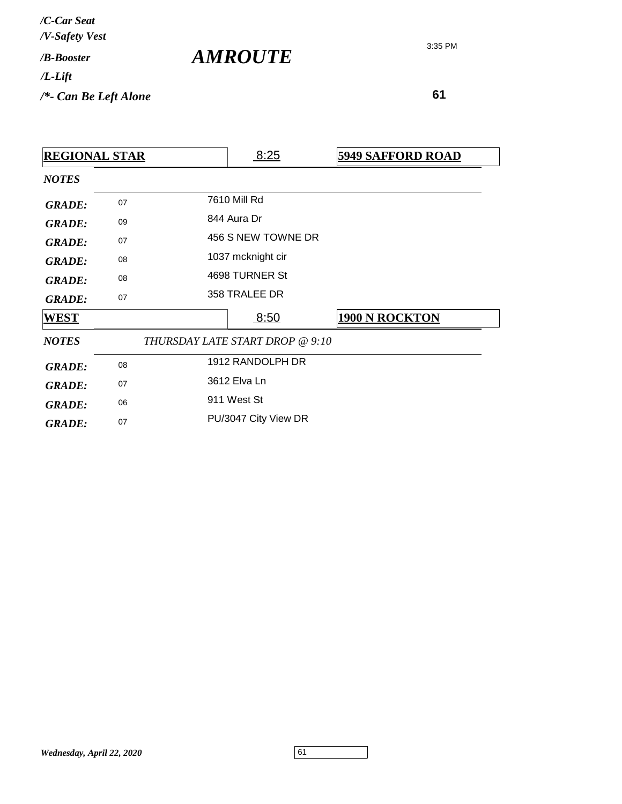| /C-Car Seat<br>/V-Safety Vest |                       |
|-------------------------------|-----------------------|
| / <b>B-Booster</b>            | <i><b>AMROUTE</b></i> |
| $/L$ -Lift                    |                       |
| $/*$ - Can Be Left Alone      |                       |

| <b>REGIONAL STAR</b> |    |                                 | 8:25                 | <b>5949 SAFFORD ROAD</b> |
|----------------------|----|---------------------------------|----------------------|--------------------------|
| <b>NOTES</b>         |    |                                 |                      |                          |
| <b>GRADE:</b>        | 07 |                                 | 7610 Mill Rd         |                          |
| <b>GRADE:</b>        | 09 |                                 | 844 Aura Dr          |                          |
| <b>GRADE:</b>        | 07 |                                 | 456 S NEW TOWNE DR   |                          |
| <b>GRADE:</b>        | 08 | 1037 mcknight cir               |                      |                          |
| <b>GRADE:</b>        | 08 | 4698 TURNER St                  |                      |                          |
| <b>GRADE:</b>        | 07 |                                 | 358 TRALEE DR        |                          |
| <b>WEST</b>          |    |                                 | 8:50                 | <b>1900 N ROCKTON</b>    |
| <b>NOTES</b>         |    | THURSDAY LATE START DROP @ 9:10 |                      |                          |
| <b>GRADE:</b>        | 08 |                                 | 1912 RANDOLPH DR     |                          |
| <b>GRADE:</b>        | 07 | 3612 Elva Ln                    |                      |                          |
| <b>GRADE:</b>        | 06 | 911 West St                     |                      |                          |
| <b>GRADE:</b>        | 07 |                                 | PU/3047 City View DR |                          |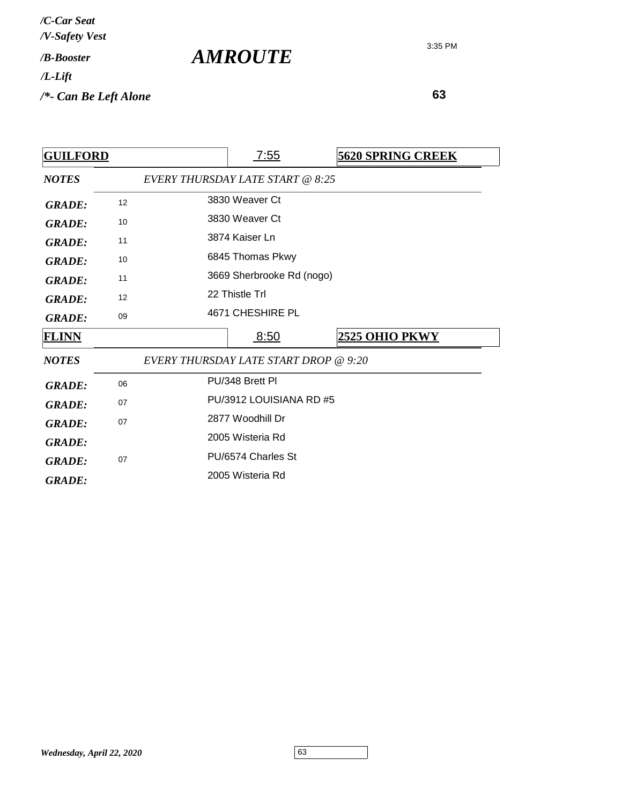| /C-Car Seat<br>/V-Safety Vest   |                       |
|---------------------------------|-----------------------|
| / <b>B-Booster</b>              | <i><b>AMROUTE</b></i> |
| $/L$ -Lift                      |                       |
| $\frac{1}{2}$ Can Be Left Alone |                       |

| <b>GUILFORD</b> |    |                                       | <u>7:55</u>      |  | <b>5620 SPRING CREEK</b> |  |
|-----------------|----|---------------------------------------|------------------|--|--------------------------|--|
| <b>NOTES</b>    |    | EVERY THURSDAY LATE START @ 8:25      |                  |  |                          |  |
| <b>GRADE:</b>   | 12 |                                       | 3830 Weaver Ct   |  |                          |  |
| <b>GRADE:</b>   | 10 |                                       | 3830 Weaver Ct   |  |                          |  |
| <b>GRADE:</b>   | 11 |                                       | 3874 Kaiser Ln   |  |                          |  |
| <b>GRADE:</b>   | 10 |                                       | 6845 Thomas Pkwy |  |                          |  |
| <b>GRADE:</b>   | 11 | 3669 Sherbrooke Rd (nogo)             |                  |  |                          |  |
| <b>GRADE:</b>   | 12 | 22 Thistle Trl                        |                  |  |                          |  |
| <b>GRADE:</b>   | 09 |                                       | 4671 CHESHIRE PL |  |                          |  |
| <b>FLINN</b>    |    |                                       | 8:50             |  | <b>2525 OHIO PKWY</b>    |  |
| <b>NOTES</b>    |    | EVERY THURSDAY LATE START DROP @ 9:20 |                  |  |                          |  |
| <b>GRADE:</b>   | 06 |                                       | PU/348 Brett PI  |  |                          |  |
| <b>GRADE:</b>   | 07 | PU/3912 LOUISIANA RD #5               |                  |  |                          |  |
| <b>GRADE:</b>   | 07 | 2877 Woodhill Dr                      |                  |  |                          |  |
| <b>GRADE:</b>   |    |                                       | 2005 Wisteria Rd |  |                          |  |
| <b>GRADE:</b>   | 07 | PU/6574 Charles St                    |                  |  |                          |  |
| <b>GRADE:</b>   |    |                                       | 2005 Wisteria Rd |  |                          |  |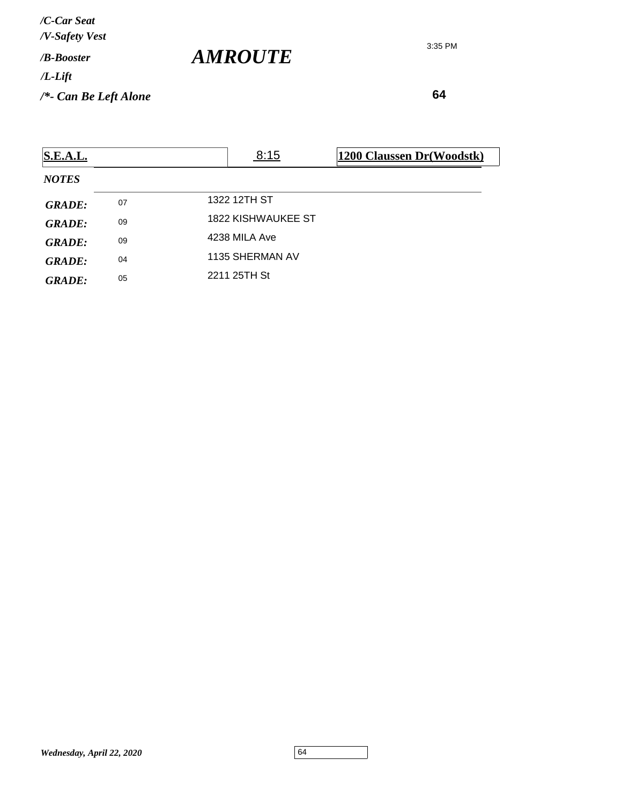*/V-Safety Vest /C-Car Seat*

*/B-Booster*

*/L-Lift*

*/\*- Can Be Left Alone*

3:35 PM

 **64**

| <b>S.E.A.L.</b> |    | 8:15                      | 1200 Claussen Dr(Woodstk) |
|-----------------|----|---------------------------|---------------------------|
| <b>NOTES</b>    |    |                           |                           |
| <b>GRADE:</b>   | 07 | 1322 12TH ST              |                           |
| <b>GRADE:</b>   | 09 | <b>1822 KISHWAUKEE ST</b> |                           |
| <b>GRADE:</b>   | 09 | 4238 MILA Ave             |                           |
| <b>GRADE:</b>   | 04 | 1135 SHERMAN AV           |                           |
| <b>GRADE:</b>   | 05 | 2211 25TH St              |                           |

*AMROUTE*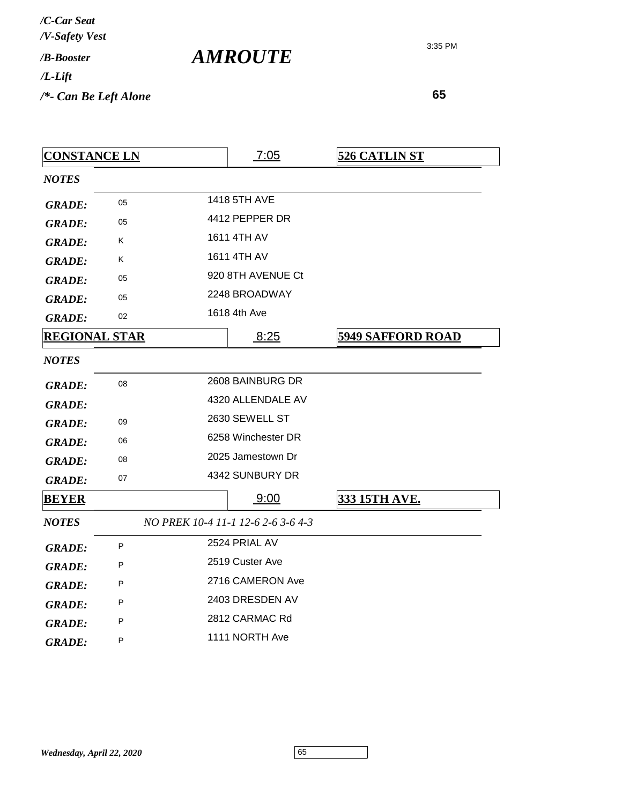| <b>CONSTANCE LN</b>  |    | 7:05                               | <b>526 CATLIN ST</b>     |
|----------------------|----|------------------------------------|--------------------------|
| <b>NOTES</b>         |    |                                    |                          |
| <b>GRADE:</b>        | 05 | <b>1418 5TH AVE</b>                |                          |
| <b>GRADE:</b>        | 05 | 4412 PEPPER DR                     |                          |
| <b>GRADE:</b>        | Κ  | 1611 4TH AV                        |                          |
| <b>GRADE:</b>        | Κ  | 1611 4TH AV                        |                          |
| <b>GRADE:</b>        | 05 | 920 8TH AVENUE Ct                  |                          |
| <b>GRADE:</b>        | 05 | 2248 BROADWAY                      |                          |
| <b>GRADE:</b>        | 02 | 1618 4th Ave                       |                          |
| <b>REGIONAL STAR</b> |    | 8:25                               | <b>5949 SAFFORD ROAD</b> |
| <b>NOTES</b>         |    |                                    |                          |
| <b>GRADE:</b>        | 08 | 2608 BAINBURG DR                   |                          |
| <b>GRADE:</b>        |    | 4320 ALLENDALE AV                  |                          |
| <b>GRADE:</b>        | 09 | 2630 SEWELL ST                     |                          |
| <b>GRADE:</b>        | 06 | 6258 Winchester DR                 |                          |
| <b>GRADE:</b>        | 08 | 2025 Jamestown Dr                  |                          |
| <b>GRADE:</b>        | 07 | 4342 SUNBURY DR                    |                          |
| <b>BEYER</b>         |    | 9:00                               | 333 15TH AVE.            |
| <b>NOTES</b>         |    | NO PREK 10-4 11-1 12-6 2-6 3-6 4-3 |                          |
| <b>GRADE:</b>        | P  | 2524 PRIAL AV                      |                          |
| <b>GRADE:</b>        | P  | 2519 Custer Ave                    |                          |
| <b>GRADE:</b>        | P  | 2716 CAMERON Ave                   |                          |
| <b>GRADE:</b>        | P  | 2403 DRESDEN AV                    |                          |
| <b>GRADE:</b>        | P  | 2812 CARMAC Rd                     |                          |
| <b>GRADE:</b>        | P  | 1111 NORTH Ave                     |                          |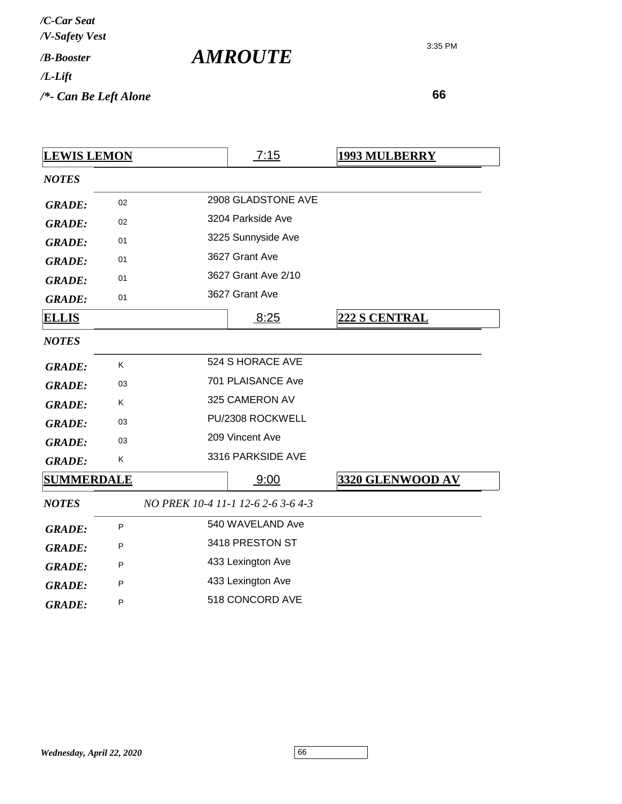| /C-Car Seat<br>/V-Safety Vest |  |
|-------------------------------|--|
| / <b><i>B-Booster</i></b>     |  |
| /L-Lift                       |  |
| /*- Can Be Left Alone         |  |

*AMROUTE*

| <b>LEWIS LEMON</b> |    | 7:15                               | <u>1993 MULBERRY</u> |
|--------------------|----|------------------------------------|----------------------|
| <b>NOTES</b>       |    |                                    |                      |
| <b>GRADE:</b>      | 02 | 2908 GLADSTONE AVE                 |                      |
| <b>GRADE:</b>      | 02 | 3204 Parkside Ave                  |                      |
| <b>GRADE:</b>      | 01 | 3225 Sunnyside Ave                 |                      |
| <b>GRADE:</b>      | 01 | 3627 Grant Ave                     |                      |
| <b>GRADE:</b>      | 01 | 3627 Grant Ave 2/10                |                      |
| <b>GRADE:</b>      | 01 | 3627 Grant Ave                     |                      |
| <b>ELLIS</b>       |    | 8:25                               | 222 S CENTRAL        |
| <b>NOTES</b>       |    |                                    |                      |
| <b>GRADE:</b>      | Κ  | 524 S HORACE AVE                   |                      |
| <b>GRADE:</b>      | 03 | 701 PLAISANCE Ave                  |                      |
| <b>GRADE:</b>      | K  | 325 CAMERON AV                     |                      |
| <b>GRADE:</b>      | 03 | PU/2308 ROCKWELL                   |                      |
| <b>GRADE:</b>      | 03 | 209 Vincent Ave                    |                      |
| <b>GRADE:</b>      | K. | 3316 PARKSIDE AVE                  |                      |
| <b>SUMMERDALE</b>  |    | 9:00                               | 3320 GLENWOOD AV     |
| <b>NOTES</b>       |    | NO PREK 10-4 11-1 12-6 2-6 3-6 4-3 |                      |
| <b>GRADE:</b>      | P  | 540 WAVELAND Ave                   |                      |
| <b>GRADE:</b>      | P  | 3418 PRESTON ST                    |                      |
| <b>GRADE:</b>      | P  | 433 Lexington Ave                  |                      |
| <b>GRADE:</b>      | P  | 433 Lexington Ave                  |                      |
| <b>GRADE:</b>      | P  | 518 CONCORD AVE                    |                      |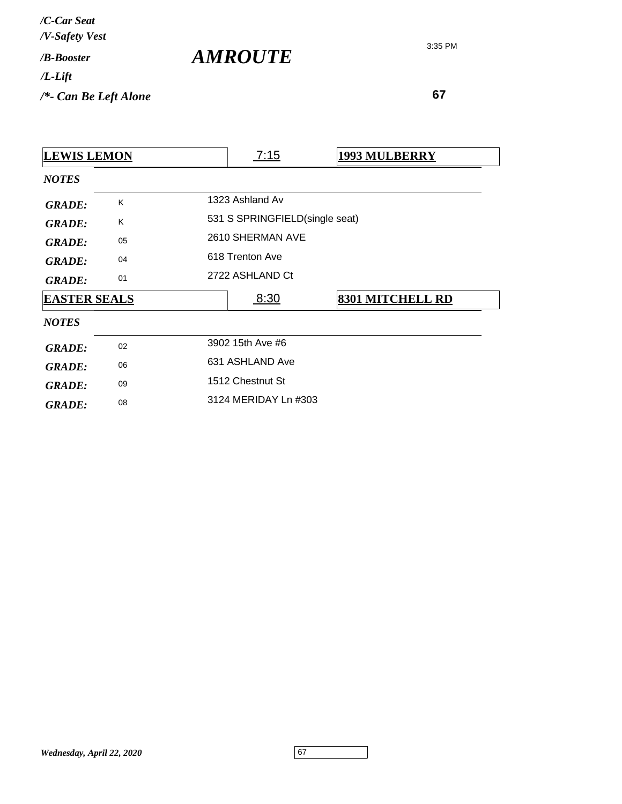| /C-Car Seat<br>/V-Safety Vest   |                       |
|---------------------------------|-----------------------|
| / <b>B-Booster</b>              | <i><b>AMROUTE</b></i> |
| /L-Lift                         |                       |
| $\frac{1}{2}$ Can Be Left Alone |                       |

 **67**

3:35 PM

| <b>LEWIS LEMON</b>  |    |                      | <u>7:15</u>                    | <b>1993 MULBERRY</b>    |  |  |  |
|---------------------|----|----------------------|--------------------------------|-------------------------|--|--|--|
| <b>NOTES</b>        |    |                      |                                |                         |  |  |  |
| <b>GRADE:</b>       | Κ  | 1323 Ashland Av      |                                |                         |  |  |  |
| <b>GRADE:</b>       | K  |                      | 531 S SPRINGFIELD(single seat) |                         |  |  |  |
| <b>GRADE:</b>       | 05 |                      | 2610 SHERMAN AVE               |                         |  |  |  |
| <b>GRADE:</b>       | 04 | 618 Trenton Ave      |                                |                         |  |  |  |
| <b>GRADE:</b>       | 01 | 2722 ASHLAND Ct      |                                |                         |  |  |  |
| <b>EASTER SEALS</b> |    |                      | 8:30                           | <b>8301 MITCHELL RD</b> |  |  |  |
| <b>NOTES</b>        |    |                      |                                |                         |  |  |  |
| <b>GRADE:</b>       | 02 |                      | 3902 15th Ave #6               |                         |  |  |  |
| <b>GRADE:</b>       | 06 | 631 ASHLAND Ave      |                                |                         |  |  |  |
| <b>GRADE:</b>       | 09 | 1512 Chestnut St     |                                |                         |  |  |  |
| <b>GRADE:</b>       | 08 | 3124 MERIDAY Ln #303 |                                |                         |  |  |  |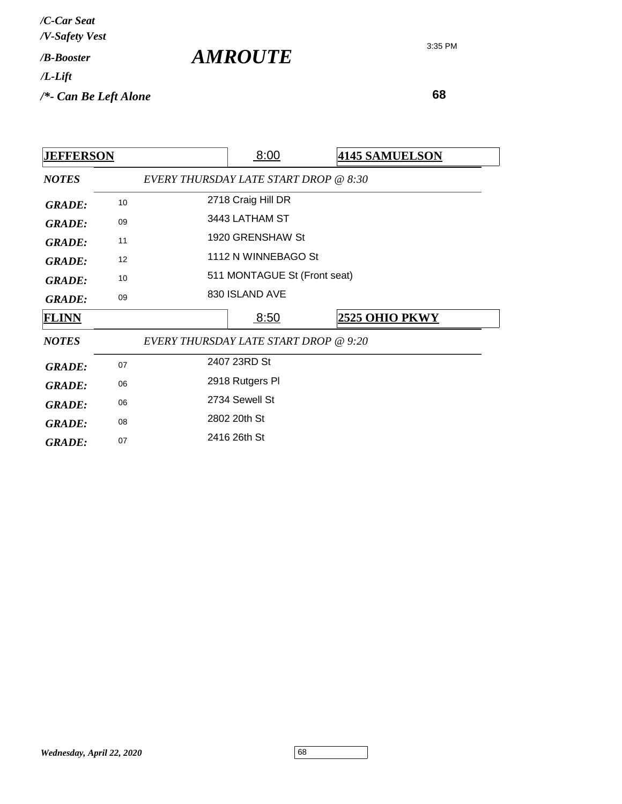| /C-Car Seat<br>/V-Safety Vest   |                       |
|---------------------------------|-----------------------|
| / <b>B-Booster</b>              | <i><b>AMROUTE</b></i> |
| $/L$ -Lift                      |                       |
| $\frac{1}{2}$ Can Be Left Alone |                       |

| <b>JEFFERSON</b> |    | 8:00                                  | <b>4145 SAMUELSON</b> |
|------------------|----|---------------------------------------|-----------------------|
| <b>NOTES</b>     |    | EVERY THURSDAY LATE START DROP @ 8:30 |                       |
| <b>GRADE:</b>    | 10 | 2718 Craig Hill DR                    |                       |
| <b>GRADE:</b>    | 09 | 3443 LATHAM ST                        |                       |
| <b>GRADE:</b>    | 11 | 1920 GRENSHAW St                      |                       |
| <b>GRADE:</b>    | 12 | 1112 N WINNEBAGO St                   |                       |
| <b>GRADE:</b>    | 10 | 511 MONTAGUE St (Front seat)          |                       |
| <b>GRADE:</b>    | 09 | 830 ISLAND AVE                        |                       |
|                  |    | 8:50                                  | 2525 OHIO PKWY        |
| <b>FLINN</b>     |    |                                       |                       |
| <b>NOTES</b>     |    | EVERY THURSDAY LATE START DROP @ 9:20 |                       |
| <b>GRADE:</b>    | 07 | 2407 23RD St                          |                       |
| <b>GRADE:</b>    | 06 | 2918 Rutgers PI                       |                       |
| <b>GRADE:</b>    | 06 | 2734 Sewell St                        |                       |
| <b>GRADE:</b>    | 08 | 2802 20th St                          |                       |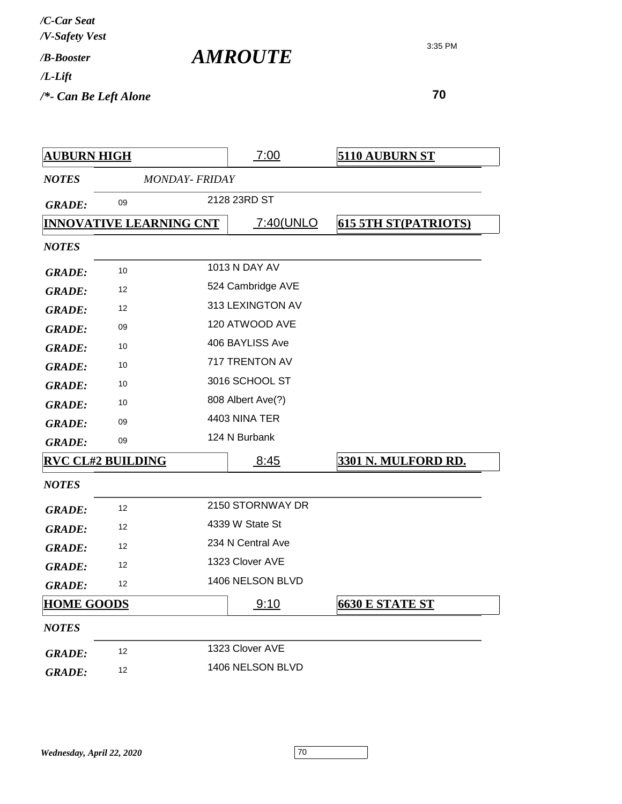| /C-Car Seat<br>/V-Safety Vest |                       |
|-------------------------------|-----------------------|
| / <b>B-Booster</b>            | <i><b>AMROUTE</b></i> |
| $/L$ -Lift                    |                       |
| $/*$ - Can Be Left Alone      |                       |

| <b>AUBURN HIGH</b> |                                |                       | 7:00              | <b>5110 AUBURN ST</b>       |
|--------------------|--------------------------------|-----------------------|-------------------|-----------------------------|
| <b>NOTES</b>       |                                | <b>MONDAY- FRIDAY</b> |                   |                             |
| <b>GRADE:</b>      | 09                             |                       | 2128 23RD ST      |                             |
|                    | <b>INNOVATIVE LEARNING CNT</b> |                       | <u>7:40(UNLO</u>  | <b>615 5TH ST(PATRIOTS)</b> |
| <b>NOTES</b>       |                                |                       |                   |                             |
| <b>GRADE:</b>      | 10                             |                       | 1013 N DAY AV     |                             |
| <b>GRADE:</b>      | 12                             |                       | 524 Cambridge AVE |                             |
| <b>GRADE:</b>      | 12                             |                       | 313 LEXINGTON AV  |                             |
| <b>GRADE:</b>      | 09                             |                       | 120 ATWOOD AVE    |                             |
| <b>GRADE:</b>      | 10                             |                       | 406 BAYLISS Ave   |                             |
| <b>GRADE:</b>      | 10                             |                       | 717 TRENTON AV    |                             |
| <b>GRADE:</b>      | 10                             |                       | 3016 SCHOOL ST    |                             |
| <b>GRADE:</b>      | 10                             |                       | 808 Albert Ave(?) |                             |
| <b>GRADE:</b>      | 09                             |                       | 4403 NINA TER     |                             |
| <b>GRADE:</b>      | 09                             |                       | 124 N Burbank     |                             |
|                    | <b>RVC CL#2 BUILDING</b>       |                       | 8:45              | 3301 N. MULFORD RD.         |
| <b>NOTES</b>       |                                |                       |                   |                             |
| <b>GRADE:</b>      | 12                             |                       | 2150 STORNWAY DR  |                             |
| <b>GRADE:</b>      | 12                             |                       | 4339 W State St   |                             |
| <b>GRADE:</b>      | 12                             |                       | 234 N Central Ave |                             |
| <b>GRADE:</b>      | 12                             |                       | 1323 Clover AVE   |                             |
| <b>GRADE:</b>      | 12                             |                       | 1406 NELSON BLVD  |                             |
| <b>HOME GOODS</b>  |                                |                       | 9:10              | <b>6630 E STATE ST</b>      |
| <b>NOTES</b>       |                                |                       |                   |                             |
| <b>GRADE:</b>      | 12                             |                       | 1323 Clover AVE   |                             |
| <b>GRADE:</b>      | 12                             |                       | 1406 NELSON BLVD  |                             |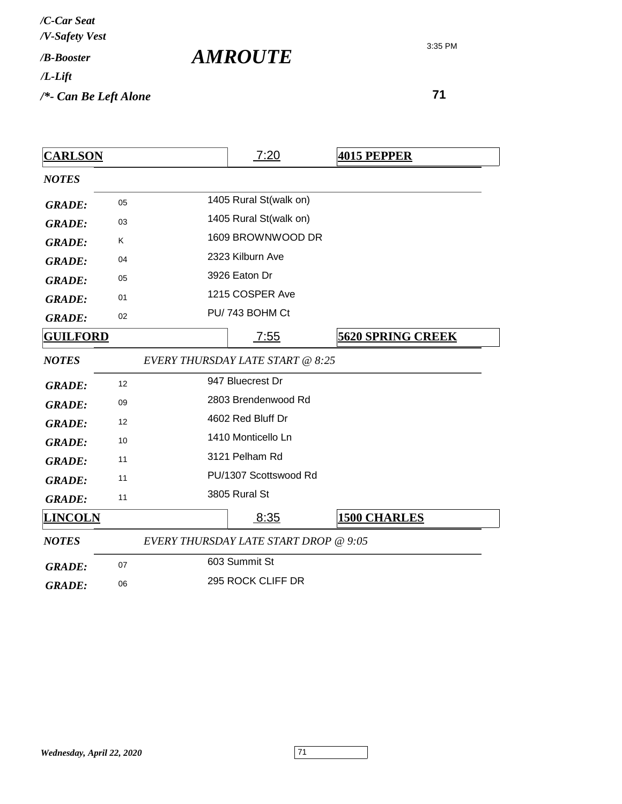**71**

| <b>CARLSON</b>  |    | 7:20                                    | <b>4015 PEPPER</b>       |
|-----------------|----|-----------------------------------------|--------------------------|
| <b>NOTES</b>    |    |                                         |                          |
| <b>GRADE:</b>   | 05 | 1405 Rural St(walk on)                  |                          |
| <b>GRADE:</b>   | 03 | 1405 Rural St(walk on)                  |                          |
| <b>GRADE:</b>   | Κ  | 1609 BROWNWOOD DR                       |                          |
| <b>GRADE:</b>   | 04 | 2323 Kilburn Ave                        |                          |
| <b>GRADE:</b>   | 05 | 3926 Eaton Dr                           |                          |
| <b>GRADE:</b>   | 01 | 1215 COSPER Ave                         |                          |
| <b>GRADE:</b>   | 02 | PU/743 BOHM Ct                          |                          |
| <b>GUILFORD</b> |    | 7:55                                    | <b>5620 SPRING CREEK</b> |
| <b>NOTES</b>    |    | <b>EVERY THURSDAY LATE START @ 8:25</b> |                          |
| <b>GRADE:</b>   | 12 | 947 Bluecrest Dr                        |                          |
| <b>GRADE:</b>   | 09 | 2803 Brendenwood Rd                     |                          |
| <b>GRADE:</b>   | 12 | 4602 Red Bluff Dr                       |                          |
| <b>GRADE:</b>   | 10 | 1410 Monticello Ln                      |                          |
| <b>GRADE:</b>   | 11 | 3121 Pelham Rd                          |                          |
| <b>GRADE:</b>   | 11 | PU/1307 Scottswood Rd                   |                          |
| <b>GRADE:</b>   | 11 | 3805 Rural St                           |                          |
| <b>LINCOLN</b>  |    | 8:35                                    | <b>1500 CHARLES</b>      |
| <b>NOTES</b>    |    | EVERY THURSDAY LATE START DROP @ 9:05   |                          |
| <b>GRADE:</b>   | 07 | 603 Summit St                           |                          |
| <b>GRADE:</b>   | 06 | 295 ROCK CLIFF DR                       |                          |

*AMROUTE*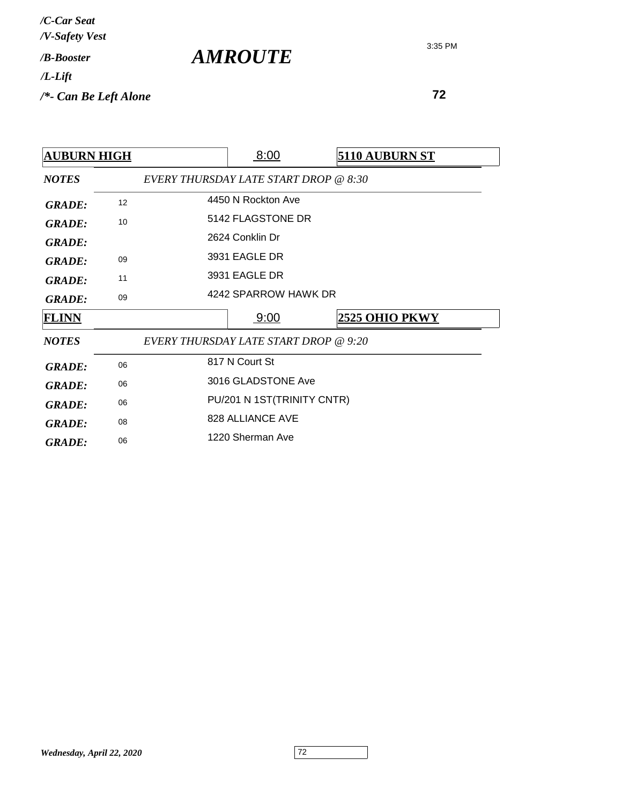| /C-Car Seat<br>/V-Safety Vest |  |
|-------------------------------|--|
| /R-Booster                    |  |
| $/L$ -Lift                    |  |
| /*- Can Be Left Alone         |  |

*AMROUTE*

| <b>AUBURN HIGH</b> |    | 8:00                                         | 5110 AUBURN ST        |
|--------------------|----|----------------------------------------------|-----------------------|
| <b>NOTES</b>       |    | EVERY THURSDAY LATE START DROP @ 8:30        |                       |
| <b>GRADE:</b>      | 12 | 4450 N Rockton Ave                           |                       |
| <b>GRADE:</b>      | 10 | 5142 FLAGSTONE DR                            |                       |
| <b>GRADE:</b>      |    | 2624 Conklin Dr                              |                       |
| <b>GRADE:</b>      | 09 | 3931 EAGLE DR                                |                       |
| <b>GRADE:</b>      | 11 | 3931 EAGLE DR                                |                       |
| <b>GRADE:</b>      | 09 | 4242 SPARROW HAWK DR                         |                       |
|                    |    |                                              |                       |
| <b>FLINN</b>       |    | 9:00                                         | <b>2525 OHIO PKWY</b> |
| <b>NOTES</b>       |    | <b>EVERY THURSDAY LATE START DROP @ 9:20</b> |                       |
| <b>GRADE:</b>      | 06 | 817 N Court St                               |                       |
| <b>GRADE:</b>      | 06 | 3016 GLADSTONE Ave                           |                       |
| <b>GRADE:</b>      | 06 | PU/201 N 1ST(TRINITY CNTR)                   |                       |
| <b>GRADE:</b>      | 08 | 828 ALLIANCE AVE                             |                       |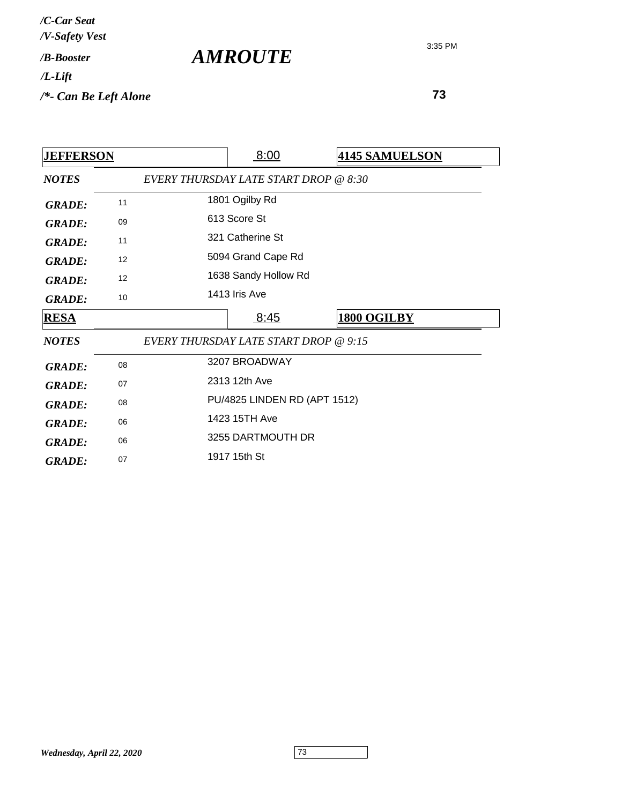| /C-Car Seat<br>/V-Safety Vest |                       |
|-------------------------------|-----------------------|
| / <b>B-Booster</b>            | <i><b>AMROUTE</b></i> |
| $/L$ -Lift                    |                       |
| $/*$ - Can Be Left Alone      |                       |

| <b>JEFFERSON</b>               |    |                                       | 8:00                                  | <b>4145 SAMUELSON</b> |
|--------------------------------|----|---------------------------------------|---------------------------------------|-----------------------|
| <b>NOTES</b>                   |    |                                       | EVERY THURSDAY LATE START DROP @ 8:30 |                       |
| <b>GRADE:</b>                  | 11 |                                       | 1801 Ogilby Rd                        |                       |
| <b>GRADE:</b>                  | 09 |                                       | 613 Score St                          |                       |
| <b>GRADE:</b>                  | 11 |                                       | 321 Catherine St                      |                       |
| <b>GRADE:</b>                  | 12 |                                       | 5094 Grand Cape Rd                    |                       |
| <b>GRADE:</b>                  | 12 |                                       | 1638 Sandy Hollow Rd                  |                       |
| <b>GRADE:</b>                  | 10 |                                       | 1413 Iris Ave                         |                       |
| <b>RESA</b>                    |    |                                       | <u>8:45</u>                           | <b>1800 OGILBY</b>    |
| <b>NOTES</b>                   |    | EVERY THURSDAY LATE START DROP @ 9:15 |                                       |                       |
|                                |    |                                       |                                       |                       |
|                                | 08 |                                       | 3207 BROADWAY                         |                       |
| <b>GRADE:</b>                  | 07 |                                       | 2313 12th Ave                         |                       |
| <b>GRADE:</b>                  | 08 |                                       | PU/4825 LINDEN RD (APT 1512)          |                       |
| <b>GRADE:</b><br><b>GRADE:</b> | 06 |                                       | 1423 15TH Ave                         |                       |
| <b>GRADE:</b>                  | 06 |                                       | 3255 DARTMOUTH DR                     |                       |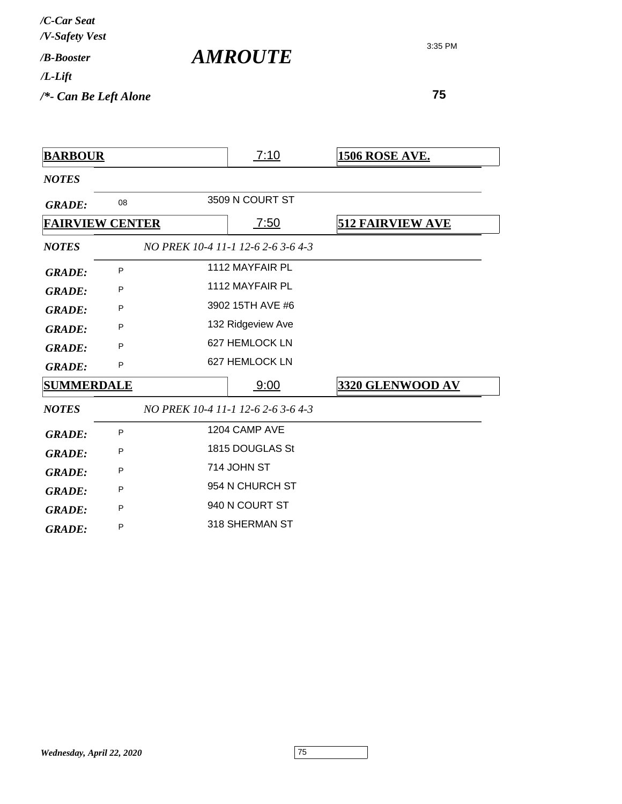*/B-Booster /V-Safety Vest /C-Car Seat /L-Lift*

*AMROUTE*

3:35 PM

*/\*- Can Be Left Alone*

| <b>BARBOUR</b>    |                        | 7:10                               | <u>1506 ROSE AVE.</u>   |
|-------------------|------------------------|------------------------------------|-------------------------|
| <b>NOTES</b>      |                        |                                    |                         |
| <b>GRADE:</b>     | 08                     | 3509 N COURT ST                    |                         |
|                   | <b>FAIRVIEW CENTER</b> | 7:50                               | <b>512 FAIRVIEW AVE</b> |
| <b>NOTES</b>      |                        | NO PREK 10-4 11-1 12-6 2-6 3-6 4-3 |                         |
| <b>GRADE:</b>     | P                      | 1112 MAYFAIR PL                    |                         |
| <b>GRADE:</b>     | P                      | 1112 MAYFAIR PL                    |                         |
| <b>GRADE:</b>     | P                      | 3902 15TH AVE #6                   |                         |
| <b>GRADE:</b>     | P                      | 132 Ridgeview Ave                  |                         |
| <b>GRADE:</b>     | P                      | 627 HEMLOCK LN                     |                         |
| <b>GRADE:</b>     | P                      | 627 HEMLOCK LN                     |                         |
| <b>SUMMERDALE</b> |                        | 9:00                               | 3320 GLENWOOD AV        |
| <b>NOTES</b>      |                        | NO PREK 10-4 11-1 12-6 2-6 3-6 4-3 |                         |
| <b>GRADE:</b>     | P                      | 1204 CAMP AVE                      |                         |
| <b>GRADE:</b>     | P                      | 1815 DOUGLAS St                    |                         |
| <b>GRADE:</b>     | P                      | 714 JOHN ST                        |                         |
| <b>GRADE:</b>     | P                      | 954 N CHURCH ST                    |                         |
| <b>GRADE:</b>     | P                      | 940 N COURT ST                     |                         |
| <b>GRADE:</b>     | P                      | 318 SHERMAN ST                     |                         |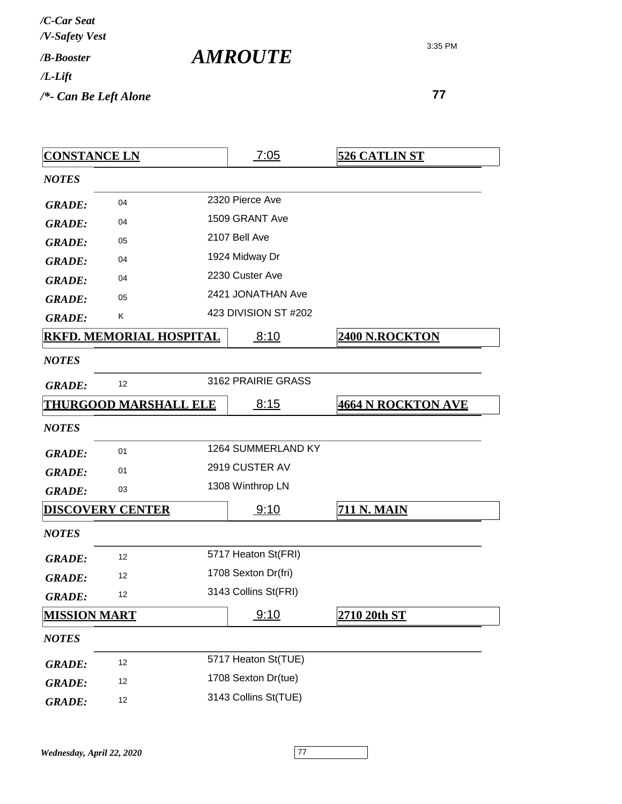| /C-Car Seat<br>/V-Safety Vest |  |
|-------------------------------|--|
| /R-Booster                    |  |
| /L-Lift                       |  |
| /*- Can Be Left Alone         |  |

*AMROUTE*

| <b>CONSTANCE LN</b> |                                | 7:05                 | <b>526 CATLIN ST</b>      |
|---------------------|--------------------------------|----------------------|---------------------------|
| <b>NOTES</b>        |                                |                      |                           |
| <b>GRADE:</b>       | 04                             | 2320 Pierce Ave      |                           |
| <b>GRADE:</b>       | 04                             | 1509 GRANT Ave       |                           |
| <b>GRADE:</b>       | 05                             | 2107 Bell Ave        |                           |
| <b>GRADE:</b>       | 04                             | 1924 Midway Dr       |                           |
| <b>GRADE:</b>       | 04                             | 2230 Custer Ave      |                           |
| <b>GRADE:</b>       | 05                             | 2421 JONATHAN Ave    |                           |
| <b>GRADE:</b>       | Κ                              | 423 DIVISION ST #202 |                           |
|                     | <b>RKFD. MEMORIAL HOSPITAL</b> | 8:10                 | <b>2400 N.ROCKTON</b>     |
| <b>NOTES</b>        |                                |                      |                           |
| <b>GRADE:</b>       | 12                             | 3162 PRAIRIE GRASS   |                           |
|                     | <b>THURGOOD MARSHALL ELE</b>   | 8:15                 | <b>4664 N ROCKTON AVE</b> |
| <b>NOTES</b>        |                                |                      |                           |
| <b>GRADE:</b>       | 01                             | 1264 SUMMERLAND KY   |                           |
| <b>GRADE:</b>       | 01                             | 2919 CUSTER AV       |                           |
| <b>GRADE:</b>       | 03                             | 1308 Winthrop LN     |                           |
|                     | <b>DISCOVERY CENTER</b>        | 9:10                 | <b>711 N. MAIN</b>        |
| <b>NOTES</b>        |                                |                      |                           |
| <b>GRADE:</b>       | 12                             | 5717 Heaton St(FRI)  |                           |
| <b>GRADE:</b>       | 12                             | 1708 Sexton Dr(fri)  |                           |
| <b>GRADE:</b>       | 12                             | 3143 Collins St(FRI) |                           |
| <b>MISSION MART</b> |                                | 9:10                 | 2710 20th ST              |
| <b>NOTES</b>        |                                |                      |                           |
| <b>GRADE:</b>       | 12                             | 5717 Heaton St(TUE)  |                           |
| <b>GRADE:</b>       | 12                             | 1708 Sexton Dr(tue)  |                           |
| <b>GRADE:</b>       | 12                             | 3143 Collins St(TUE) |                           |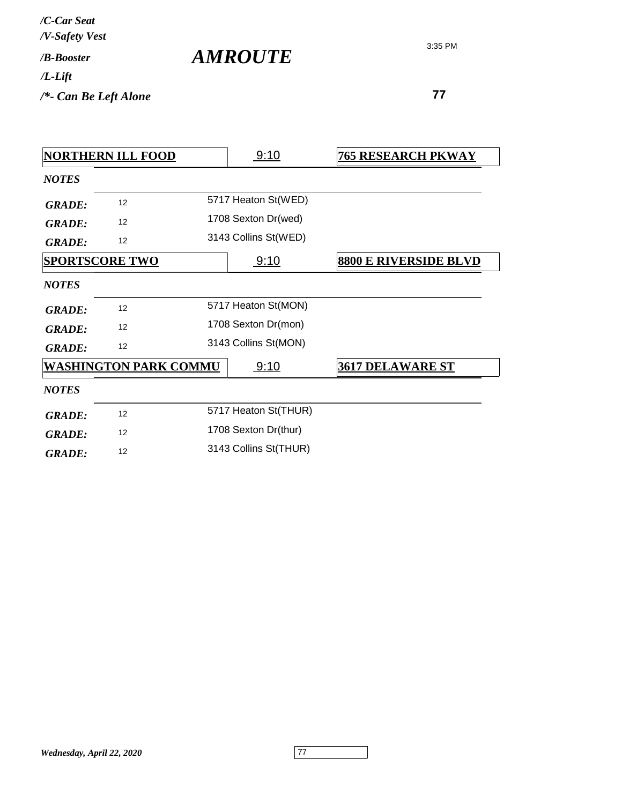| /C-Car Seat<br>/V-Safety Vest |  |
|-------------------------------|--|
| / <b>B-Booster</b>            |  |
| /L-Lift                       |  |
| /*- Can Be Left Alone         |  |

*AMROUTE*

| <b>NORTHERN ILL FOOD</b> |                              | 9:10 | <b>765 RESEARCH PKWAY</b> |                              |
|--------------------------|------------------------------|------|---------------------------|------------------------------|
| <b>NOTES</b>             |                              |      |                           |                              |
| <b>GRADE:</b>            | 12                           |      | 5717 Heaton St(WED)       |                              |
| <b>GRADE:</b>            | 12                           |      | 1708 Sexton Dr(wed)       |                              |
| <b>GRADE:</b>            | 12                           |      | 3143 Collins St(WED)      |                              |
|                          | <b>SPORTSCORE TWO</b>        |      | 9:10                      | <b>8800 E RIVERSIDE BLVD</b> |
| <b>NOTES</b>             |                              |      |                           |                              |
| <b>GRADE:</b>            | 12                           |      | 5717 Heaton St(MON)       |                              |
| <b>GRADE:</b>            | 12                           |      | 1708 Sexton Dr(mon)       |                              |
| <b>GRADE:</b>            | 12                           |      | 3143 Collins St(MON)      |                              |
|                          | <b>WASHINGTON PARK COMMU</b> |      | 9:10                      | <b>3617 DELAWARE ST</b>      |
| <b>NOTES</b>             |                              |      |                           |                              |
| <b>GRADE:</b>            | 12                           |      | 5717 Heaton St(THUR)      |                              |
| <b>GRADE:</b>            | 12                           |      | 1708 Sexton Dr(thur)      |                              |
| <b>GRADE:</b>            | 12                           |      | 3143 Collins St(THUR)     |                              |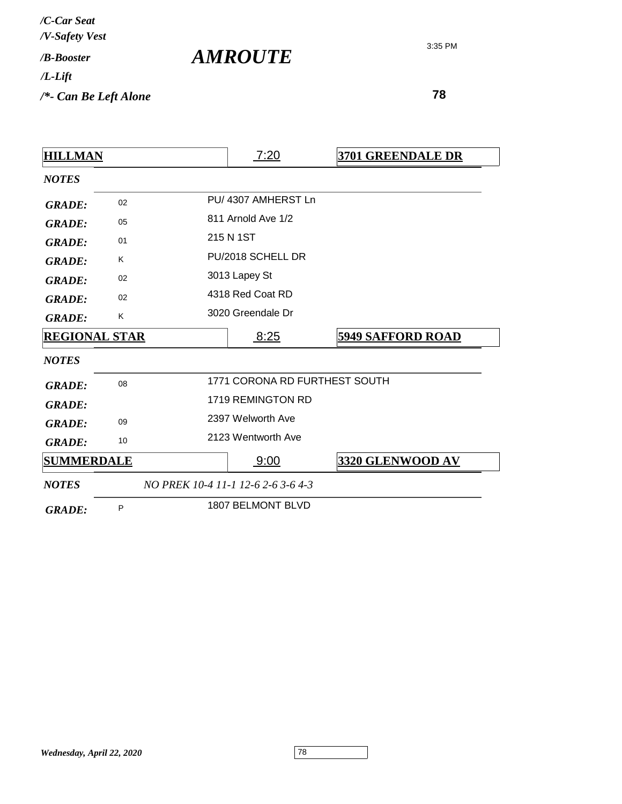| /C-Car Seat<br>/V-Safety Vest |                       |
|-------------------------------|-----------------------|
| / <b>B-Booster</b>            | <i><b>AMROUTE</b></i> |
| $/L$ -Lift                    |                       |
| $/*$ - Can Be Left Alone      |                       |

| <b>HILLMAN</b>       |    | 7:20                               | 3701 GREENDALE DR        |
|----------------------|----|------------------------------------|--------------------------|
| <b>NOTES</b>         |    |                                    |                          |
| <b>GRADE:</b>        | 02 | PU/4307 AMHERST Ln                 |                          |
| <b>GRADE:</b>        | 05 | 811 Arnold Ave 1/2                 |                          |
| <b>GRADE:</b>        | 01 | 215 N 1ST                          |                          |
| <b>GRADE:</b>        | K  | PU/2018 SCHELL DR                  |                          |
| <b>GRADE:</b>        | 02 | 3013 Lapey St                      |                          |
| <b>GRADE:</b>        | 02 | 4318 Red Coat RD                   |                          |
| <b>GRADE:</b>        | K  | 3020 Greendale Dr                  |                          |
| <b>REGIONAL STAR</b> |    | 8:25                               | <b>5949 SAFFORD ROAD</b> |
| <b>NOTES</b>         |    |                                    |                          |
| <b>GRADE:</b>        | 08 | 1771 CORONA RD FURTHEST SOUTH      |                          |
| <b>GRADE:</b>        |    | 1719 REMINGTON RD                  |                          |
| <b>GRADE:</b>        | 09 | 2397 Welworth Ave                  |                          |
| <b>GRADE:</b>        | 10 | 2123 Wentworth Ave                 |                          |
| <b>SUMMERDALE</b>    |    | 9:00                               | 3320 GLENWOOD AV         |
| <b>NOTES</b>         |    | NO PREK 10-4 11-1 12-6 2-6 3-6 4-3 |                          |
| <b>GRADE:</b>        | P  | 1807 BELMONT BLVD                  |                          |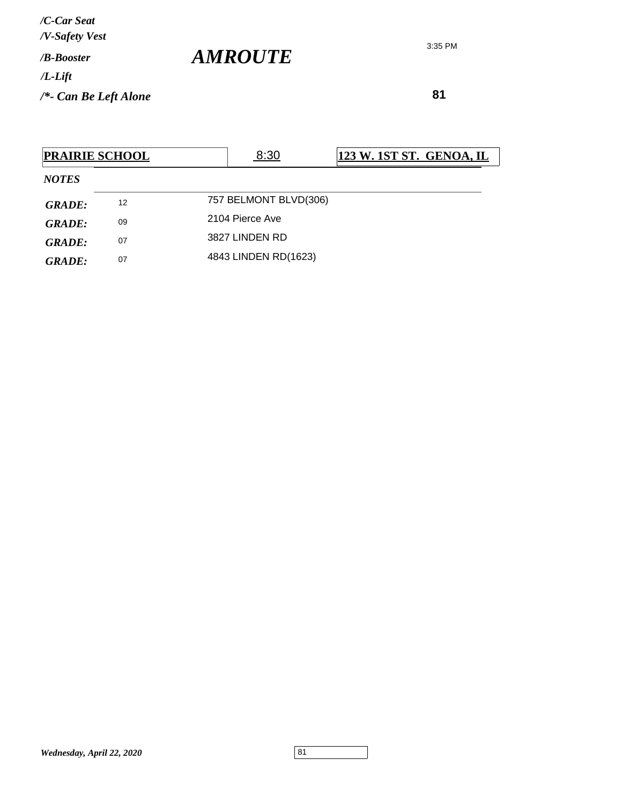**81**

| <b>PRAIRIE SCHOOL</b> |    | 8:30                  | <u>123 W. 1ST ST. GENOA, IL</u> |  |
|-----------------------|----|-----------------------|---------------------------------|--|
| <b>NOTES</b>          |    |                       |                                 |  |
| <b>GRADE:</b>         | 12 | 757 BELMONT BLVD(306) |                                 |  |
| <b>GRADE:</b>         | 09 | 2104 Pierce Ave       |                                 |  |
| GRADE:                | 07 | 3827 LINDEN RD        |                                 |  |
| <b>GRADE:</b>         | 07 | 4843 LINDEN RD(1623)  |                                 |  |

3:35 PM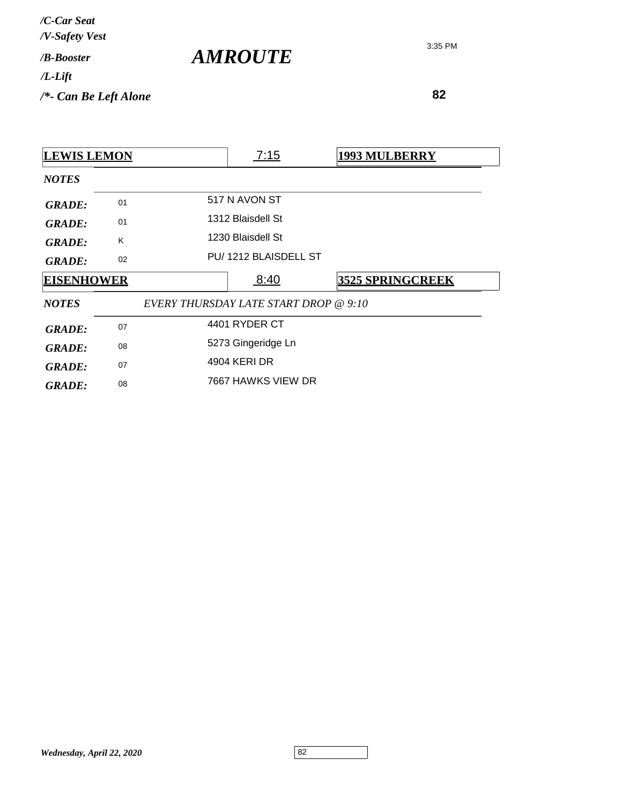| /C-Car Seat<br>/V-Safety Vest   |                       |
|---------------------------------|-----------------------|
| / <b>B-Booster</b>              | <i><b>AMROUTE</b></i> |
| $/L$ -Lift                      |                       |
| $\frac{1}{2}$ Can Be Left Alone |                       |

| <b>LEWIS LEMON</b> |    | 7:15                                  | <b>1993 MULBERRY</b>    |
|--------------------|----|---------------------------------------|-------------------------|
| <b>NOTES</b>       |    |                                       |                         |
| <b>GRADE:</b>      | 01 | 517 N AVON ST                         |                         |
| <b>GRADE:</b>      | 01 | 1312 Blaisdell St                     |                         |
| <b>GRADE:</b>      | K  | 1230 Blaisdell St                     |                         |
| <b>GRADE:</b>      | 02 | PU/1212 BLAISDELL ST                  |                         |
|                    |    |                                       |                         |
| <b>EISENHOWER</b>  |    | 8:40                                  | <b>3525 SPRINGCREEK</b> |
| <b>NOTES</b>       |    | EVERY THURSDAY LATE START DROP @ 9:10 |                         |
| <b>GRADE:</b>      | 07 | 4401 RYDER CT                         |                         |
| <b>GRADE:</b>      | 08 | 5273 Gingeridge Ln                    |                         |
| <b>GRADE:</b>      | 07 | 4904 KERI DR                          |                         |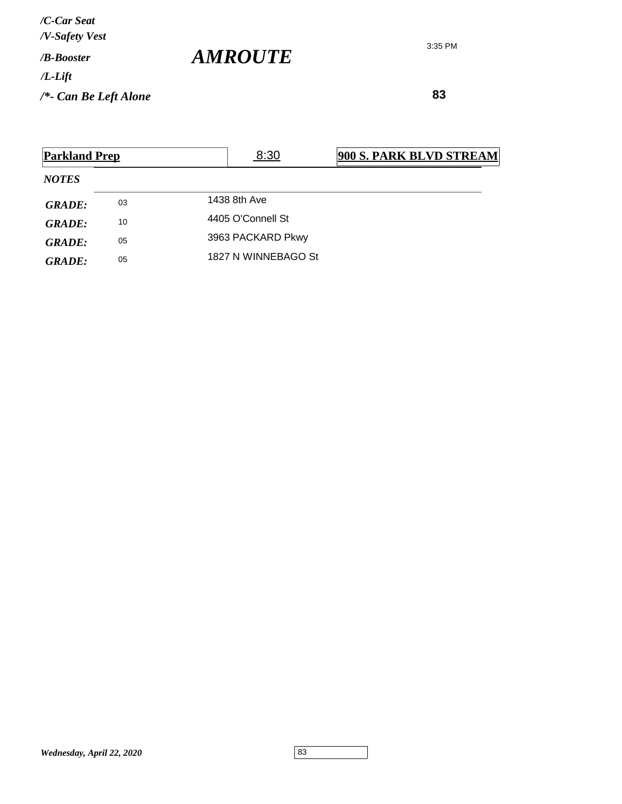**83**

| <b>Parkland Prep</b> |    | 8:30                | <b>900 S. PARK BLVD STREAM</b> |
|----------------------|----|---------------------|--------------------------------|
| <b>NOTES</b>         |    |                     |                                |
| GRADE:               | 03 | 1438 8th Ave        |                                |
| GRADE:               | 10 | 4405 O'Connell St   |                                |
| <b>GRADE:</b>        | 05 | 3963 PACKARD Pkwy   |                                |
| GRADE:               | 05 | 1827 N WINNEBAGO St |                                |

*AMROUTE*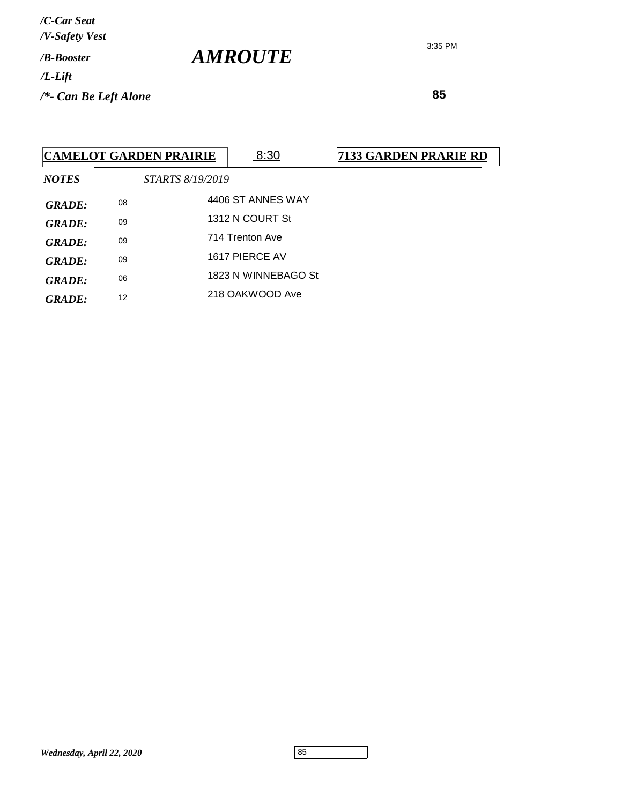3:35 PM

 **85**

| <b>CAMELOT GARDEN PRAIRIE</b> |    |                         | 8:30                | <b>7133 GARDEN PRARIE RD</b> |
|-------------------------------|----|-------------------------|---------------------|------------------------------|
| <b>NOTES</b>                  |    | <i>STARTS 8/19/2019</i> |                     |                              |
| <b>GRADE:</b>                 | 08 |                         | 4406 ST ANNES WAY   |                              |
| <b>GRADE:</b>                 | 09 |                         | 1312 N COURT St     |                              |
| <b>GRADE:</b>                 | 09 |                         | 714 Trenton Ave     |                              |
| <b>GRADE:</b>                 | 09 |                         | 1617 PIERCE AV      |                              |
| <b>GRADE:</b>                 | 06 |                         | 1823 N WINNEBAGO St |                              |
| <b>GRADE:</b>                 | 12 |                         | 218 OAKWOOD Ave     |                              |

*AMROUTE*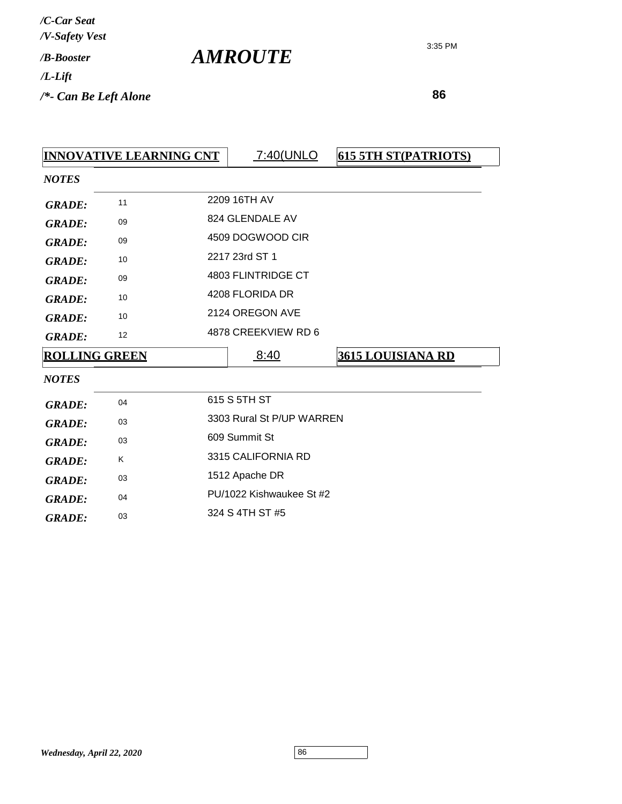| /C-Car Seat           |  |
|-----------------------|--|
| /V-Safety Vest        |  |
| / <i>R-Rooster</i>    |  |
| /L-Lift               |  |
| /*- Can Be Left Alone |  |

*AMROUTE*

| <b>INNOVATIVE LEARNING CNT</b> |    |                    | 7:40(UNLO                 | <b>615 5TH ST(PATRIOTS)</b> |  |
|--------------------------------|----|--------------------|---------------------------|-----------------------------|--|
| <b>NOTES</b>                   |    |                    |                           |                             |  |
| <b>GRADE:</b>                  | 11 |                    | 2209 16TH AV              |                             |  |
| <b>GRADE:</b>                  | 09 |                    | 824 GLENDALE AV           |                             |  |
| <b>GRADE:</b>                  | 09 |                    | 4509 DOGWOOD CIR          |                             |  |
| <b>GRADE:</b>                  | 10 |                    | 2217 23rd ST 1            |                             |  |
| <b>GRADE:</b>                  | 09 |                    | 4803 FLINTRIDGE CT        |                             |  |
| <b>GRADE:</b>                  | 10 |                    | 4208 FLORIDA DR           |                             |  |
| <b>GRADE:</b>                  | 10 |                    | 2124 OREGON AVE           |                             |  |
| <b>GRADE:</b>                  | 12 |                    | 4878 CREEKVIEW RD 6       |                             |  |
| <b>ROLLING GREEN</b>           |    |                    | 8:40                      | <b>3615 LOUISIANA RD</b>    |  |
| <b>NOTES</b>                   |    |                    |                           |                             |  |
| <b>GRADE:</b>                  | 04 |                    | 615 S 5TH ST              |                             |  |
| <b>GRADE:</b>                  | 03 |                    | 3303 Rural St P/UP WARREN |                             |  |
| <b>GRADE:</b>                  | 03 | 609 Summit St      |                           |                             |  |
| <b>GRADE:</b>                  | K  | 3315 CALIFORNIA RD |                           |                             |  |
| <b>GRADE:</b>                  | 03 | 1512 Apache DR     |                           |                             |  |
| <b>GRADE:</b>                  | 04 |                    | PU/1022 Kishwaukee St #2  |                             |  |
| <b>GRADE:</b>                  | 03 | 324 S 4TH ST #5    |                           |                             |  |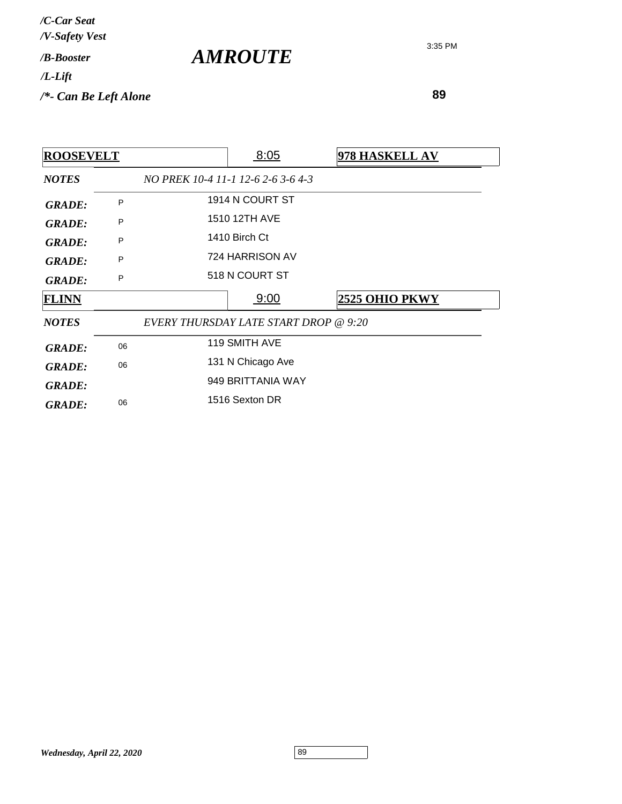| /C-Car Seat<br>/V-Safety Vest |                |
|-------------------------------|----------------|
| / <b>B-Booster</b>            | <b>AMROUTE</b> |
| $/L$ -Lift                    |                |
| $/*$ - Can Be Left Alone      |                |

| <b>ROOSEVELT</b> |    |                                       | 8:05              | 978 HASKELL AV |
|------------------|----|---------------------------------------|-------------------|----------------|
| <b>NOTES</b>     |    | NO PREK 10-4 11-1 12-6 2-6 3-6 4-3    |                   |                |
| <b>GRADE:</b>    | P  |                                       | 1914 N COURT ST   |                |
| <b>GRADE:</b>    | P  |                                       | 1510 12TH AVE     |                |
| <b>GRADE:</b>    | P  |                                       | 1410 Birch Ct     |                |
| <b>GRADE:</b>    | P  |                                       | 724 HARRISON AV   |                |
| <b>GRADE:</b>    | P  |                                       | 518 N COURT ST    |                |
| <b>FLINN</b>     |    |                                       | 9:00              | 2525 OHIO PKWY |
| <b>NOTES</b>     |    | EVERY THURSDAY LATE START DROP @ 9:20 |                   |                |
| <b>GRADE:</b>    | 06 |                                       | 119 SMITH AVE     |                |
| <b>GRADE:</b>    | 06 |                                       | 131 N Chicago Ave |                |
| <b>GRADE:</b>    |    |                                       | 949 BRITTANIA WAY |                |
|                  |    |                                       | 1516 Sexton DR    |                |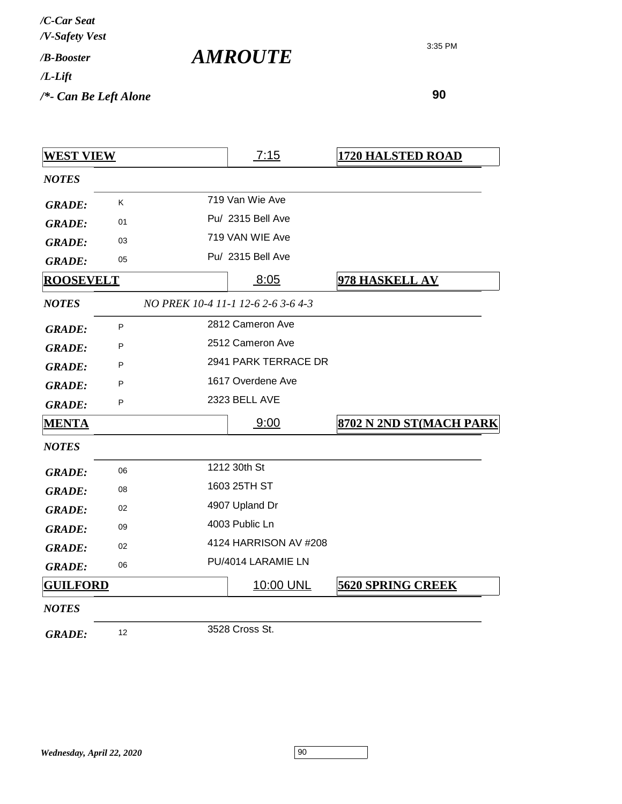| <b>WEST VIEW</b> |    | 7:15                               | <b>1720 HALSTED ROAD</b> |
|------------------|----|------------------------------------|--------------------------|
| <b>NOTES</b>     |    |                                    |                          |
| <b>GRADE:</b>    | K  | 719 Van Wie Ave                    |                          |
| <b>GRADE:</b>    | 01 | Pu/ 2315 Bell Ave                  |                          |
| <b>GRADE:</b>    | 03 | 719 VAN WIE Ave                    |                          |
| <b>GRADE:</b>    | 05 | Pu/ 2315 Bell Ave                  |                          |
| <b>ROOSEVELT</b> |    | 8:05                               | 978 HASKELL AV           |
| <b>NOTES</b>     |    | NO PREK 10-4 11-1 12-6 2-6 3-6 4-3 |                          |
| <b>GRADE:</b>    | P  | 2812 Cameron Ave                   |                          |
| <b>GRADE:</b>    | P  | 2512 Cameron Ave                   |                          |
| <b>GRADE:</b>    | P  | 2941 PARK TERRACE DR               |                          |
| <b>GRADE:</b>    | P  | 1617 Overdene Ave                  |                          |
| <b>GRADE:</b>    | P  | 2323 BELL AVE                      |                          |
| <u>MENTA</u>     |    | 9:00                               | 8702 N 2ND ST(MACH PARK  |
| <b>NOTES</b>     |    |                                    |                          |
| <b>GRADE:</b>    | 06 | 1212 30th St                       |                          |
| <b>GRADE:</b>    | 08 | 1603 25TH ST                       |                          |
| <b>GRADE:</b>    | 02 | 4907 Upland Dr                     |                          |
| <b>GRADE:</b>    | 09 | 4003 Public Ln                     |                          |
| <b>GRADE:</b>    | 02 | 4124 HARRISON AV #208              |                          |
| <b>GRADE:</b>    | 06 | PU/4014 LARAMIE LN                 |                          |
| <b>GUILFORD</b>  |    | 10:00 UNL                          | <b>5620 SPRING CREEK</b> |
| <b>NOTES</b>     |    |                                    |                          |
| <b>GRADE:</b>    | 12 | 3528 Cross St.                     |                          |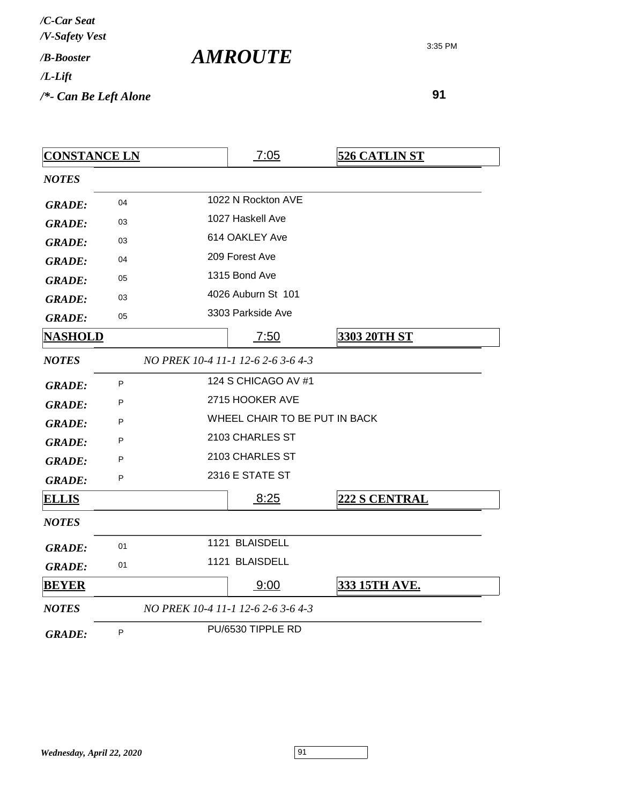| /C-Car Seat<br>/V-Safety Vest |  |
|-------------------------------|--|
| $/R$ -Booster                 |  |
| /L-Lift                       |  |
| /*- Can Be Left Alone         |  |

*AMROUTE*

| <b>CONSTANCE LN</b> |    |  | 7:05                               | <b>526 CATLIN ST</b> |
|---------------------|----|--|------------------------------------|----------------------|
| <b>NOTES</b>        |    |  |                                    |                      |
| <b>GRADE:</b>       | 04 |  | 1022 N Rockton AVE                 |                      |
| <b>GRADE:</b>       | 03 |  | 1027 Haskell Ave                   |                      |
| <b>GRADE:</b>       | 03 |  | 614 OAKLEY Ave                     |                      |
| <b>GRADE:</b>       | 04 |  | 209 Forest Ave                     |                      |
| <b>GRADE:</b>       | 05 |  | 1315 Bond Ave                      |                      |
| <b>GRADE:</b>       | 03 |  | 4026 Auburn St 101                 |                      |
| <b>GRADE:</b>       | 05 |  | 3303 Parkside Ave                  |                      |
| <u>NASHOLD</u>      |    |  | 7:50                               | 3303 20TH ST         |
| <b>NOTES</b>        |    |  | NO PREK 10-4 11-1 12-6 2-6 3-6 4-3 |                      |
| <b>GRADE:</b>       | P  |  | 124 S CHICAGO AV #1                |                      |
| <b>GRADE:</b>       | P  |  | 2715 HOOKER AVE                    |                      |
| <b>GRADE:</b>       | P  |  | WHEEL CHAIR TO BE PUT IN BACK      |                      |
| <b>GRADE:</b>       | P  |  | 2103 CHARLES ST                    |                      |
| <b>GRADE:</b>       | P  |  | 2103 CHARLES ST                    |                      |
| <b>GRADE:</b>       | P  |  | 2316 E STATE ST                    |                      |
| <u>ELLIS</u>        |    |  | 8:25                               | <b>222 S CENTRAL</b> |
| <b>NOTES</b>        |    |  |                                    |                      |
| <b>GRADE:</b>       | 01 |  | 1121 BLAISDELL                     |                      |
| <b>GRADE:</b>       | 01 |  | 1121 BLAISDELL                     |                      |
| <b>BEYER</b>        |    |  | 9:00                               | <b>333 15TH AVE.</b> |
| <b>NOTES</b>        |    |  | NO PREK 10-4 11-1 12-6 2-6 3-6 4-3 |                      |
| <b>GRADE:</b>       | P  |  | PU/6530 TIPPLE RD                  |                      |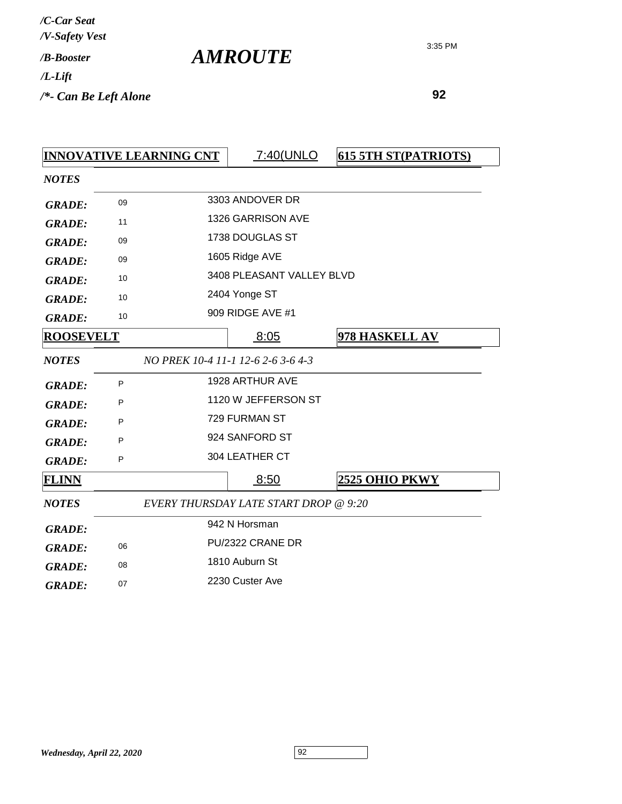| /C-Car Seat                                 |  |
|---------------------------------------------|--|
| /V-Safety Vest<br>/ <b><i>B-Booster</i></b> |  |
| /L-Lift                                     |  |
| /*- Can Be Left Alone                       |  |

*AMROUTE*

|                  |    | <b>INNOVATIVE LEARNING CNT</b> | 7:40(UNLO                                    | <b>615 5TH ST(PATRIOTS)</b> |
|------------------|----|--------------------------------|----------------------------------------------|-----------------------------|
| <b>NOTES</b>     |    |                                |                                              |                             |
| <b>GRADE:</b>    | 09 |                                | 3303 ANDOVER DR                              |                             |
| <b>GRADE:</b>    | 11 |                                | 1326 GARRISON AVE                            |                             |
| <b>GRADE:</b>    | 09 |                                | 1738 DOUGLAS ST                              |                             |
| <b>GRADE:</b>    | 09 |                                | 1605 Ridge AVE                               |                             |
| <b>GRADE:</b>    | 10 |                                | 3408 PLEASANT VALLEY BLVD                    |                             |
| <b>GRADE:</b>    | 10 |                                | 2404 Yonge ST                                |                             |
| <b>GRADE:</b>    | 10 |                                | 909 RIDGE AVE #1                             |                             |
| <b>ROOSEVELT</b> |    |                                | 8:05                                         | 978 HASKELL AV              |
| <b>NOTES</b>     |    |                                | NO PREK 10-4 11-1 12-6 2-6 3-6 4-3           |                             |
| <b>GRADE:</b>    | P  |                                | 1928 ARTHUR AVE                              |                             |
| <b>GRADE:</b>    | P  |                                | 1120 W JEFFERSON ST                          |                             |
| <b>GRADE:</b>    | P  |                                | 729 FURMAN ST                                |                             |
| <b>GRADE:</b>    | P  |                                | 924 SANFORD ST                               |                             |
| <b>GRADE:</b>    | P  |                                | 304 LEATHER CT                               |                             |
| <b>FLINN</b>     |    |                                | 8:50                                         | 2525 OHIO PKWY              |
| <b>NOTES</b>     |    |                                | <b>EVERY THURSDAY LATE START DROP @ 9:20</b> |                             |
| <b>GRADE:</b>    |    |                                | 942 N Horsman                                |                             |
| <b>GRADE:</b>    | 06 |                                | PU/2322 CRANE DR                             |                             |
| <b>GRADE:</b>    | 08 |                                | 1810 Auburn St                               |                             |
| <b>GRADE:</b>    | 07 |                                | 2230 Custer Ave                              |                             |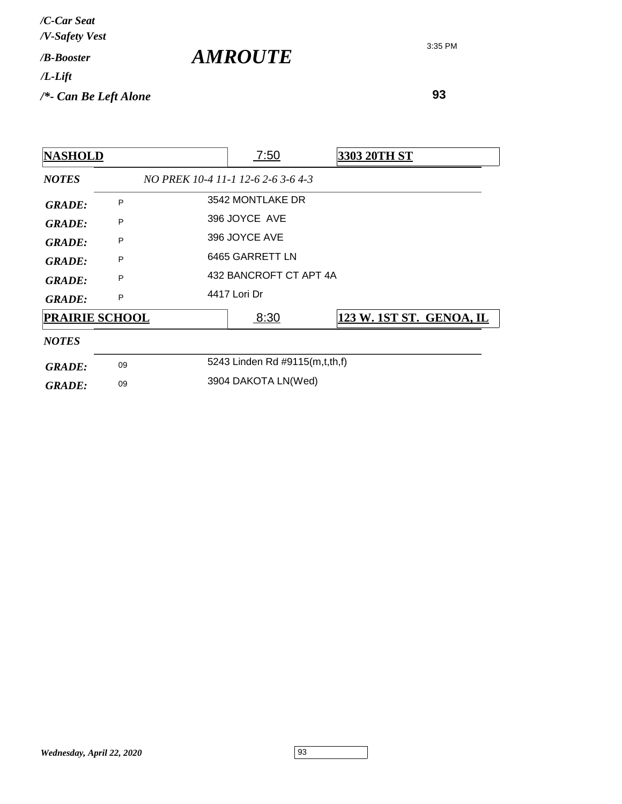| /C-Car Seat<br>/V-Safety Vest   |                |
|---------------------------------|----------------|
| / <b>B-Booster</b>              | <b>AMROUTE</b> |
| $/L$ -Lift                      |                |
| $\frac{1}{2}$ Can Be Left Alone |                |

| <b>NASHOLD</b>        |    | 7:50                               | <b>3303 20TH ST</b>      |
|-----------------------|----|------------------------------------|--------------------------|
| <b>NOTES</b>          |    | NO PREK 10-4 11-1 12-6 2-6 3-6 4-3 |                          |
| <b>GRADE:</b>         | P  | 3542 MONTLAKE DR                   |                          |
| <b>GRADE:</b>         | P  | 396 JOYCE AVE                      |                          |
| <b>GRADE:</b>         | P  | 396 JOYCE AVE                      |                          |
| GRADE:                | P  | 6465 GARRETT LN                    |                          |
| <b>GRADE:</b>         | P  | 432 BANCROFT CT APT 4A             |                          |
| <b>GRADE:</b>         | P  | 4417 Lori Dr                       |                          |
| <b>PRAIRIE SCHOOL</b> |    | 8:30                               | 123 W. 1ST ST. GENOA, IL |
| <b>NOTES</b>          |    |                                    |                          |
| <b>GRADE:</b>         | 09 | 5243 Linden Rd #9115(m,t,th,f)     |                          |
| <b>GRADE:</b>         | 09 | 3904 DAKOTA LN(Wed)                |                          |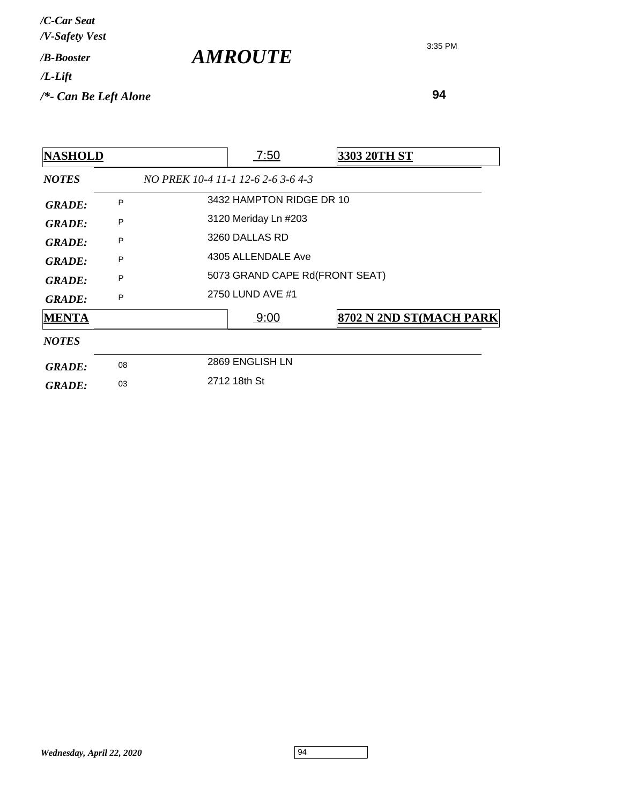| /C-Car Seat<br>/V-Safety Vest   |                |
|---------------------------------|----------------|
| / <b>B-Booster</b>              | <b>AMROUTE</b> |
| $/L$ -Lift                      |                |
| $\frac{1}{2}$ Can Be Left Alone |                |

| <b>NASHOLD</b> | <u>7:50</u> | 3303 20TH ST                                                                                  |                                                                                                                        |
|----------------|-------------|-----------------------------------------------------------------------------------------------|------------------------------------------------------------------------------------------------------------------------|
|                |             |                                                                                               |                                                                                                                        |
| P              |             |                                                                                               |                                                                                                                        |
| P              |             |                                                                                               |                                                                                                                        |
| P              |             |                                                                                               |                                                                                                                        |
| P              |             |                                                                                               |                                                                                                                        |
| P              |             |                                                                                               |                                                                                                                        |
| P              |             |                                                                                               |                                                                                                                        |
|                | 9:00        |                                                                                               | 8702 N 2ND ST(MACH PARK                                                                                                |
|                |             |                                                                                               |                                                                                                                        |
| 08             |             |                                                                                               |                                                                                                                        |
| 03             |             |                                                                                               |                                                                                                                        |
|                |             | 3120 Meriday Ln #203<br>3260 DALLAS RD<br>2750 LUND AVE #1<br>2869 ENGLISH LN<br>2712 18th St | NO PREK 10-4 11-1 12-6 2-6 3-6 4-3<br>3432 HAMPTON RIDGE DR 10<br>4305 ALLENDALE Ave<br>5073 GRAND CAPE Rd(FRONT SEAT) |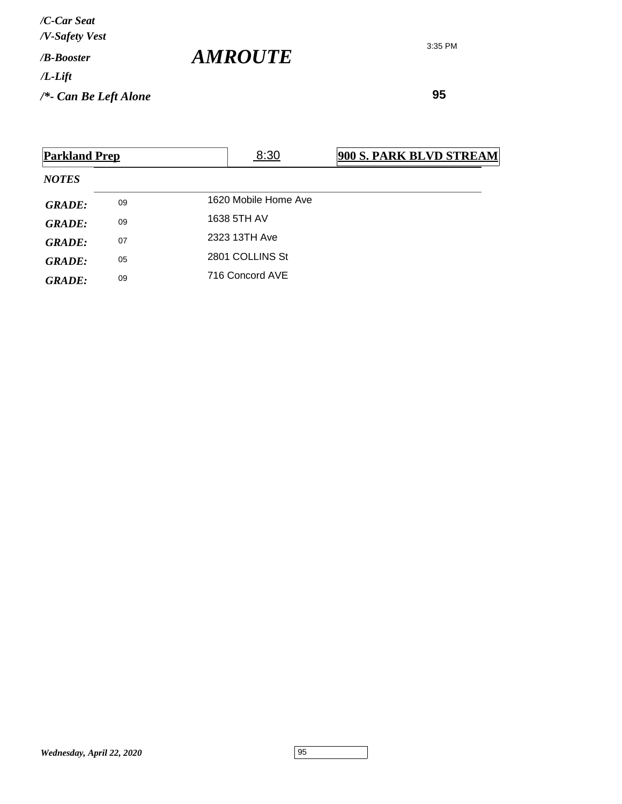**95**

| <b>Parkland Prep</b> |    | 8:30                 | 900 S. PARK BLVD STREAM |
|----------------------|----|----------------------|-------------------------|
| <b>NOTES</b>         |    |                      |                         |
| <b>GRADE:</b>        | 09 | 1620 Mobile Home Ave |                         |
| <b>GRADE:</b>        | 09 | 1638 5TH AV          |                         |
| <b>GRADE:</b>        | 07 | 2323 13TH Ave        |                         |
| <b>GRADE:</b>        | 05 | 2801 COLLINS St      |                         |
| <b>GRADE:</b>        | 09 | 716 Concord AVE      |                         |
|                      |    |                      |                         |

*AMROUTE*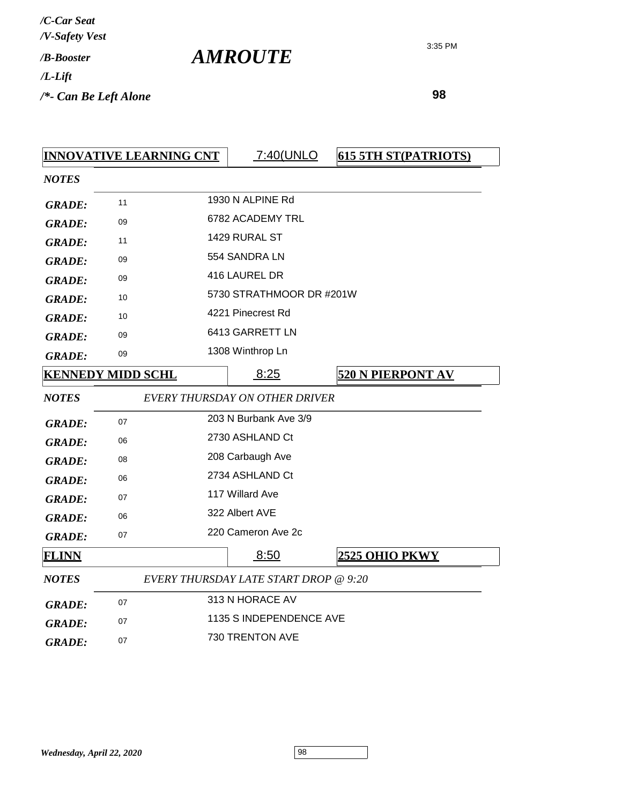| /C-Car Seat               |  |
|---------------------------|--|
| /V-Safety Vest            |  |
| / <b><i>B-Booster</i></b> |  |
| /L-Lift                   |  |
| /*- Can Be Left Alone     |  |

 **98**

|               | <b>INNOVATIVE LEARNING CNT</b> | 7:40(UNLO                                    | <b>615 5TH ST(PATRIOTS)</b> |
|---------------|--------------------------------|----------------------------------------------|-----------------------------|
| <b>NOTES</b>  |                                |                                              |                             |
| <b>GRADE:</b> | 11                             | 1930 N ALPINE Rd                             |                             |
| <b>GRADE:</b> | 09                             | 6782 ACADEMY TRL                             |                             |
| <b>GRADE:</b> | 11                             | 1429 RURAL ST                                |                             |
| <b>GRADE:</b> | 09                             | 554 SANDRA LN                                |                             |
| <b>GRADE:</b> | 09                             | 416 LAUREL DR                                |                             |
| <b>GRADE:</b> | 10                             | 5730 STRATHMOOR DR #201W                     |                             |
| <b>GRADE:</b> | 10                             | 4221 Pinecrest Rd                            |                             |
| <b>GRADE:</b> | 09                             | 6413 GARRETT LN                              |                             |
| <b>GRADE:</b> | 09                             | 1308 Winthrop Ln                             |                             |
|               | <b>KENNEDY MIDD SCHL</b>       | 8:25                                         | <b>520 N PIERPONT AV</b>    |
| <b>NOTES</b>  |                                | EVERY THURSDAY ON OTHER DRIVER               |                             |
| <b>GRADE:</b> | 07                             | 203 N Burbank Ave 3/9                        |                             |
| <b>GRADE:</b> | 06                             | 2730 ASHLAND Ct                              |                             |
| <b>GRADE:</b> | 08                             | 208 Carbaugh Ave                             |                             |
| <b>GRADE:</b> | 06                             | 2734 ASHLAND Ct                              |                             |
| <b>GRADE:</b> | 07                             | 117 Willard Ave                              |                             |
| <b>GRADE:</b> | 06                             | 322 Albert AVE                               |                             |
| <b>GRADE:</b> | 07                             | 220 Cameron Ave 2c                           |                             |
| <b>FLINN</b>  |                                | 8:50                                         | <b>2525 OHIO PKWY</b>       |
| <b>NOTES</b>  |                                | <b>EVERY THURSDAY LATE START DROP @ 9:20</b> |                             |
| <b>GRADE:</b> | 07                             | 313 N HORACE AV                              |                             |
| <b>GRADE:</b> | 07                             | 1135 S INDEPENDENCE AVE                      |                             |
| <b>GRADE:</b> | 07                             | 730 TRENTON AVE                              |                             |

*AMROUTE*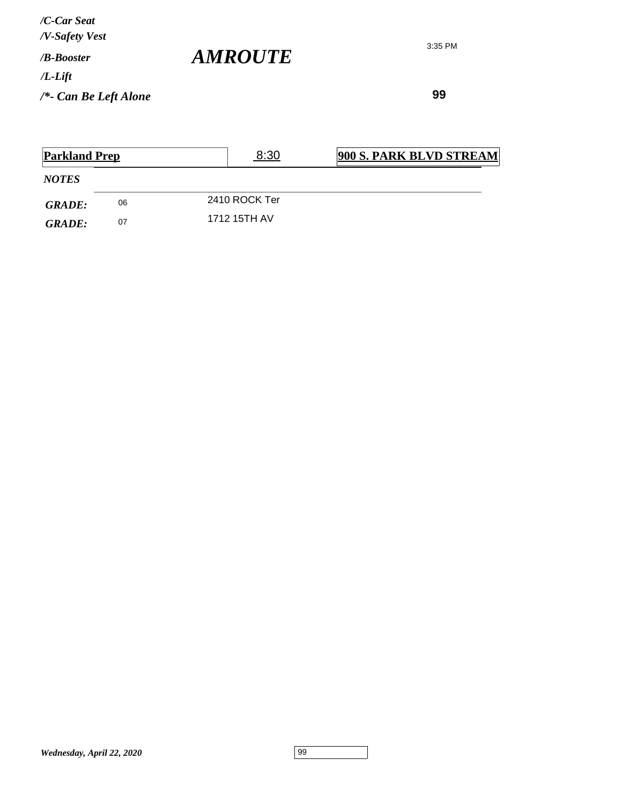**99**

| <b>Parkland Prep</b> |    | 8:30          | 900 S. PARK BLVD STREAM |
|----------------------|----|---------------|-------------------------|
| <i>NOTES</i>         |    |               |                         |
| <b>GRADE:</b>        | 06 | 2410 ROCK Ter |                         |
| <b>GRADE:</b>        | 07 | 1712 15TH AV  |                         |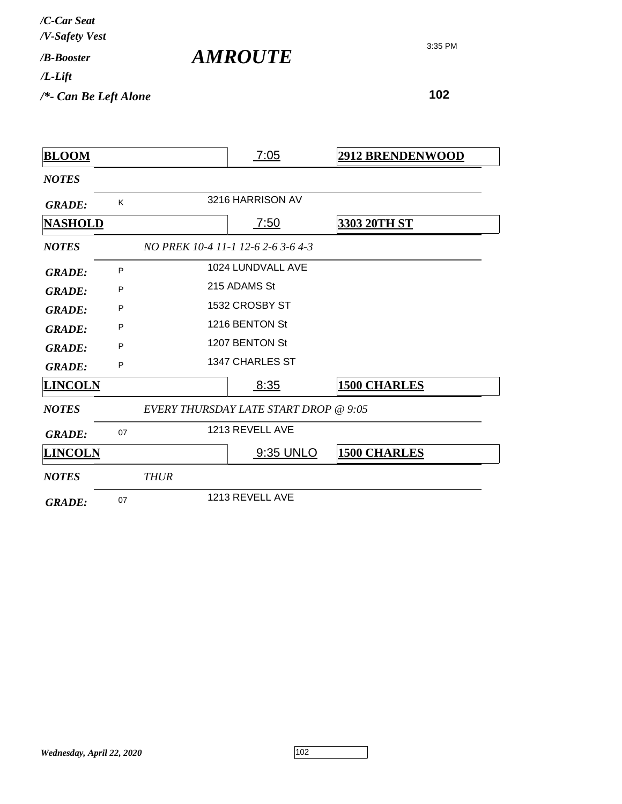*/V-Safety Vest /C-Car Seat*

*AMROUTE*

3:35 PM

*/L-Lift*

*/B-Booster*

*/\*- Can Be Left Alone*

| <b>BLOOM</b>   |    |             | 7:05                                  | <b>2912 BRENDENWOOD</b> |
|----------------|----|-------------|---------------------------------------|-------------------------|
| <b>NOTES</b>   |    |             |                                       |                         |
| <b>GRADE:</b>  | K  |             | 3216 HARRISON AV                      |                         |
| <b>NASHOLD</b> |    |             | <u>7:50</u>                           | 3303 20TH ST            |
| <b>NOTES</b>   |    |             | NO PREK 10-4 11-1 12-6 2-6 3-6 4-3    |                         |
| <b>GRADE:</b>  | P  |             | 1024 LUNDVALL AVE                     |                         |
| <b>GRADE:</b>  | P  |             | 215 ADAMS St                          |                         |
| <b>GRADE:</b>  | P  |             | 1532 CROSBY ST                        |                         |
| <b>GRADE:</b>  | P  |             | 1216 BENTON St                        |                         |
| <b>GRADE:</b>  | P  |             | 1207 BENTON St                        |                         |
| <b>GRADE:</b>  | P  |             | 1347 CHARLES ST                       |                         |
| <b>LINCOLN</b> |    |             | 8:35                                  | <b>1500 CHARLES</b>     |
| <b>NOTES</b>   |    |             | EVERY THURSDAY LATE START DROP @ 9:05 |                         |
| <b>GRADE:</b>  | 07 |             | 1213 REVELL AVE                       |                         |
| <b>LINCOLN</b> |    |             | 9:35 UNLO                             | <b>1500 CHARLES</b>     |
| <b>NOTES</b>   |    | <b>THUR</b> |                                       |                         |
| <b>GRADE:</b>  | 07 |             | 1213 REVELL AVE                       |                         |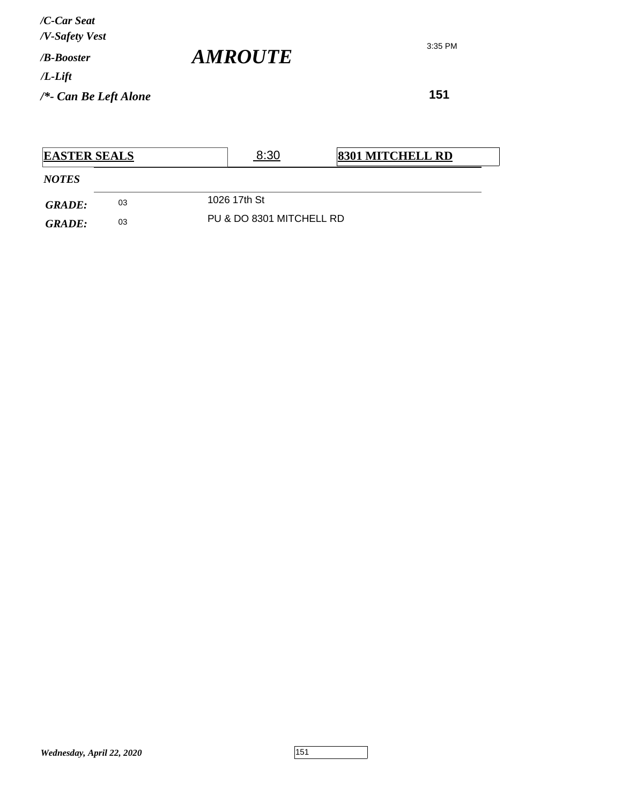**151**

| <b>EASTER SEALS</b> |    |  | 8:30                     | <b>8301 MITCHELL RD</b> |
|---------------------|----|--|--------------------------|-------------------------|
| <b>NOTES</b>        |    |  |                          |                         |
| <b>GRADE:</b>       | 03 |  | 1026 17th St             |                         |
| <b>GRADE:</b>       | 03 |  | PU & DO 8301 MITCHELL RD |                         |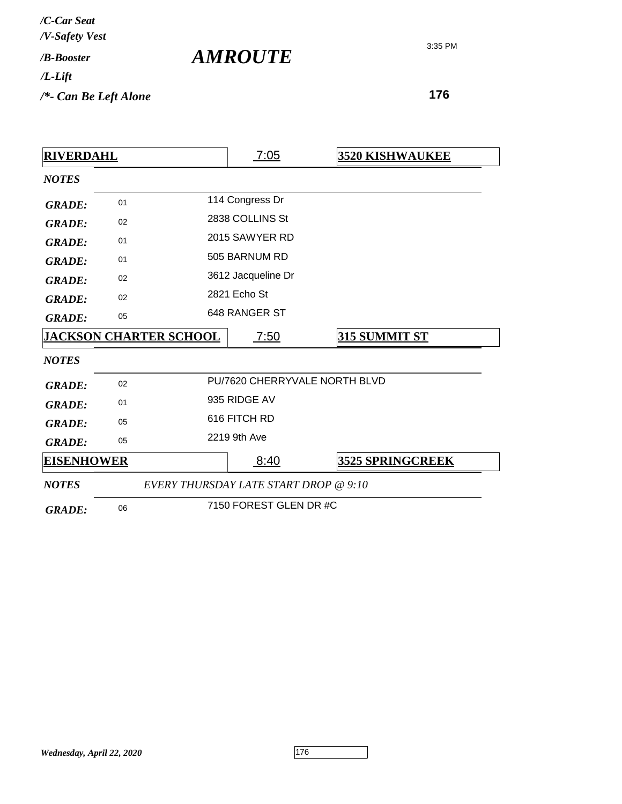| /C-Car Seat<br>/V-Safety Vest |                       |
|-------------------------------|-----------------------|
| /B-Booster                    | <i><b>AMROUTE</b></i> |
| $/L$ -Lift                    |                       |
| $/*$ - Can Be Left Alone      |                       |

| <b>RIVERDAHL</b>  |    |                                       | 7:05                          | <b>3520 KISHWAUKEE</b>  |  |
|-------------------|----|---------------------------------------|-------------------------------|-------------------------|--|
| <b>NOTES</b>      |    |                                       |                               |                         |  |
| <b>GRADE:</b>     | 01 |                                       | 114 Congress Dr               |                         |  |
| <b>GRADE:</b>     | 02 |                                       | 2838 COLLINS St               |                         |  |
| <b>GRADE:</b>     | 01 |                                       | 2015 SAWYER RD                |                         |  |
| <b>GRADE:</b>     | 01 |                                       | 505 BARNUM RD                 |                         |  |
| <b>GRADE:</b>     | 02 |                                       | 3612 Jacqueline Dr            |                         |  |
| <b>GRADE:</b>     | 02 |                                       | 2821 Echo St                  |                         |  |
| <b>GRADE:</b>     | 05 |                                       | 648 RANGER ST                 |                         |  |
|                   |    | <b>JACKSON CHARTER SCHOOL</b>         | 7:50                          | 315 SUMMIT ST           |  |
| <b>NOTES</b>      |    |                                       |                               |                         |  |
| <b>GRADE:</b>     | 02 |                                       | PU/7620 CHERRYVALE NORTH BLVD |                         |  |
| <b>GRADE:</b>     | 01 |                                       | 935 RIDGE AV                  |                         |  |
| <b>GRADE:</b>     | 05 |                                       | 616 FITCH RD                  |                         |  |
| <b>GRADE:</b>     | 05 |                                       | 2219 9th Ave                  |                         |  |
| <b>EISENHOWER</b> |    |                                       | 8:40                          | <b>3525 SPRINGCREEK</b> |  |
| <b>NOTES</b>      |    | EVERY THURSDAY LATE START DROP @ 9:10 |                               |                         |  |
| <b>GRADE:</b>     | 06 |                                       | 7150 FOREST GLEN DR #C        |                         |  |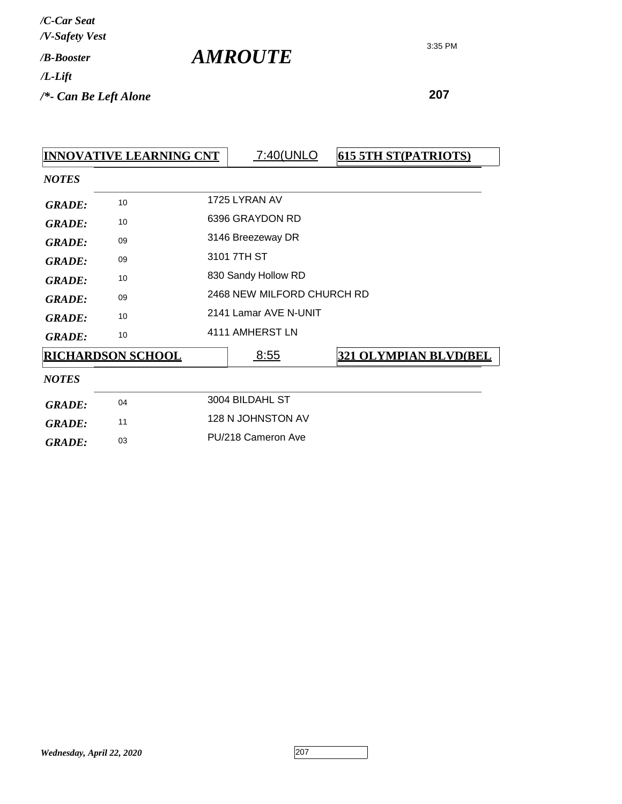|               | <b>INNOVATIVE LEARNING CNT</b> | 7:40(UNLO                  | <b>615 5TH ST(PATRIOTS)</b>  |
|---------------|--------------------------------|----------------------------|------------------------------|
| <b>NOTES</b>  |                                |                            |                              |
| <b>GRADE:</b> | 10                             | 1725 LYRAN AV              |                              |
| <b>GRADE:</b> | 10                             | 6396 GRAYDON RD            |                              |
| <b>GRADE:</b> | 09                             | 3146 Breezeway DR          |                              |
| <b>GRADE:</b> | 09                             | 3101 7TH ST                |                              |
| <b>GRADE:</b> | 10                             | 830 Sandy Hollow RD        |                              |
| <b>GRADE:</b> | 09                             | 2468 NEW MILFORD CHURCH RD |                              |
| <b>GRADE:</b> | 10                             | 2141 Lamar AVE N-UNIT      |                              |
| <b>GRADE:</b> | 10                             | 4111 AMHERST LN            |                              |
|               | <b>RICHARDSON SCHOOL</b>       | <u>8:55</u>                | <b>321 OLYMPIAN BLVD(BEL</b> |
| <b>NOTES</b>  |                                |                            |                              |
| <b>GRADE:</b> | 04                             | 3004 BILDAHL ST            |                              |
| <b>GRADE:</b> | 11                             | 128 N JOHNSTON AV          |                              |
| <b>GRADE:</b> | 03                             | PU/218 Cameron Ave         |                              |

*AMROUTE*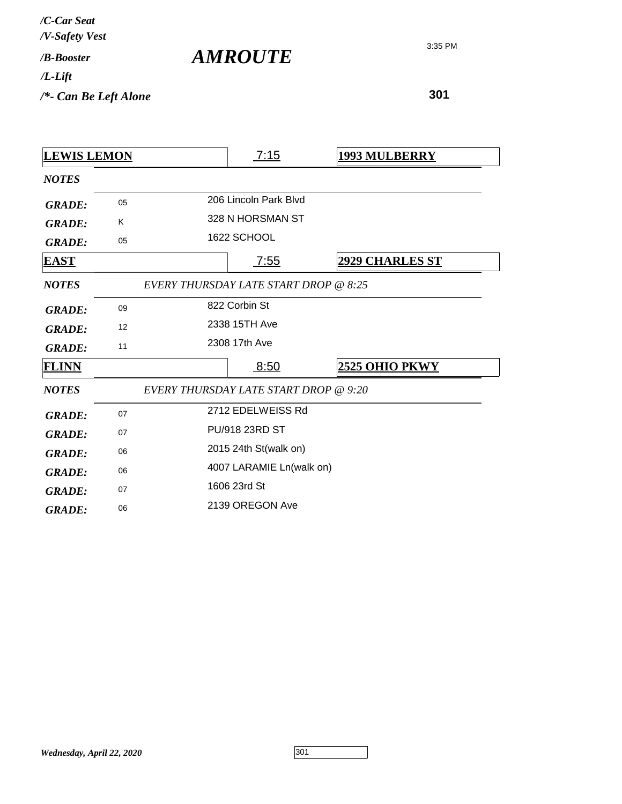| /C-Car Seat                                 |  |
|---------------------------------------------|--|
| /V-Safety Vest<br>/ <b><i>B-Booster</i></b> |  |
| /L-Lift                                     |  |
| /*- Can Be Left Alone                       |  |

*AMROUTE*

| <b>LEWIS LEMON</b> |    |                                              | <u>7:15</u>              | <b>1993 MULBERRY</b>   |
|--------------------|----|----------------------------------------------|--------------------------|------------------------|
| <b>NOTES</b>       |    |                                              |                          |                        |
| <b>GRADE:</b>      | 05 |                                              | 206 Lincoln Park Blvd    |                        |
| <b>GRADE:</b>      | K  |                                              | 328 N HORSMAN ST         |                        |
| <b>GRADE:</b>      | 05 |                                              | 1622 SCHOOL              |                        |
| <b>EAST</b>        |    |                                              | <u>7:55</u>              | <b>2929 CHARLES ST</b> |
| <b>NOTES</b>       |    | EVERY THURSDAY LATE START DROP @ 8:25        |                          |                        |
| <b>GRADE:</b>      | 09 |                                              | 822 Corbin St            |                        |
| <b>GRADE:</b>      | 12 | 2338 15TH Ave                                |                          |                        |
| <b>GRADE:</b>      | 11 |                                              | 2308 17th Ave            |                        |
| <b>FLINN</b>       |    |                                              | 8:50                     | 2525 OHIO PKWY         |
| <b>NOTES</b>       |    | <b>EVERY THURSDAY LATE START DROP @ 9:20</b> |                          |                        |
| <b>GRADE:</b>      | 07 |                                              | 2712 EDELWEISS Rd        |                        |
| <b>GRADE:</b>      | 07 |                                              | <b>PU/918 23RD ST</b>    |                        |
| <b>GRADE:</b>      | 06 | 2015 24th St(walk on)                        |                          |                        |
| <b>GRADE:</b>      | 06 |                                              | 4007 LARAMIE Ln(walk on) |                        |
| <b>GRADE:</b>      | 07 |                                              | 1606 23rd St             |                        |
| <b>GRADE:</b>      | 06 |                                              | 2139 OREGON Ave          |                        |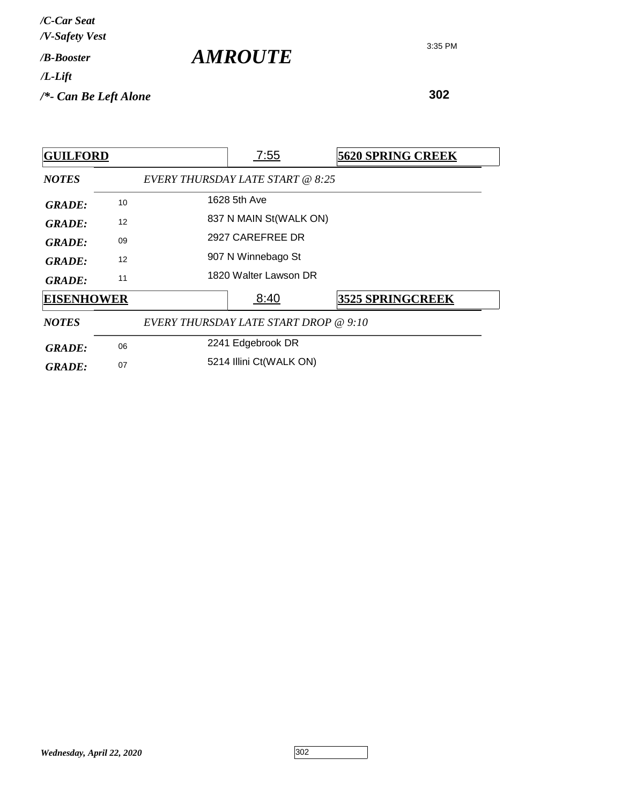| /C-Car Seat<br>/V-Safety Vest   |                       |
|---------------------------------|-----------------------|
| / <b>B-Booster</b>              | <i><b>AMROUTE</b></i> |
| $/L$ -Lift                      |                       |
| $\frac{1}{2}$ Can Be Left Alone |                       |

| <b>GUILFORD</b>   |    |                                       | <u>7:55</u>             | <b>5620 SPRING CREEK</b> |
|-------------------|----|---------------------------------------|-------------------------|--------------------------|
| <b>NOTES</b>      |    | EVERY THURSDAY LATE START @ 8:25      |                         |                          |
| <b>GRADE:</b>     | 10 |                                       | 1628 5th Ave            |                          |
| <b>GRADE:</b>     | 12 |                                       | 837 N MAIN St(WALK ON)  |                          |
| GRADE:            | 09 |                                       | 2927 CAREFREE DR        |                          |
| GRADE:            | 12 |                                       | 907 N Winnebago St      |                          |
| GRADE:            | 11 |                                       | 1820 Walter Lawson DR   |                          |
| <b>EISENHOWER</b> |    |                                       | 8:40                    | <b>3525 SPRINGCREEK</b>  |
| <b>NOTES</b>      |    | EVERY THURSDAY LATE START DROP @ 9:10 |                         |                          |
| <b>GRADE:</b>     | 06 |                                       | 2241 Edgebrook DR       |                          |
| <b>GRADE:</b>     | 07 |                                       | 5214 Illini Ct(WALK ON) |                          |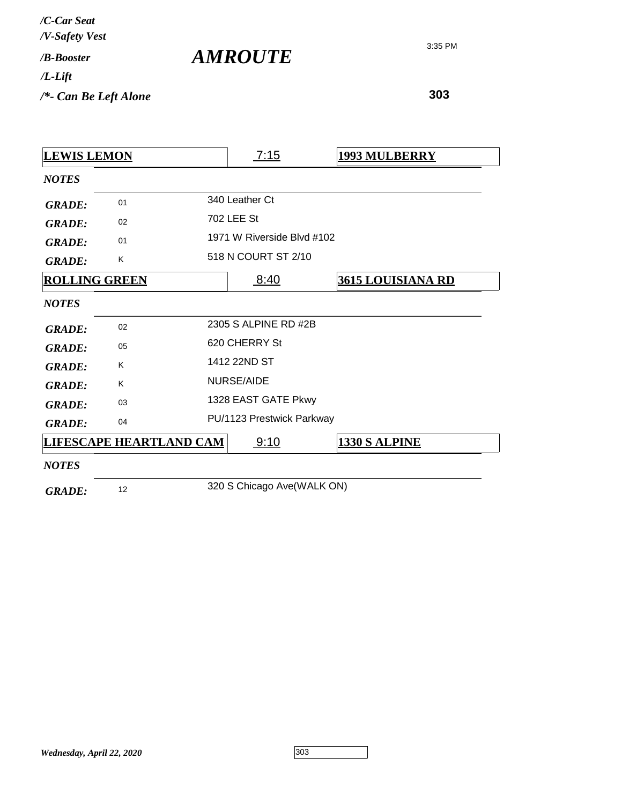| /C-Car Seat<br>/V-Safety Vest |                |
|-------------------------------|----------------|
| / <b><i>B-Booster</i></b>     | <i>AMROUTE</i> |
| $/L$ -Lift                    |                |
| $/*$ - Can Be Left Alone      |                |

| <b>LEWIS LEMON</b>   |                                | 7:15                       | <b>1993 MULBERRY</b>     |
|----------------------|--------------------------------|----------------------------|--------------------------|
| <b>NOTES</b>         |                                |                            |                          |
| <b>GRADE:</b>        | 01                             | 340 Leather Ct             |                          |
| <b>GRADE:</b>        | 02                             | 702 LEE St                 |                          |
| <b>GRADE:</b>        | 01                             | 1971 W Riverside Blvd #102 |                          |
| <b>GRADE:</b>        | K                              | 518 N COURT ST 2/10        |                          |
| <b>ROLLING GREEN</b> |                                | 8:40                       | <b>3615 LOUISIANA RD</b> |
| <b>NOTES</b>         |                                |                            |                          |
| <b>GRADE:</b>        | 02                             | 2305 S ALPINE RD #2B       |                          |
| <b>GRADE:</b>        | 05                             | 620 CHERRY St              |                          |
| <b>GRADE:</b>        | K                              | 1412 22ND ST               |                          |
| <b>GRADE:</b>        | K                              | <b>NURSE/AIDE</b>          |                          |
| <b>GRADE:</b>        | 03                             | 1328 EAST GATE Pkwy        |                          |
| <b>GRADE:</b>        | 04                             | PU/1123 Prestwick Parkway  |                          |
|                      | <b>LIFESCAPE HEARTLAND CAM</b> | 9:10                       | <b>1330 S ALPINE</b>     |
| <b>NOTES</b>         |                                |                            |                          |
| <b>GRADE:</b>        | 12                             | 320 S Chicago Ave(WALK ON) |                          |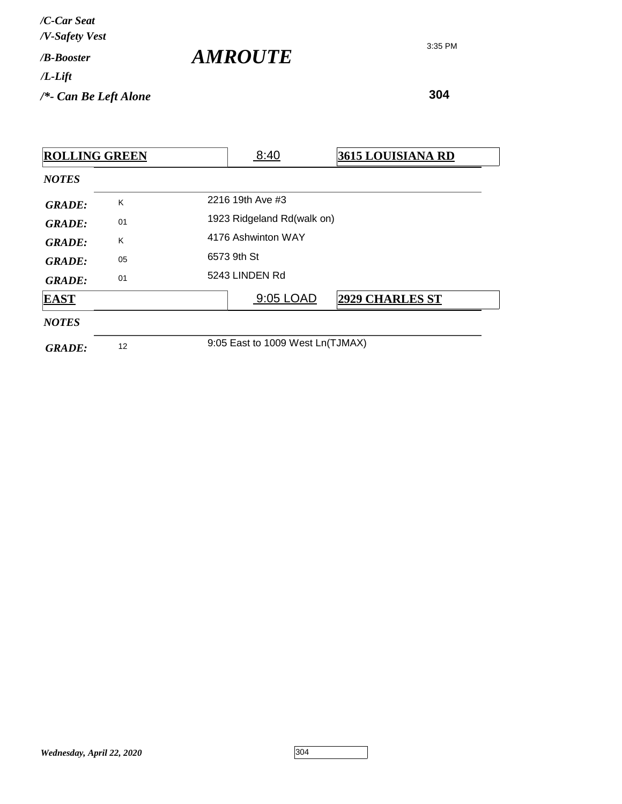| /C-Car Seat<br>/V-Safety Vest   |                       |
|---------------------------------|-----------------------|
| / <b><i>B-Booster</i></b>       | <i><b>AMROUTE</b></i> |
| $/L$ -Lift                      |                       |
| $\frac{1}{2}$ Can Be Left Alone |                       |

| <b>ROLLING GREEN</b> |    |  | 8:40                             | 3615 LOUISIANA RD      |
|----------------------|----|--|----------------------------------|------------------------|
| <b>NOTES</b>         |    |  |                                  |                        |
| <b>GRADE:</b>        | K  |  | 2216 19th Ave #3                 |                        |
| <b>GRADE:</b>        | 01 |  | 1923 Ridgeland Rd(walk on)       |                        |
| <b>GRADE:</b>        | K  |  | 4176 Ashwinton WAY               |                        |
| <b>GRADE:</b>        | 05 |  | 6573 9th St                      |                        |
| <b>GRADE:</b>        | 01 |  | 5243 LINDEN Rd                   |                        |
| <b>EAST</b>          |    |  | 9:05 LOAD                        | <b>2929 CHARLES ST</b> |
| <b>NOTES</b>         |    |  |                                  |                        |
| <b>GRADE:</b>        | 12 |  | 9:05 East to 1009 West Ln(TJMAX) |                        |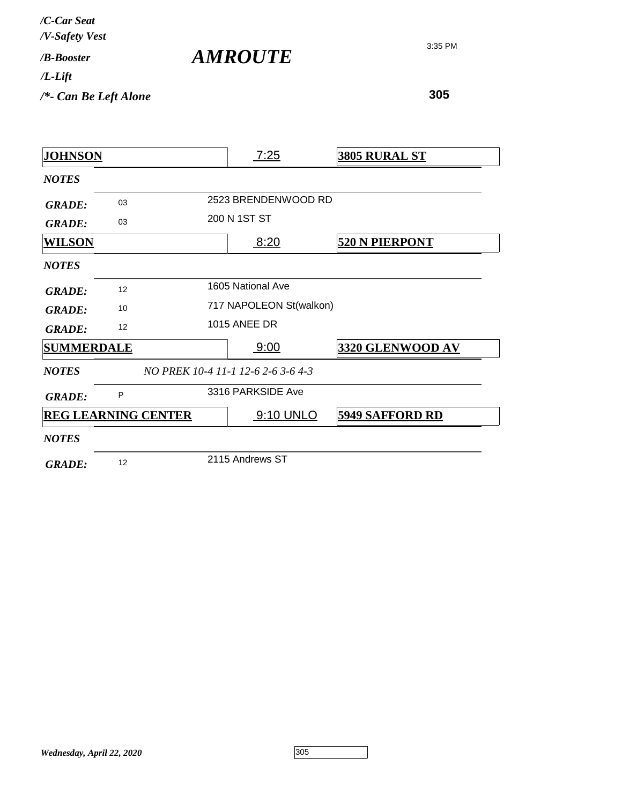| /C-Car Seat<br>/V-Safety Vest |  |
|-------------------------------|--|
| /R-Booster                    |  |
| /L-Lift                       |  |
| $/*$ - Can Be Left Alone      |  |

| <b>AMROUTE</b> |
|----------------|
|                |

| <b>JOHNSON</b>             |    | 7:25                               | <b>3805 RURAL ST</b>   |
|----------------------------|----|------------------------------------|------------------------|
| <b>NOTES</b>               |    |                                    |                        |
| <b>GRADE:</b>              | 03 | 2523 BRENDENWOOD RD                |                        |
| <b>GRADE:</b>              | 03 | 200 N 1ST ST                       |                        |
| <b>WILSON</b>              |    | 8:20                               | <b>520 N PIERPONT</b>  |
| <b>NOTES</b>               |    |                                    |                        |
| <b>GRADE:</b>              | 12 | 1605 National Ave                  |                        |
| <b>GRADE:</b>              | 10 | 717 NAPOLEON St(walkon)            |                        |
| <b>GRADE:</b>              | 12 | <b>1015 ANEE DR</b>                |                        |
| <b>SUMMERDALE</b>          |    | 9:00                               | 3320 GLENWOOD AV       |
| <b>NOTES</b>               |    | NO PREK 10-4 11-1 12-6 2-6 3-6 4-3 |                        |
| <b>GRADE:</b>              | P  | 3316 PARKSIDE Ave                  |                        |
| <b>REG LEARNING CENTER</b> |    | 9:10 UNLO                          | <b>5949 SAFFORD RD</b> |
| <b>NOTES</b>               |    |                                    |                        |
| <b>GRADE:</b>              | 12 | 2115 Andrews ST                    |                        |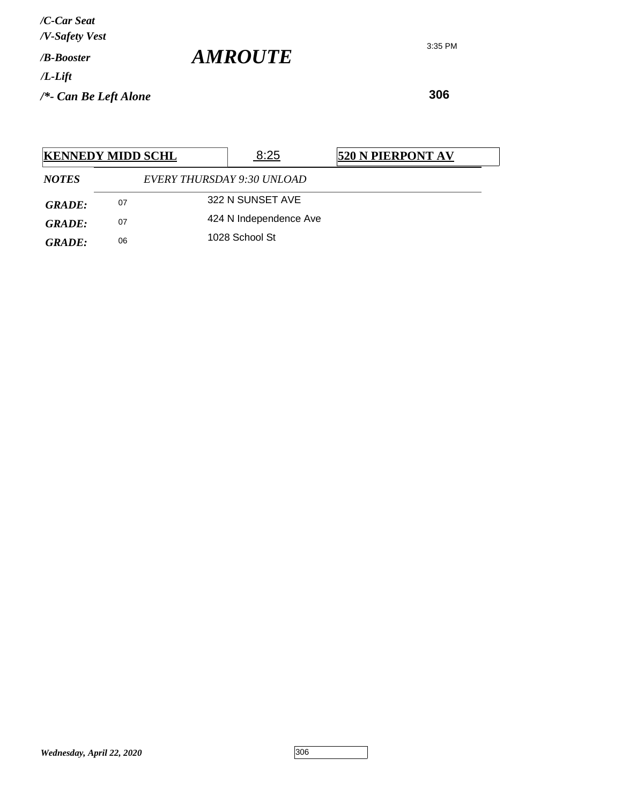**306**

| <b>KENNEDY MIDD SCHL</b> |    |                            | 8:25                   | 520 N PIERPONT AV |
|--------------------------|----|----------------------------|------------------------|-------------------|
| <b>NOTES</b>             |    | EVERY THURSDAY 9:30 UNLOAD |                        |                   |
| <b>GRADE:</b>            | 07 |                            | 322 N SUNSET AVE       |                   |
| GRADE:                   | 07 |                            | 424 N Independence Ave |                   |
| GRADE:                   | 06 |                            | 1028 School St         |                   |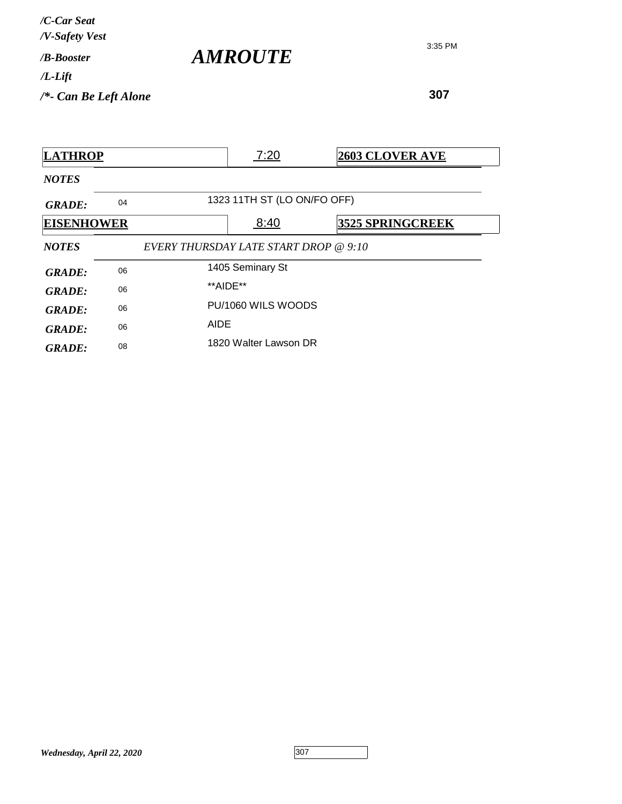| /C-Car Seat<br>/V-Safety Vest |                       |
|-------------------------------|-----------------------|
| / <b>B-Booster</b>            | <i><b>AMROUTE</b></i> |
| $/L$ -Lift                    |                       |
| $/*$ - Can Be Left Alone      |                       |

| <b>LATHROP</b>    |    |                                       | 7:20                        | <b>2603 CLOVER AVE</b>  |
|-------------------|----|---------------------------------------|-----------------------------|-------------------------|
| <b>NOTES</b>      |    |                                       |                             |                         |
| <b>GRADE:</b>     | 04 |                                       | 1323 11TH ST (LO ON/FO OFF) |                         |
| <b>EISENHOWER</b> |    |                                       | 8:40                        | <b>3525 SPRINGCREEK</b> |
| <b>NOTES</b>      |    | EVERY THURSDAY LATE START DROP @ 9:10 |                             |                         |
| <b>GRADE:</b>     | 06 |                                       | 1405 Seminary St            |                         |
| <b>GRADE:</b>     | 06 |                                       | **AIDE**                    |                         |
| <b>GRADE:</b>     | 06 |                                       | PU/1060 WILS WOODS          |                         |
| <b>GRADE:</b>     | 06 | AIDE                                  |                             |                         |
| <b>GRADE:</b>     | 08 |                                       | 1820 Walter Lawson DR       |                         |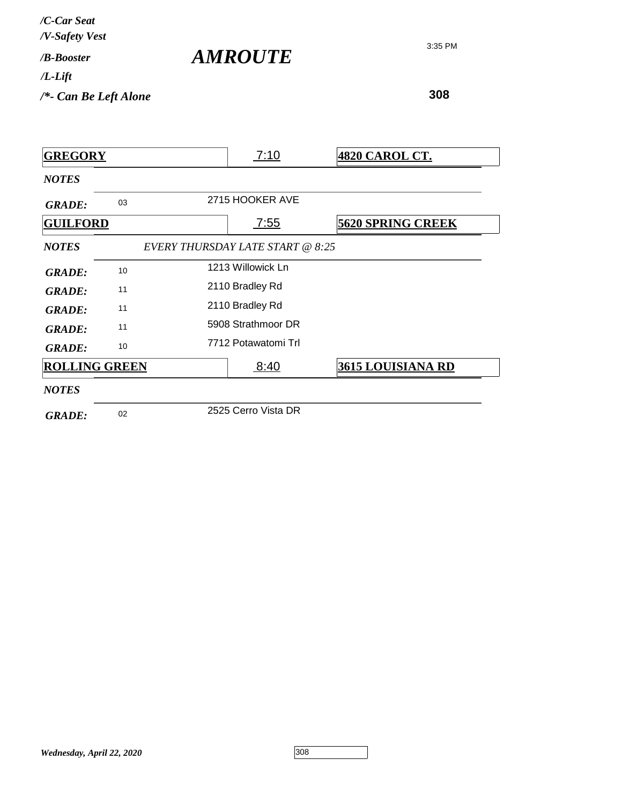| /C-Car Seat<br>/V-Safety Vest |                |
|-------------------------------|----------------|
| / <b><i>B-Booster</i></b>     | <b>AMROUTE</b> |
| $/L$ -Lift                    |                |
| $/*$ - Can Be Left Alone      |                |

**308**

*NOTES* **GREGORY** 7:10 **4820 CAROL CT.** GRADE: 03 2715 HOOKER AVE *NOTES EVERY THURSDAY LATE START @ 8:25* **GUILFORD** 7:55 **5620 SPRING CREEK** 1213 Willowick Ln *GRADE:* <sup>10</sup> GRADE: <sup>11</sup> 2110 Bradley Rd GRADE: <sup>11</sup> 2110 Bradley Rd 5908 Strathmoor DR *GRADE:* <sup>11</sup> GRADE: 10 7712 Potawatomi Trl *NOTES* **ROLLING GREEN** 8:40 **3615 LOUISIANA RD** 2525 Cerro Vista DR *GRADE:* <sup>02</sup>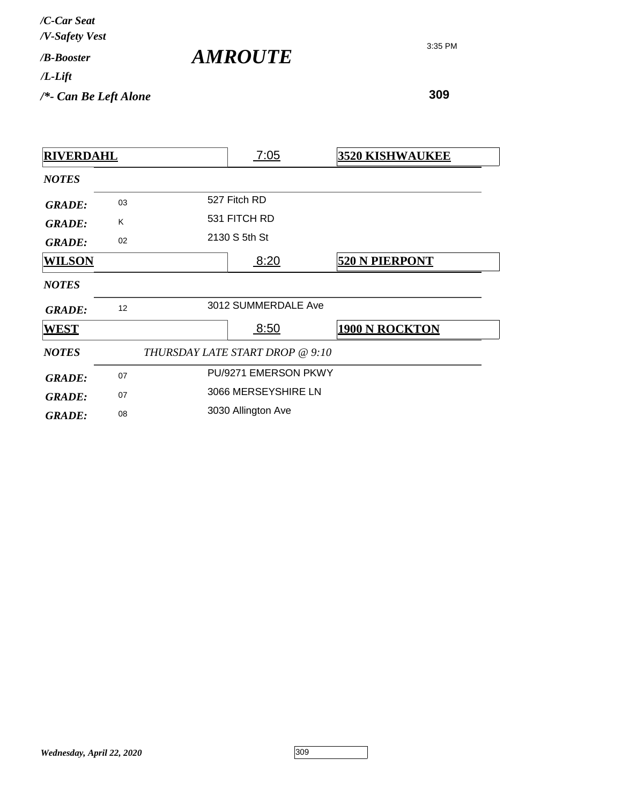| /C-Car Seat<br>/V-Safety Vest   |                       |
|---------------------------------|-----------------------|
| / <b>B-Booster</b>              | <i><b>AMROUTE</b></i> |
| $/L$ -Lift                      |                       |
| $\frac{1}{2}$ Can Be Left Alone |                       |

| <b>RIVERDAHL</b> |    | 7:05                            | <b>3520 KISHWAUKEE</b> |
|------------------|----|---------------------------------|------------------------|
| <b>NOTES</b>     |    |                                 |                        |
| <b>GRADE:</b>    | 03 | 527 Fitch RD                    |                        |
| <b>GRADE:</b>    | K  | 531 FITCH RD                    |                        |
| <b>GRADE:</b>    | 02 | 2130 S 5th St                   |                        |
| <b>WILSON</b>    |    | 8:20                            | <b>520 N PIERPONT</b>  |
| <b>NOTES</b>     |    |                                 |                        |
| <b>GRADE:</b>    | 12 | 3012 SUMMERDALE Ave             |                        |
| <b>WEST</b>      |    | 8:50                            | <b>1900 N ROCKTON</b>  |
| <b>NOTES</b>     |    | THURSDAY LATE START DROP @ 9:10 |                        |
| <b>GRADE:</b>    | 07 | PU/9271 EMERSON PKWY            |                        |
| <b>GRADE:</b>    | 07 | 3066 MERSEYSHIRE LN             |                        |
| <b>GRADE:</b>    | 08 | 3030 Allington Ave              |                        |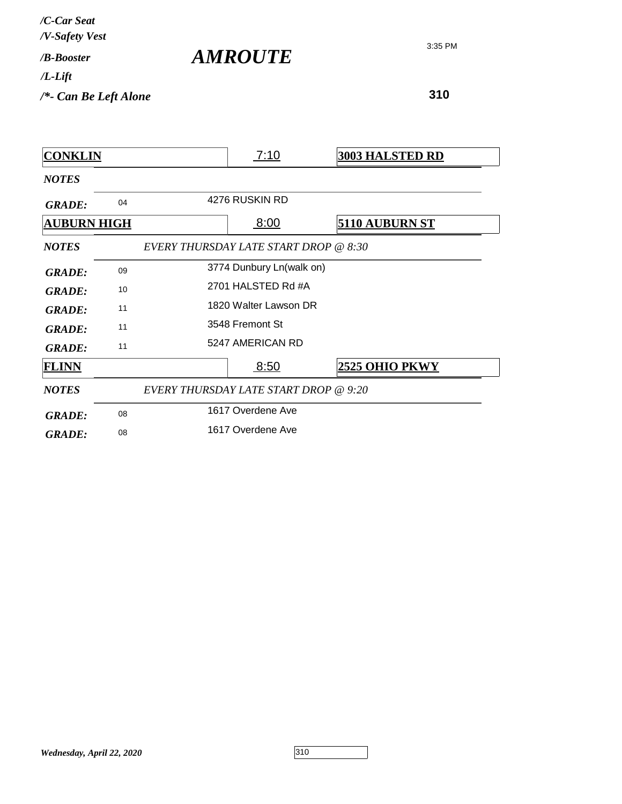| /C-Car Seat<br>/V-Safety Vest |                       |
|-------------------------------|-----------------------|
| / <b><i>B-Booster</i></b>     | <i><b>AMROUTE</b></i> |
| /L-Lift                       |                       |
| $/*$ - Can Be Left Alone      |                       |

| <b>CONKLIN</b>     |    |                                       | 7:10                     | <b>3003 HALSTED RD</b> |  |
|--------------------|----|---------------------------------------|--------------------------|------------------------|--|
| <b>NOTES</b>       |    |                                       |                          |                        |  |
| <b>GRADE:</b>      | 04 |                                       | 4276 RUSKIN RD           |                        |  |
| <b>AUBURN HIGH</b> |    |                                       | 8:00                     | <u>5110 AUBURN ST</u>  |  |
| <b>NOTES</b>       |    | EVERY THURSDAY LATE START DROP @ 8:30 |                          |                        |  |
| <b>GRADE:</b>      | 09 |                                       | 3774 Dunbury Ln(walk on) |                        |  |
| <b>GRADE:</b>      | 10 | 2701 HALSTED Rd #A                    |                          |                        |  |
| <b>GRADE:</b>      | 11 | 1820 Walter Lawson DR                 |                          |                        |  |
| <b>GRADE:</b>      | 11 |                                       | 3548 Fremont St          |                        |  |
| <b>GRADE:</b>      | 11 |                                       | 5247 AMERICAN RD         |                        |  |
| <b>FLINN</b>       |    |                                       | 8:50                     | 2525 OHIO PKWY         |  |
| <b>NOTES</b>       |    | EVERY THURSDAY LATE START DROP @ 9:20 |                          |                        |  |
| <b>GRADE:</b>      | 08 |                                       | 1617 Overdene Ave        |                        |  |
| <b>GRADE:</b>      | 08 |                                       | 1617 Overdene Ave        |                        |  |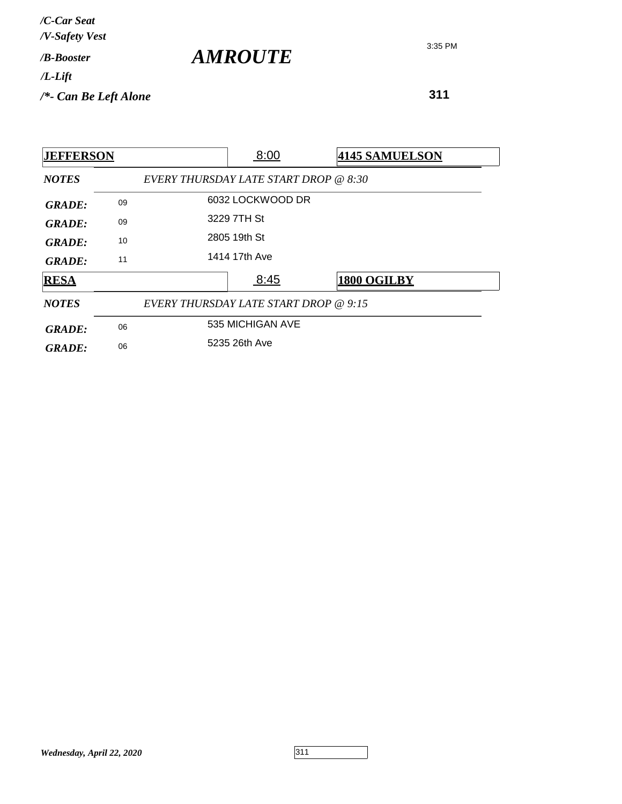| /C-Car Seat<br>/V-Safety Vest |  |
|-------------------------------|--|
| / <b><i>B-Booster</i></b>     |  |
| /L-Lift                       |  |
| /*- Can Be Left Alone         |  |
|                               |  |

*AMROUTE*

| <b>JEFFERSON</b> |    |                                       | 8:00             |  | <b>4145 SAMUELSON</b> |  |
|------------------|----|---------------------------------------|------------------|--|-----------------------|--|
| <b>NOTES</b>     |    | EVERY THURSDAY LATE START DROP @ 8:30 |                  |  |                       |  |
| <b>GRADE:</b>    | 09 |                                       | 6032 LOCKWOOD DR |  |                       |  |
| <b>GRADE:</b>    | 09 | 3229 7TH St                           |                  |  |                       |  |
| GRADE:           | 10 |                                       | 2805 19th St     |  |                       |  |
| GRADE:           | 11 |                                       | 1414 17th Ave    |  |                       |  |
| <b>RESA</b>      |    |                                       | 8:45             |  | 1800 OGILBY           |  |
| <b>NOTES</b>     |    | EVERY THURSDAY LATE START DROP @ 9:15 |                  |  |                       |  |
| <b>GRADE:</b>    | 06 |                                       | 535 MICHIGAN AVE |  |                       |  |
| <b>GRADE:</b>    | 06 |                                       | 5235 26th Ave    |  |                       |  |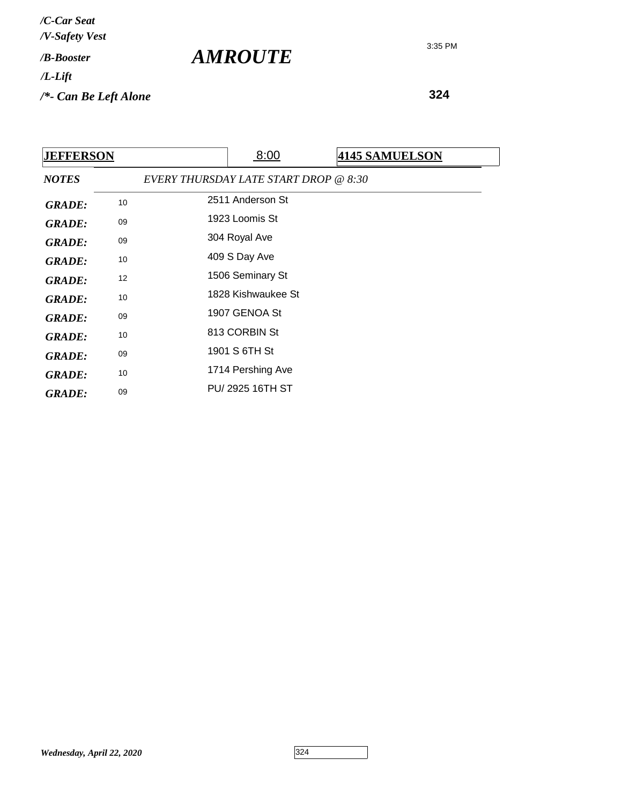**324**

| <b>JEFFERSON</b> |    | 8:00                                  |  | <b>4145 SAMUELSON</b> |  |  |
|------------------|----|---------------------------------------|--|-----------------------|--|--|
| <b>NOTES</b>     |    | EVERY THURSDAY LATE START DROP @ 8:30 |  |                       |  |  |
| <b>GRADE:</b>    | 10 | 2511 Anderson St                      |  |                       |  |  |
| <b>GRADE:</b>    | 09 | 1923 Loomis St                        |  |                       |  |  |
| <b>GRADE:</b>    | 09 | 304 Royal Ave                         |  |                       |  |  |
| <b>GRADE:</b>    | 10 | 409 S Day Ave                         |  |                       |  |  |
| <b>GRADE:</b>    | 12 | 1506 Seminary St                      |  |                       |  |  |
| <b>GRADE:</b>    | 10 | 1828 Kishwaukee St                    |  |                       |  |  |
| <b>GRADE:</b>    | 09 | 1907 GENOA St                         |  |                       |  |  |
| <b>GRADE:</b>    | 10 | 813 CORBIN St                         |  |                       |  |  |
| <b>GRADE:</b>    | 09 | 1901 S 6TH St                         |  |                       |  |  |
| <b>GRADE:</b>    | 10 | 1714 Pershing Ave                     |  |                       |  |  |
| <b>GRADE:</b>    | 09 | PU/2925 16TH ST                       |  |                       |  |  |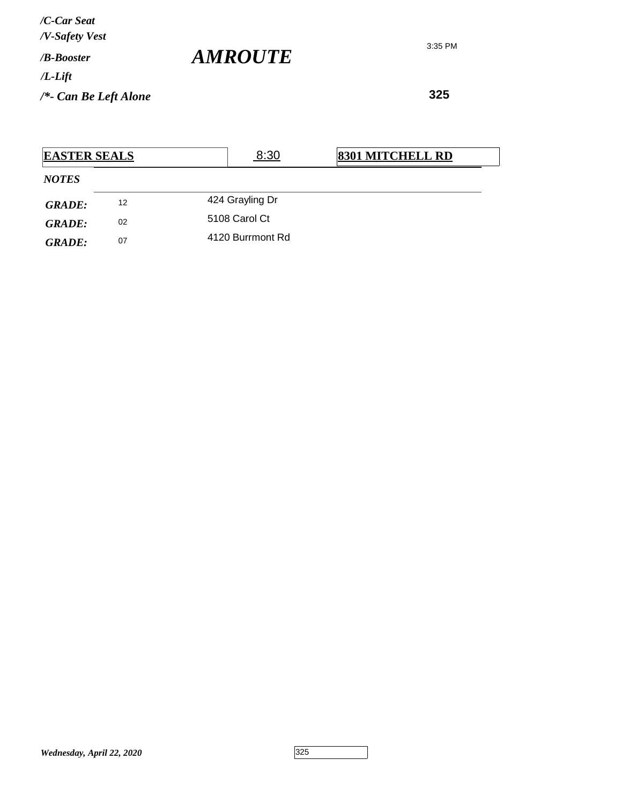**325**

| <b>EASTER SEALS</b> |    | 8:30             | <b>8301 MITCHELL RD</b> |
|---------------------|----|------------------|-------------------------|
| <b>NOTES</b>        |    |                  |                         |
| <b>GRADE:</b>       | 12 | 424 Grayling Dr  |                         |
| <b>GRADE:</b>       | 02 | 5108 Carol Ct    |                         |
| <b>GRADE:</b>       | 07 | 4120 Burrmont Rd |                         |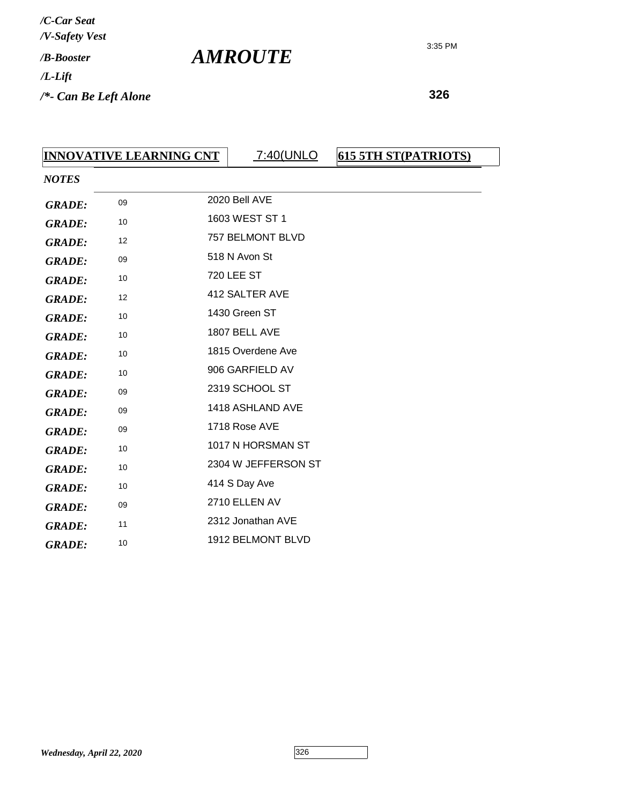**326**

| <b>INNOVATIVE LEARNING CNT</b> |    |  | <u>7:40(UNLO</u>    | 615 5TH ST(PATRIOTS) |  |  |
|--------------------------------|----|--|---------------------|----------------------|--|--|
| <b>NOTES</b>                   |    |  |                     |                      |  |  |
| <b>GRADE:</b>                  | 09 |  | 2020 Bell AVE       |                      |  |  |
| <b>GRADE:</b>                  | 10 |  | 1603 WEST ST 1      |                      |  |  |
| <b>GRADE:</b>                  | 12 |  | 757 BELMONT BLVD    |                      |  |  |
| <b>GRADE:</b>                  | 09 |  | 518 N Avon St       |                      |  |  |
| <b>GRADE:</b>                  | 10 |  | <b>720 LEE ST</b>   |                      |  |  |
| <b>GRADE:</b>                  | 12 |  | 412 SALTER AVE      |                      |  |  |
| <b>GRADE:</b>                  | 10 |  | 1430 Green ST       |                      |  |  |
| <b>GRADE:</b>                  | 10 |  | 1807 BELL AVE       |                      |  |  |
| <b>GRADE:</b>                  | 10 |  | 1815 Overdene Ave   |                      |  |  |
| <b>GRADE:</b>                  | 10 |  | 906 GARFIELD AV     |                      |  |  |
| <b>GRADE:</b>                  | 09 |  | 2319 SCHOOL ST      |                      |  |  |
| <b>GRADE:</b>                  | 09 |  | 1418 ASHLAND AVE    |                      |  |  |
| <b>GRADE:</b>                  | 09 |  | 1718 Rose AVE       |                      |  |  |
| <b>GRADE:</b>                  | 10 |  | 1017 N HORSMAN ST   |                      |  |  |
| <b>GRADE:</b>                  | 10 |  | 2304 W JEFFERSON ST |                      |  |  |
| <b>GRADE:</b>                  | 10 |  | 414 S Day Ave       |                      |  |  |
| <b>GRADE:</b>                  | 09 |  | 2710 ELLEN AV       |                      |  |  |
| <b>GRADE:</b>                  | 11 |  | 2312 Jonathan AVE   |                      |  |  |
| <b>GRADE:</b>                  | 10 |  | 1912 BELMONT BLVD   |                      |  |  |

*AMROUTE*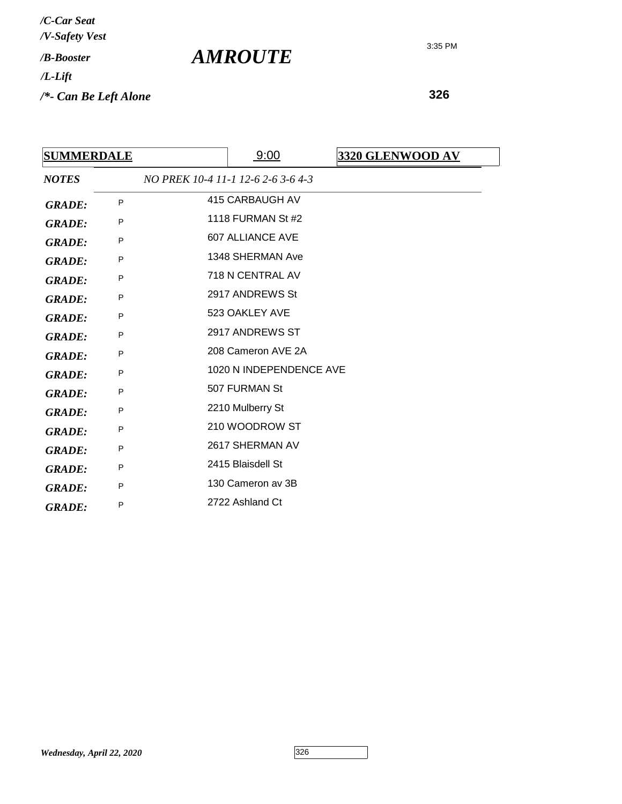**326**

| <b>SUMMERDALE</b> |   | 9:00                               | 3320 GLENWOOD AV |
|-------------------|---|------------------------------------|------------------|
| <b>NOTES</b>      |   | NO PREK 10-4 11-1 12-6 2-6 3-6 4-3 |                  |
| <b>GRADE:</b>     | P | 415 CARBAUGH AV                    |                  |
| <b>GRADE:</b>     | P | 1118 FURMAN St #2                  |                  |
| <b>GRADE:</b>     | P | <b>607 ALLIANCE AVE</b>            |                  |
| <b>GRADE:</b>     | P | 1348 SHERMAN Ave                   |                  |
| <b>GRADE:</b>     | P | 718 N CENTRAL AV                   |                  |
| <b>GRADE:</b>     | P | 2917 ANDREWS St                    |                  |
| <b>GRADE:</b>     | P | 523 OAKLEY AVE                     |                  |
| <b>GRADE:</b>     | P | 2917 ANDREWS ST                    |                  |
| <b>GRADE:</b>     | P | 208 Cameron AVE 2A                 |                  |
| <b>GRADE:</b>     | P | 1020 N INDEPENDENCE AVE            |                  |
| <b>GRADE:</b>     | P | 507 FURMAN St                      |                  |
| <b>GRADE:</b>     | P | 2210 Mulberry St                   |                  |
| <b>GRADE:</b>     | P | 210 WOODROW ST                     |                  |
| <b>GRADE:</b>     | P | 2617 SHERMAN AV                    |                  |
| <b>GRADE:</b>     | P | 2415 Blaisdell St                  |                  |
| <b>GRADE:</b>     | P | 130 Cameron av 3B                  |                  |
| <b>GRADE:</b>     | P | 2722 Ashland Ct                    |                  |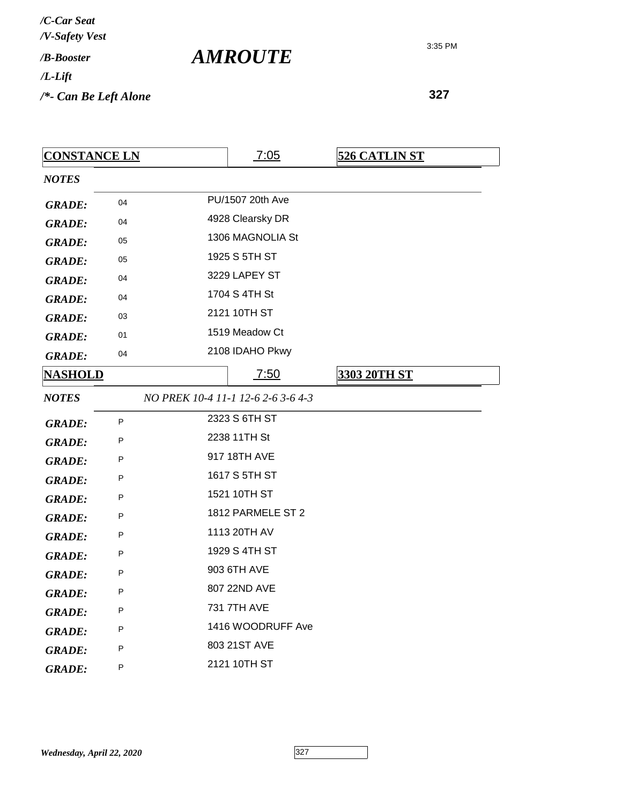**327**

| <b>CONSTANCE LN</b> |    |                   | 7:05                               | <b>526 CATLIN ST</b> |
|---------------------|----|-------------------|------------------------------------|----------------------|
| <b>NOTES</b>        |    |                   |                                    |                      |
| <b>GRADE:</b>       | 04 | PU/1507 20th Ave  |                                    |                      |
| <b>GRADE:</b>       | 04 |                   | 4928 Clearsky DR                   |                      |
| <b>GRADE:</b>       | 05 |                   | 1306 MAGNOLIA St                   |                      |
| <b>GRADE:</b>       | 05 |                   | 1925 S 5TH ST                      |                      |
| <b>GRADE:</b>       | 04 |                   | 3229 LAPEY ST                      |                      |
| <b>GRADE:</b>       | 04 |                   | 1704 S 4TH St                      |                      |
| <b>GRADE:</b>       | 03 |                   | 2121 10TH ST                       |                      |
| <b>GRADE:</b>       | 01 |                   | 1519 Meadow Ct                     |                      |
| <b>GRADE:</b>       | 04 |                   | 2108 IDAHO Pkwy                    |                      |
| <u>NASHOLD</u>      |    |                   | 7:50                               | 3303 20TH ST         |
| <b>NOTES</b>        |    |                   | NO PREK 10-4 11-1 12-6 2-6 3-6 4-3 |                      |
| <b>GRADE:</b>       | P  |                   | 2323 S 6TH ST                      |                      |
| <b>GRADE:</b>       | P  | 2238 11TH St      |                                    |                      |
| <b>GRADE:</b>       | P  |                   | 917 18TH AVE                       |                      |
| <b>GRADE:</b>       | P  |                   | 1617 S 5TH ST                      |                      |
| <b>GRADE:</b>       | P  | 1521 10TH ST      |                                    |                      |
| <b>GRADE:</b>       | P  | 1812 PARMELE ST 2 |                                    |                      |
| <b>GRADE:</b>       | P  | 1113 20TH AV      |                                    |                      |
| <b>GRADE:</b>       | P  | 1929 S 4TH ST     |                                    |                      |
| <b>GRADE:</b>       | P  | 903 6TH AVE       |                                    |                      |
| <b>GRADE:</b>       | P  | 807 22ND AVE      |                                    |                      |
| <b>GRADE:</b>       | P  | 731 7TH AVE       |                                    |                      |
| <b>GRADE:</b>       | P  | 1416 WOODRUFF Ave |                                    |                      |
| <b>GRADE:</b>       | P  |                   | 803 21ST AVE                       |                      |
| <b>GRADE:</b>       | P  |                   | 2121 10TH ST                       |                      |

*AMROUTE*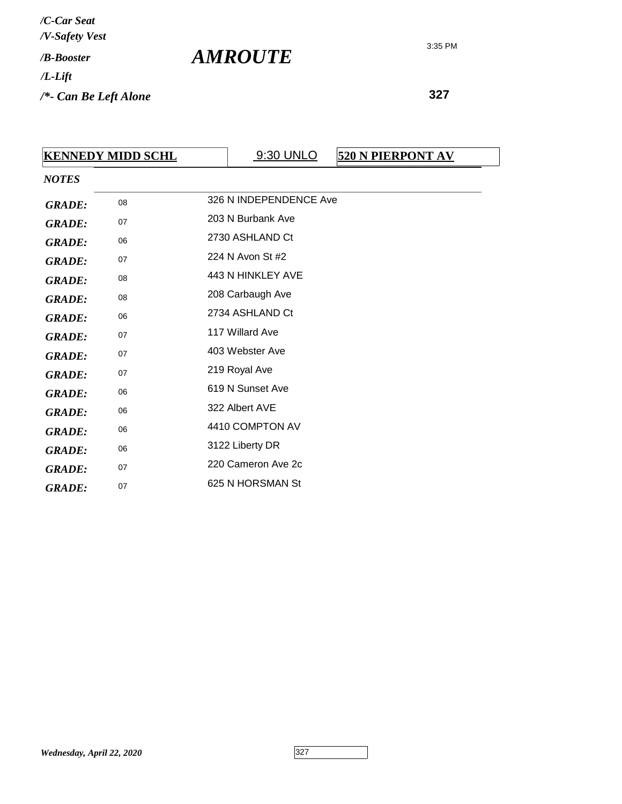*AMROUTE*

| <b>KENNEDY MIDD SCHL</b> |                        | 9:30 UNLO | <b>520 N PIERPONT AV</b>                                                                                                                                                                       |  |
|--------------------------|------------------------|-----------|------------------------------------------------------------------------------------------------------------------------------------------------------------------------------------------------|--|
|                          |                        |           |                                                                                                                                                                                                |  |
| 08                       | 326 N INDEPENDENCE Ave |           |                                                                                                                                                                                                |  |
| 07                       | 203 N Burbank Ave      |           |                                                                                                                                                                                                |  |
| 06                       |                        |           |                                                                                                                                                                                                |  |
| 07                       |                        |           |                                                                                                                                                                                                |  |
| 08                       |                        |           |                                                                                                                                                                                                |  |
| 08                       |                        |           |                                                                                                                                                                                                |  |
| 06                       |                        |           |                                                                                                                                                                                                |  |
| 07                       |                        |           |                                                                                                                                                                                                |  |
| 07                       |                        |           |                                                                                                                                                                                                |  |
| 07                       | 219 Royal Ave          |           |                                                                                                                                                                                                |  |
| 06                       |                        |           |                                                                                                                                                                                                |  |
| 06                       |                        |           |                                                                                                                                                                                                |  |
| 06                       |                        |           |                                                                                                                                                                                                |  |
| 06                       | 3122 Liberty DR        |           |                                                                                                                                                                                                |  |
| 07                       | 220 Cameron Ave 2c     |           |                                                                                                                                                                                                |  |
| 07                       | 625 N HORSMAN St       |           |                                                                                                                                                                                                |  |
|                          |                        |           | 2730 ASHLAND Ct<br>224 N Avon St #2<br>443 N HINKLEY AVE<br>208 Carbaugh Ave<br>2734 ASHLAND Ct<br>117 Willard Ave<br>403 Webster Ave<br>619 N Sunset Ave<br>322 Albert AVE<br>4410 COMPTON AV |  |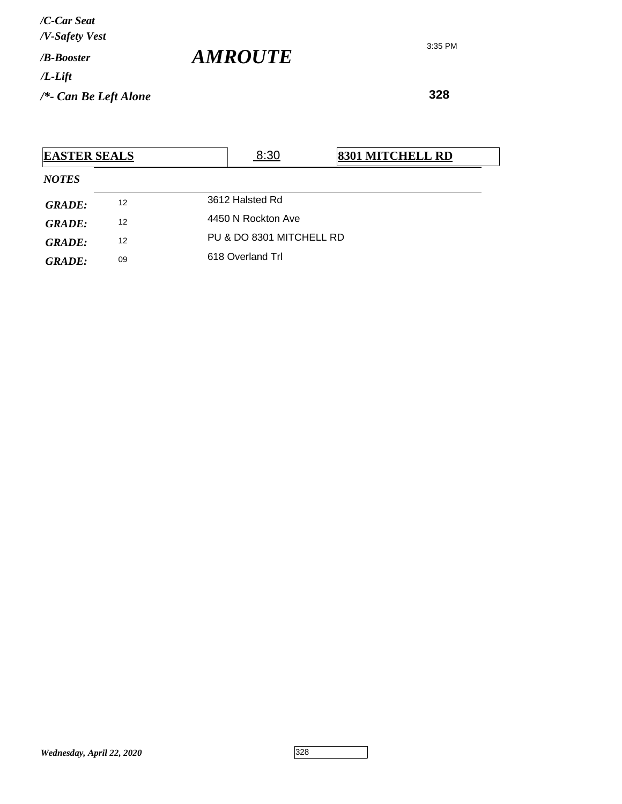*AMROUTE*

3:35 PM

| <b>EASTER SEALS</b> |    |  | 8:30                     | <b>8301 MITCHELL RD</b> |  |  |
|---------------------|----|--|--------------------------|-------------------------|--|--|
| <b>NOTES</b>        |    |  |                          |                         |  |  |
| <b>GRADE:</b>       | 12 |  | 3612 Halsted Rd          |                         |  |  |
| GRADE:              | 12 |  | 4450 N Rockton Ave       |                         |  |  |
| <b>GRADE:</b>       | 12 |  | PU & DO 8301 MITCHELL RD |                         |  |  |
| GRADE:              | 09 |  | 618 Overland Trl         |                         |  |  |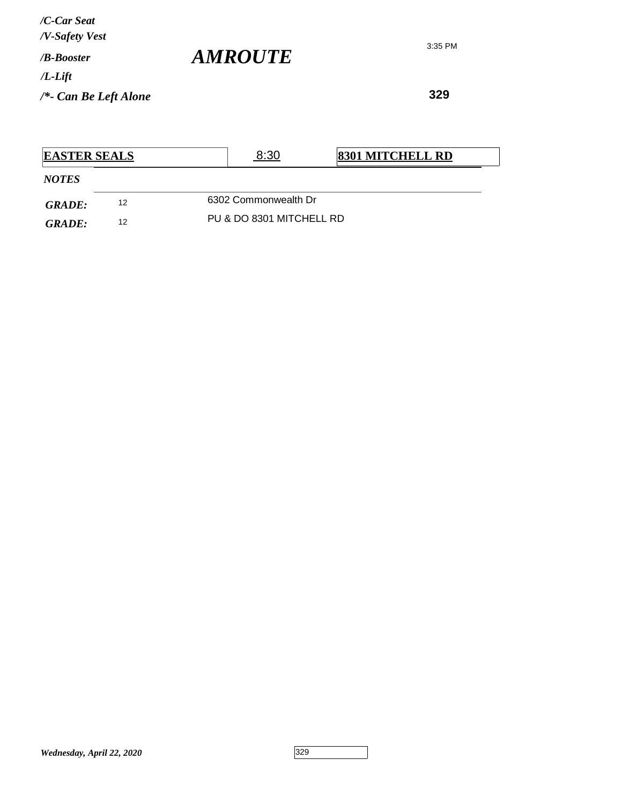**329**

| <b>EASTER SEALS</b> |    |  | 8:30                     | <b>8301 MITCHELL RD</b> |  |  |
|---------------------|----|--|--------------------------|-------------------------|--|--|
| <b>NOTES</b>        |    |  |                          |                         |  |  |
| GRADE:              | 12 |  | 6302 Commonwealth Dr     |                         |  |  |
| GRADE:              | 12 |  | PU & DO 8301 MITCHELL RD |                         |  |  |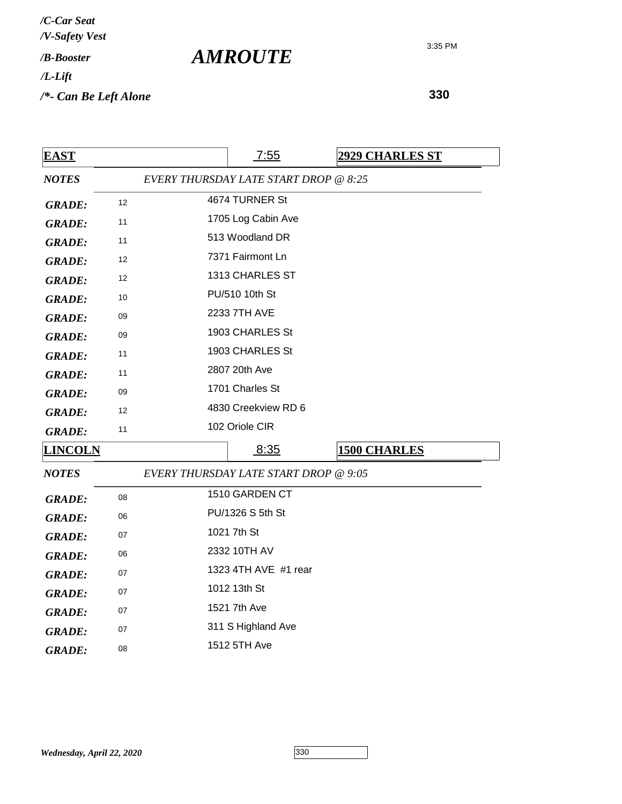*AMROUTE*

3:35 PM

| <b>EAST</b>    |    | 7:55                                  | <b>2929 CHARLES ST</b> |  |
|----------------|----|---------------------------------------|------------------------|--|
| <b>NOTES</b>   |    | EVERY THURSDAY LATE START DROP @ 8:25 |                        |  |
| <b>GRADE:</b>  | 12 | 4674 TURNER St                        |                        |  |
| <b>GRADE:</b>  | 11 | 1705 Log Cabin Ave                    |                        |  |
| <b>GRADE:</b>  | 11 | 513 Woodland DR                       |                        |  |
| <b>GRADE:</b>  | 12 | 7371 Fairmont Ln                      |                        |  |
| <b>GRADE:</b>  | 12 | 1313 CHARLES ST                       |                        |  |
| <b>GRADE:</b>  | 10 | PU/510 10th St                        |                        |  |
| <b>GRADE:</b>  | 09 | 2233 7TH AVE                          |                        |  |
| <b>GRADE:</b>  | 09 | 1903 CHARLES St                       |                        |  |
| <b>GRADE:</b>  | 11 | 1903 CHARLES St                       |                        |  |
| <b>GRADE:</b>  | 11 | 2807 20th Ave                         |                        |  |
| <b>GRADE:</b>  | 09 | 1701 Charles St                       |                        |  |
| <b>GRADE:</b>  | 12 | 4830 Creekview RD 6                   |                        |  |
| <b>GRADE:</b>  | 11 | 102 Oriole CIR                        |                        |  |
| <b>LINCOLN</b> |    | 8:35                                  | <b>1500 CHARLES</b>    |  |
| <b>NOTES</b>   |    | EVERY THURSDAY LATE START DROP @ 9:05 |                        |  |
| <b>GRADE:</b>  | 08 | 1510 GARDEN CT                        |                        |  |
| <b>GRADE:</b>  | 06 | PU/1326 S 5th St                      |                        |  |
| <b>GRADE:</b>  | 07 | 1021 7th St                           |                        |  |
| <b>GRADE:</b>  | 06 | 2332 10TH AV                          |                        |  |
| <b>GRADE:</b>  | 07 | 1323 4TH AVE #1 rear                  |                        |  |
| <b>GRADE:</b>  | 07 | 1012 13th St                          |                        |  |
| <b>GRADE:</b>  | 07 | 1521 7th Ave                          |                        |  |
| <b>GRADE:</b>  | 07 | 311 S Highland Ave                    |                        |  |
| <b>GRADE:</b>  | 08 | 1512 5TH Ave                          |                        |  |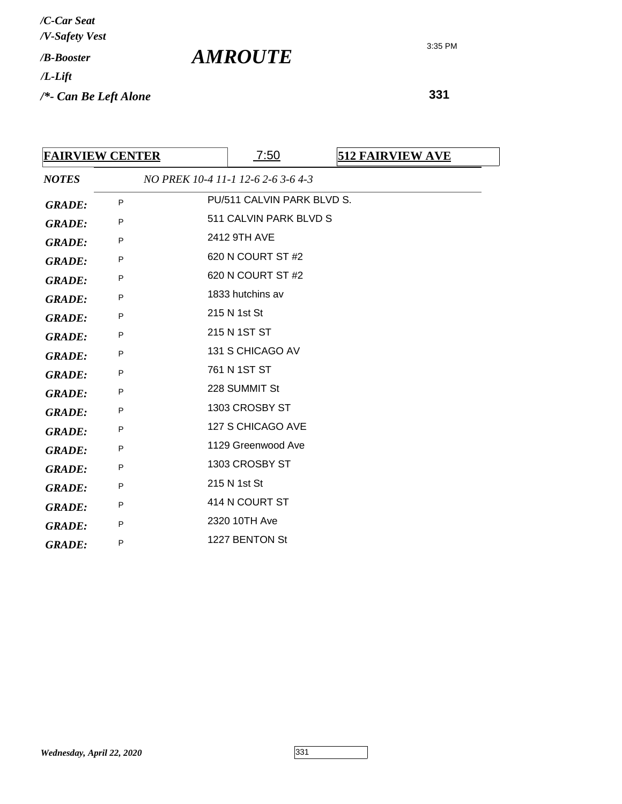**331**

| <b>FAIRVIEW CENTER</b> |   |  | 7:50                               | <b>512 FAIRVIEW AVE</b> |
|------------------------|---|--|------------------------------------|-------------------------|
| <b>NOTES</b>           |   |  | NO PREK 10-4 11-1 12-6 2-6 3-6 4-3 |                         |
| <b>GRADE:</b>          | P |  | PU/511 CALVIN PARK BLVD S.         |                         |
| <b>GRADE:</b>          | P |  | 511 CALVIN PARK BLVD S             |                         |
| <b>GRADE:</b>          | P |  | 2412 9TH AVE                       |                         |
| <b>GRADE:</b>          | P |  | 620 N COURT ST #2                  |                         |
| <b>GRADE:</b>          | P |  | 620 N COURT ST #2                  |                         |
| <b>GRADE:</b>          | P |  | 1833 hutchins av                   |                         |
| <b>GRADE:</b>          | P |  | 215 N 1st St                       |                         |
| <b>GRADE:</b>          | P |  | 215 N 1ST ST                       |                         |
| <b>GRADE:</b>          | P |  | 131 S CHICAGO AV                   |                         |
| <b>GRADE:</b>          | P |  | 761 N 1ST ST                       |                         |
| <b>GRADE:</b>          | P |  | 228 SUMMIT St                      |                         |
| <b>GRADE:</b>          | P |  | 1303 CROSBY ST                     |                         |
| <b>GRADE:</b>          | P |  | 127 S CHICAGO AVE                  |                         |
| <b>GRADE:</b>          | P |  | 1129 Greenwood Ave                 |                         |
| <b>GRADE:</b>          | P |  | 1303 CROSBY ST                     |                         |
| <b>GRADE:</b>          | P |  | 215 N 1st St                       |                         |
| <b>GRADE:</b>          | P |  | 414 N COURT ST                     |                         |
| <b>GRADE:</b>          | P |  | 2320 10TH Ave                      |                         |
| <b>GRADE:</b>          | P |  | 1227 BENTON St                     |                         |

*AMROUTE*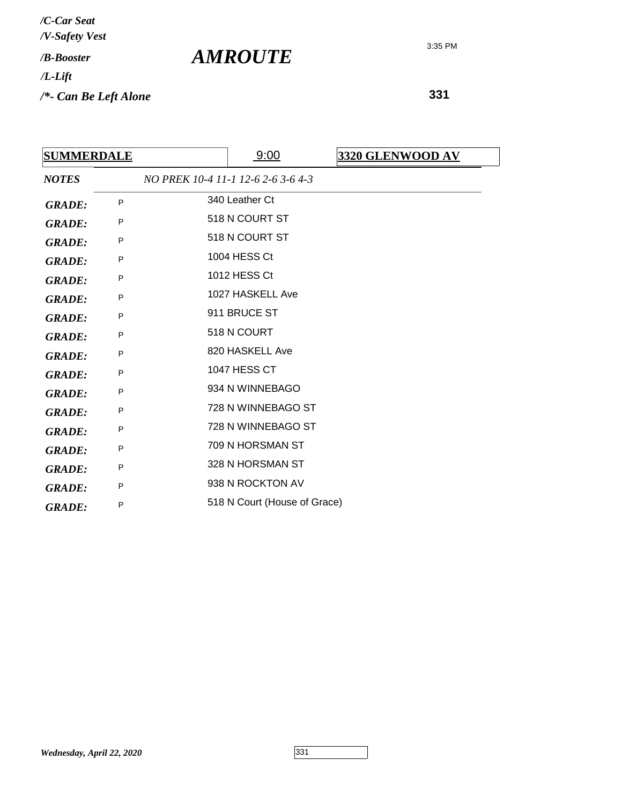**331**

| <b>SUMMERDALE</b> |   | 9:00                               | 3320 GLENWOOD AV |
|-------------------|---|------------------------------------|------------------|
| <b>NOTES</b>      |   | NO PREK 10-4 11-1 12-6 2-6 3-6 4-3 |                  |
| <b>GRADE:</b>     | P | 340 Leather Ct                     |                  |
| <b>GRADE:</b>     | P | 518 N COURT ST                     |                  |
| <b>GRADE:</b>     | P | 518 N COURT ST                     |                  |
| <b>GRADE:</b>     | P | 1004 HESS Ct                       |                  |
| <b>GRADE:</b>     | P | 1012 HESS Ct                       |                  |
| <b>GRADE:</b>     | P | 1027 HASKELL Ave                   |                  |
| <b>GRADE:</b>     | P | 911 BRUCE ST                       |                  |
| <b>GRADE:</b>     | P | 518 N COURT                        |                  |
| <b>GRADE:</b>     | P | 820 HASKELL Ave                    |                  |
| <b>GRADE:</b>     | P | <b>1047 HESS CT</b>                |                  |
| <b>GRADE:</b>     | P | 934 N WINNEBAGO                    |                  |
| <b>GRADE:</b>     | P | 728 N WINNEBAGO ST                 |                  |
| <b>GRADE:</b>     | P | 728 N WINNEBAGO ST                 |                  |
| <b>GRADE:</b>     | P | 709 N HORSMAN ST                   |                  |
| <b>GRADE:</b>     | P | 328 N HORSMAN ST                   |                  |
| <b>GRADE:</b>     | P | 938 N ROCKTON AV                   |                  |
| <b>GRADE:</b>     | P | 518 N Court (House of Grace)       |                  |

*Wednesday, April 22, 2020* 331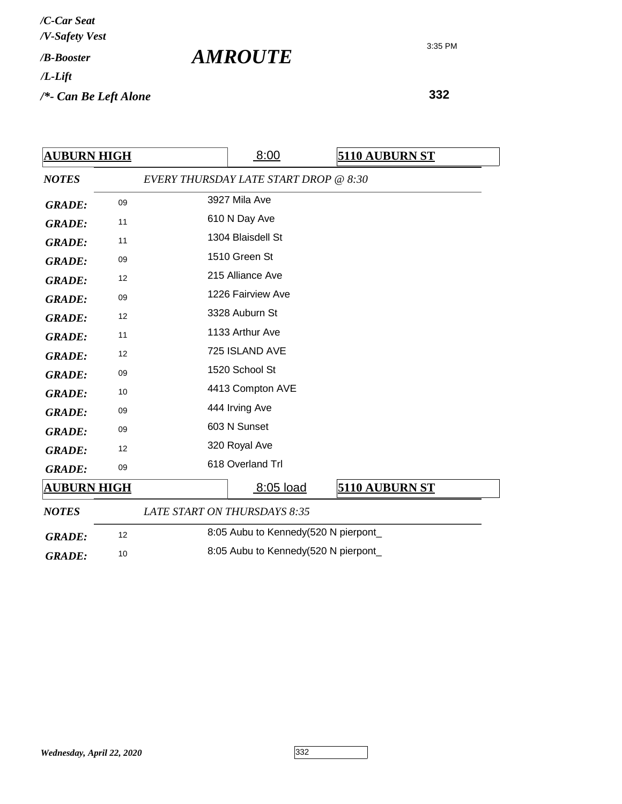| <b>AUBURN HIGH</b> |    |                                     | 8:00                                  | 5110 AUBURN ST |  |
|--------------------|----|-------------------------------------|---------------------------------------|----------------|--|
| <b>NOTES</b>       |    |                                     | EVERY THURSDAY LATE START DROP @ 8:30 |                |  |
| <b>GRADE:</b>      | 09 | 3927 Mila Ave                       |                                       |                |  |
| <b>GRADE:</b>      | 11 | 610 N Day Ave                       |                                       |                |  |
| <b>GRADE:</b>      | 11 |                                     | 1304 Blaisdell St                     |                |  |
| <b>GRADE:</b>      | 09 |                                     | 1510 Green St                         |                |  |
| <b>GRADE:</b>      | 12 |                                     | 215 Alliance Ave                      |                |  |
| <b>GRADE:</b>      | 09 |                                     | 1226 Fairview Ave                     |                |  |
| <b>GRADE:</b>      | 12 |                                     | 3328 Auburn St                        |                |  |
| <b>GRADE:</b>      | 11 |                                     | 1133 Arthur Ave                       |                |  |
| <b>GRADE:</b>      | 12 |                                     | 725 ISLAND AVE                        |                |  |
| <b>GRADE:</b>      | 09 | 1520 School St                      |                                       |                |  |
| <b>GRADE:</b>      | 10 | 4413 Compton AVE                    |                                       |                |  |
| <b>GRADE:</b>      | 09 | 444 Irving Ave                      |                                       |                |  |
| <b>GRADE:</b>      | 09 |                                     | 603 N Sunset                          |                |  |
| <b>GRADE:</b>      | 12 |                                     | 320 Royal Ave                         |                |  |
| <b>GRADE:</b>      | 09 | 618 Overland Trl                    |                                       |                |  |
| <b>AUBURN HIGH</b> |    |                                     | 8:05 load                             | 5110 AUBURN ST |  |
| <b>NOTES</b>       |    | LATE START ON THURSDAYS 8:35        |                                       |                |  |
| <b>GRADE:</b>      | 12 |                                     | 8:05 Aubu to Kennedy(520 N pierpont_  |                |  |
| <b>GRADE:</b>      | 10 | 8:05 Aubu to Kennedy(520 N pierpont |                                       |                |  |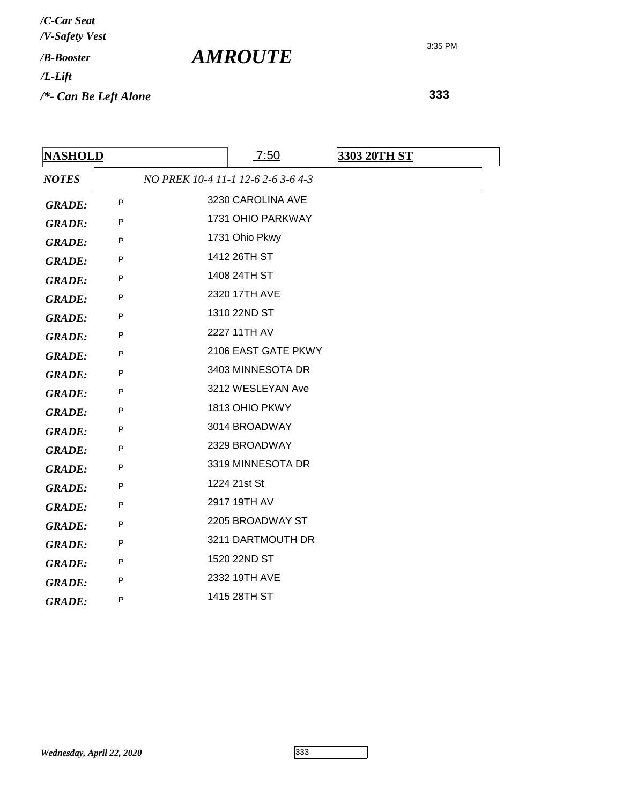| <b>NASHOLD</b> |              | 7:50                               | 3303 20TH ST |
|----------------|--------------|------------------------------------|--------------|
| <b>NOTES</b>   |              | NO PREK 10-4 11-1 12-6 2-6 3-6 4-3 |              |
| <b>GRADE:</b>  | $\mathsf{P}$ | 3230 CAROLINA AVE                  |              |
| <b>GRADE:</b>  | P            | 1731 OHIO PARKWAY                  |              |
| <b>GRADE:</b>  | P            | 1731 Ohio Pkwy                     |              |
| <b>GRADE:</b>  | $\mathsf{P}$ | 1412 26TH ST                       |              |
| <b>GRADE:</b>  | P            | 1408 24TH ST                       |              |
| <b>GRADE:</b>  | P            | 2320 17TH AVE                      |              |
| <b>GRADE:</b>  | P            | 1310 22ND ST                       |              |
| <b>GRADE:</b>  | P            | 2227 11TH AV                       |              |
| <b>GRADE:</b>  | P            | 2106 EAST GATE PKWY                |              |
| <b>GRADE:</b>  | P            | 3403 MINNESOTA DR                  |              |
| <b>GRADE:</b>  | $\sf P$      | 3212 WESLEYAN Ave                  |              |
| <b>GRADE:</b>  | P            | 1813 OHIO PKWY                     |              |
| <b>GRADE:</b>  | P            | 3014 BROADWAY                      |              |
| <b>GRADE:</b>  | P            | 2329 BROADWAY                      |              |
| <b>GRADE:</b>  | P            | 3319 MINNESOTA DR                  |              |
| <b>GRADE:</b>  | P            | 1224 21st St                       |              |
| <b>GRADE:</b>  | P            | 2917 19TH AV                       |              |
| <b>GRADE:</b>  | $\mathsf{P}$ | 2205 BROADWAY ST                   |              |
| <b>GRADE:</b>  | P            | 3211 DARTMOUTH DR                  |              |
| <b>GRADE:</b>  | P            | 1520 22ND ST                       |              |
| <b>GRADE:</b>  | P            | 2332 19TH AVE                      |              |
| <b>GRADE:</b>  | P            | 1415 28TH ST                       |              |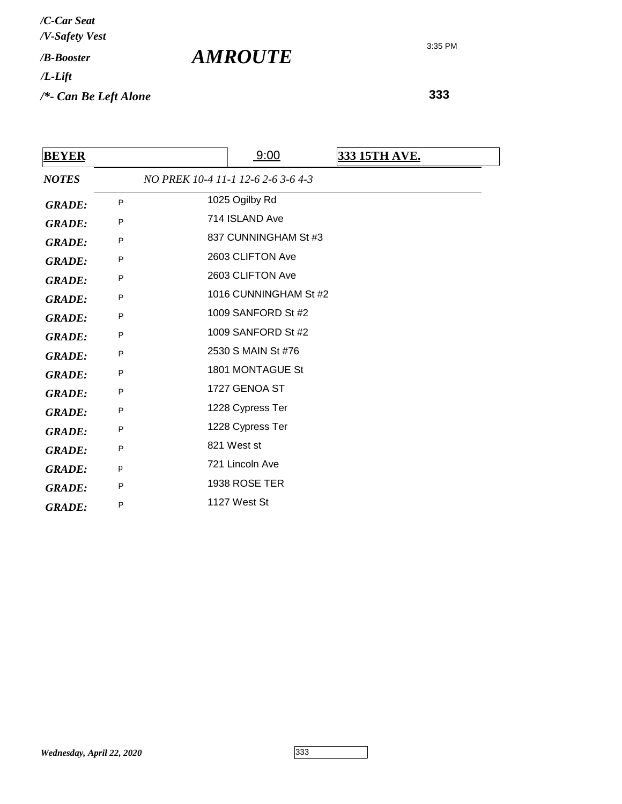**333**

| <b>BEYER</b>  |              | 9:00                               | 333 15TH AVE. |
|---------------|--------------|------------------------------------|---------------|
| <b>NOTES</b>  |              | NO PREK 10-4 11-1 12-6 2-6 3-6 4-3 |               |
| <b>GRADE:</b> | P            | 1025 Ogilby Rd                     |               |
| <b>GRADE:</b> | P            | 714 ISLAND Ave                     |               |
| <b>GRADE:</b> | $\mathsf{P}$ | 837 CUNNINGHAM St #3               |               |
| <b>GRADE:</b> | P            | 2603 CLIFTON Ave                   |               |
| <b>GRADE:</b> | $\mathsf{P}$ | 2603 CLIFTON Ave                   |               |
| <b>GRADE:</b> | P            | 1016 CUNNINGHAM St #2              |               |
| <b>GRADE:</b> | P            | 1009 SANFORD St #2                 |               |
| <b>GRADE:</b> | P            | 1009 SANFORD St #2                 |               |
| <b>GRADE:</b> | P            | 2530 S MAIN St #76                 |               |
| <b>GRADE:</b> | P            | 1801 MONTAGUE St                   |               |
| <b>GRADE:</b> | P            | 1727 GENOA ST                      |               |
| <b>GRADE:</b> | P            | 1228 Cypress Ter                   |               |
| <b>GRADE:</b> | P            | 1228 Cypress Ter                   |               |
| <b>GRADE:</b> | P            | 821 West st                        |               |
| <b>GRADE:</b> | p            | 721 Lincoln Ave                    |               |
| <b>GRADE:</b> | P            | 1938 ROSE TER                      |               |
| <b>GRADE:</b> | P            | 1127 West St                       |               |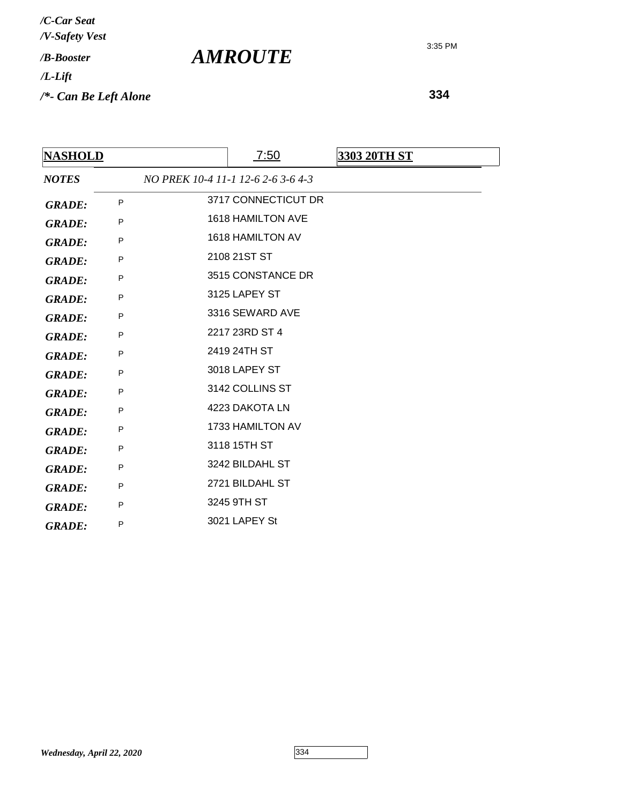**334**

| <b>NASHOLD</b> |   | 7:50                               | 3303 20TH ST |
|----------------|---|------------------------------------|--------------|
| <b>NOTES</b>   |   | NO PREK 10-4 11-1 12-6 2-6 3-6 4-3 |              |
| <b>GRADE:</b>  | P | 3717 CONNECTICUT DR                |              |
| <b>GRADE:</b>  | P | <b>1618 HAMILTON AVE</b>           |              |
| <b>GRADE:</b>  | P | <b>1618 HAMILTON AV</b>            |              |
| <b>GRADE:</b>  | P | 2108 21ST ST                       |              |
| <b>GRADE:</b>  | P | 3515 CONSTANCE DR                  |              |
| <b>GRADE:</b>  | P | 3125 LAPEY ST                      |              |
| <b>GRADE:</b>  | P | 3316 SEWARD AVE                    |              |
| <b>GRADE:</b>  | P | 2217 23RD ST 4                     |              |
| <b>GRADE:</b>  | P | 2419 24TH ST                       |              |
| <b>GRADE:</b>  | P | 3018 LAPEY ST                      |              |
| <b>GRADE:</b>  | P | 3142 COLLINS ST                    |              |
| <b>GRADE:</b>  | P | 4223 DAKOTA LN                     |              |
| <b>GRADE:</b>  | P | 1733 HAMILTON AV                   |              |
| <b>GRADE:</b>  | P | 3118 15TH ST                       |              |
| <b>GRADE:</b>  | P | 3242 BILDAHL ST                    |              |
| <b>GRADE:</b>  | P | 2721 BILDAHL ST                    |              |
| <b>GRADE:</b>  | P | 3245 9TH ST                        |              |
| <b>GRADE:</b>  | P | 3021 LAPEY St                      |              |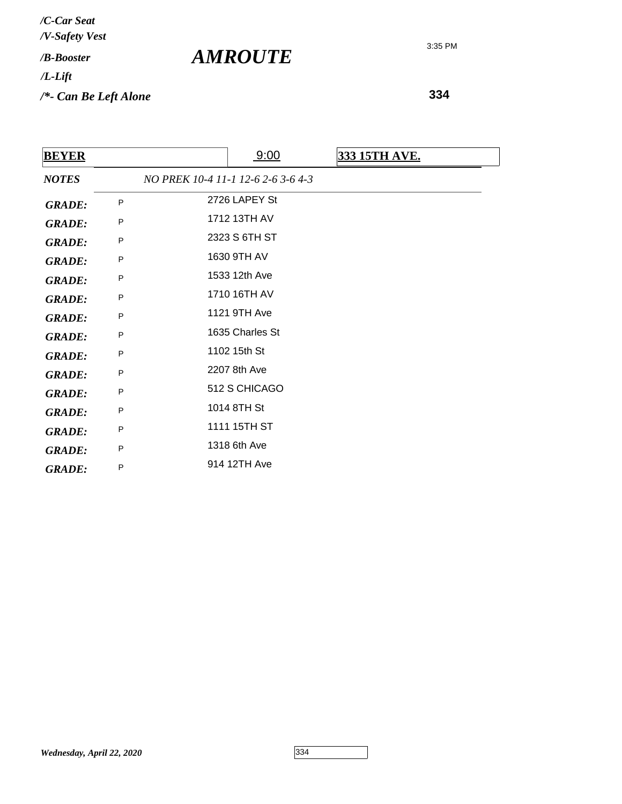*/V-Safety Vest /C-Car Seat*

## */B-Booster*

*/L-Lift*

*/\*- Can Be Left Alone*

**334**

| <b>BEYER</b>  |   | 9:00<br><b>333 15TH AVE.</b>       |  |
|---------------|---|------------------------------------|--|
| <b>NOTES</b>  |   | NO PREK 10-4 11-1 12-6 2-6 3-6 4-3 |  |
| <b>GRADE:</b> | P | 2726 LAPEY St                      |  |
| <b>GRADE:</b> | P | 1712 13TH AV                       |  |
| <b>GRADE:</b> | P | 2323 S 6TH ST                      |  |
| <b>GRADE:</b> | P | 1630 9TH AV                        |  |
| <b>GRADE:</b> | P | 1533 12th Ave                      |  |
| <b>GRADE:</b> | P | 1710 16TH AV                       |  |
| <b>GRADE:</b> | P | 1121 9TH Ave                       |  |
| <b>GRADE:</b> | P | 1635 Charles St                    |  |
| <b>GRADE:</b> | P | 1102 15th St                       |  |
| <b>GRADE:</b> | P | 2207 8th Ave                       |  |
| <b>GRADE:</b> | P | 512 S CHICAGO                      |  |
| <b>GRADE:</b> | P | 1014 8TH St                        |  |
| <b>GRADE:</b> | P | 1111 15TH ST                       |  |
| <b>GRADE:</b> | P | 1318 6th Ave                       |  |
| <b>GRADE:</b> | P | 914 12TH Ave                       |  |
|               |   |                                    |  |

*AMROUTE*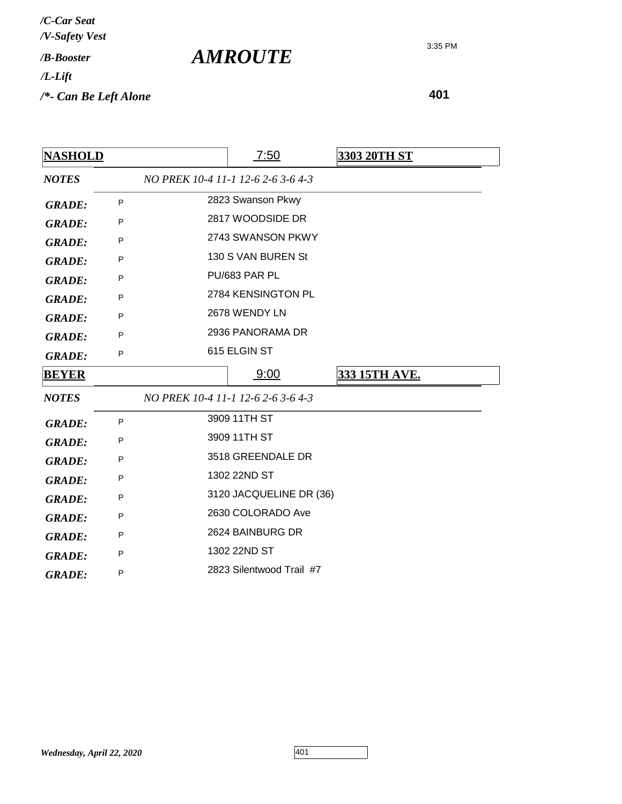| <b>NASHOLD</b> |   | 7:50                               | <u>3303 20TH ST</u>  |
|----------------|---|------------------------------------|----------------------|
| <b>NOTES</b>   |   | NO PREK 10-4 11-1 12-6 2-6 3-6 4-3 |                      |
| <b>GRADE:</b>  | P | 2823 Swanson Pkwy                  |                      |
| <b>GRADE:</b>  | P | 2817 WOODSIDE DR                   |                      |
| <b>GRADE:</b>  | P | 2743 SWANSON PKWY                  |                      |
| <b>GRADE:</b>  | P | 130 S VAN BUREN St                 |                      |
| <b>GRADE:</b>  | P | PU/683 PAR PL                      |                      |
| <b>GRADE:</b>  | P | 2784 KENSINGTON PL                 |                      |
| <b>GRADE:</b>  | P | 2678 WENDY LN                      |                      |
| <b>GRADE:</b>  | P | 2936 PANORAMA DR                   |                      |
| <b>GRADE:</b>  | P | 615 ELGIN ST                       |                      |
| <b>BEYER</b>   |   | 9:00                               | <u>333 15TH AVE.</u> |
| <b>NOTES</b>   |   | NO PREK 10-4 11-1 12-6 2-6 3-6 4-3 |                      |
| <b>GRADE:</b>  | P | 3909 11TH ST                       |                      |
| <b>GRADE:</b>  | P | 3909 11TH ST                       |                      |
| <b>GRADE:</b>  | P | 3518 GREENDALE DR                  |                      |
| <b>GRADE:</b>  | P | 1302 22ND ST                       |                      |
| <b>GRADE:</b>  | P | 3120 JACQUELINE DR (36)            |                      |
| <b>GRADE:</b>  | P | 2630 COLORADO Ave                  |                      |
| <b>GRADE:</b>  | P | 2624 BAINBURG DR                   |                      |
| <b>GRADE:</b>  | P | 1302 22ND ST                       |                      |
| <b>GRADE:</b>  | P | 2823 Silentwood Trail #7           |                      |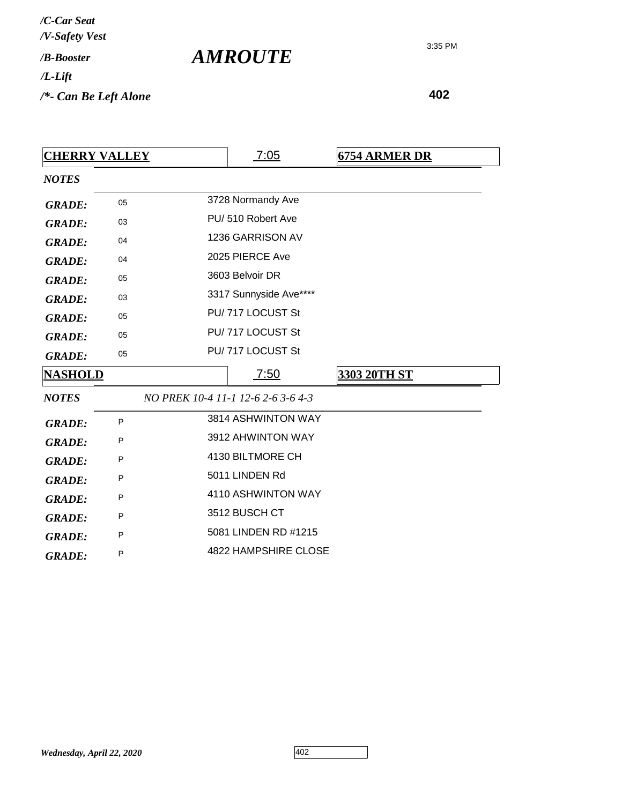*Wednesday, April 22, 2020* 402

| <b>AMROUTE</b> |  |
|----------------|--|
|----------------|--|

**402**

| <b>CHERRY VALLEY</b> |              | 7:05                               | <b>6754 ARMER DR</b> |
|----------------------|--------------|------------------------------------|----------------------|
| <b>NOTES</b>         |              |                                    |                      |
| <b>GRADE:</b>        | 05           | 3728 Normandy Ave                  |                      |
| <b>GRADE:</b>        | 03           | PU/510 Robert Ave                  |                      |
| <b>GRADE:</b>        | 04           | 1236 GARRISON AV                   |                      |
| <b>GRADE:</b>        | 04           | 2025 PIERCE Ave                    |                      |
| <b>GRADE:</b>        | 05           | 3603 Belvoir DR                    |                      |
| <b>GRADE:</b>        | 03           | 3317 Sunnyside Ave****             |                      |
| <b>GRADE:</b>        | 05           | PU/717 LOCUST St                   |                      |
| <b>GRADE:</b>        | 05           | PU/717 LOCUST St                   |                      |
| <b>GRADE:</b>        | 05           | PU/717 LOCUST St                   |                      |
| <b>NASHOLD</b>       |              | 7:50                               | <b>3303 20TH ST</b>  |
| <b>NOTES</b>         |              | NO PREK 10-4 11-1 12-6 2-6 3-6 4-3 |                      |
| <b>GRADE:</b>        | P            | 3814 ASHWINTON WAY                 |                      |
| <b>GRADE:</b>        | P            | 3912 AHWINTON WAY                  |                      |
| <b>GRADE:</b>        | P            | 4130 BILTMORE CH                   |                      |
| <b>GRADE:</b>        | P            | 5011 LINDEN Rd                     |                      |
| <b>GRADE:</b>        | P            | 4110 ASHWINTON WAY                 |                      |
| <b>GRADE:</b>        | P            | 3512 BUSCH CT                      |                      |
| <b>GRADE:</b>        | $\mathsf{P}$ | 5081 LINDEN RD #1215               |                      |
| <b>GRADE:</b>        | P            | <b>4822 HAMPSHIRE CLOSE</b>        |                      |

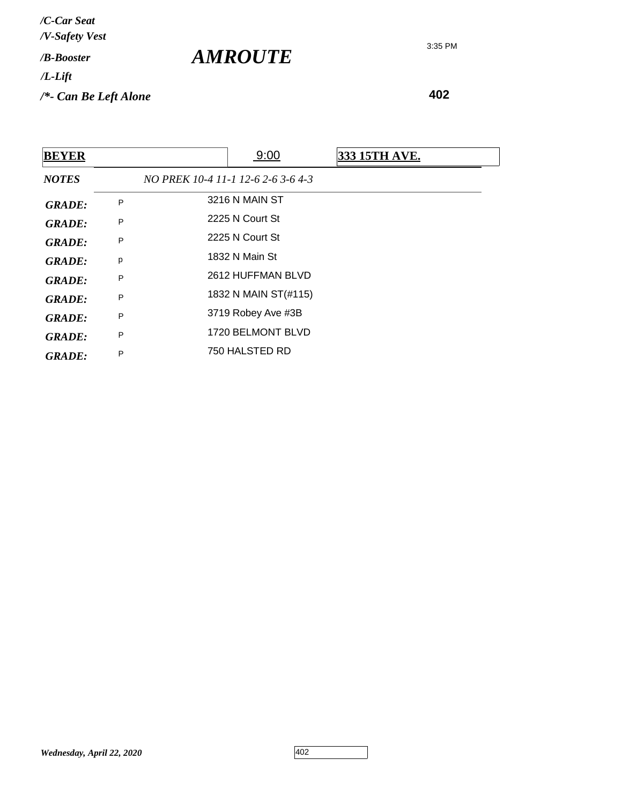**402**

| <b>BEYER</b>  |   |                                    | 9:00                 | <b>333 15TH AVE.</b> |
|---------------|---|------------------------------------|----------------------|----------------------|
| <b>NOTES</b>  |   | NO PREK 10-4 11-1 12-6 2-6 3-6 4-3 |                      |                      |
| <b>GRADE:</b> | P |                                    | 3216 N MAIN ST       |                      |
| <b>GRADE:</b> | P |                                    | 2225 N Court St      |                      |
| <b>GRADE:</b> | P |                                    | 2225 N Court St      |                      |
| <b>GRADE:</b> | р |                                    | 1832 N Main St       |                      |
| <b>GRADE:</b> | P |                                    | 2612 HUFFMAN BLVD    |                      |
| <b>GRADE:</b> | P |                                    | 1832 N MAIN ST(#115) |                      |
| <b>GRADE:</b> | P |                                    | 3719 Robey Ave #3B   |                      |
| <b>GRADE:</b> | P |                                    | 1720 BELMONT BLVD    |                      |
| <b>GRADE:</b> | P |                                    | 750 HALSTED RD       |                      |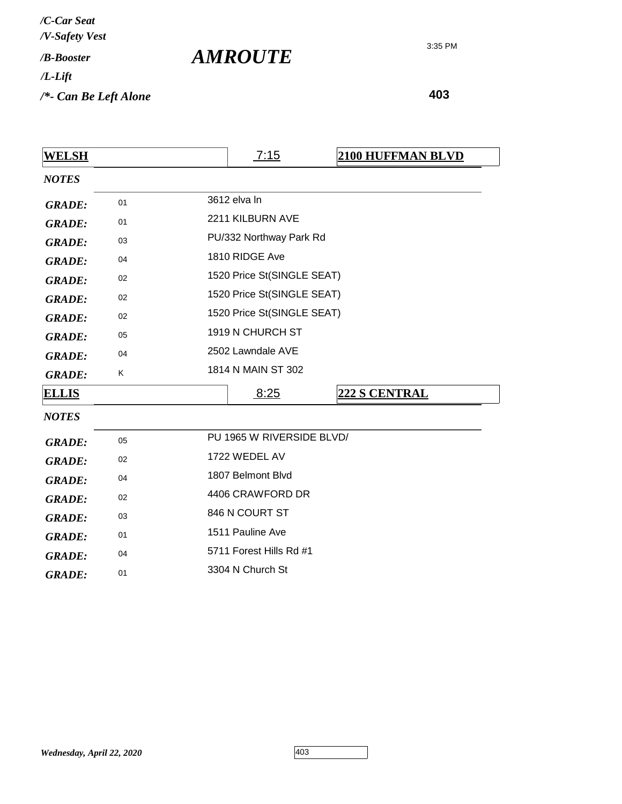*AMROUTE*

| <b>WELSH</b>  |    | 7:15<br><b>2100 HUFFMAN BLVD</b> |  |  |
|---------------|----|----------------------------------|--|--|
| <b>NOTES</b>  |    |                                  |  |  |
| <b>GRADE:</b> | 01 | 3612 elva In                     |  |  |
| <b>GRADE:</b> | 01 | 2211 KILBURN AVE                 |  |  |
| <b>GRADE:</b> | 03 | PU/332 Northway Park Rd          |  |  |
| <b>GRADE:</b> | 04 | 1810 RIDGE Ave                   |  |  |
| <b>GRADE:</b> | 02 | 1520 Price St(SINGLE SEAT)       |  |  |
| <b>GRADE:</b> | 02 | 1520 Price St(SINGLE SEAT)       |  |  |
| <b>GRADE:</b> | 02 | 1520 Price St(SINGLE SEAT)       |  |  |
| <b>GRADE:</b> | 05 | 1919 N CHURCH ST                 |  |  |
| <b>GRADE:</b> | 04 | 2502 Lawndale AVE                |  |  |
| <b>GRADE:</b> | Κ  | 1814 N MAIN ST 302               |  |  |
| <u>ELLIS</u>  |    | 8:25<br>222 S CENTRAL            |  |  |
| <b>NOTES</b>  |    |                                  |  |  |
| <b>GRADE:</b> | 05 | PU 1965 W RIVERSIDE BLVD/        |  |  |
| <b>GRADE:</b> | 02 | 1722 WEDEL AV                    |  |  |
| <b>GRADE:</b> | 04 | 1807 Belmont Blvd                |  |  |
| <b>GRADE:</b> | 02 | 4406 CRAWFORD DR                 |  |  |
| <b>GRADE:</b> | 03 | 846 N COURT ST                   |  |  |
| <b>GRADE:</b> | 01 | 1511 Pauline Ave                 |  |  |
| <b>GRADE:</b> | 04 | 5711 Forest Hills Rd #1          |  |  |
| <b>GRADE:</b> | 01 | 3304 N Church St                 |  |  |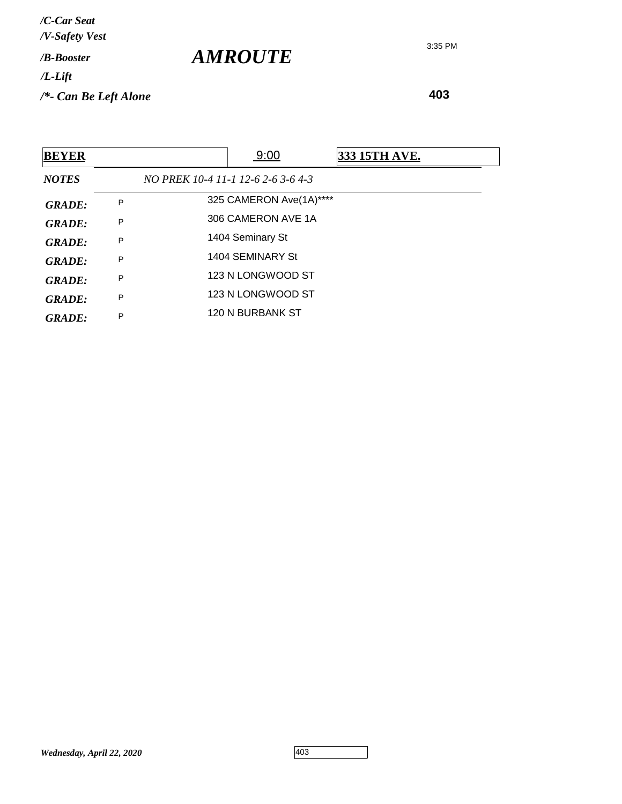| <b>BEYER</b>  |   | 9:00                               | 333 15TH AVE. |
|---------------|---|------------------------------------|---------------|
| <b>NOTES</b>  |   | NO PREK 10-4 11-1 12-6 2-6 3-6 4-3 |               |
| <b>GRADE:</b> | P | 325 CAMERON Ave(1A)****            |               |
| <b>GRADE:</b> | P | 306 CAMERON AVE 1A                 |               |
| <b>GRADE:</b> | P | 1404 Seminary St                   |               |
| GRADE:        | P | 1404 SEMINARY St                   |               |
| GRADE:        | P | 123 N LONGWOOD ST                  |               |
| GRADE:        | P | 123 N LONGWOOD ST                  |               |
| GRADE:        | P | 120 N BURBANK ST                   |               |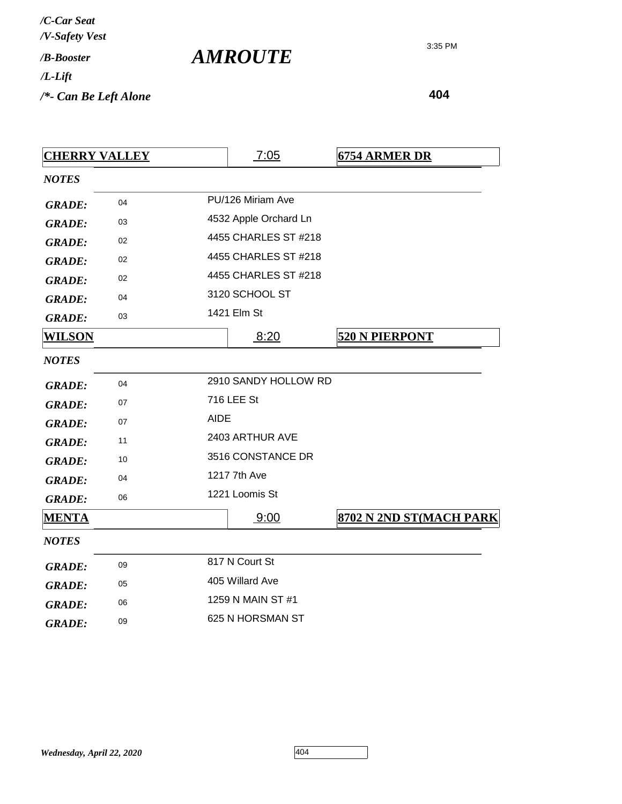| /C-Car Seat<br>/V-Safety Vest |  |
|-------------------------------|--|
| / <b><i>B-Booster</i></b>     |  |
| /L-Lift                       |  |
| /*- Can Be Left Alone         |  |

| <b>CHERRY VALLEY</b> |    |             | 7:05                  | <b>6754 ARMER DR</b>    |
|----------------------|----|-------------|-----------------------|-------------------------|
| <b>NOTES</b>         |    |             |                       |                         |
| <b>GRADE:</b>        | 04 |             | PU/126 Miriam Ave     |                         |
| <b>GRADE:</b>        | 03 |             | 4532 Apple Orchard Ln |                         |
| <b>GRADE:</b>        | 02 |             | 4455 CHARLES ST #218  |                         |
| <b>GRADE:</b>        | 02 |             | 4455 CHARLES ST #218  |                         |
| <b>GRADE:</b>        | 02 |             | 4455 CHARLES ST #218  |                         |
| <b>GRADE:</b>        | 04 |             | 3120 SCHOOL ST        |                         |
| <b>GRADE:</b>        | 03 |             | 1421 Elm St           |                         |
| <u>WILSON</u>        |    |             | 8:20                  | <b>520 N PIERPONT</b>   |
| <b>NOTES</b>         |    |             |                       |                         |
| <b>GRADE:</b>        | 04 |             | 2910 SANDY HOLLOW RD  |                         |
| <b>GRADE:</b>        | 07 |             | 716 LEE St            |                         |
| <b>GRADE:</b>        | 07 | <b>AIDE</b> |                       |                         |
| <b>GRADE:</b>        | 11 |             | 2403 ARTHUR AVE       |                         |
| <b>GRADE:</b>        | 10 |             | 3516 CONSTANCE DR     |                         |
| <b>GRADE:</b>        | 04 |             | 1217 7th Ave          |                         |
| <b>GRADE:</b>        | 06 |             | 1221 Loomis St        |                         |
| <b>MENTA</b>         |    |             | 9:00                  | 8702 N 2ND ST(MACH PARK |
| <b>NOTES</b>         |    |             |                       |                         |
| <b>GRADE:</b>        | 09 |             | 817 N Court St        |                         |
| <b>GRADE:</b>        | 05 |             | 405 Willard Ave       |                         |
| <b>GRADE:</b>        | 06 |             | 1259 N MAIN ST #1     |                         |
| <b>GRADE:</b>        | 09 |             | 625 N HORSMAN ST      |                         |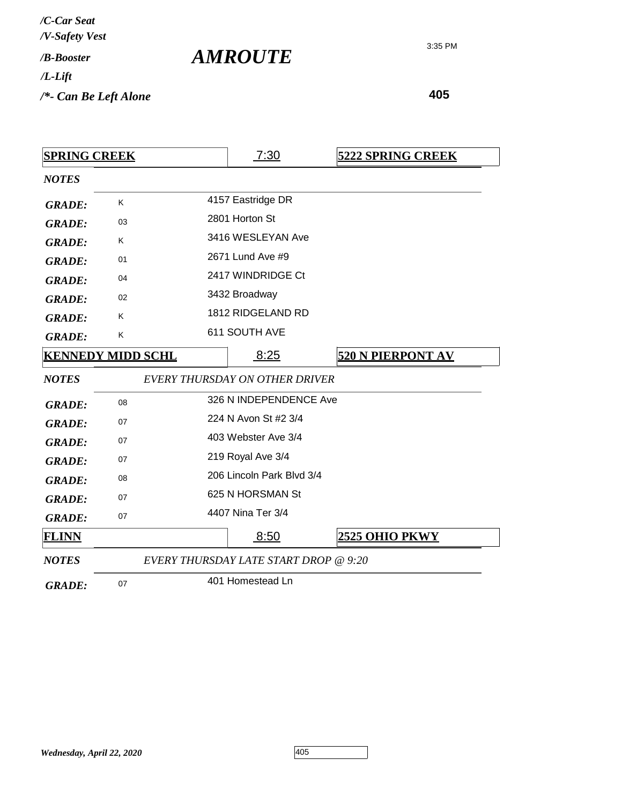| /C-Car Seat               |  |
|---------------------------|--|
| /V-Safety Vest            |  |
| / <b><i>B-Booster</i></b> |  |
| /L-Lift                   |  |
| /*- Can Be Left Alone     |  |

| <b>SPRING CREEK</b> |                          | 7:30                                         | <b>5222 SPRING CREEK</b> |
|---------------------|--------------------------|----------------------------------------------|--------------------------|
| <b>NOTES</b>        |                          |                                              |                          |
| <b>GRADE:</b>       | K                        | 4157 Eastridge DR                            |                          |
| <b>GRADE:</b>       | 03                       | 2801 Horton St                               |                          |
| <b>GRADE:</b>       | K                        | 3416 WESLEYAN Ave                            |                          |
| <b>GRADE:</b>       | 01                       | 2671 Lund Ave #9                             |                          |
| <b>GRADE:</b>       | 04                       | 2417 WINDRIDGE Ct                            |                          |
| <b>GRADE:</b>       | 02                       | 3432 Broadway                                |                          |
| <b>GRADE:</b>       | K                        | 1812 RIDGELAND RD                            |                          |
| <b>GRADE:</b>       | K                        | 611 SOUTH AVE                                |                          |
|                     | <b>KENNEDY MIDD SCHL</b> | 8:25                                         | <b>520 N PIERPONT AV</b> |
| <b>NOTES</b>        |                          | <b>EVERY THURSDAY ON OTHER DRIVER</b>        |                          |
| <b>GRADE:</b>       | 08                       | 326 N INDEPENDENCE Ave                       |                          |
| <b>GRADE:</b>       | 07                       | 224 N Avon St #2 3/4                         |                          |
| <b>GRADE:</b>       | 07                       | 403 Webster Ave 3/4                          |                          |
| <b>GRADE:</b>       | 07                       | 219 Royal Ave 3/4                            |                          |
| <b>GRADE:</b>       | 08                       | 206 Lincoln Park Blvd 3/4                    |                          |
| <b>GRADE:</b>       | 07                       | 625 N HORSMAN St                             |                          |
| <b>GRADE:</b>       | 07                       | 4407 Nina Ter 3/4                            |                          |
| <b>FLINN</b>        |                          | 8:50                                         | 2525 OHIO PKWY           |
| <b>NOTES</b>        |                          | <b>EVERY THURSDAY LATE START DROP @ 9:20</b> |                          |
| <b>GRADE:</b>       | 07                       | 401 Homestead Ln                             |                          |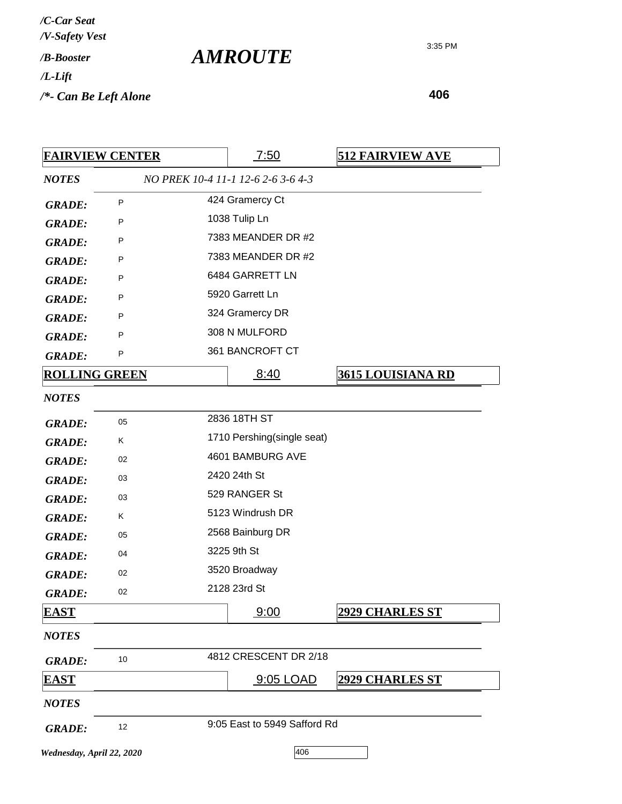| /C-Car Seat               |  |
|---------------------------|--|
| /V-Safety Vest            |  |
| / <b><i>B-Booster</i></b> |  |
| $/L$ -Lift                |  |
| /*- Can Be Left Alone     |  |

|                           | <b>FAIRVIEW CENTER</b> | <u>7:50</u>                        | <b>512 FAIRVIEW AVE</b>  |
|---------------------------|------------------------|------------------------------------|--------------------------|
| <b>NOTES</b>              |                        | NO PREK 10-4 11-1 12-6 2-6 3-6 4-3 |                          |
| <b>GRADE:</b>             | P                      | 424 Gramercy Ct                    |                          |
| <b>GRADE:</b>             | P                      | 1038 Tulip Ln                      |                          |
| <b>GRADE:</b>             | P                      | 7383 MEANDER DR #2                 |                          |
| <b>GRADE:</b>             | P                      | 7383 MEANDER DR #2                 |                          |
| <b>GRADE:</b>             | P                      | 6484 GARRETT LN                    |                          |
| <b>GRADE:</b>             | P                      | 5920 Garrett Ln                    |                          |
| <b>GRADE:</b>             | P                      | 324 Gramercy DR                    |                          |
| <b>GRADE:</b>             | P                      | 308 N MULFORD                      |                          |
| <b>GRADE:</b>             | P                      | 361 BANCROFT CT                    |                          |
| <b>ROLLING GREEN</b>      |                        | 8:40                               | <u>3615 LOUISIANA RD</u> |
| <b>NOTES</b>              |                        |                                    |                          |
| <b>GRADE:</b>             | 05                     | 2836 18TH ST                       |                          |
| <b>GRADE:</b>             | Κ                      | 1710 Pershing(single seat)         |                          |
| <b>GRADE:</b>             | 02                     | 4601 BAMBURG AVE                   |                          |
| <b>GRADE:</b>             | 03                     | 2420 24th St                       |                          |
| <b>GRADE:</b>             | 03                     | 529 RANGER St                      |                          |
| <b>GRADE:</b>             | Κ                      | 5123 Windrush DR                   |                          |
| <b>GRADE:</b>             | 05                     | 2568 Bainburg DR                   |                          |
| <b>GRADE:</b>             | 04                     | 3225 9th St                        |                          |
| <b>GRADE:</b>             | 02                     | 3520 Broadway                      |                          |
| <b>GRADE:</b>             | 02                     | 2128 23rd St                       |                          |
| <b>EAST</b>               |                        | 9:00                               | <b>2929 CHARLES ST</b>   |
| <b>NOTES</b>              |                        |                                    |                          |
| <b>GRADE:</b>             | 10                     | 4812 CRESCENT DR 2/18              |                          |
| <b>EAST</b>               |                        | 9:05 LOAD                          | <b>2929 CHARLES ST</b>   |
| <b>NOTES</b>              |                        |                                    |                          |
| <b>GRADE:</b>             | 12                     | 9:05 East to 5949 Safford Rd       |                          |
| Wednesday, April 22, 2020 |                        | 406                                |                          |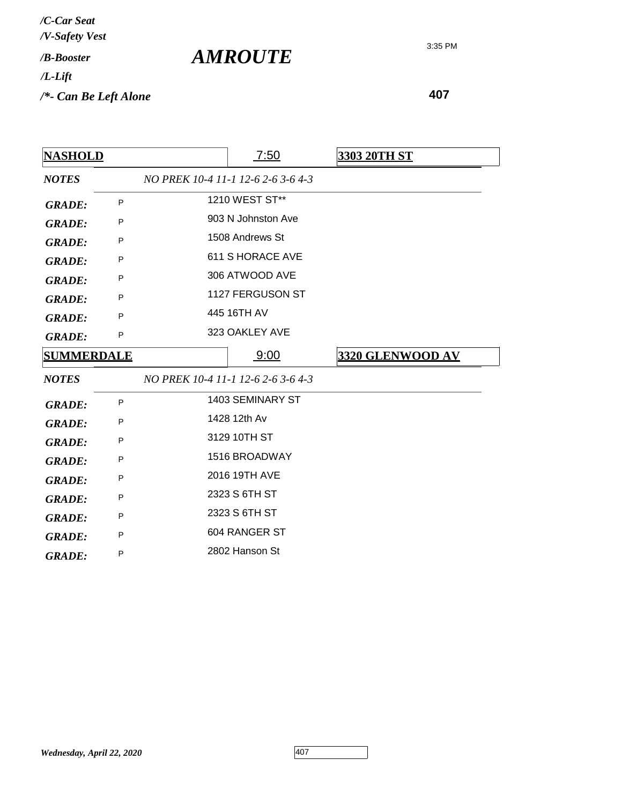| <b>NASHOLD</b>    |   | 7:50                               | <b>3303 20TH ST</b> |
|-------------------|---|------------------------------------|---------------------|
| <b>NOTES</b>      |   | NO PREK 10-4 11-1 12-6 2-6 3-6 4-3 |                     |
| <b>GRADE:</b>     | P | 1210 WEST ST**                     |                     |
| <b>GRADE:</b>     | P | 903 N Johnston Ave                 |                     |
| <b>GRADE:</b>     | P | 1508 Andrews St                    |                     |
| <b>GRADE:</b>     | P | 611 S HORACE AVE                   |                     |
| <b>GRADE:</b>     | P | 306 ATWOOD AVE                     |                     |
| <b>GRADE:</b>     | P | 1127 FERGUSON ST                   |                     |
| <b>GRADE:</b>     | P | 445 16TH AV                        |                     |
| <b>GRADE:</b>     | P | 323 OAKLEY AVE                     |                     |
| <b>SUMMERDALE</b> |   | 9:00                               | 3320 GLENWOOD AV    |
| <b>NOTES</b>      |   | NO PREK 10-4 11-1 12-6 2-6 3-6 4-3 |                     |
| <b>GRADE:</b>     | P | 1403 SEMINARY ST                   |                     |
| <b>GRADE:</b>     | P | 1428 12th Av                       |                     |
| <b>GRADE:</b>     | P | 3129 10TH ST                       |                     |
| <b>GRADE:</b>     | P | 1516 BROADWAY                      |                     |
| <b>GRADE:</b>     | P | 2016 19TH AVE                      |                     |
| <b>GRADE:</b>     | P | 2323 S 6TH ST                      |                     |
| <b>GRADE:</b>     | P | 2323 S 6TH ST                      |                     |
| <b>GRADE:</b>     | P | 604 RANGER ST                      |                     |
| <b>GRADE:</b>     | P | 2802 Hanson St                     |                     |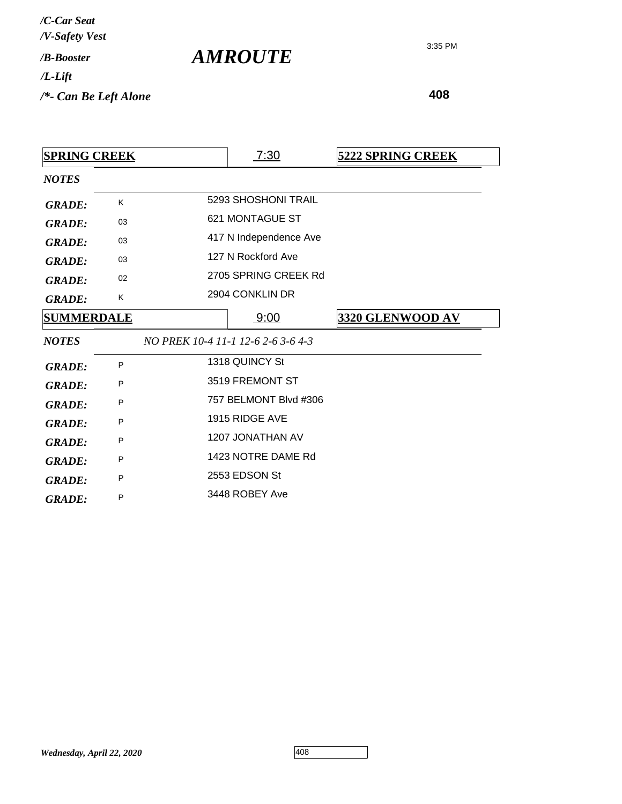| /C-Car Seat<br>/V-Safety Vest |  |
|-------------------------------|--|
| / <b>B-Booster</b>            |  |
| /L-Lift                       |  |
| /*- Can Be Left Alone         |  |

| <b>SPRING CREEK</b> |    | 7:30                               | <b>5222 SPRING CREEK</b> |
|---------------------|----|------------------------------------|--------------------------|
| <b>NOTES</b>        |    |                                    |                          |
| <b>GRADE:</b>       | K  | 5293 SHOSHONI TRAIL                |                          |
| <b>GRADE:</b>       | 03 | 621 MONTAGUE ST                    |                          |
| <b>GRADE:</b>       | 03 | 417 N Independence Ave             |                          |
| <b>GRADE:</b>       | 03 | 127 N Rockford Ave                 |                          |
| <b>GRADE:</b>       | 02 | 2705 SPRING CREEK Rd               |                          |
| <b>GRADE:</b>       | K  | 2904 CONKLIN DR                    |                          |
| <b>SUMMERDALE</b>   |    | <u>9:00</u>                        | 3320 GLENWOOD AV         |
| <b>NOTES</b>        |    | NO PREK 10-4 11-1 12-6 2-6 3-6 4-3 |                          |
| <b>GRADE:</b>       | P  | 1318 QUINCY St                     |                          |
| <b>GRADE:</b>       | P  | 3519 FREMONT ST                    |                          |
| <b>GRADE:</b>       | P  | 757 BELMONT Blvd #306              |                          |
| <b>GRADE:</b>       | P  | 1915 RIDGE AVE                     |                          |
| <b>GRADE:</b>       | P  | 1207 JONATHAN AV                   |                          |
| <b>GRADE:</b>       | P  | 1423 NOTRE DAME Rd                 |                          |
| <b>GRADE:</b>       | P  | 2553 EDSON St                      |                          |
| <b>GRADE:</b>       | P  | 3448 ROBEY Ave                     |                          |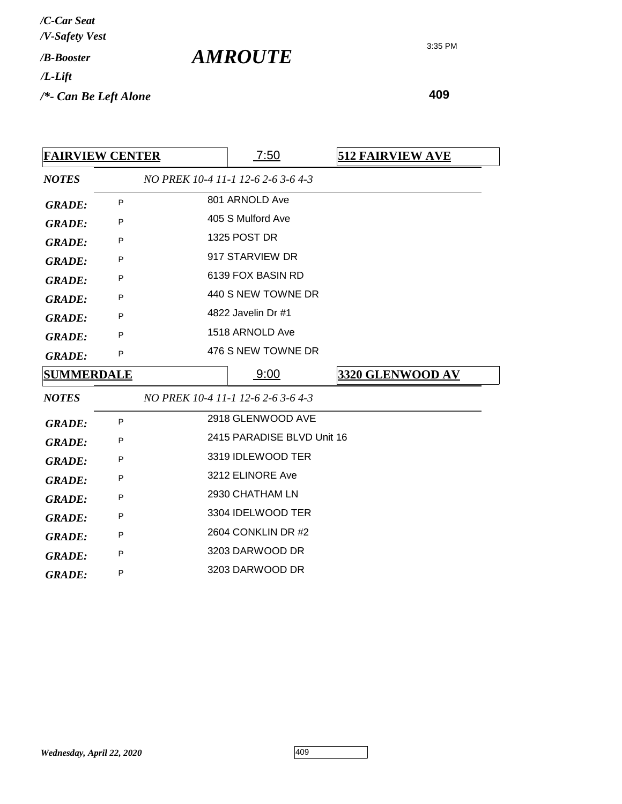| /C-Car Seat<br>/V-Safety Vest |  |
|-------------------------------|--|
| / <b><i>R-Rooster</i></b>     |  |
| /L-Lift                       |  |
| /*- Can Be Left Alone         |  |

3:35 PM

| <b>FAIRVIEW CENTER</b> |   | 7:50                               | <b>512 FAIRVIEW AVE</b> |
|------------------------|---|------------------------------------|-------------------------|
| <b>NOTES</b>           |   | NO PREK 10-4 11-1 12-6 2-6 3-6 4-3 |                         |
| <b>GRADE:</b>          | P | 801 ARNOLD Ave                     |                         |
| <b>GRADE:</b>          | P | 405 S Mulford Ave                  |                         |
| <b>GRADE:</b>          | P | <b>1325 POST DR</b>                |                         |
| <b>GRADE:</b>          | P | 917 STARVIEW DR                    |                         |
| <b>GRADE:</b>          | P | 6139 FOX BASIN RD                  |                         |
| <b>GRADE:</b>          | P | 440 S NEW TOWNE DR                 |                         |
| <b>GRADE:</b>          | P | 4822 Javelin Dr #1                 |                         |
| <b>GRADE:</b>          | P | 1518 ARNOLD Ave                    |                         |
| <b>GRADE:</b>          | P | 476 S NEW TOWNE DR                 |                         |
| <b>SUMMERDALE</b>      |   | 9:00                               | 3320 GLENWOOD AV        |
| <b>NOTES</b>           |   | NO PREK 10-4 11-1 12-6 2-6 3-6 4-3 |                         |
| <b>GRADE:</b>          | P | 2918 GLENWOOD AVE                  |                         |
| <b>GRADE:</b>          |   |                                    |                         |
|                        | P | 2415 PARADISE BLVD Unit 16         |                         |
| <b>GRADE:</b>          | P | 3319 IDLEWOOD TER                  |                         |
| <b>GRADE:</b>          | P | 3212 ELINORE Ave                   |                         |
| <b>GRADE:</b>          | P | 2930 CHATHAM LN                    |                         |
| <b>GRADE:</b>          | P | 3304 IDELWOOD TER                  |                         |
| <b>GRADE:</b>          | P | 2604 CONKLIN DR #2                 |                         |
| <b>GRADE:</b>          | P | 3203 DARWOOD DR                    |                         |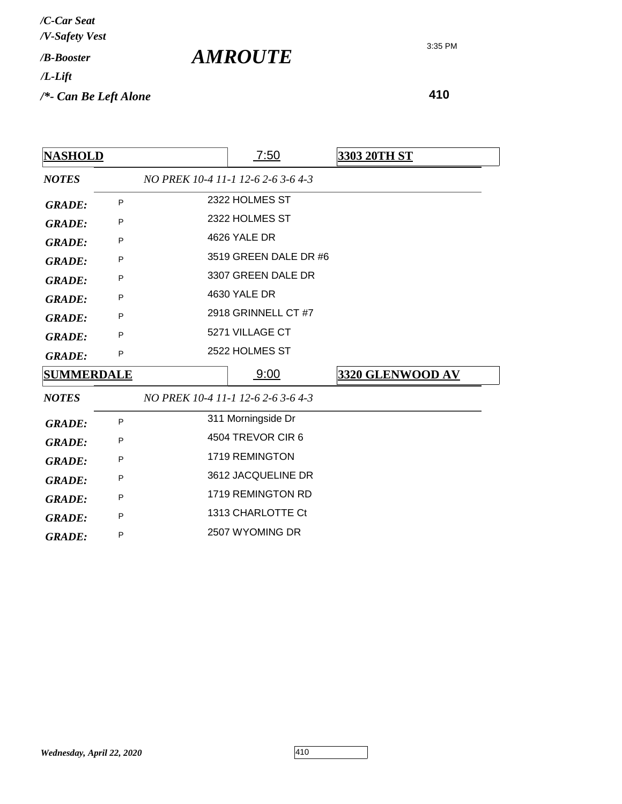*AMROUTE*

3:35 PM

| <b>NASHOLD</b>    |   |                    | <u>7:50</u>                        | 3303 20TH ST            |  |
|-------------------|---|--------------------|------------------------------------|-------------------------|--|
| <b>NOTES</b>      |   |                    | NO PREK 10-4 11-1 12-6 2-6 3-6 4-3 |                         |  |
| <b>GRADE:</b>     | P |                    | 2322 HOLMES ST                     |                         |  |
| <b>GRADE:</b>     | P |                    | 2322 HOLMES ST                     |                         |  |
| <b>GRADE:</b>     | P |                    | 4626 YALE DR                       |                         |  |
| <b>GRADE:</b>     | P |                    | 3519 GREEN DALE DR #6              |                         |  |
| <b>GRADE:</b>     | P |                    | 3307 GREEN DALE DR                 |                         |  |
| <b>GRADE:</b>     | P |                    | 4630 YALE DR                       |                         |  |
| <b>GRADE:</b>     | P |                    | 2918 GRINNELL CT #7                |                         |  |
| <b>GRADE:</b>     | P |                    | 5271 VILLAGE CT                    |                         |  |
| <b>GRADE:</b>     | P |                    | 2522 HOLMES ST                     |                         |  |
| <b>SUMMERDALE</b> |   |                    | 9:00                               | <b>3320 GLENWOOD AV</b> |  |
| <b>NOTES</b>      |   |                    | NO PREK 10-4 11-1 12-6 2-6 3-6 4-3 |                         |  |
| <b>GRADE:</b>     | P |                    | 311 Morningside Dr                 |                         |  |
| <b>GRADE:</b>     | P |                    | 4504 TREVOR CIR 6                  |                         |  |
| <b>GRADE:</b>     | P | 1719 REMINGTON     |                                    |                         |  |
| <b>GRADE:</b>     | P | 3612 JACQUELINE DR |                                    |                         |  |
| <b>GRADE:</b>     | P | 1719 REMINGTON RD  |                                    |                         |  |
| <b>GRADE:</b>     | P |                    | 1313 CHARLOTTE Ct                  |                         |  |
| <b>GRADE:</b>     | P |                    | 2507 WYOMING DR                    |                         |  |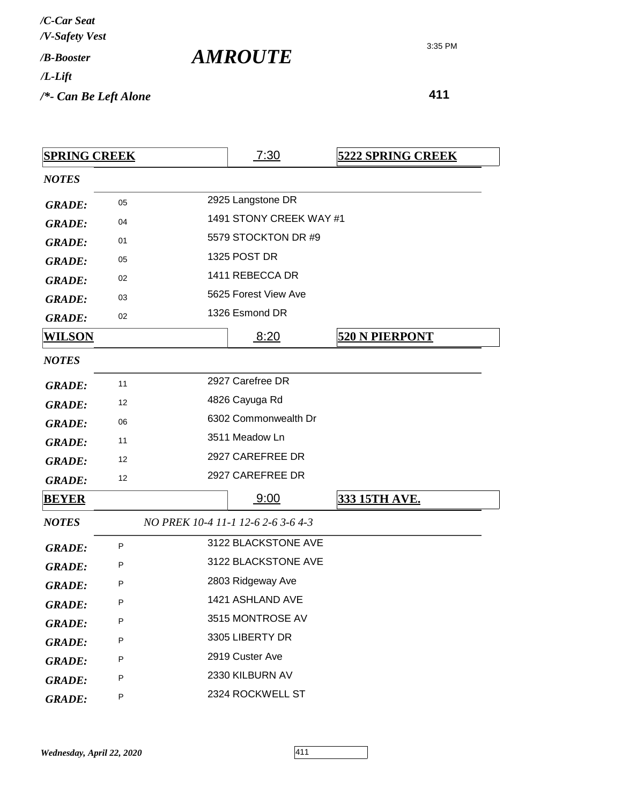| /C-Car Seat<br>/V-Safety Vest |  |
|-------------------------------|--|
| /R-Booster                    |  |
| /L-Lift                       |  |
| /*- Can Be Left Alone         |  |

| <b>SPRING CREEK</b> |    | 7:30                               | <b>5222 SPRING CREEK</b> |
|---------------------|----|------------------------------------|--------------------------|
| <b>NOTES</b>        |    |                                    |                          |
| <b>GRADE:</b>       | 05 | 2925 Langstone DR                  |                          |
| <b>GRADE:</b>       | 04 | 1491 STONY CREEK WAY #1            |                          |
| <b>GRADE:</b>       | 01 | 5579 STOCKTON DR #9                |                          |
| <b>GRADE:</b>       | 05 | 1325 POST DR                       |                          |
| <b>GRADE:</b>       | 02 | 1411 REBECCA DR                    |                          |
| <b>GRADE:</b>       | 03 | 5625 Forest View Ave               |                          |
| <b>GRADE:</b>       | 02 | 1326 Esmond DR                     |                          |
| <u>WILSON</u>       |    | 8:20                               | <b>520 N PIERPONT</b>    |
| <b>NOTES</b>        |    |                                    |                          |
| <b>GRADE:</b>       | 11 | 2927 Carefree DR                   |                          |
| <b>GRADE:</b>       | 12 | 4826 Cayuga Rd                     |                          |
| <b>GRADE:</b>       | 06 | 6302 Commonwealth Dr               |                          |
| <b>GRADE:</b>       | 11 | 3511 Meadow Ln                     |                          |
| <b>GRADE:</b>       | 12 | 2927 CAREFREE DR                   |                          |
| <b>GRADE:</b>       | 12 | 2927 CAREFREE DR                   |                          |
| <b>BEYER</b>        |    | <u>9:00</u>                        | 333 15TH AVE.            |
| <b>NOTES</b>        |    | NO PREK 10-4 11-1 12-6 2-6 3-6 4-3 |                          |
| <b>GRADE:</b>       | P  | 3122 BLACKSTONE AVE                |                          |
| <b>GRADE:</b>       | Ρ  | 3122 BLACKSTONE AVE                |                          |
| <b>GRADE:</b>       | P  | 2803 Ridgeway Ave                  |                          |
| <b>GRADE:</b>       | Р  | 1421 ASHLAND AVE                   |                          |
| <b>GRADE:</b>       | Ρ  | 3515 MONTROSE AV                   |                          |
| <b>GRADE:</b>       | P  | 3305 LIBERTY DR                    |                          |
| <b>GRADE:</b>       | Р  | 2919 Custer Ave                    |                          |
| <b>GRADE:</b>       | Р  | 2330 KILBURN AV                    |                          |
| <b>GRADE:</b>       | Ρ  | 2324 ROCKWELL ST                   |                          |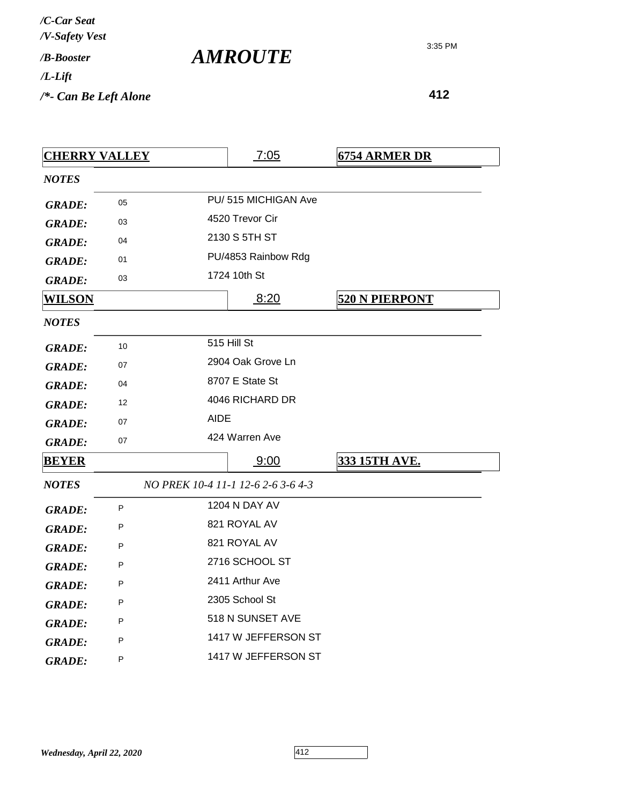| /C-Car Seat<br>/V-Safety Vest |  |
|-------------------------------|--|
| / <b><i>B-Booster</i></b>     |  |
| $/L$ -Lift                    |  |
| /*- Can Be Left Alone         |  |

| <b>CHERRY VALLEY</b> |    |                     | <u>7:05</u>                        | <b>6754 ARMER DR</b>  |  |  |
|----------------------|----|---------------------|------------------------------------|-----------------------|--|--|
| <b>NOTES</b>         |    |                     |                                    |                       |  |  |
| <b>GRADE:</b>        | 05 | PU/515 MICHIGAN Ave |                                    |                       |  |  |
| <b>GRADE:</b>        | 03 |                     | 4520 Trevor Cir                    |                       |  |  |
| <b>GRADE:</b>        | 04 |                     | 2130 S 5TH ST                      |                       |  |  |
| <b>GRADE:</b>        | 01 |                     | PU/4853 Rainbow Rdg                |                       |  |  |
| <b>GRADE:</b>        | 03 |                     | 1724 10th St                       |                       |  |  |
| WILSON               |    |                     | 8:20                               | <b>520 N PIERPONT</b> |  |  |
| <b>NOTES</b>         |    |                     |                                    |                       |  |  |
| <b>GRADE:</b>        | 10 |                     | 515 Hill St                        |                       |  |  |
| <b>GRADE:</b>        | 07 |                     | 2904 Oak Grove Ln                  |                       |  |  |
| <b>GRADE:</b>        | 04 |                     | 8707 E State St                    |                       |  |  |
| <b>GRADE:</b>        | 12 |                     | 4046 RICHARD DR                    |                       |  |  |
| <b>GRADE:</b>        | 07 | <b>AIDE</b>         |                                    |                       |  |  |
| <b>GRADE:</b>        | 07 |                     | 424 Warren Ave                     |                       |  |  |
| <b>BEYER</b>         |    |                     | 9:00                               | <b>333 15TH AVE.</b>  |  |  |
| <b>NOTES</b>         |    |                     | NO PREK 10-4 11-1 12-6 2-6 3-6 4-3 |                       |  |  |
| <b>GRADE:</b>        | P  |                     | 1204 N DAY AV                      |                       |  |  |
| <b>GRADE:</b>        | Ρ  |                     | 821 ROYAL AV                       |                       |  |  |
| <b>GRADE:</b>        | P  |                     | 821 ROYAL AV                       |                       |  |  |
| <b>GRADE:</b>        | P  |                     | 2716 SCHOOL ST                     |                       |  |  |
| <b>GRADE:</b>        | P  |                     | 2411 Arthur Ave                    |                       |  |  |
| <b>GRADE:</b>        | P  |                     | 2305 School St                     |                       |  |  |
| <b>GRADE:</b>        | P  |                     | 518 N SUNSET AVE                   |                       |  |  |
| <b>GRADE:</b>        | P  |                     | 1417 W JEFFERSON ST                |                       |  |  |
| <b>GRADE:</b>        | P  |                     | 1417 W JEFFERSON ST                |                       |  |  |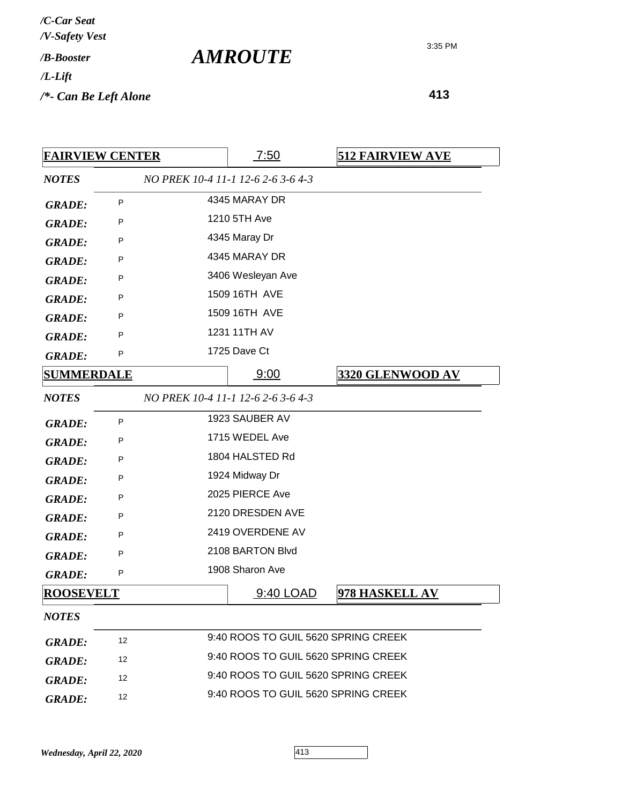| /C-Car Seat<br>/V-Safety Vest |                       |
|-------------------------------|-----------------------|
| / <b><i>B-Booster</i></b>     | <i><b>AMROUTE</b></i> |
| $/L$ -Lift                    |                       |
| $/*$ - Can Be Left Alone      |                       |

| <b>FAIRVIEW CENTER</b> |              | 7:50                                | <b>512 FAIRVIEW AVE</b> |
|------------------------|--------------|-------------------------------------|-------------------------|
| <b>NOTES</b>           |              | NO PREK 10-4 11-1 12-6 2-6 3-6 4-3  |                         |
| <b>GRADE:</b>          | P            | 4345 MARAY DR                       |                         |
| <b>GRADE:</b>          | P            | 1210 5TH Ave                        |                         |
| <b>GRADE:</b>          | P            | 4345 Maray Dr                       |                         |
| <b>GRADE:</b>          | P            | 4345 MARAY DR                       |                         |
| <b>GRADE:</b>          | P            | 3406 Wesleyan Ave                   |                         |
| <b>GRADE:</b>          | P            | 1509 16TH AVE                       |                         |
| <b>GRADE:</b>          | P            | 1509 16TH AVE                       |                         |
| <b>GRADE:</b>          | P            | 1231 11TH AV                        |                         |
| <b>GRADE:</b>          | P            | 1725 Dave Ct                        |                         |
| <b>SUMMERDALE</b>      |              | 9:00                                | <u>3320 GLENWOOD AV</u> |
| <b>NOTES</b>           |              | NO PREK 10-4 11-1 12-6 2-6 3-6 4-3  |                         |
| <b>GRADE:</b>          | $\mathsf{P}$ | 1923 SAUBER AV                      |                         |
| <b>GRADE:</b>          | P            | 1715 WEDEL Ave                      |                         |
| <b>GRADE:</b>          | P            | 1804 HALSTED Rd                     |                         |
| <b>GRADE:</b>          | P            | 1924 Midway Dr                      |                         |
| <b>GRADE:</b>          | P            | 2025 PIERCE Ave                     |                         |
| <b>GRADE:</b>          | P            | 2120 DRESDEN AVE                    |                         |
| <b>GRADE:</b>          | P            | 2419 OVERDENE AV                    |                         |
| <b>GRADE:</b>          | P            | 2108 BARTON Blvd                    |                         |
| <b>GRADE:</b>          | P            | 1908 Sharon Ave                     |                         |
| <b>ROOSEVELT</b>       |              | 9:40 LOAD                           | 978 HASKELL AV          |
| <b>NOTES</b>           |              |                                     |                         |
| <b>GRADE:</b>          | 12           | 9:40 ROOS TO GUIL 5620 SPRING CREEK |                         |
| <b>GRADE:</b>          | 12           | 9:40 ROOS TO GUIL 5620 SPRING CREEK |                         |
| <b>GRADE:</b>          | 12           | 9:40 ROOS TO GUIL 5620 SPRING CREEK |                         |
| <b>GRADE:</b>          | 12           | 9:40 ROOS TO GUIL 5620 SPRING CREEK |                         |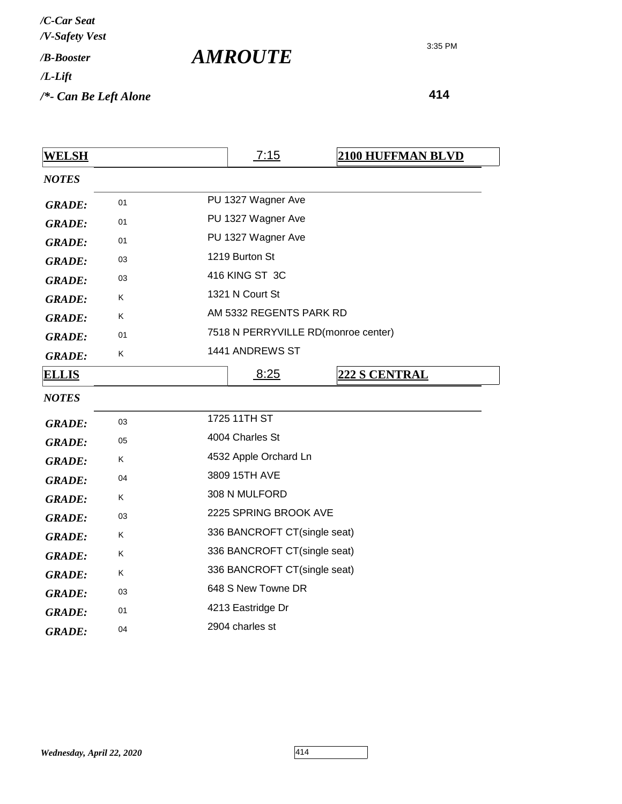| WELSH         |    | 7:15                                | <b>2100 HUFFMAN BLVD</b> |
|---------------|----|-------------------------------------|--------------------------|
| <b>NOTES</b>  |    |                                     |                          |
| <b>GRADE:</b> | 01 | PU 1327 Wagner Ave                  |                          |
| <b>GRADE:</b> | 01 | PU 1327 Wagner Ave                  |                          |
| <b>GRADE:</b> | 01 | PU 1327 Wagner Ave                  |                          |
| <b>GRADE:</b> | 03 | 1219 Burton St                      |                          |
| <b>GRADE:</b> | 03 | 416 KING ST 3C                      |                          |
| <b>GRADE:</b> | Κ  | 1321 N Court St                     |                          |
| <b>GRADE:</b> | Κ  | AM 5332 REGENTS PARK RD             |                          |
| <b>GRADE:</b> | 01 | 7518 N PERRYVILLE RD(monroe center) |                          |
| <b>GRADE:</b> | Κ  | 1441 ANDREWS ST                     |                          |
| <b>ELLIS</b>  |    | 8:25                                | <b>222 S CENTRAL</b>     |
| <b>NOTES</b>  |    |                                     |                          |
| <b>GRADE:</b> | 03 | 1725 11TH ST                        |                          |
| <b>GRADE:</b> | 05 | 4004 Charles St                     |                          |
| <b>GRADE:</b> | Κ  | 4532 Apple Orchard Ln               |                          |
| <b>GRADE:</b> | 04 | 3809 15TH AVE                       |                          |
| <b>GRADE:</b> | Κ  | 308 N MULFORD                       |                          |
| <b>GRADE:</b> | 03 | 2225 SPRING BROOK AVE               |                          |
| <b>GRADE:</b> | Κ  | 336 BANCROFT CT(single seat)        |                          |
| <b>GRADE:</b> | Κ  | 336 BANCROFT CT(single seat)        |                          |
| <b>GRADE:</b> | Κ  | 336 BANCROFT CT(single seat)        |                          |
| <b>GRADE:</b> | 03 | 648 S New Towne DR                  |                          |
| <b>GRADE:</b> | 01 | 4213 Eastridge Dr                   |                          |
| <b>GRADE:</b> | 04 | 2904 charles st                     |                          |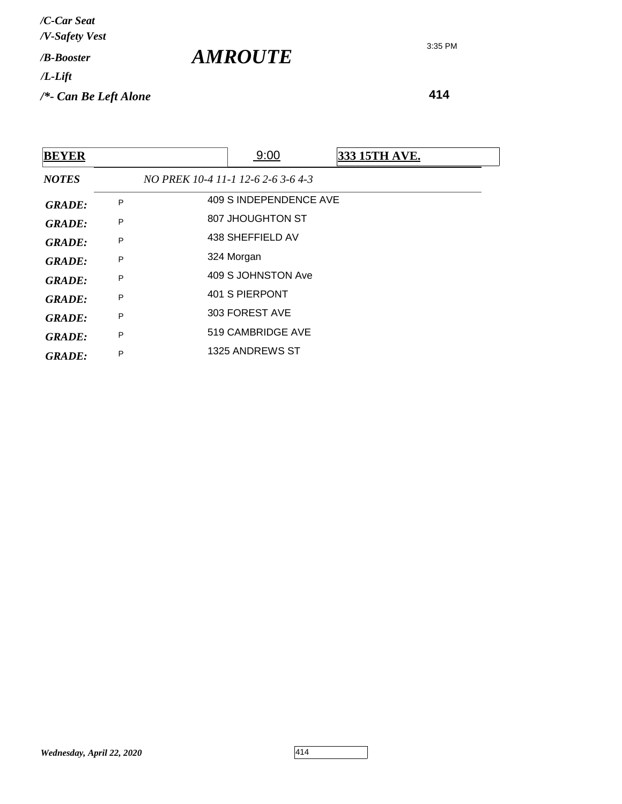**414**

| <b>BEYER</b>  |   | 9:00                               | <b>333 15TH AVE.</b> |
|---------------|---|------------------------------------|----------------------|
| <b>NOTES</b>  |   | NO PREK 10-4 11-1 12-6 2-6 3-6 4-3 |                      |
| <b>GRADE:</b> | P | 409 S INDEPENDENCE AVE             |                      |
| <b>GRADE:</b> | P | 807 JHOUGHTON ST                   |                      |
| <b>GRADE:</b> | P | 438 SHEFFIELD AV                   |                      |
| <b>GRADE:</b> | P | 324 Morgan                         |                      |
| <b>GRADE:</b> | P | 409 S JOHNSTON Ave                 |                      |
| <b>GRADE:</b> | P | 401 S PIERPONT                     |                      |
| <b>GRADE:</b> | P | 303 FOREST AVE                     |                      |
| <b>GRADE:</b> | P | 519 CAMBRIDGE AVE                  |                      |
| <b>GRADE:</b> | P | 1325 ANDREWS ST                    |                      |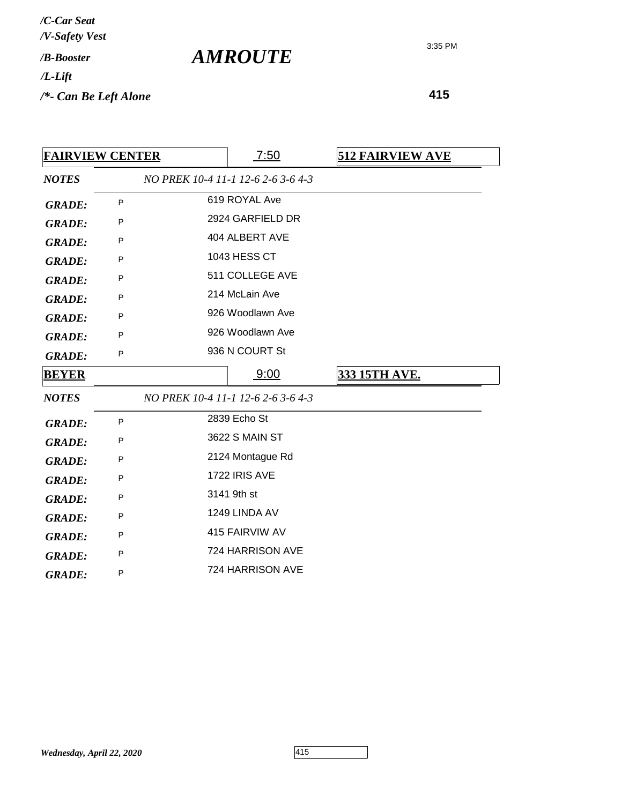| /C-Car Seat                                 |  |
|---------------------------------------------|--|
| /V-Safety Vest<br>/ <b><i>B-Booster</i></b> |  |
| /L-Lift                                     |  |
| /*- Can Be Left Alone                       |  |

3:35 PM

| <b>FAIRVIEW CENTER</b> |   |  | 7:50                               | <b>512 FAIRVIEW AVE</b> |
|------------------------|---|--|------------------------------------|-------------------------|
| <b>NOTES</b>           |   |  | NO PREK 10-4 11-1 12-6 2-6 3-6 4-3 |                         |
| <b>GRADE:</b>          | P |  | 619 ROYAL Ave                      |                         |
| <b>GRADE:</b>          | P |  | 2924 GARFIELD DR                   |                         |
| <b>GRADE:</b>          | P |  | 404 ALBERT AVE                     |                         |
| <b>GRADE:</b>          | P |  | 1043 HESS CT                       |                         |
| <b>GRADE:</b>          | P |  | 511 COLLEGE AVE                    |                         |
| <b>GRADE:</b>          | P |  | 214 McLain Ave                     |                         |
| <b>GRADE:</b>          | P |  | 926 Woodlawn Ave                   |                         |
| <b>GRADE:</b>          | P |  | 926 Woodlawn Ave                   |                         |
| <b>GRADE:</b>          | P |  | 936 N COURT St                     |                         |
| <b>BEYER</b>           |   |  | 9:00                               | <b>333 15TH AVE.</b>    |
| <b>NOTES</b>           |   |  | NO PREK 10-4 11-1 12-6 2-6 3-6 4-3 |                         |
| <b>GRADE:</b>          | P |  | 2839 Echo St                       |                         |
| <b>GRADE:</b>          | P |  | 3622 S MAIN ST                     |                         |
| <b>GRADE:</b>          | P |  | 2124 Montague Rd                   |                         |
| <b>GRADE:</b>          | P |  | 1722 IRIS AVE                      |                         |
| <b>GRADE:</b>          | P |  | 3141 9th st                        |                         |
| <b>GRADE:</b>          | P |  | 1249 LINDA AV                      |                         |
| <b>GRADE:</b>          | P |  | 415 FAIRVIW AV                     |                         |
| <b>GRADE:</b>          | P |  | 724 HARRISON AVE                   |                         |
| <b>GRADE:</b>          | P |  | 724 HARRISON AVE                   |                         |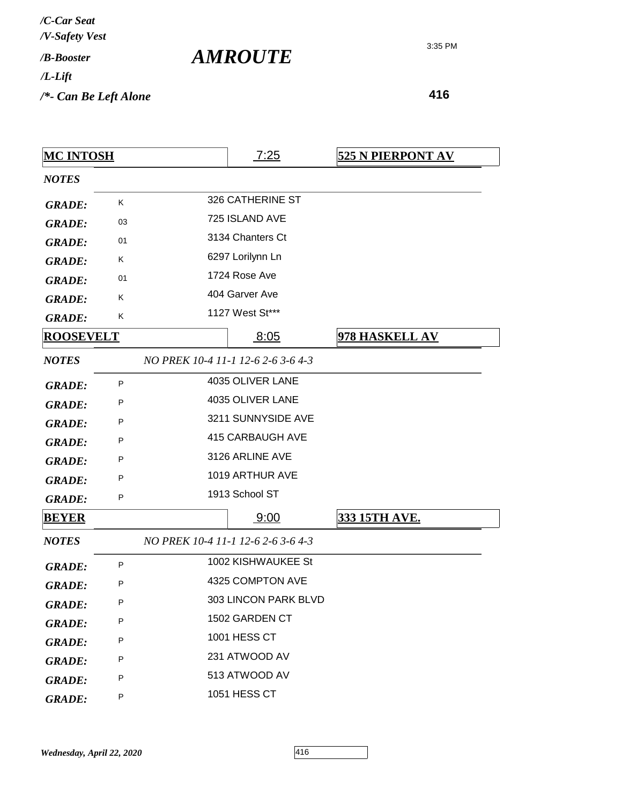*AMROUTE*

3:35 PM

| <b>MC INTOSH</b> |         | 7:25                               | <b>525 N PIERPONT AV</b> |
|------------------|---------|------------------------------------|--------------------------|
| <b>NOTES</b>     |         |                                    |                          |
| <b>GRADE:</b>    | Κ       | 326 CATHERINE ST                   |                          |
| <b>GRADE:</b>    | 03      | 725 ISLAND AVE                     |                          |
| <b>GRADE:</b>    | 01      | 3134 Chanters Ct                   |                          |
| <b>GRADE:</b>    | Κ       | 6297 Lorilynn Ln                   |                          |
| <b>GRADE:</b>    | 01      | 1724 Rose Ave                      |                          |
| <b>GRADE:</b>    | Κ       | 404 Garver Ave                     |                          |
| <b>GRADE:</b>    | Κ       | 1127 West St***                    |                          |
| <b>ROOSEVELT</b> |         | <u>8:05</u>                        | 978 HASKELL AV           |
| <b>NOTES</b>     |         | NO PREK 10-4 11-1 12-6 2-6 3-6 4-3 |                          |
| <b>GRADE:</b>    | P       | 4035 OLIVER LANE                   |                          |
| <b>GRADE:</b>    | P       | 4035 OLIVER LANE                   |                          |
| <b>GRADE:</b>    | P       | 3211 SUNNYSIDE AVE                 |                          |
| <b>GRADE:</b>    | P       | 415 CARBAUGH AVE                   |                          |
| <b>GRADE:</b>    | P       | 3126 ARLINE AVE                    |                          |
| <b>GRADE:</b>    | P       | 1019 ARTHUR AVE                    |                          |
| <b>GRADE:</b>    | P       | 1913 School ST                     |                          |
| <b>BEYER</b>     |         | 9:00                               | <b>333 15TH AVE.</b>     |
| <b>NOTES</b>     |         | NO PREK 10-4 11-1 12-6 2-6 3-6 4-3 |                          |
| <b>GRADE:</b>    | $\sf P$ | 1002 KISHWAUKEE St                 |                          |
| <b>GRADE:</b>    | P       | 4325 COMPTON AVE                   |                          |
| <b>GRADE:</b>    | P       | 303 LINCON PARK BLVD               |                          |
| <b>GRADE:</b>    | P       | 1502 GARDEN CT                     |                          |
| <b>GRADE:</b>    | P       | 1001 HESS CT                       |                          |
| <b>GRADE:</b>    | P       | 231 ATWOOD AV                      |                          |
| <b>GRADE:</b>    | P       | 513 ATWOOD AV                      |                          |
| <b>GRADE:</b>    | P       | 1051 HESS CT                       |                          |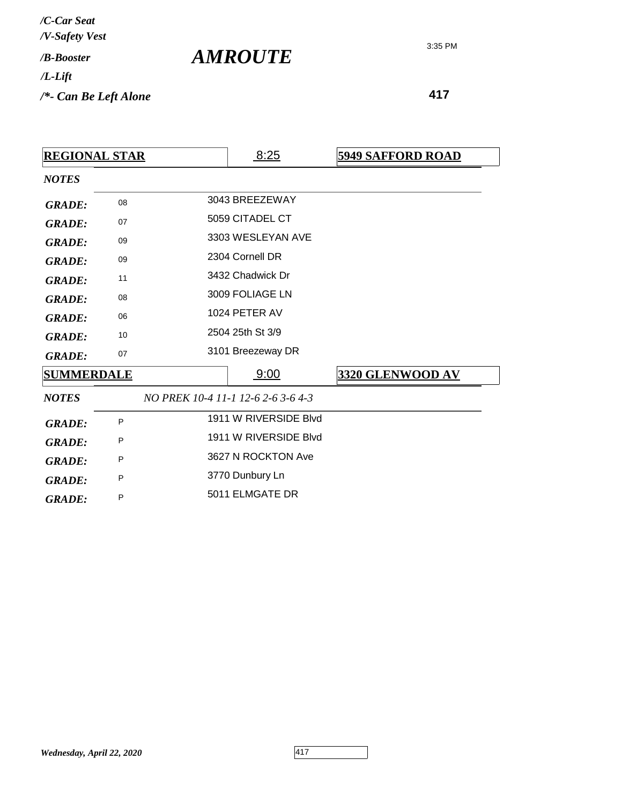**417**

| <b>REGIONAL STAR</b> |    |  | 8:25                               | <b>5949 SAFFORD ROAD</b> |
|----------------------|----|--|------------------------------------|--------------------------|
| <b>NOTES</b>         |    |  |                                    |                          |
| <b>GRADE:</b>        | 08 |  | 3043 BREEZEWAY                     |                          |
| <b>GRADE:</b>        | 07 |  | 5059 CITADEL CT                    |                          |
| <b>GRADE:</b>        | 09 |  | 3303 WESLEYAN AVE                  |                          |
| <b>GRADE:</b>        | 09 |  | 2304 Cornell DR                    |                          |
| <b>GRADE:</b>        | 11 |  | 3432 Chadwick Dr                   |                          |
| <b>GRADE:</b>        | 08 |  | 3009 FOLIAGE LN                    |                          |
| <b>GRADE:</b>        | 06 |  | 1024 PETER AV                      |                          |
| <b>GRADE:</b>        | 10 |  | 2504 25th St 3/9                   |                          |
| <b>GRADE:</b>        | 07 |  | 3101 Breezeway DR                  |                          |
| <b>SUMMERDALE</b>    |    |  | 9:00                               | 3320 GLENWOOD AV         |
| <b>NOTES</b>         |    |  | NO PREK 10-4 11-1 12-6 2-6 3-6 4-3 |                          |
| <b>GRADE:</b>        | P  |  | 1911 W RIVERSIDE Blvd              |                          |
| <b>GRADE:</b>        | P  |  | 1911 W RIVERSIDE Blvd              |                          |
| <b>GRADE:</b>        | P  |  | 3627 N ROCKTON Ave                 |                          |
| <b>GRADE:</b>        | P  |  | 3770 Dunbury Ln                    |                          |
| <b>GRADE:</b>        | P  |  | 5011 ELMGATE DR                    |                          |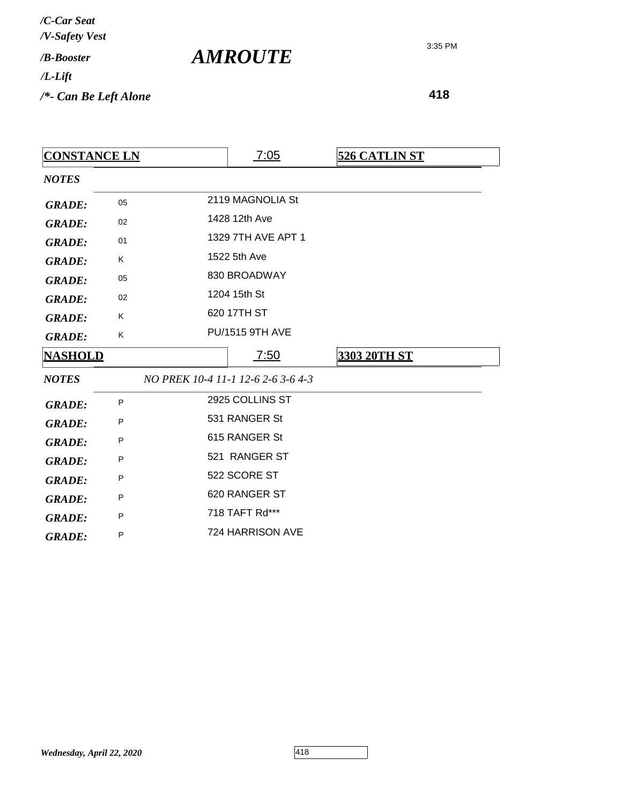| <b>CONSTANCE LN</b> |    |               | 7:05                               | <b>526 CATLIN ST</b> |
|---------------------|----|---------------|------------------------------------|----------------------|
| <b>NOTES</b>        |    |               |                                    |                      |
| <b>GRADE:</b>       | 05 |               | 2119 MAGNOLIA St                   |                      |
| <b>GRADE:</b>       | 02 |               | 1428 12th Ave                      |                      |
| <b>GRADE:</b>       | 01 |               | 1329 7TH AVE APT 1                 |                      |
| <b>GRADE:</b>       | K  |               | 1522 5th Ave                       |                      |
| <b>GRADE:</b>       | 05 |               | 830 BROADWAY                       |                      |
| <b>GRADE:</b>       | 02 |               | 1204 15th St                       |                      |
| <b>GRADE:</b>       | Κ  |               | 620 17TH ST                        |                      |
| <b>GRADE:</b>       | K  |               | <b>PU/1515 9TH AVE</b>             |                      |
| <b>NASHOLD</b>      |    |               | <u>7:50</u>                        | 3303 20TH ST         |
| <b>NOTES</b>        |    |               | NO PREK 10-4 11-1 12-6 2-6 3-6 4-3 |                      |
| <b>GRADE:</b>       | P  |               | 2925 COLLINS ST                    |                      |
| <b>GRADE:</b>       | P  |               | 531 RANGER St                      |                      |
| <b>GRADE:</b>       | P  |               | 615 RANGER St                      |                      |
| <b>GRADE:</b>       | P  | 521 RANGER ST |                                    |                      |
| <b>GRADE:</b>       | P  | 522 SCORE ST  |                                    |                      |
| <b>GRADE:</b>       | P  | 620 RANGER ST |                                    |                      |
| <b>GRADE:</b>       | P  |               | 718 TAFT Rd***                     |                      |
| <b>GRADE:</b>       | P  |               | 724 HARRISON AVE                   |                      |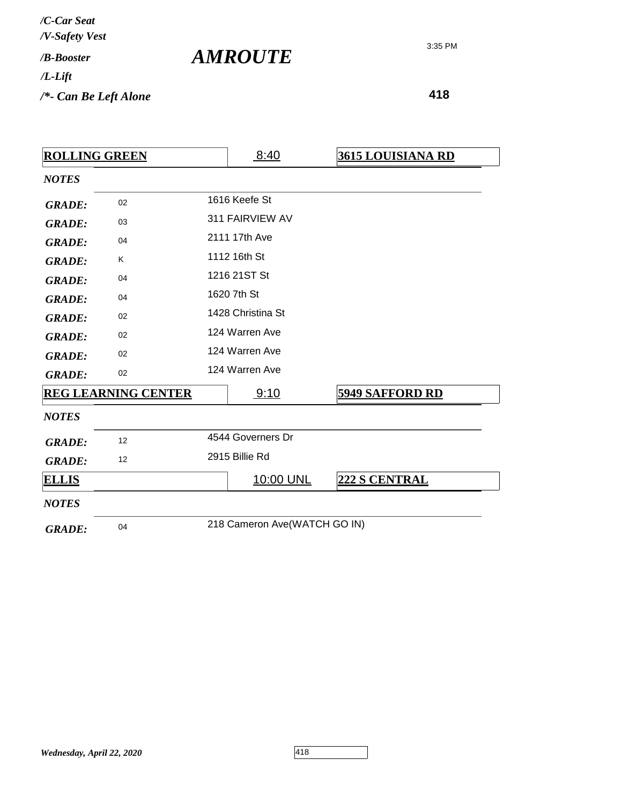| /C-Car Seat<br>/V-Safety Vest |  |
|-------------------------------|--|
| / <b><i>B-Booster</i></b>     |  |
| /L-Lift                       |  |
| /*- Can Be Left Alone         |  |

| <u>ROLLING GREEN</u> |                            |                | 8:40                         | <b>3615 LOUISIANA RD</b> |
|----------------------|----------------------------|----------------|------------------------------|--------------------------|
| <b>NOTES</b>         |                            |                |                              |                          |
| <b>GRADE:</b>        | 02                         |                | 1616 Keefe St                |                          |
| <b>GRADE:</b>        | 03                         |                | 311 FAIRVIEW AV              |                          |
| <b>GRADE:</b>        | 04                         |                | 2111 17th Ave                |                          |
| <b>GRADE:</b>        | K                          |                | 1112 16th St                 |                          |
| <b>GRADE:</b>        | 04                         |                | 1216 21ST St                 |                          |
| <b>GRADE:</b>        | 04                         |                | 1620 7th St                  |                          |
| <b>GRADE:</b>        | 02                         |                | 1428 Christina St            |                          |
| <b>GRADE:</b>        | 02                         |                | 124 Warren Ave               |                          |
| <b>GRADE:</b>        | 02                         |                | 124 Warren Ave               |                          |
| <b>GRADE:</b>        | 02                         |                | 124 Warren Ave               |                          |
|                      | <b>REG LEARNING CENTER</b> |                | 9:10                         | <b>5949 SAFFORD RD</b>   |
| <b>NOTES</b>         |                            |                |                              |                          |
| <b>GRADE:</b>        | 12                         |                | 4544 Governers Dr            |                          |
| <b>GRADE:</b>        | 12                         | 2915 Billie Rd |                              |                          |
| <b>ELLIS</b>         |                            |                | 10:00 UNL                    | 222 S CENTRAL            |
| <b>NOTES</b>         |                            |                |                              |                          |
| <b>GRADE:</b>        | 04                         |                | 218 Cameron Ave(WATCH GO IN) |                          |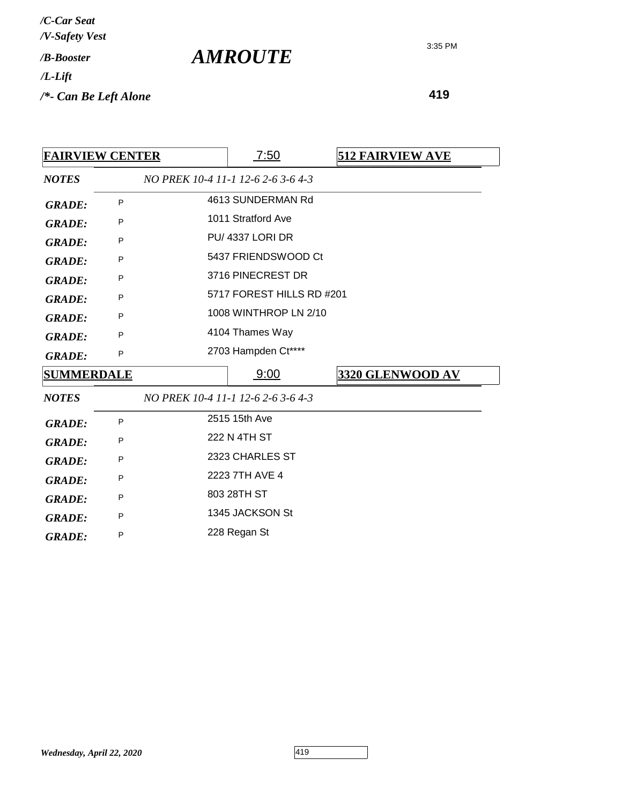| /C-Car Seat<br>/V-Safety Vest   |                       |
|---------------------------------|-----------------------|
| /B-Booster                      | <i><b>AMROUTE</b></i> |
| $/L$ -Lift                      |                       |
| $\frac{1}{2}$ Can Be Left Alone |                       |

| <b>FAIRVIEW CENTER</b> |   |                                    | <u>7:50</u>               |  | <b>512 FAIRVIEW AVE</b> |  |
|------------------------|---|------------------------------------|---------------------------|--|-------------------------|--|
| <b>NOTES</b>           |   | NO PREK 10-4 11-1 12-6 2-6 3-6 4-3 |                           |  |                         |  |
| <b>GRADE:</b>          | P |                                    | 4613 SUNDERMAN Rd         |  |                         |  |
| <b>GRADE:</b>          | P |                                    | 1011 Stratford Ave        |  |                         |  |
| <b>GRADE:</b>          | P |                                    | <b>PU/ 4337 LORI DR</b>   |  |                         |  |
| <b>GRADE:</b>          | P |                                    | 5437 FRIENDSWOOD Ct       |  |                         |  |
| <b>GRADE:</b>          | P |                                    | 3716 PINECREST DR         |  |                         |  |
| <b>GRADE:</b>          | P |                                    | 5717 FOREST HILLS RD #201 |  |                         |  |
| <b>GRADE:</b>          | P |                                    | 1008 WINTHROP LN 2/10     |  |                         |  |
| <b>GRADE:</b>          | P |                                    | 4104 Thames Way           |  |                         |  |
| <b>GRADE:</b>          | P |                                    | 2703 Hampden Ct****       |  |                         |  |
| <b>SUMMERDALE</b>      |   |                                    | 9:00                      |  | 3320 GLENWOOD AV        |  |
| <b>NOTES</b>           |   | NO PREK 10-4 11-1 12-6 2-6 3-6 4-3 |                           |  |                         |  |
| <b>GRADE:</b>          | P |                                    | 2515 15th Ave             |  |                         |  |
| <b>GRADE:</b>          | P |                                    | 222 N 4TH ST              |  |                         |  |
| <b>GRADE:</b>          | P | 2323 CHARLES ST                    |                           |  |                         |  |
| <b>GRADE:</b>          | P | 2223 7TH AVE 4                     |                           |  |                         |  |
| <b>GRADE:</b>          | P |                                    | 803 28TH ST               |  |                         |  |
| <b>GRADE:</b>          | P |                                    | 1345 JACKSON St           |  |                         |  |
| <b>GRADE:</b>          | P |                                    | 228 Regan St              |  |                         |  |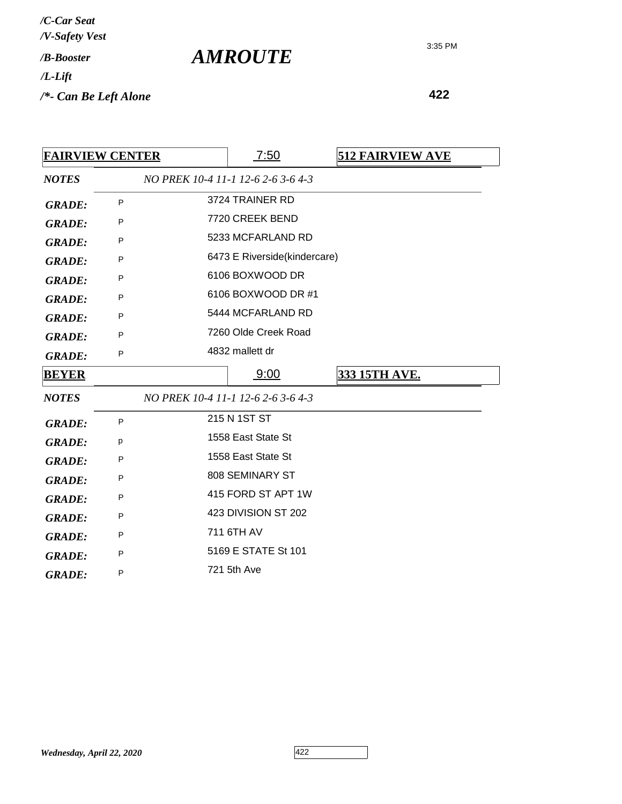| /C-Car Seat           |  |
|-----------------------|--|
| /V-Safety Vest        |  |
| / <i>B-Booster</i>    |  |
| /L-Lift               |  |
| /*- Can Be Left Alone |  |

|               | <b>FAIRVIEW CENTER</b> |                     | 7:50                               | <b>512 FAIRVIEW AVE</b> |
|---------------|------------------------|---------------------|------------------------------------|-------------------------|
| <b>NOTES</b>  |                        |                     | NO PREK 10-4 11-1 12-6 2-6 3-6 4-3 |                         |
| <b>GRADE:</b> | P                      |                     | 3724 TRAINER RD                    |                         |
| <b>GRADE:</b> | P                      |                     | 7720 CREEK BEND                    |                         |
| <b>GRADE:</b> | P                      |                     | 5233 MCFARLAND RD                  |                         |
| <b>GRADE:</b> | P                      |                     | 6473 E Riverside(kindercare)       |                         |
| <b>GRADE:</b> | P                      |                     | 6106 BOXWOOD DR                    |                         |
| <b>GRADE:</b> | P                      |                     | 6106 BOXWOOD DR #1                 |                         |
| <b>GRADE:</b> | P                      |                     | 5444 MCFARLAND RD                  |                         |
| <b>GRADE:</b> | P                      |                     | 7260 Olde Creek Road               |                         |
| <b>GRADE:</b> | P                      |                     | 4832 mallett dr                    |                         |
| <b>BEYER</b>  |                        |                     | 9:00                               | 333 15TH AVE.           |
| <b>NOTES</b>  |                        |                     | NO PREK 10-4 11-1 12-6 2-6 3-6 4-3 |                         |
| <b>GRADE:</b> | P                      |                     | 215 N 1ST ST                       |                         |
| <b>GRADE:</b> | р                      |                     | 1558 East State St                 |                         |
| <b>GRADE:</b> | P                      |                     | 1558 East State St                 |                         |
| <b>GRADE:</b> | P                      |                     | 808 SEMINARY ST                    |                         |
| <b>GRADE:</b> | P                      |                     | 415 FORD ST APT 1W                 |                         |
| <b>GRADE:</b> | P                      | 423 DIVISION ST 202 |                                    |                         |
| <b>GRADE:</b> | P                      |                     | 711 6TH AV                         |                         |
| <b>GRADE:</b> | P                      |                     | 5169 E STATE St 101                |                         |
| <b>GRADE:</b> | P                      |                     | 721 5th Ave                        |                         |
|               |                        |                     |                                    |                         |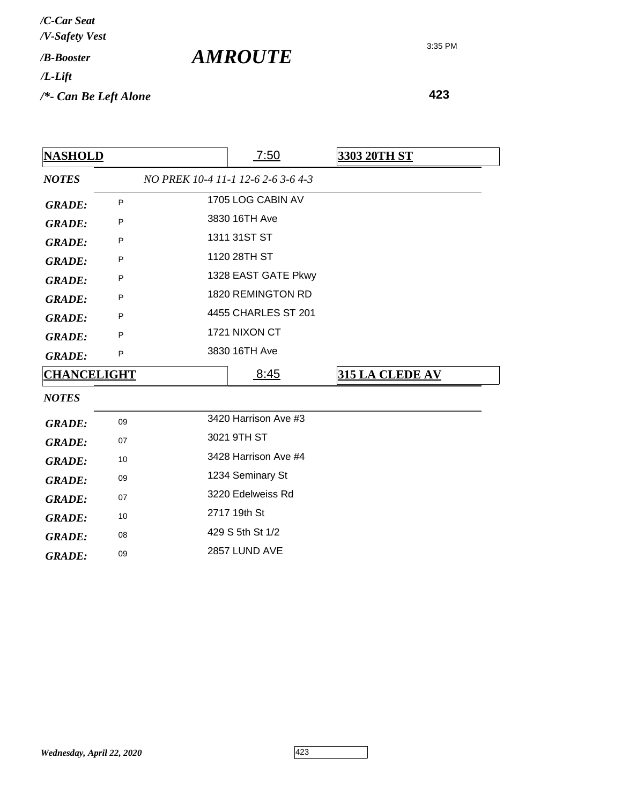| /C-Car Seat<br>/V-Safety Vest   |                       |
|---------------------------------|-----------------------|
| / <b><i>B-Booster</i></b>       | <i><b>AMROUTE</b></i> |
| $/L$ -Lift                      |                       |
| $\frac{1}{2}$ Can Be Left Alone |                       |

**423**

| <b>NASHOLD</b>     |    | 7:50                               | <b>3303 20TH ST</b>    |
|--------------------|----|------------------------------------|------------------------|
| <b>NOTES</b>       |    | NO PREK 10-4 11-1 12-6 2-6 3-6 4-3 |                        |
| <b>GRADE:</b>      | P  | 1705 LOG CABIN AV                  |                        |
| <b>GRADE:</b>      | P  | 3830 16TH Ave                      |                        |
| <b>GRADE:</b>      | P  | 1311 31ST ST                       |                        |
| <b>GRADE:</b>      | P  | 1120 28TH ST                       |                        |
| <b>GRADE:</b>      | P  | 1328 EAST GATE Pkwy                |                        |
| <b>GRADE:</b>      | P  | 1820 REMINGTON RD                  |                        |
| <b>GRADE:</b>      | P  | 4455 CHARLES ST 201                |                        |
| <b>GRADE:</b>      | P  | 1721 NIXON CT                      |                        |
| <b>GRADE:</b>      | P  | 3830 16TH Ave                      |                        |
| <b>CHANCELIGHT</b> |    | <u>8:45</u>                        | <b>315 LA CLEDE AV</b> |
| <b>NOTES</b>       |    |                                    |                        |
| <b>GRADE:</b>      | 09 | 3420 Harrison Ave #3               |                        |
| <b>GRADE:</b>      | 07 | 3021 9TH ST                        |                        |
| <b>GRADE:</b>      | 10 | 3428 Harrison Ave #4               |                        |
| <b>GRADE:</b>      | 09 | 1234 Seminary St                   |                        |
| <b>GRADE:</b>      | 07 | 3220 Edelweiss Rd                  |                        |
| <b>GRADE:</b>      | 10 | 2717 19th St                       |                        |
| <b>GRADE:</b>      | 08 | 429 S 5th St 1/2                   |                        |
| <b>GRADE:</b>      | 09 | 2857 LUND AVE                      |                        |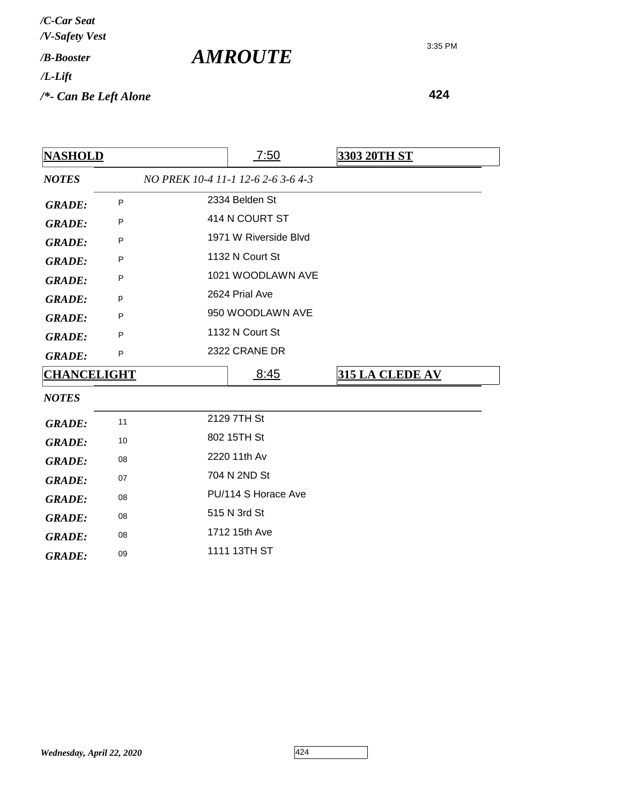| /C-Car Seat<br>/V-Safety Vest |  |
|-------------------------------|--|
| / <b><i>B-Booster</i></b>     |  |
| /L-Lift                       |  |
| /*- Can Be Left Alone         |  |

| <b>NASHOLD</b>     |    | 7:50                               | 3303 20TH ST    |
|--------------------|----|------------------------------------|-----------------|
| <b>NOTES</b>       |    | NO PREK 10-4 11-1 12-6 2-6 3-6 4-3 |                 |
| <b>GRADE:</b>      | P  | 2334 Belden St                     |                 |
| <b>GRADE:</b>      | P  | 414 N COURT ST                     |                 |
| <b>GRADE:</b>      | P  | 1971 W Riverside Blvd              |                 |
| <b>GRADE:</b>      | P  | 1132 N Court St                    |                 |
| <b>GRADE:</b>      | P  | 1021 WOODLAWN AVE                  |                 |
| <b>GRADE:</b>      | p  | 2624 Prial Ave                     |                 |
| <b>GRADE:</b>      | P  | 950 WOODLAWN AVE                   |                 |
| <b>GRADE:</b>      | P  | 1132 N Court St                    |                 |
| <b>GRADE:</b>      | P  | 2322 CRANE DR                      |                 |
| <b>CHANCELIGHT</b> |    | 8:45                               | 315 LA CLEDE AV |
| <b>NOTES</b>       |    |                                    |                 |
| <b>GRADE:</b>      | 11 | 2129 7TH St                        |                 |
| <b>GRADE:</b>      | 10 | 802 15TH St                        |                 |
| <b>GRADE:</b>      | 08 | 2220 11th Av                       |                 |
| <b>GRADE:</b>      | 07 | 704 N 2ND St                       |                 |
| <b>GRADE:</b>      | 08 | PU/114 S Horace Ave                |                 |
| <b>GRADE:</b>      | 08 | 515 N 3rd St                       |                 |
| <b>GRADE:</b>      | 08 | 1712 15th Ave                      |                 |
| <b>GRADE:</b>      | 09 | 1111 13TH ST                       |                 |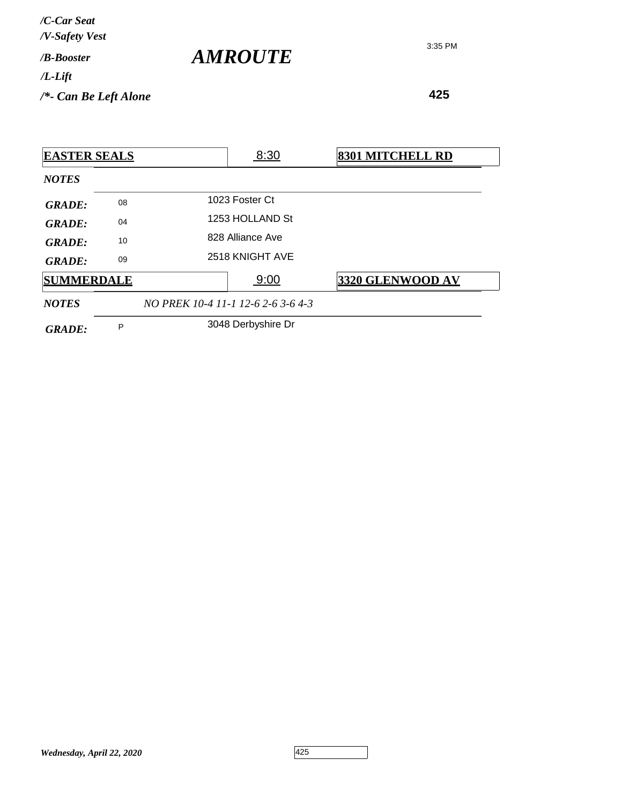| /C-Car Seat<br>/V-Safety Vest |                |
|-------------------------------|----------------|
| / <b>B-Booster</b>            | <b>AMROUTE</b> |
| $/L$ -Lift                    |                |
| $/*$ - Can Be Left Alone      |                |

| <b>EASTER SEALS</b> |    |                                    | 8:30               | 8301 MITCHELL RD |
|---------------------|----|------------------------------------|--------------------|------------------|
| <b>NOTES</b>        |    |                                    |                    |                  |
| <b>GRADE:</b>       | 08 |                                    | 1023 Foster Ct     |                  |
| <b>GRADE:</b>       | 04 |                                    | 1253 HOLLAND St    |                  |
| GRADE:              | 10 |                                    | 828 Alliance Ave   |                  |
| <b>GRADE:</b>       | 09 |                                    | 2518 KNIGHT AVE    |                  |
| <b>SUMMERDALE</b>   |    |                                    | 9:00               | 3320 GLENWOOD AV |
| <b>NOTES</b>        |    | NO PREK 10-4 11-1 12-6 2-6 3-6 4-3 |                    |                  |
| <b>GRADE:</b>       | P  |                                    | 3048 Derbyshire Dr |                  |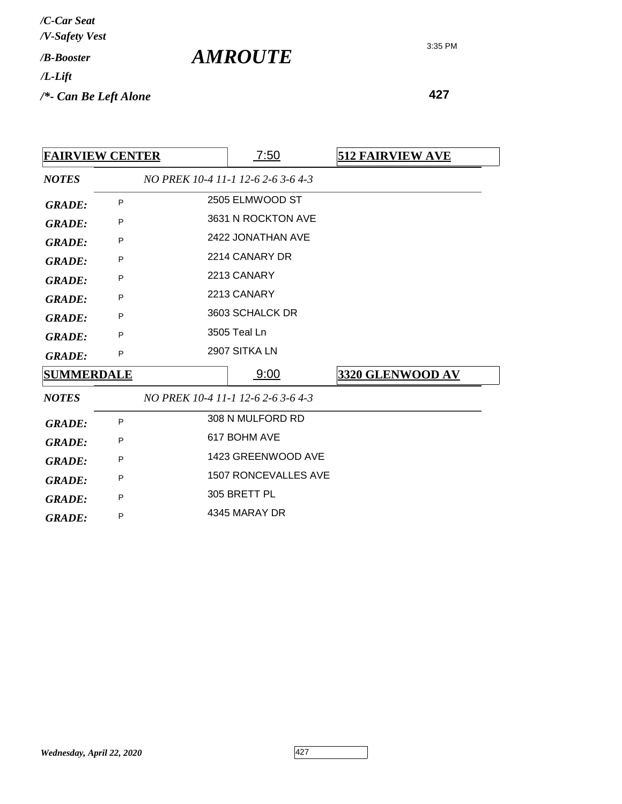| /C-Car Seat<br>/V-Safety Vest   |                       |
|---------------------------------|-----------------------|
| /B-Booster                      | <i><b>AMROUTE</b></i> |
| $/L$ -Lift                      |                       |
| $\frac{1}{2}$ Can Be Left Alone |                       |

| <b>FAIRVIEW CENTER</b> |   | 7:50                               | <b>512 FAIRVIEW AVE</b> |
|------------------------|---|------------------------------------|-------------------------|
| <b>NOTES</b>           |   | NO PREK 10-4 11-1 12-6 2-6 3-6 4-3 |                         |
| <b>GRADE:</b>          | P | 2505 ELMWOOD ST                    |                         |
| <b>GRADE:</b>          | P | 3631 N ROCKTON AVE                 |                         |
| <b>GRADE:</b>          | P | 2422 JONATHAN AVE                  |                         |
| <b>GRADE:</b>          | P | 2214 CANARY DR                     |                         |
| <b>GRADE:</b>          | P | 2213 CANARY                        |                         |
| <b>GRADE:</b>          | P | 2213 CANARY                        |                         |
| <b>GRADE:</b>          | P | 3603 SCHALCK DR                    |                         |
| <b>GRADE:</b>          | P | 3505 Teal Ln                       |                         |
| <b>GRADE:</b>          | P | 2907 SITKA LN                      |                         |
| <b>SUMMERDALE</b>      |   | 9:00                               | 3320 GLENWOOD AV        |
| <b>NOTES</b>           |   | NO PREK 10-4 11-1 12-6 2-6 3-6 4-3 |                         |
| <b>GRADE:</b>          | P | 308 N MULFORD RD                   |                         |
| <b>GRADE:</b>          | P | 617 BOHM AVE                       |                         |
| <b>GRADE:</b>          | P | 1423 GREENWOOD AVE                 |                         |
| <b>GRADE:</b>          | P | <b>1507 RONCEVALLES AVE</b>        |                         |
| <b>GRADE:</b>          | P | 305 BRETT PL                       |                         |
| <b>GRADE:</b>          | P | 4345 MARAY DR                      |                         |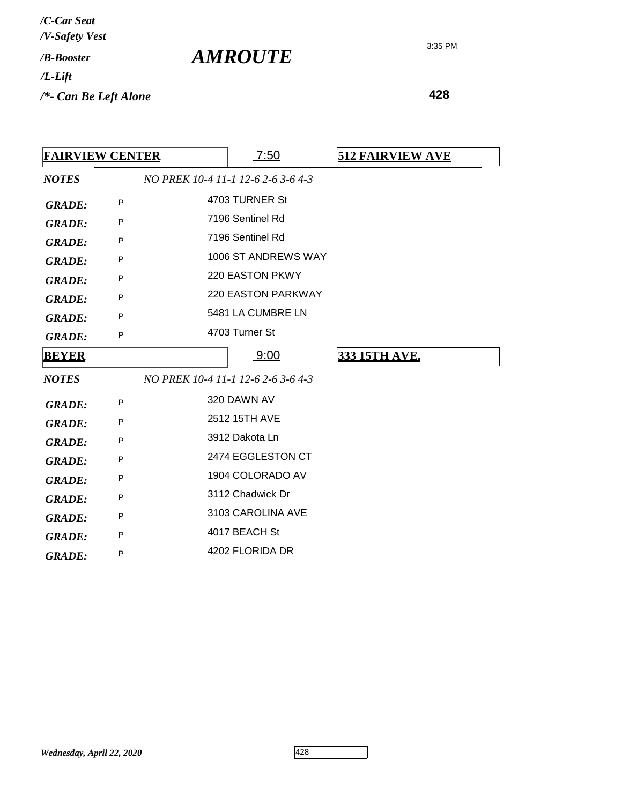| /C-Car Seat<br>/V-Safety Vest   |                       |
|---------------------------------|-----------------------|
| / <b><i>B-Booster</i></b>       | <i><b>AMROUTE</b></i> |
| $/L$ -Lift                      |                       |
| $\frac{1}{2}$ Can Be Left Alone |                       |

| <b>FAIRVIEW CENTER</b> |   | 7:50                               | <b>512 FAIRVIEW AVE</b> |
|------------------------|---|------------------------------------|-------------------------|
| <b>NOTES</b>           |   | NO PREK 10-4 11-1 12-6 2-6 3-6 4-3 |                         |
| <b>GRADE:</b>          | P | 4703 TURNER St                     |                         |
| <b>GRADE:</b>          | P | 7196 Sentinel Rd                   |                         |
| <b>GRADE:</b>          | P | 7196 Sentinel Rd                   |                         |
| <b>GRADE:</b>          | P | 1006 ST ANDREWS WAY                |                         |
| <b>GRADE:</b>          | P | 220 EASTON PKWY                    |                         |
| <b>GRADE:</b>          | P | <b>220 EASTON PARKWAY</b>          |                         |
| <b>GRADE:</b>          | P | 5481 LA CUMBRE LN                  |                         |
| <b>GRADE:</b>          | P | 4703 Turner St                     |                         |
| <b>BEYER</b>           |   | 9:00                               | 333 15TH AVE.           |
| <b>NOTES</b>           |   | NO PREK 10-4 11-1 12-6 2-6 3-6 4-3 |                         |
| <b>GRADE:</b>          | P | 320 DAWN AV                        |                         |
| <b>GRADE:</b>          | P | 2512 15TH AVE                      |                         |
| <b>GRADE:</b>          | P | 3912 Dakota Ln                     |                         |
| <b>GRADE:</b>          | P | 2474 EGGLESTON CT                  |                         |
| <b>GRADE:</b>          | P | 1904 COLORADO AV                   |                         |
| <b>GRADE:</b>          | P | 3112 Chadwick Dr                   |                         |
| <b>GRADE:</b>          | P | 3103 CAROLINA AVE                  |                         |
| <b>GRADE:</b>          | P | 4017 BEACH St                      |                         |
| <b>GRADE:</b>          | P | 4202 FLORIDA DR                    |                         |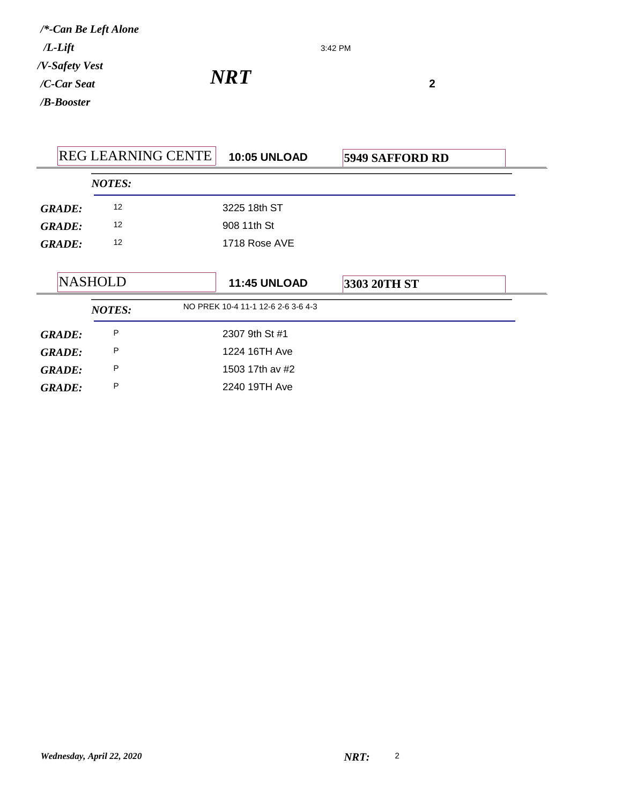*/B-Booster /C-Car Seat /V-Safety Vest /L-Lift /\*-Can Be Left Alone*

*NRT***<sup>2</sup>**

|               | <b>REG LEARNING CENTE</b> | <b>10:05 UNLOAD</b>                | <b>5949 SAFFORD RD</b> |  |
|---------------|---------------------------|------------------------------------|------------------------|--|
|               | <b>NOTES:</b>             |                                    |                        |  |
| <b>GRADE:</b> | 12                        | 3225 18th ST                       |                        |  |
| <b>GRADE:</b> | 12                        | 908 11th St                        |                        |  |
| <b>GRADE:</b> | $12 \overline{ }$         | 1718 Rose AVE                      |                        |  |
|               | <b>NASHOLD</b>            | <b>11:45 UNLOAD</b>                | 3303 20TH ST           |  |
|               | <b>NOTES:</b>             | NO PREK 10-4 11-1 12-6 2-6 3-6 4-3 |                        |  |
| <b>GRADE:</b> | P                         | 2307 9th St #1                     |                        |  |
| <b>GRADE:</b> | P                         | 1224 16TH Ave                      |                        |  |
| <b>GRADE:</b> | P                         | 1503 17th av #2                    |                        |  |
| <b>GRADE:</b> | P                         | 2240 19TH Ave                      |                        |  |

3:42 PM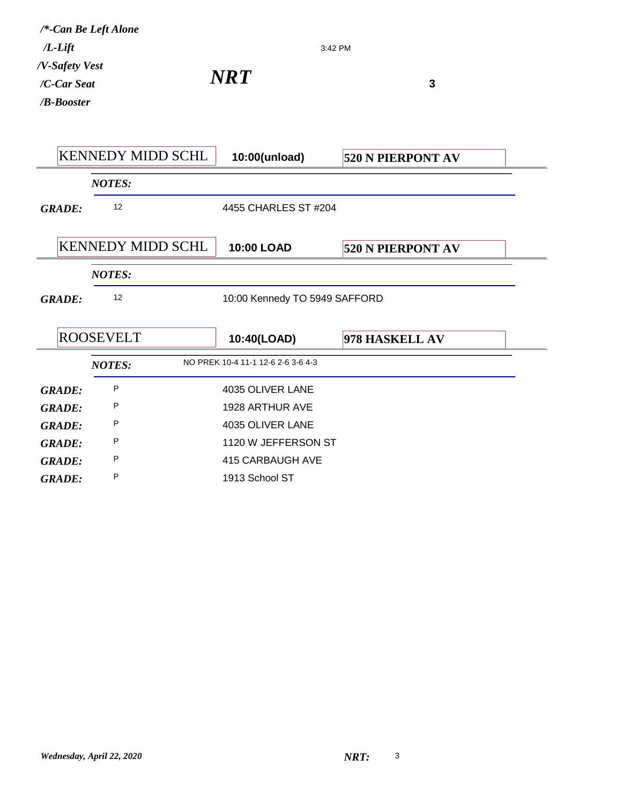| $/L$ -Lift<br>/V-Safety Vest<br>/C-Car Seat | /*-Can Be Left Alone     | 3:42 PM<br>NRT)                    | $\mathbf{3}$             |
|---------------------------------------------|--------------------------|------------------------------------|--------------------------|
| /B-Booster                                  |                          |                                    |                          |
|                                             |                          |                                    |                          |
|                                             | <b>KENNEDY MIDD SCHL</b> | 10:00(unload)                      | <b>520 N PIERPONT AV</b> |
|                                             | <b>NOTES:</b>            |                                    |                          |
| <b>GRADE:</b>                               | 12                       | 4455 CHARLES ST #204               |                          |
|                                             |                          |                                    |                          |
|                                             | <b>KENNEDY MIDD SCHL</b> | <b>10:00 LOAD</b>                  | 520 N PIERPONT AV        |
|                                             | <b>NOTES:</b>            |                                    |                          |
| <b>GRADE:</b>                               | 12                       | 10:00 Kennedy TO 5949 SAFFORD      |                          |
|                                             |                          |                                    |                          |
|                                             | <b>ROOSEVELT</b>         | 10:40(LOAD)                        | 978 HASKELL AV           |
|                                             | <b>NOTES:</b>            | NO PREK 10-4 11-1 12-6 2-6 3-6 4-3 |                          |
| <b>GRADE:</b>                               | P                        | 4035 OLIVER LANE                   |                          |
| <b>GRADE:</b>                               | P                        | 1928 ARTHUR AVE                    |                          |
| <b>GRADE:</b>                               | P                        | 4035 OLIVER LANE                   |                          |
| <b>GRADE:</b>                               | P                        | 1120 W JEFFERSON ST                |                          |
| <b>GRADE:</b>                               | P                        | 415 CARBAUGH AVE                   |                          |
| <b>GRADE:</b>                               | P                        | 1913 School ST                     |                          |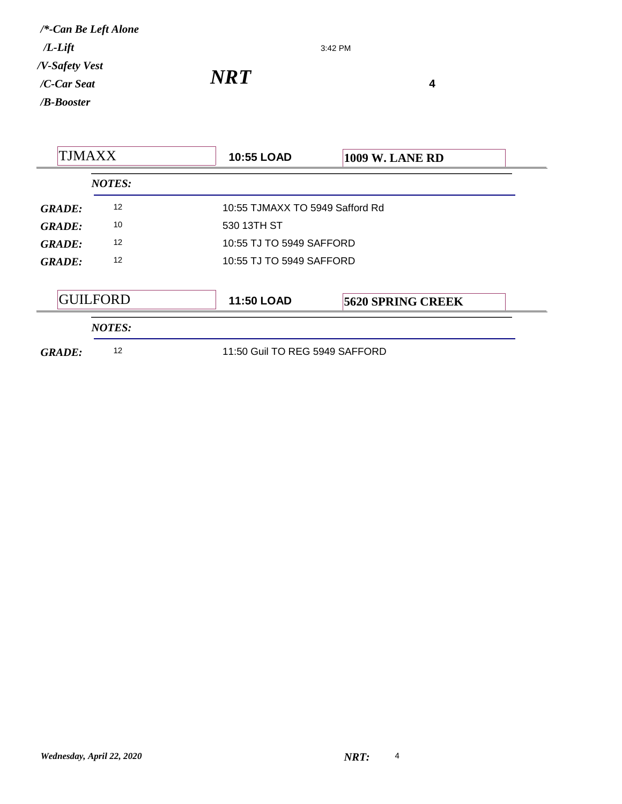3:42 PM

|                 | <b>10:55 LOAD</b> | <b>1009 W. LANE RD</b>                                                                                                    |
|-----------------|-------------------|---------------------------------------------------------------------------------------------------------------------------|
| <b>NOTES:</b>   |                   |                                                                                                                           |
| 12              |                   |                                                                                                                           |
| 10              | 530 13TH ST       |                                                                                                                           |
| 12              |                   |                                                                                                                           |
| 12              |                   |                                                                                                                           |
| <b>GUILFORD</b> | <b>11:50 LOAD</b> | <b>5620 SPRING CREEK</b>                                                                                                  |
| <b>NOTES:</b>   |                   |                                                                                                                           |
| 12              |                   |                                                                                                                           |
|                 |                   | 10:55 TJMAXX TO 5949 Safford Rd<br>10:55 TJ TO 5949 SAFFORD<br>10:55 TJ TO 5949 SAFFORD<br>11:50 Guil TO REG 5949 SAFFORD |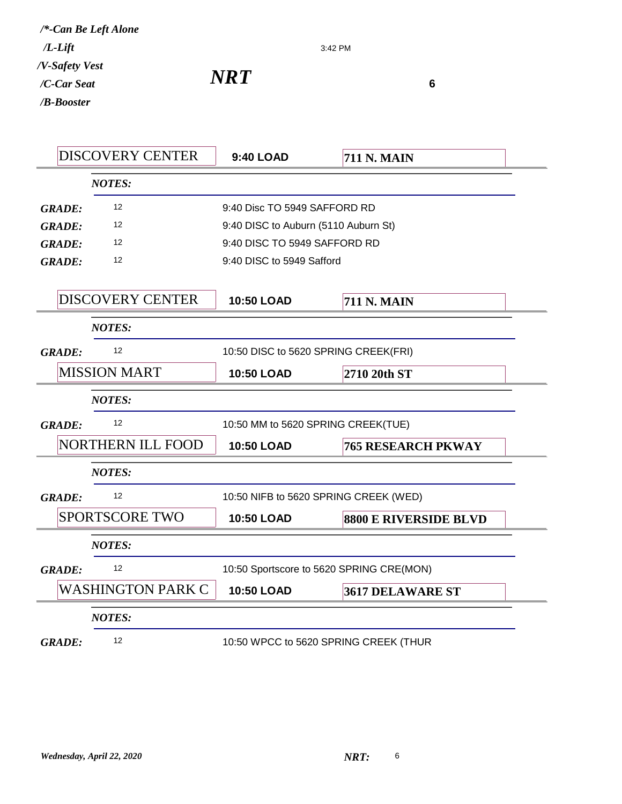| $\boldsymbol{N}\boldsymbol{R}\boldsymbol{T}$ |  |
|----------------------------------------------|--|
|                                              |  |

3:42 PM

|               | <b>DISCOVERY CENTER</b>  | <b>9:40 LOAD</b>                         | <b>711 N. MAIN</b>           |
|---------------|--------------------------|------------------------------------------|------------------------------|
|               | <b>NOTES:</b>            |                                          |                              |
| <b>GRADE:</b> | 12                       | 9:40 Disc TO 5949 SAFFORD RD             |                              |
| <b>GRADE:</b> | 12                       | 9:40 DISC to Auburn (5110 Auburn St)     |                              |
| <b>GRADE:</b> | 12                       | 9:40 DISC TO 5949 SAFFORD RD             |                              |
| <b>GRADE:</b> | 12                       | 9:40 DISC to 5949 Safford                |                              |
|               | <b>DISCOVERY CENTER</b>  |                                          |                              |
|               |                          | <b>10:50 LOAD</b>                        | <b>711 N. MAIN</b>           |
|               | <b>NOTES:</b>            |                                          |                              |
| <b>GRADE:</b> | 12                       | 10:50 DISC to 5620 SPRING CREEK(FRI)     |                              |
|               | <b>MISSION MART</b>      | 10:50 LOAD                               | 2710 20th ST                 |
|               | <b>NOTES:</b>            |                                          |                              |
| <b>GRADE:</b> | 12                       | 10:50 MM to 5620 SPRING CREEK(TUE)       |                              |
|               | <b>NORTHERN ILL FOOD</b> | <b>10:50 LOAD</b>                        | <b>765 RESEARCH PKWAY</b>    |
|               | <b>NOTES:</b>            |                                          |                              |
| <b>GRADE:</b> | 12                       | 10:50 NIFB to 5620 SPRING CREEK (WED)    |                              |
|               | <b>SPORTSCORE TWO</b>    | 10:50 LOAD                               | <b>8800 E RIVERSIDE BLVD</b> |
|               | <b>NOTES:</b>            |                                          |                              |
| <b>GRADE:</b> | 12                       | 10:50 Sportscore to 5620 SPRING CRE(MON) |                              |
|               | <b>WASHINGTON PARK C</b> | <b>10:50 LOAD</b>                        | 3617 DELAWARE ST             |
|               | <b>NOTES:</b>            |                                          |                              |
| <b>GRADE:</b> | 12                       | 10:50 WPCC to 5620 SPRING CREEK (THUR    |                              |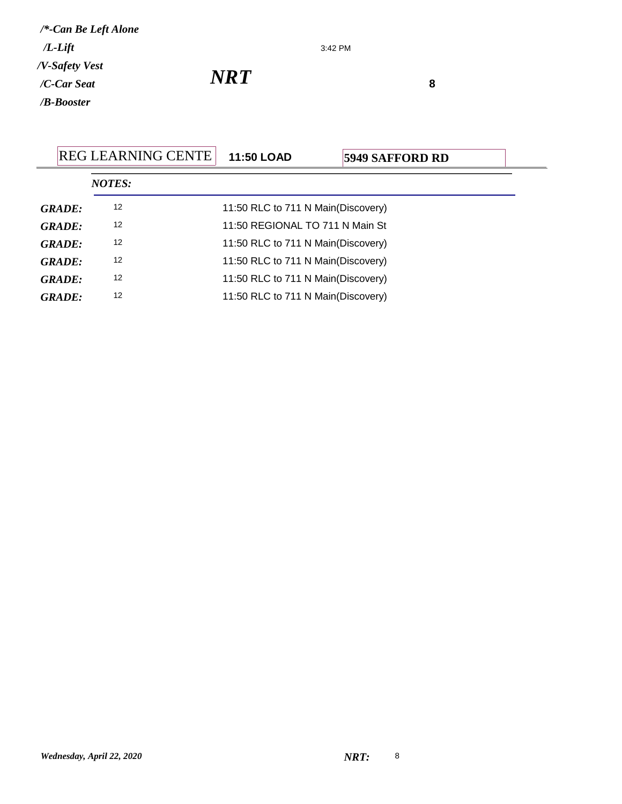3:42 PM

 $NRT$ <sup>8</sup>

|               | <b>REG LEARNING CENTE</b> | <b>11:50 LOAD</b>                  | <b>5949 SAFFORD RD</b> |
|---------------|---------------------------|------------------------------------|------------------------|
|               | <b>NOTES:</b>             |                                    |                        |
| <b>GRADE:</b> | 12                        | 11:50 RLC to 711 N Main(Discovery) |                        |
| <b>GRADE:</b> | 12                        | 11:50 REGIONAL TO 711 N Main St    |                        |
| <b>GRADE:</b> | 12                        | 11:50 RLC to 711 N Main(Discovery) |                        |
| <b>GRADE:</b> | 12                        | 11:50 RLC to 711 N Main(Discovery) |                        |
| <b>GRADE:</b> | 12                        | 11:50 RLC to 711 N Main(Discovery) |                        |
| <b>GRADE:</b> | 12                        | 11:50 RLC to 711 N Main(Discovery) |                        |
|               |                           |                                    |                        |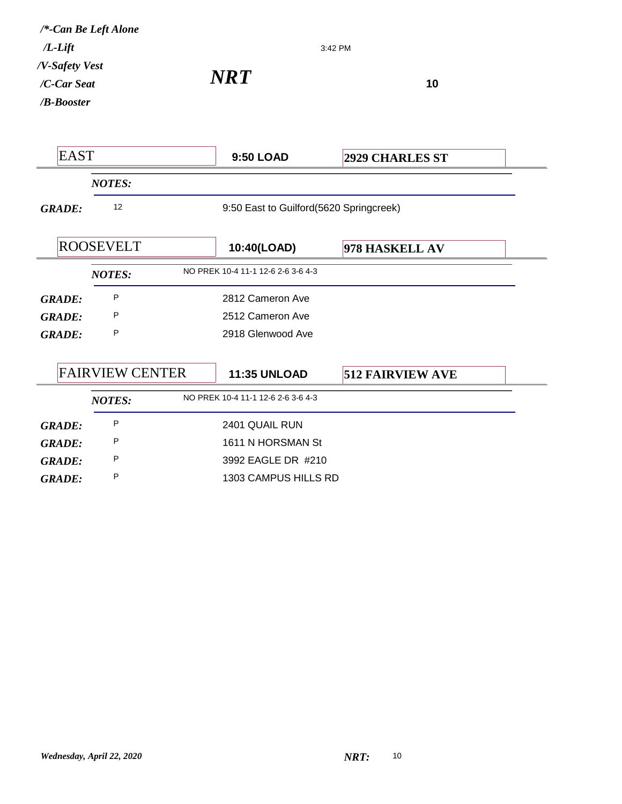| /*-Can Be Left Alone<br>$/L$ -Lift          |                        |  |                                         | 3:42 PM                 |
|---------------------------------------------|------------------------|--|-----------------------------------------|-------------------------|
| /V-Safety Vest<br>/C-Car Seat<br>/B-Booster |                        |  | <b>NRT</b>                              | 10                      |
| <b>EAST</b>                                 |                        |  | 9:50 LOAD                               | <b>2929 CHARLES ST</b>  |
|                                             | <b>NOTES:</b>          |  |                                         |                         |
| <b>GRADE:</b>                               | 12                     |  | 9:50 East to Guilford(5620 Springcreek) |                         |
|                                             | <b>ROOSEVELT</b>       |  | 10:40(LOAD)                             | 978 HASKELL AV          |
|                                             | <b>NOTES:</b>          |  | NO PREK 10-4 11-1 12-6 2-6 3-6 4-3      |                         |
| <b>GRADE:</b>                               | P                      |  | 2812 Cameron Ave                        |                         |
| <b>GRADE:</b>                               | P                      |  | 2512 Cameron Ave                        |                         |
| <b>GRADE:</b>                               | P                      |  | 2918 Glenwood Ave                       |                         |
|                                             | <b>FAIRVIEW CENTER</b> |  | <b>11:35 UNLOAD</b>                     | <b>512 FAIRVIEW AVE</b> |
|                                             | <b>NOTES:</b>          |  | NO PREK 10-4 11-1 12-6 2-6 3-6 4-3      |                         |
| <b>GRADE:</b>                               | P                      |  | 2401 QUAIL RUN                          |                         |
| <b>GRADE:</b>                               | P                      |  | 1611 N HORSMAN St                       |                         |
| <b>GRADE:</b>                               | P                      |  | 3992 EAGLE DR #210                      |                         |
| <b>GRADE:</b>                               | P                      |  | 1303 CAMPUS HILLS RD                    |                         |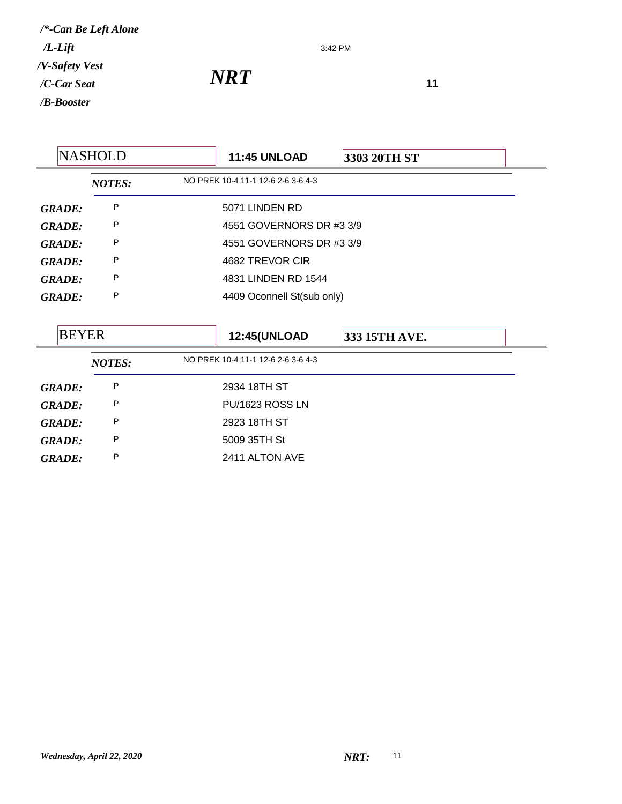3:42 PM

*NRT*<sup>11</sup>

|               | <b>NASHOLD</b> | <b>11:45 UNLOAD</b><br>3303 20TH ST  |  |
|---------------|----------------|--------------------------------------|--|
|               | <b>NOTES:</b>  | NO PREK 10-4 11-1 12-6 2-6 3-6 4-3   |  |
| <b>GRADE:</b> | P              | 5071 LINDEN RD                       |  |
| <b>GRADE:</b> | P              | 4551 GOVERNORS DR #3 3/9             |  |
| <b>GRADE:</b> | P              | 4551 GOVERNORS DR #3 3/9             |  |
| <b>GRADE:</b> | P              | 4682 TREVOR CIR                      |  |
| <b>GRADE:</b> | P              | 4831 LINDEN RD 1544                  |  |
| <b>GRADE:</b> | P              | 4409 Oconnell St(sub only)           |  |
|               |                |                                      |  |
| <b>BEYER</b>  |                | <b>12:45(UNLOAD</b><br>333 15TH AVE. |  |
|               | <b>NOTES:</b>  | NO PREK 10-4 11-1 12-6 2-6 3-6 4-3   |  |
| <b>GRADE:</b> | P              | 2934 18TH ST                         |  |
| <b>GRADE:</b> | P              | PU/1623 ROSS LN                      |  |
| <b>GRADE:</b> | P              | 2923 18TH ST                         |  |
| <b>GRADE:</b> | P              | 5009 35TH St                         |  |
| <b>GRADE:</b> | P              | 2411 ALTON AVE                       |  |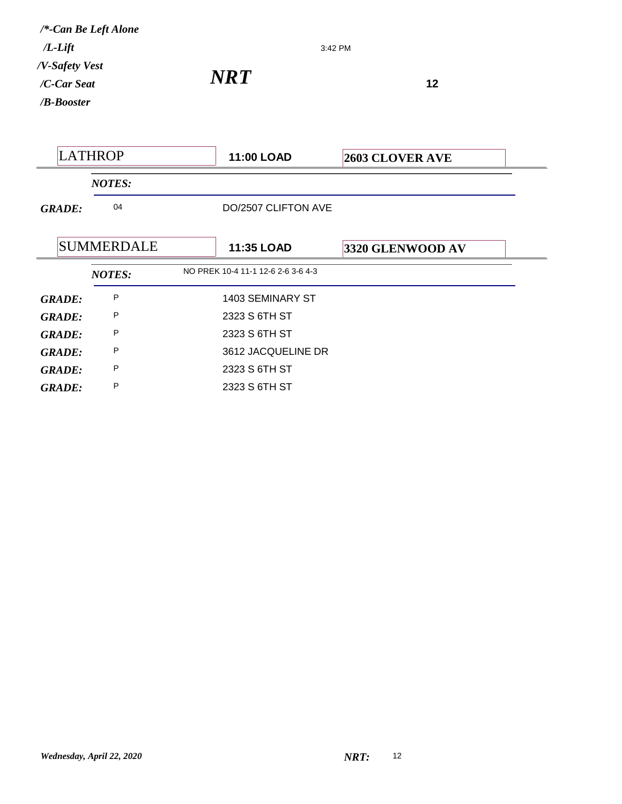*NRT*<sup>12</sup> */B-Booster /C-Car Seat /V-Safety Vest /L-Lift /\*-Can Be Left Alone*

LATHROP **11:00 LOAD 2603 CLOVER AVE** *NOTES: GRADE:* <sup>04</sup> DO/2507 CLIFTON AVE SUMMERDALE **11:35 LOAD 3320 GLENWOOD AV** *NOTES:* NO PREK 10-4 11-1 12-6 2-6 3-6 4-3 *GRADE:* <sup>P</sup> 1403 SEMINARY ST *GRADE:* P 2323 S 6TH ST *GRADE:* <sup>P</sup> 2323 S 6TH ST *GRADE:* <sup>P</sup> 3612 JACQUELINE DR *GRADE:* <sup>P</sup> 2323 S 6TH ST *GRADE:* <sup>P</sup> 2323 S 6TH ST

3:42 PM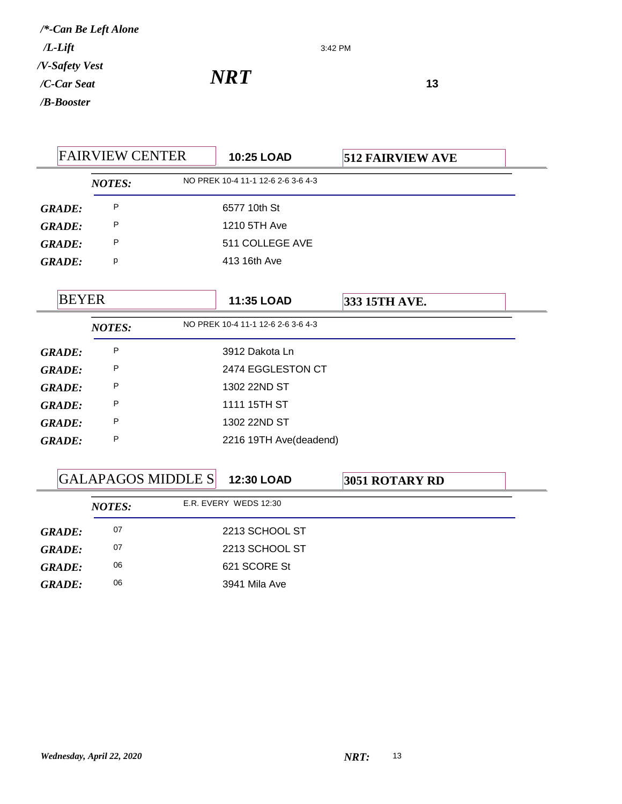3:42 PM

*NRT*<sup>13</sup>

|               | <b>FAIRVIEW CENTER</b> |                           | 10:25 LOAD                         | <b>512 FAIRVIEW AVE</b> |  |
|---------------|------------------------|---------------------------|------------------------------------|-------------------------|--|
|               | <b>NOTES:</b>          |                           | NO PREK 10-4 11-1 12-6 2-6 3-6 4-3 |                         |  |
| <b>GRADE:</b> | P                      |                           | 6577 10th St                       |                         |  |
| <b>GRADE:</b> | P                      |                           | 1210 5TH Ave                       |                         |  |
| <b>GRADE:</b> | P                      |                           | 511 COLLEGE AVE                    |                         |  |
| <b>GRADE:</b> | р                      |                           | 413 16th Ave                       |                         |  |
| <b>BEYER</b>  |                        |                           | 11:35 LOAD                         | 333 15TH AVE.           |  |
|               | <b>NOTES:</b>          |                           | NO PREK 10-4 11-1 12-6 2-6 3-6 4-3 |                         |  |
| <b>GRADE:</b> | P                      |                           | 3912 Dakota Ln                     |                         |  |
| <b>GRADE:</b> | P                      |                           | 2474 EGGLESTON CT                  |                         |  |
| <b>GRADE:</b> | P                      |                           | 1302 22ND ST                       |                         |  |
| <b>GRADE:</b> | P                      |                           | 1111 15TH ST                       |                         |  |
| <b>GRADE:</b> | P                      |                           | 1302 22ND ST                       |                         |  |
| <b>GRADE:</b> | P                      |                           | 2216 19TH Ave(deadend)             |                         |  |
|               |                        | <b>GALAPAGOS MIDDLE S</b> | 12:30 LOAD                         | 3051 ROTARY RD          |  |
|               | <b>NOTES:</b>          |                           | E.R. EVERY WEDS 12:30              |                         |  |
| GRADE         | 07                     |                           | 2213 SCHOOL ST                     |                         |  |

| GRADE: | 07 | 2213 SCHOOL ST |
|--------|----|----------------|
| GRADE: | 07 | 2213 SCHOOL ST |
| GRADE: | 06 | 621 SCORE St   |
| GRADE: | 06 | 3941 Mila Ave  |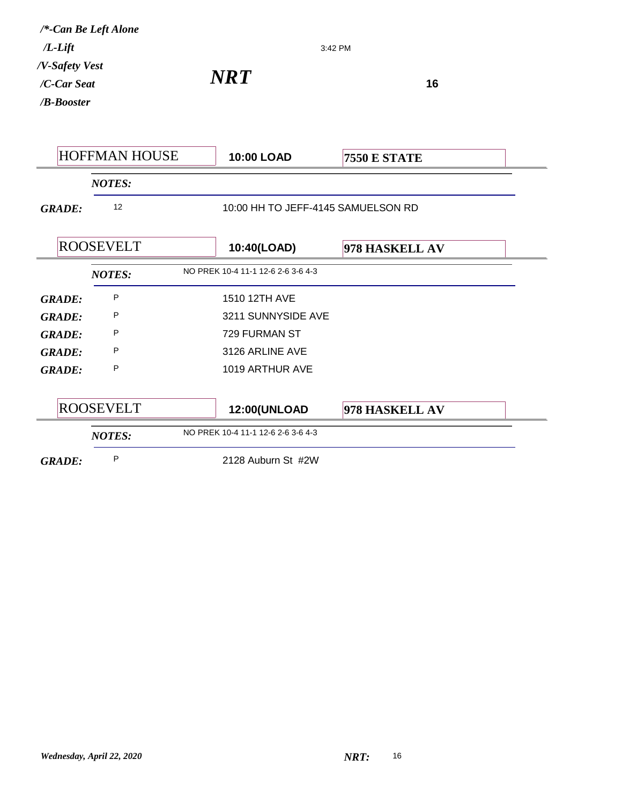| $/L$ -Lift                                  | /*-Can Be Left Alone |                                    | 3:42 PM             |
|---------------------------------------------|----------------------|------------------------------------|---------------------|
| /V-Safety Vest<br>/C-Car Seat<br>/B-Booster |                      | <b>NRT</b>                         | 16                  |
|                                             | <b>HOFFMAN HOUSE</b> | 10:00 LOAD                         | <b>7550 E STATE</b> |
|                                             | <b>NOTES:</b>        |                                    |                     |
| <b>GRADE:</b>                               | 12                   | 10:00 HH TO JEFF-4145 SAMUELSON RD |                     |
|                                             | <b>ROOSEVELT</b>     | 10:40(LOAD)                        | 978 HASKELL AV      |
|                                             | <b>NOTES:</b>        | NO PREK 10-4 11-1 12-6 2-6 3-6 4-3 |                     |
| <b>GRADE:</b>                               | P                    | 1510 12TH AVE                      |                     |
| <b>GRADE:</b>                               | P                    | 3211 SUNNYSIDE AVE                 |                     |
| <b>GRADE:</b>                               | P                    | 729 FURMAN ST                      |                     |
| <b>GRADE:</b>                               | P                    | 3126 ARLINE AVE                    |                     |
| <b>GRADE:</b>                               | P                    | 1019 ARTHUR AVE                    |                     |
|                                             | <b>ROOSEVELT</b>     | <b>12:00(UNLOAD</b>                | 978 HASKELL AV      |
|                                             | <b>NOTES:</b>        | NO PREK 10-4 11-1 12-6 2-6 3-6 4-3 |                     |
| <b>GRADE:</b>                               | P                    | 2128 Auburn St #2W                 |                     |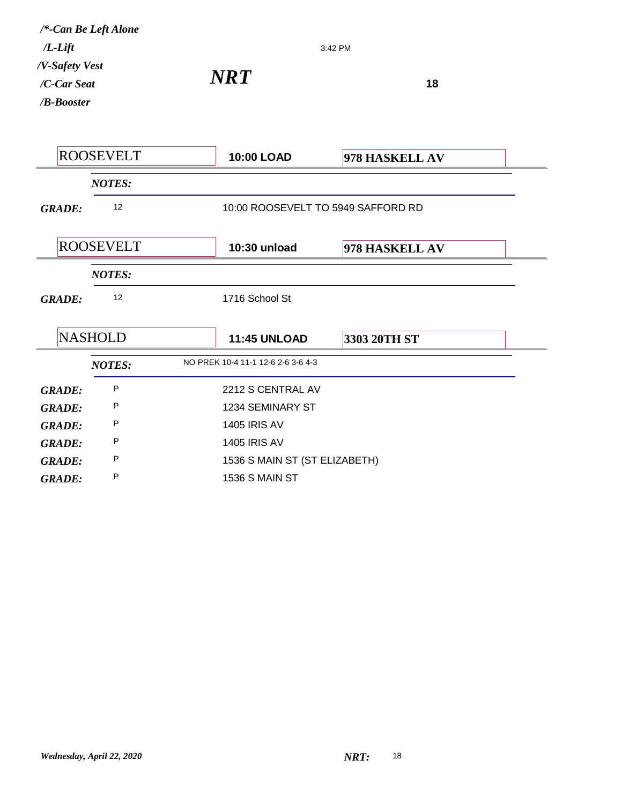3:42 PM

*NRT*<sup>18</sup>

|               | <b>ROOSEVELT</b> | 10:00 LOAD                         | 978 HASKELL AV                     |  |
|---------------|------------------|------------------------------------|------------------------------------|--|
|               | <b>NOTES:</b>    |                                    |                                    |  |
| <b>GRADE:</b> | 12               |                                    | 10:00 ROOSEVELT TO 5949 SAFFORD RD |  |
|               | <b>ROOSEVELT</b> | 10:30 unload                       | 978 HASKELL AV                     |  |
|               | <b>NOTES:</b>    |                                    |                                    |  |
| <b>GRADE:</b> | 12               | 1716 School St                     |                                    |  |
|               | <b>NASHOLD</b>   | <b>11:45 UNLOAD</b>                | 3303 20TH ST                       |  |
|               | <b>NOTES:</b>    | NO PREK 10-4 11-1 12-6 2-6 3-6 4-3 |                                    |  |
| <b>GRADE:</b> | P                | 2212 S CENTRAL AV                  |                                    |  |
| <b>GRADE:</b> | P                | 1234 SEMINARY ST                   |                                    |  |
| <b>GRADE:</b> | P                | <b>1405 IRIS AV</b>                |                                    |  |
| <b>GRADE:</b> | P                | <b>1405 IRIS AV</b>                |                                    |  |
| <b>GRADE:</b> | P                | 1536 S MAIN ST (ST ELIZABETH)      |                                    |  |
| <b>GRADE:</b> | P                | <b>1536 S MAIN ST</b>              |                                    |  |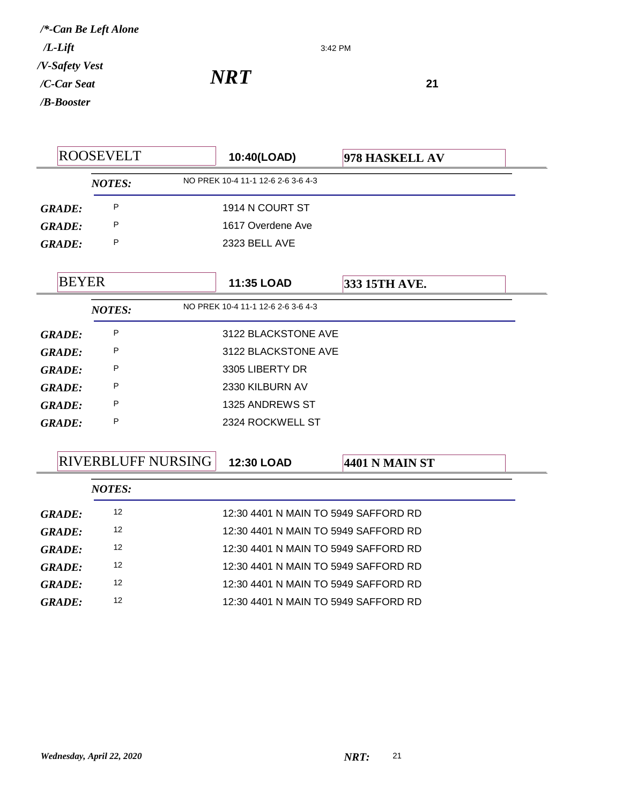3:42 PM

*NRT*<sup>21</sup>

|               | <b>ROOSEVELT</b>          | 10:40(LOAD)                          | 978 HASKELL AV        |  |
|---------------|---------------------------|--------------------------------------|-----------------------|--|
|               | <b>NOTES:</b>             | NO PREK 10-4 11-1 12-6 2-6 3-6 4-3   |                       |  |
| <b>GRADE:</b> | P                         | 1914 N COURT ST                      |                       |  |
| <b>GRADE:</b> | P                         | 1617 Overdene Ave                    |                       |  |
| <b>GRADE:</b> | P                         | 2323 BELL AVE                        |                       |  |
| <b>BEYER</b>  |                           | 11:35 LOAD                           | 333 15TH AVE.         |  |
|               | <b>NOTES:</b>             | NO PREK 10-4 11-1 12-6 2-6 3-6 4-3   |                       |  |
| <b>GRADE:</b> | P                         | 3122 BLACKSTONE AVE                  |                       |  |
| <b>GRADE:</b> | P                         | 3122 BLACKSTONE AVE                  |                       |  |
| <b>GRADE:</b> | P                         | 3305 LIBERTY DR                      |                       |  |
| <b>GRADE:</b> | P                         | 2330 KILBURN AV                      |                       |  |
| <b>GRADE:</b> | P                         | 1325 ANDREWS ST                      |                       |  |
| <b>GRADE:</b> | P                         | 2324 ROCKWELL ST                     |                       |  |
|               | <b>RIVERBLUFF NURSING</b> | 12:30 LOAD                           | <b>4401 N MAIN ST</b> |  |
|               | <b>NOTES:</b>             |                                      |                       |  |
| <b>GRADE:</b> | 12                        | 12:30 4401 N MAIN TO 5949 SAFFORD RD |                       |  |
| <b>GRADE:</b> | $12 \overline{ }$         | 12:30 4401 N MAIN TO 5949 SAFFORD RD |                       |  |
| <b>GRADE:</b> | $12 \overline{ }$         | 12:30 4401 N MAIN TO 5949 SAFFORD RD |                       |  |
| <b>GRADE:</b> | 12                        | 12:30 4401 N MAIN TO 5949 SAFFORD RD |                       |  |
| <b>GRADE:</b> | 12                        | 12:30 4401 N MAIN TO 5949 SAFFORD RD |                       |  |
|               |                           |                                      |                       |  |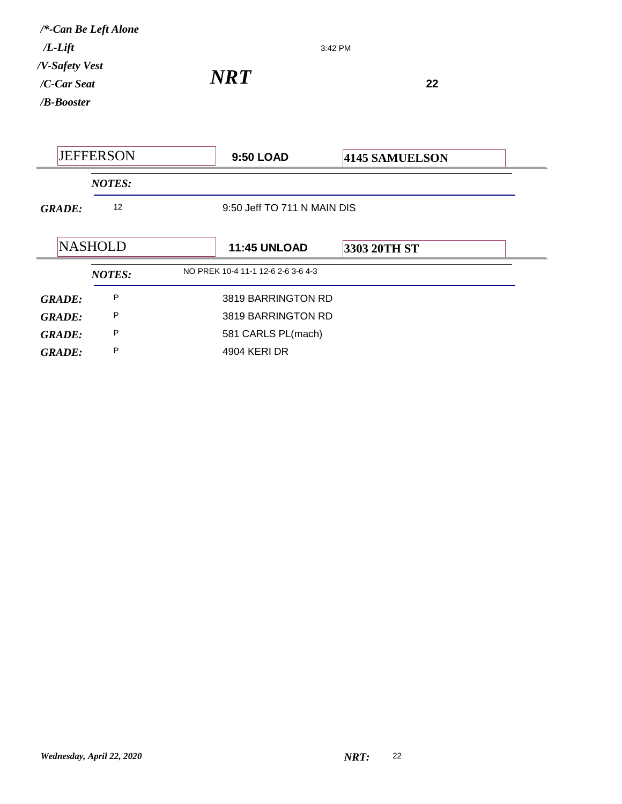| $/L$ -Lift<br>/V-Safety Vest<br>/C-Car Seat<br>$/B$ -Booster | /*-Can Be Left Alone | <b>NRT</b>                         | 3:42 PM<br>22               |  |
|--------------------------------------------------------------|----------------------|------------------------------------|-----------------------------|--|
|                                                              | <b>JEFFERSON</b>     | 9:50 LOAD                          | 4145 SAMUELSON              |  |
|                                                              | <b>NOTES:</b>        |                                    |                             |  |
| <b>GRADE:</b>                                                | 12                   |                                    | 9:50 Jeff TO 711 N MAIN DIS |  |
|                                                              | <b>NASHOLD</b>       | <b>11:45 UNLOAD</b>                | 3303 20TH ST                |  |
|                                                              | <b>NOTES:</b>        | NO PREK 10-4 11-1 12-6 2-6 3-6 4-3 |                             |  |
| <b>GRADE:</b>                                                | P                    | 3819 BARRINGTON RD                 |                             |  |
| <b>GRADE:</b>                                                | P                    | 3819 BARRINGTON RD                 |                             |  |
| <b>GRADE:</b>                                                | P                    | 581 CARLS PL(mach)                 |                             |  |
| <b>GRADE:</b>                                                | P                    | 4904 KERI DR                       |                             |  |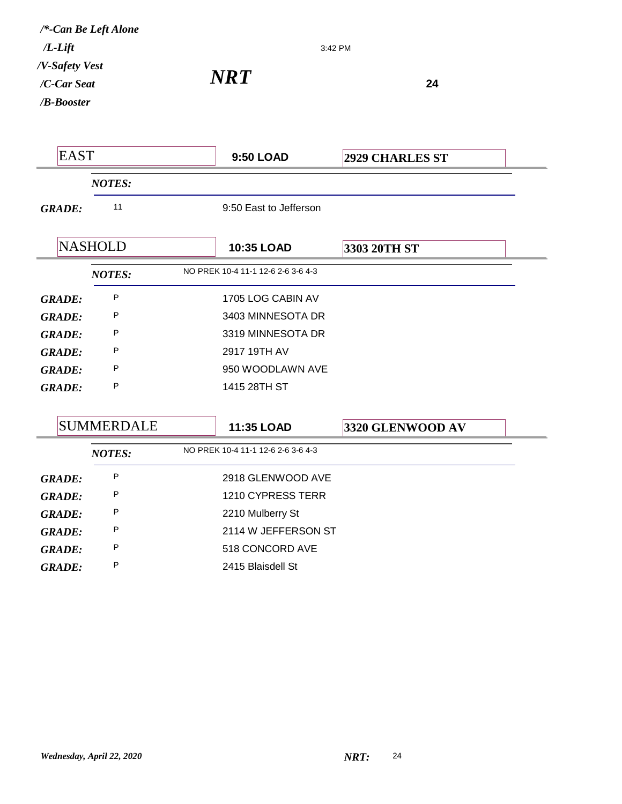*NRT***<sup>24</sup>** 3:42 PM */B-Booster /C-Car Seat /V-Safety Vest /L-Lift /\*-Can Be Left Alone* EAST **9:50 LOAD 2929 CHARLES ST** *NOTES: GRADE:* <sup>11</sup> 9:50 East to Jefferson **NASHOLD 10:35 LOAD 3303 20TH ST** *NOTES:* NO PREK 10-4 11-1 12-6 2-6 3-6 4-3 *GRADE:* <sup>P</sup> 1705 LOG CABIN AV *GRADE:* P 3403 MINNESOTA DR *GRADE:* P 3319 MINNESOTA DR *GRADE:* <sup>P</sup> 2917 19TH AV *GRADE:* P 950 WOODLAWN AVE *GRADE:* <sup>P</sup> 1415 28TH ST SUMMERDALE **11:35 LOAD 3320 GLENWOOD AV** *NOTES:* NO PREK 10-4 11-1 12-6 2-6 3-6 4-3

|               | . <i>.</i> |                     |
|---------------|------------|---------------------|
| <b>GRADE:</b> | P          | 2918 GLENWOOD AVE   |
| <b>GRADE:</b> | P          | 1210 CYPRESS TERR   |
| <b>GRADE:</b> | P          | 2210 Mulberry St    |
| <b>GRADE:</b> | P          | 2114 W JEFFERSON ST |
| <b>GRADE:</b> | P          | 518 CONCORD AVE     |
| <b>GRADE:</b> | P          | 2415 Blaisdell St   |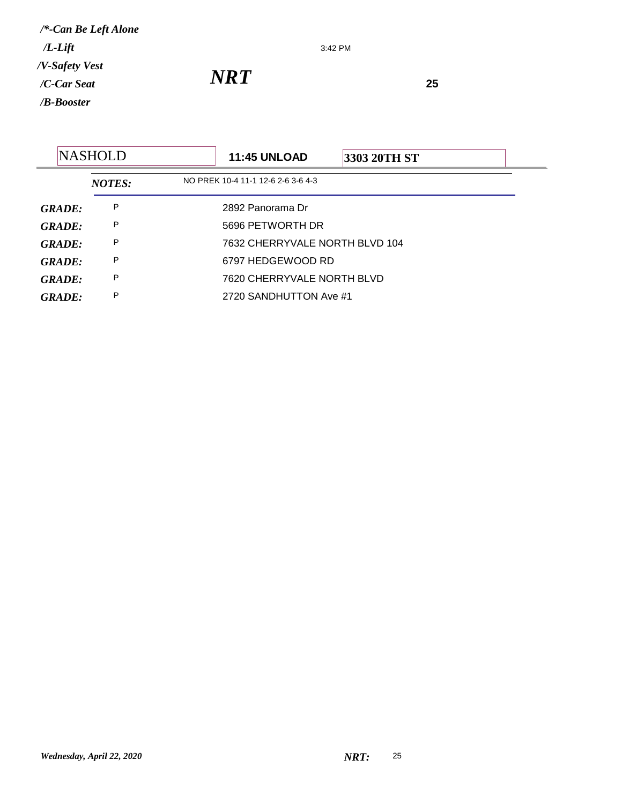3:42 PM

|               | <b>NASHOLD</b> | <b>11:45 UNLOAD</b>                | <b>3303 20TH ST</b> |  |
|---------------|----------------|------------------------------------|---------------------|--|
|               | <b>NOTES:</b>  | NO PREK 10-4 11-1 12-6 2-6 3-6 4-3 |                     |  |
| <b>GRADE:</b> | Ρ              | 2892 Panorama Dr                   |                     |  |
| <b>GRADE:</b> | P              | 5696 PETWORTH DR                   |                     |  |
| GRADE:        | P              | 7632 CHERRYVALE NORTH BLVD 104     |                     |  |
| GRADE:        | P              | 6797 HEDGEWOOD RD                  |                     |  |
| <b>GRADE:</b> | P              | 7620 CHERRYVALE NORTH BLVD         |                     |  |
| GRADE:        | P              | 2720 SANDHUTTON Ave #1             |                     |  |
|               |                |                                    |                     |  |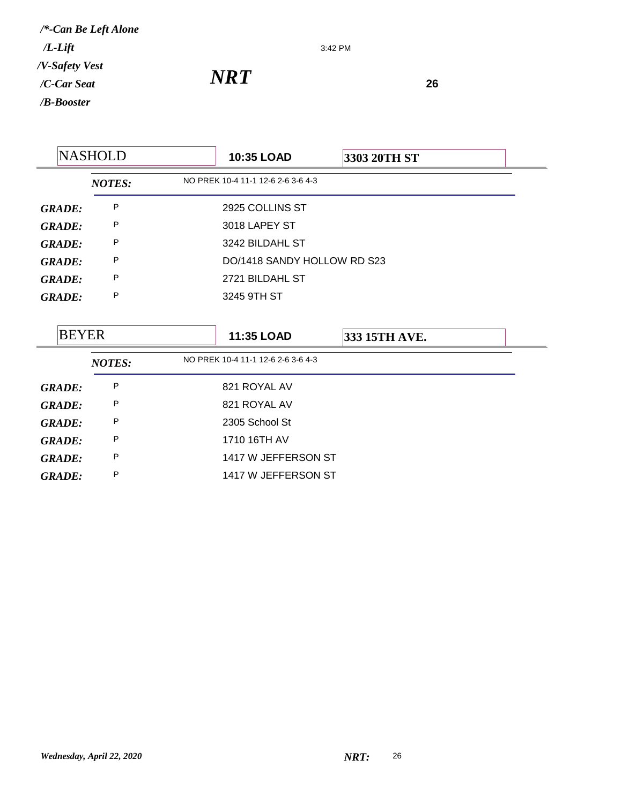3:42 PM

*NRT*<sup>26</sup>

|               | <b>NASHOLD</b> | 10:35 LOAD                         | 3303 20TH ST  |  |
|---------------|----------------|------------------------------------|---------------|--|
|               | <b>NOTES:</b>  | NO PREK 10-4 11-1 12-6 2-6 3-6 4-3 |               |  |
| <b>GRADE:</b> | P              | 2925 COLLINS ST                    |               |  |
| <b>GRADE:</b> | P              | 3018 LAPEY ST                      |               |  |
| <b>GRADE:</b> | P              | 3242 BILDAHL ST                    |               |  |
| <b>GRADE:</b> | P              | DO/1418 SANDY HOLLOW RD S23        |               |  |
| <b>GRADE:</b> | P              | 2721 BILDAHL ST                    |               |  |
| <b>GRADE:</b> | P              | 3245 9TH ST                        |               |  |
|               |                |                                    |               |  |
|               |                |                                    |               |  |
| <b>BEYER</b>  |                | 11:35 LOAD                         | 333 15TH AVE. |  |
|               | <b>NOTES:</b>  | NO PREK 10-4 11-1 12-6 2-6 3-6 4-3 |               |  |
| <b>GRADE:</b> | P              | 821 ROYAL AV                       |               |  |
| <b>GRADE:</b> | P              | 821 ROYAL AV                       |               |  |
| <b>GRADE:</b> | P              | 2305 School St                     |               |  |
| <b>GRADE:</b> | P              | 1710 16TH AV                       |               |  |
| <b>GRADE:</b> | P              | 1417 W JEFFERSON ST                |               |  |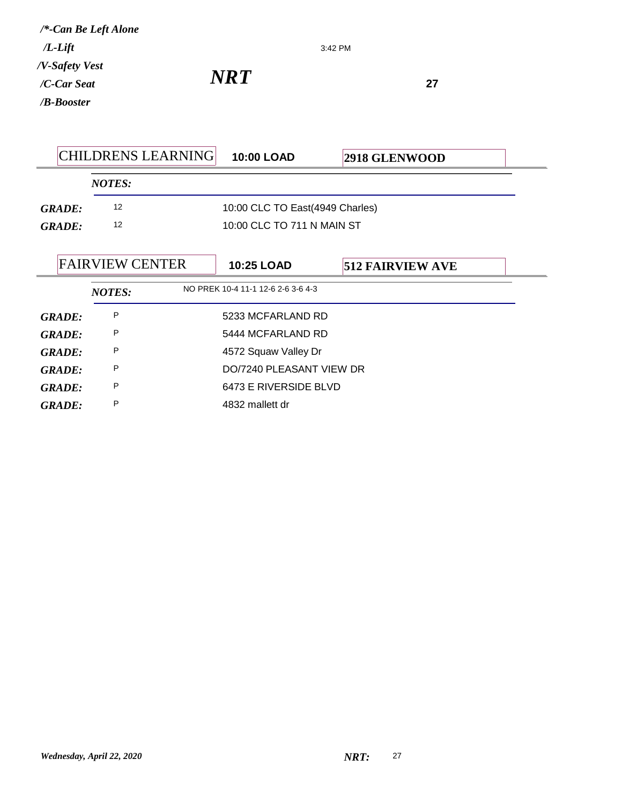|               | <b>CHILDRENS LEARNING</b> | <b>10:00 LOAD</b>                  | 2918 GLENWOOD           |  |  |
|---------------|---------------------------|------------------------------------|-------------------------|--|--|
|               | <b>NOTES:</b>             |                                    |                         |  |  |
| <b>GRADE:</b> | 12                        | 10:00 CLC TO East(4949 Charles)    |                         |  |  |
| <b>GRADE:</b> | 12                        | 10:00 CLC TO 711 N MAIN ST         |                         |  |  |
|               |                           |                                    |                         |  |  |
|               | <b>FAIRVIEW CENTER</b>    | 10:25 LOAD                         | <b>512 FAIRVIEW AVE</b> |  |  |
|               | <b>NOTES:</b>             | NO PREK 10-4 11-1 12-6 2-6 3-6 4-3 |                         |  |  |
| <b>GRADE:</b> | P                         | 5233 MCFARLAND RD                  |                         |  |  |
| <b>GRADE:</b> | P                         | 5444 MCFARLAND RD                  |                         |  |  |
| <b>GRADE:</b> | P                         | 4572 Squaw Valley Dr               |                         |  |  |
| <b>GRADE:</b> | P                         | DO/7240 PLEASANT VIEW DR           |                         |  |  |
| <b>GRADE:</b> | Ρ                         | 6473 E RIVERSIDE BLVD              |                         |  |  |
| <b>GRADE:</b> | P                         | 4832 mallett dr                    |                         |  |  |

3:42 PM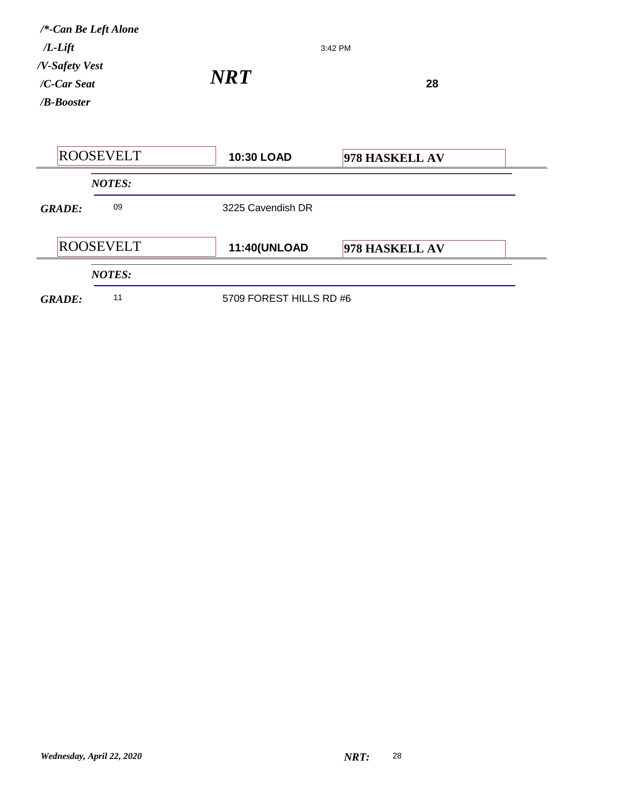| $/L$ -Lift<br>/V-Safety Vest | /*-Can Be Left Alone |                         | 3:42 PM        |  |
|------------------------------|----------------------|-------------------------|----------------|--|
| /C-Car Seat<br>$/B$ -Booster |                      | <b>NRT</b>              | 28             |  |
|                              | <b>ROOSEVELT</b>     | 10:30 LOAD              | 978 HASKELL AV |  |
|                              | <b>NOTES:</b>        |                         |                |  |
| <b>GRADE:</b>                | 09                   | 3225 Cavendish DR       |                |  |
|                              | <b>ROOSEVELT</b>     | 11:40(UNLOAD            | 978 HASKELL AV |  |
|                              | <b>NOTES:</b>        |                         |                |  |
| <b>GRADE:</b>                | 11                   | 5709 FOREST HILLS RD #6 |                |  |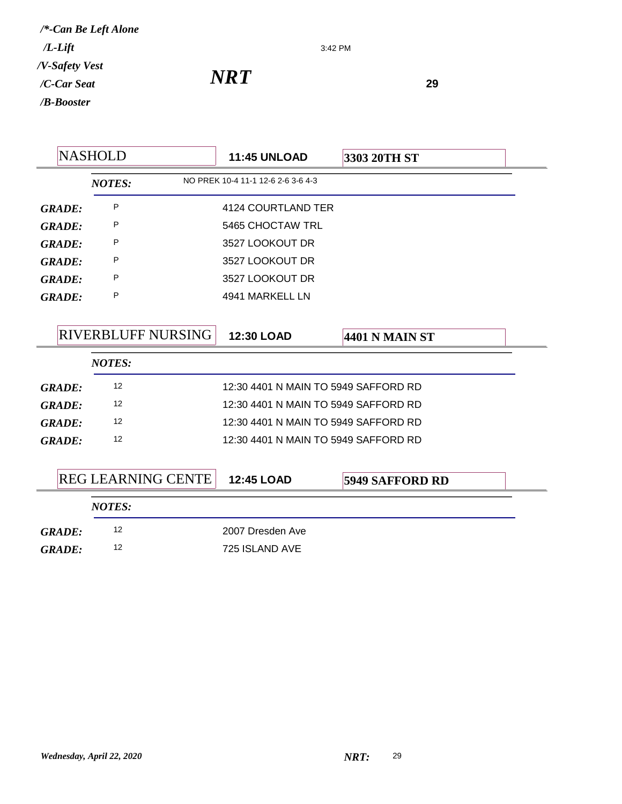3:42 PM

|               | <b>NASHOLD</b>    |                           | <b>11:45 UNLOAD</b>                  | 3303 20TH ST           |  |
|---------------|-------------------|---------------------------|--------------------------------------|------------------------|--|
|               | <b>NOTES:</b>     |                           | NO PREK 10-4 11-1 12-6 2-6 3-6 4-3   |                        |  |
| <b>GRADE:</b> | P                 |                           | 4124 COURTLAND TER                   |                        |  |
| <b>GRADE:</b> | P                 |                           | 5465 CHOCTAW TRL                     |                        |  |
| <b>GRADE:</b> | P                 |                           | 3527 LOOKOUT DR                      |                        |  |
| <b>GRADE:</b> | P                 |                           | 3527 LOOKOUT DR                      |                        |  |
| <b>GRADE:</b> | P                 |                           | 3527 LOOKOUT DR                      |                        |  |
| <b>GRADE:</b> | P                 |                           | 4941 MARKELL LN                      |                        |  |
|               |                   |                           |                                      |                        |  |
|               |                   | <b>RIVERBLUFF NURSING</b> | 12:30 LOAD                           | 4401 N MAIN ST         |  |
|               | <b>NOTES:</b>     |                           |                                      |                        |  |
| <b>GRADE:</b> | 12                |                           | 12:30 4401 N MAIN TO 5949 SAFFORD RD |                        |  |
| <b>GRADE:</b> | 12                |                           | 12:30 4401 N MAIN TO 5949 SAFFORD RD |                        |  |
| <b>GRADE:</b> | $12 \overline{ }$ |                           | 12:30 4401 N MAIN TO 5949 SAFFORD RD |                        |  |
| <b>GRADE:</b> | 12                |                           | 12:30 4401 N MAIN TO 5949 SAFFORD RD |                        |  |
|               |                   |                           |                                      |                        |  |
|               |                   | <b>REG LEARNING CENTE</b> | 12:45 LOAD                           | <b>5949 SAFFORD RD</b> |  |
|               | <b>NOTES:</b>     |                           |                                      |                        |  |
|               |                   |                           |                                      |                        |  |
| GRADE:        | 12                |                           | 2007 Dresden Ave                     |                        |  |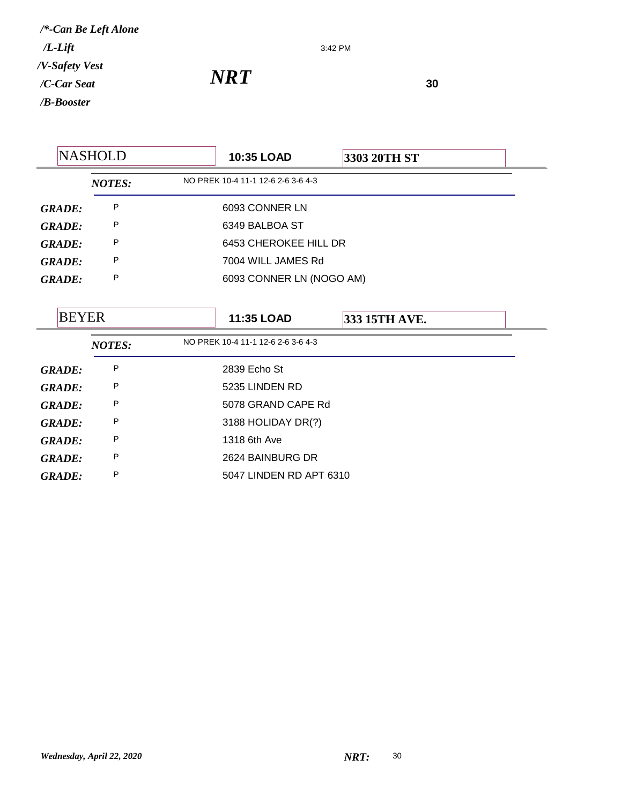3:42 PM

*NRT*<sup>30</sup>

|               | <b>NASHOLD</b> | 10:35 LOAD                         | 3303 20TH ST  |  |
|---------------|----------------|------------------------------------|---------------|--|
|               | <b>NOTES:</b>  | NO PREK 10-4 11-1 12-6 2-6 3-6 4-3 |               |  |
| <b>GRADE:</b> | P              | 6093 CONNER LN                     |               |  |
| <b>GRADE:</b> | P              | 6349 BALBOA ST                     |               |  |
| <b>GRADE:</b> | P              | 6453 CHEROKEE HILL DR              |               |  |
| <b>GRADE:</b> | P              | 7004 WILL JAMES Rd                 |               |  |
| <b>GRADE:</b> | P              | 6093 CONNER LN (NOGO AM)           |               |  |
|               |                |                                    |               |  |
| <b>BEYER</b>  |                | 11:35 LOAD                         | 333 15TH AVE. |  |
|               | <b>NOTES:</b>  | NO PREK 10-4 11-1 12-6 2-6 3-6 4-3 |               |  |
| <b>GRADE:</b> | P              | 2839 Echo St                       |               |  |
| <b>GRADE:</b> | P              | 5235 LINDEN RD                     |               |  |
| <b>GRADE:</b> | P              | 5078 GRAND CAPE Rd                 |               |  |
| <b>GRADE:</b> | P              | 3188 HOLIDAY DR(?)                 |               |  |
| <b>GRADE:</b> | P              | 1318 6th Ave                       |               |  |
| <b>GRADE:</b> | P              | 2624 BAINBURG DR                   |               |  |
| <b>GRADE:</b> | P              | 5047 LINDEN RD APT 6310            |               |  |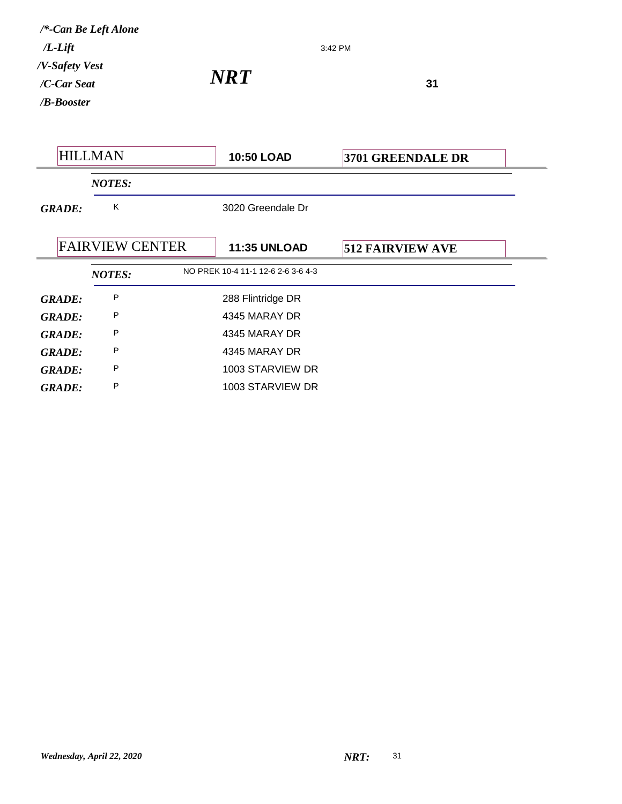| /*-Can Be Left Alone<br>$/L$ - $Lift$<br>3:42 PM |                        |                                    |                         |  |
|--------------------------------------------------|------------------------|------------------------------------|-------------------------|--|
| /V-Safety Vest<br>/C-Car Seat<br>/B-Booster      |                        | <b>NRT</b><br>31                   |                         |  |
|                                                  | <b>HILLMAN</b>         | 10:50 LOAD                         | 3701 GREENDALE DR       |  |
|                                                  | <b>NOTES:</b>          |                                    |                         |  |
| <b>GRADE:</b>                                    | K                      | 3020 Greendale Dr                  |                         |  |
|                                                  | <b>FAIRVIEW CENTER</b> | <b>11:35 UNLOAD</b>                | <b>512 FAIRVIEW AVE</b> |  |
|                                                  | <b>NOTES:</b>          | NO PREK 10-4 11-1 12-6 2-6 3-6 4-3 |                         |  |
| <b>GRADE:</b>                                    | P                      | 288 Flintridge DR                  |                         |  |
| <b>GRADE:</b>                                    | P                      | 4345 MARAY DR                      |                         |  |
| <b>GRADE:</b>                                    | P                      | 4345 MARAY DR                      |                         |  |
| <b>GRADE:</b>                                    | P                      | 4345 MARAY DR                      |                         |  |
| <b>GRADE:</b>                                    | P                      | 1003 STARVIEW DR                   |                         |  |
| <b>GRADE:</b>                                    | P                      | 1003 STARVIEW DR                   |                         |  |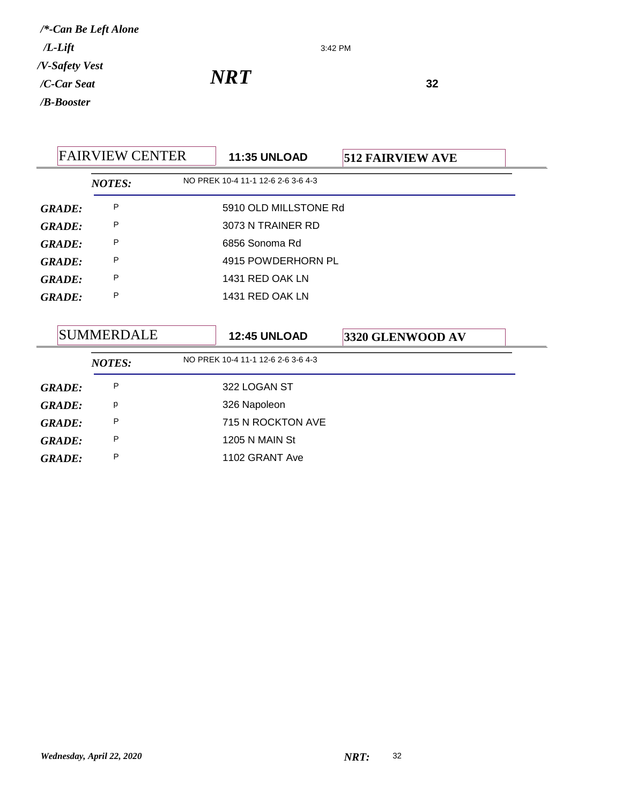3:42 PM

*NRT*<sup>32</sup>

|               | <b>FAIRVIEW CENTER</b> | <b>11:35 UNLOAD</b>                | <b>512 FAIRVIEW AVE</b> |  |
|---------------|------------------------|------------------------------------|-------------------------|--|
|               | <b>NOTES:</b>          | NO PREK 10-4 11-1 12-6 2-6 3-6 4-3 |                         |  |
| <b>GRADE:</b> | P                      | 5910 OLD MILLSTONE Rd              |                         |  |
| <b>GRADE:</b> | P                      | 3073 N TRAINER RD                  |                         |  |
| <b>GRADE:</b> | P                      | 6856 Sonoma Rd                     |                         |  |
| <b>GRADE:</b> | P                      | 4915 POWDERHORN PL                 |                         |  |
| <b>GRADE:</b> | P                      | 1431 RED OAK LN                    |                         |  |
| <b>GRADE:</b> | P                      | 1431 RED OAK LN                    |                         |  |
|               |                        |                                    |                         |  |
|               | <b>SUMMERDALE</b>      | <b>12:45 UNLOAD</b>                | 3320 GLENWOOD AV        |  |
|               | <b>NOTES:</b>          | NO PREK 10-4 11-1 12-6 2-6 3-6 4-3 |                         |  |
| <b>GRADE:</b> | P                      | 322 LOGAN ST                       |                         |  |
| <b>GRADE:</b> | p                      | 326 Napoleon                       |                         |  |
| <b>GRADE:</b> | P                      | 715 N ROCKTON AVE                  |                         |  |
| <b>GRADE:</b> | P                      | 1205 N MAIN St                     |                         |  |
| <b>GRADE:</b> | P                      | 1102 GRANT Ave                     |                         |  |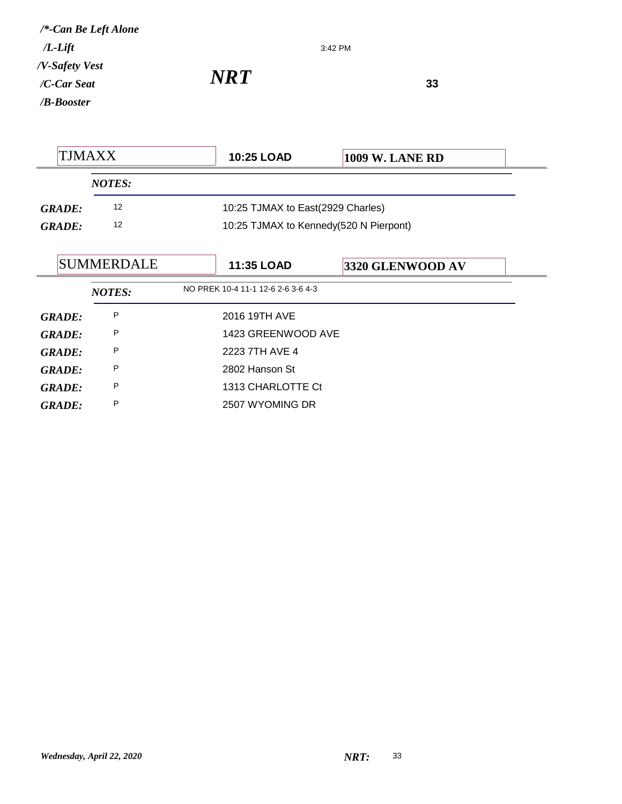## *NRT*<sup>33</sup>

| TJMAXX        |                   | <b>10:25 LOAD</b>                      | <b>1009 W. LANE RD</b> |
|---------------|-------------------|----------------------------------------|------------------------|
|               | <b>NOTES:</b>     |                                        |                        |
| <b>GRADE:</b> | 12                | 10:25 TJMAX to East(2929 Charles)      |                        |
| GRADE:        | 12                | 10:25 TJMAX to Kennedy(520 N Pierpont) |                        |
|               | <b>SUMMERDALE</b> | <b>11:35 LOAD</b>                      | 3320 GLENWOOD AV       |

3:42 PM

| <b>GRADE:</b> | P | 2016 19TH AVE      |
|---------------|---|--------------------|
| <b>GRADE:</b> | P | 1423 GREENWOOD AVE |
| <b>GRADE:</b> | P | 2223 7TH AVE 4     |
| <b>GRADE:</b> | P | 2802 Hanson St     |
| <b>GRADE:</b> | P | 1313 CHARLOTTE Ct  |
| <b>GRADE:</b> | P | 2507 WYOMING DR    |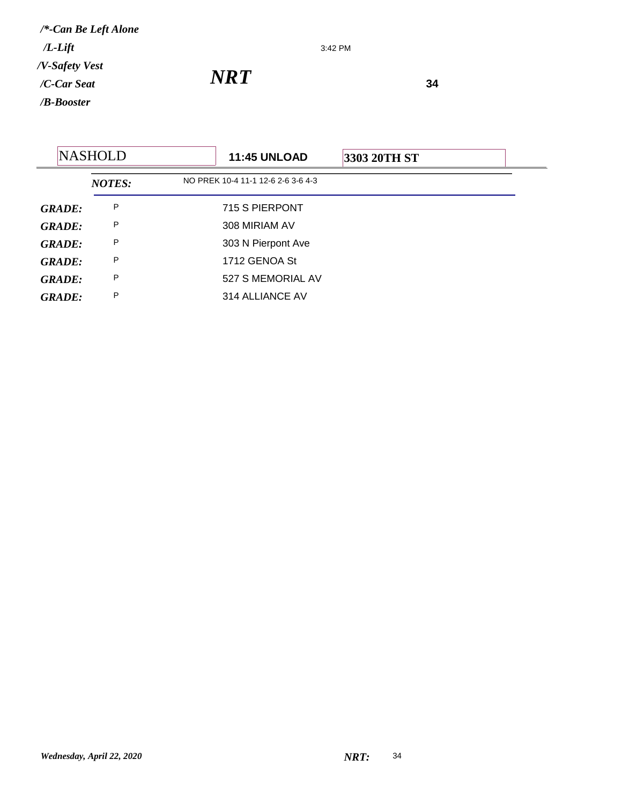3:42 PM

*NRT*<sup>34</sup>

| <b>NASHOLD</b> |               | <b>11:45 UNLOAD</b>                | 3303 20TH ST |  |
|----------------|---------------|------------------------------------|--------------|--|
|                | <b>NOTES:</b> | NO PREK 10-4 11-1 12-6 2-6 3-6 4-3 |              |  |
| <b>GRADE:</b>  | P             | 715 S PIERPONT                     |              |  |
| <b>GRADE:</b>  | P             | 308 MIRIAM AV                      |              |  |
| <b>GRADE:</b>  | P             | 303 N Pierpont Ave                 |              |  |
| <b>GRADE:</b>  | P             | 1712 GENOA St                      |              |  |
| <b>GRADE:</b>  | P             | 527 S MEMORIAL AV                  |              |  |
| <b>GRADE:</b>  | P             | 314 ALLIANCE AV                    |              |  |
|                |               |                                    |              |  |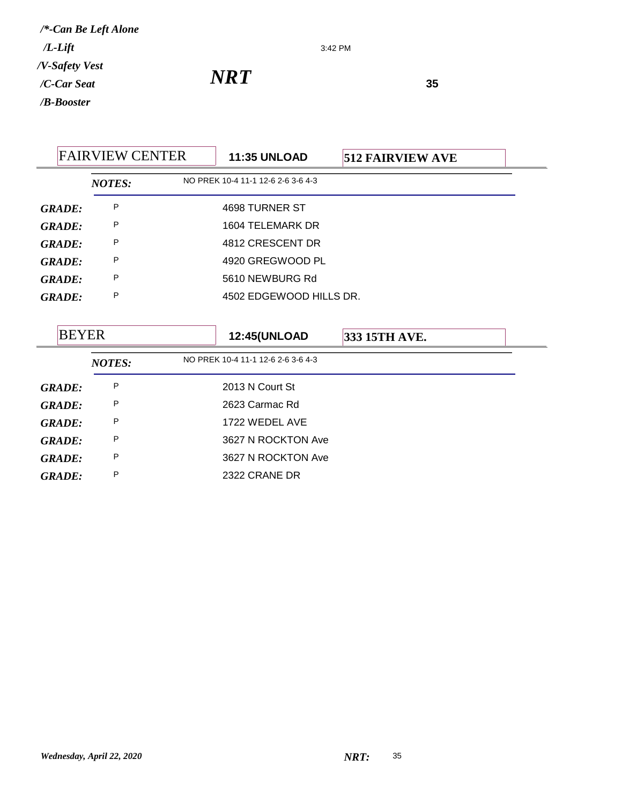3:42 PM

*NRT*<sup>35</sup>

| <b>FAIRVIEW CENTER</b> |               | <b>11:35 UNLOAD</b> | <b>512 FAIRVIEW AVE</b>            |               |  |
|------------------------|---------------|---------------------|------------------------------------|---------------|--|
|                        | <b>NOTES:</b> |                     | NO PREK 10-4 11-1 12-6 2-6 3-6 4-3 |               |  |
| <b>GRADE:</b>          | P             |                     | 4698 TURNER ST                     |               |  |
| <b>GRADE:</b>          | P             |                     | 1604 TELEMARK DR                   |               |  |
| <b>GRADE:</b>          | P             |                     | 4812 CRESCENT DR                   |               |  |
| <b>GRADE:</b>          | P             |                     | 4920 GREGWOOD PL                   |               |  |
| <b>GRADE:</b>          | P             |                     | 5610 NEWBURG Rd                    |               |  |
| <b>GRADE:</b>          | P             |                     | 4502 EDGEWOOD HILLS DR.            |               |  |
|                        |               |                     |                                    |               |  |
| <b>BEYER</b>           |               |                     | <b>12:45(UNLOAD</b>                | 333 15TH AVE. |  |
|                        | <b>NOTES:</b> |                     | NO PREK 10-4 11-1 12-6 2-6 3-6 4-3 |               |  |
| <b>GRADE:</b>          | P             |                     | 2013 N Court St                    |               |  |
| <b>GRADE:</b>          | P             |                     | 2623 Carmac Rd                     |               |  |
| <b>GRADE:</b>          | P             |                     | 1722 WEDEL AVE                     |               |  |
| <b>GRADE:</b>          | P             |                     | 3627 N ROCKTON Ave                 |               |  |
| <b>GRADE:</b>          | P             |                     | 3627 N ROCKTON Ave                 |               |  |

*GRADE:* <sup>P</sup> 2322 CRANE DR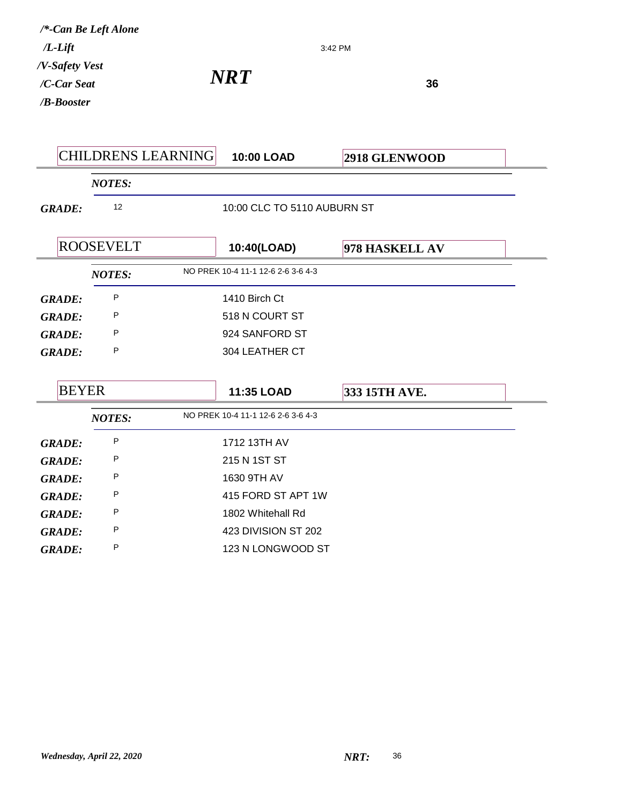| $/L$ -Lift<br>/V-Safety Vest | /*-Can Be Left Alone      |                                    | 3:42 PM        |  |
|------------------------------|---------------------------|------------------------------------|----------------|--|
| /C-Car Seat                  |                           | <b>NRT</b>                         | 36             |  |
| /B-Booster                   |                           |                                    |                |  |
|                              |                           |                                    |                |  |
|                              | <b>CHILDRENS LEARNING</b> | 10:00 LOAD                         | 2918 GLENWOOD  |  |
|                              | <b>NOTES:</b>             |                                    |                |  |
| <b>GRADE:</b>                | 12                        | 10:00 CLC TO 5110 AUBURN ST        |                |  |
|                              | <b>ROOSEVELT</b>          | 10:40(LOAD)                        | 978 HASKELL AV |  |
|                              | <b>NOTES:</b>             | NO PREK 10-4 11-1 12-6 2-6 3-6 4-3 |                |  |
| <b>GRADE:</b>                | P                         | 1410 Birch Ct                      |                |  |
| <b>GRADE:</b>                | P                         | 518 N COURT ST                     |                |  |
| <b>GRADE:</b>                | P                         | 924 SANFORD ST                     |                |  |
| <b>GRADE:</b>                | P                         | 304 LEATHER CT                     |                |  |
| <b>BEYER</b>                 |                           | 11:35 LOAD                         | 333 15TH AVE.  |  |
|                              | <b>NOTES:</b>             | NO PREK 10-4 11-1 12-6 2-6 3-6 4-3 |                |  |
| <b>GRADE:</b>                | P                         | 1712 13TH AV                       |                |  |
| <b>GRADE:</b>                | P                         | 215 N 1ST ST                       |                |  |
| <b>GRADE:</b>                | P                         | 1630 9TH AV                        |                |  |
| <b>GRADE:</b>                | P                         | 415 FORD ST APT 1W                 |                |  |
| <b>GRADE:</b>                | P                         | 1802 Whitehall Rd                  |                |  |
| <b>GRADE:</b>                | P                         | 423 DIVISION ST 202                |                |  |
| <b>GRADE:</b>                | P                         | 123 N LONGWOOD ST                  |                |  |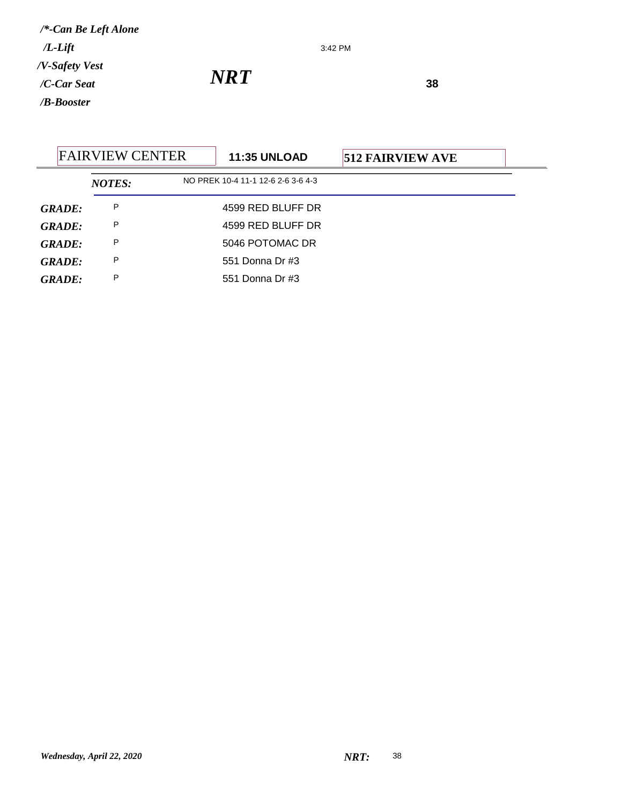3:42 PM

*NRT*<sup>38</sup>

|               | <b>FAIRVIEW CENTER</b> | <b>11:35 UNLOAD</b>                | <b>512 FAIRVIEW AVE</b> |  |
|---------------|------------------------|------------------------------------|-------------------------|--|
|               | <b>NOTES:</b>          | NO PREK 10-4 11-1 12-6 2-6 3-6 4-3 |                         |  |
| GRADE:        | P                      | 4599 RED BLUFF DR                  |                         |  |
| <b>GRADE:</b> | P                      | 4599 RED BLUFF DR                  |                         |  |
| GRADE:        | P                      | 5046 POTOMAC DR                    |                         |  |
| GRADE:        | P                      | 551 Donna Dr #3                    |                         |  |
| <b>GRADE:</b> | P                      | 551 Donna Dr #3                    |                         |  |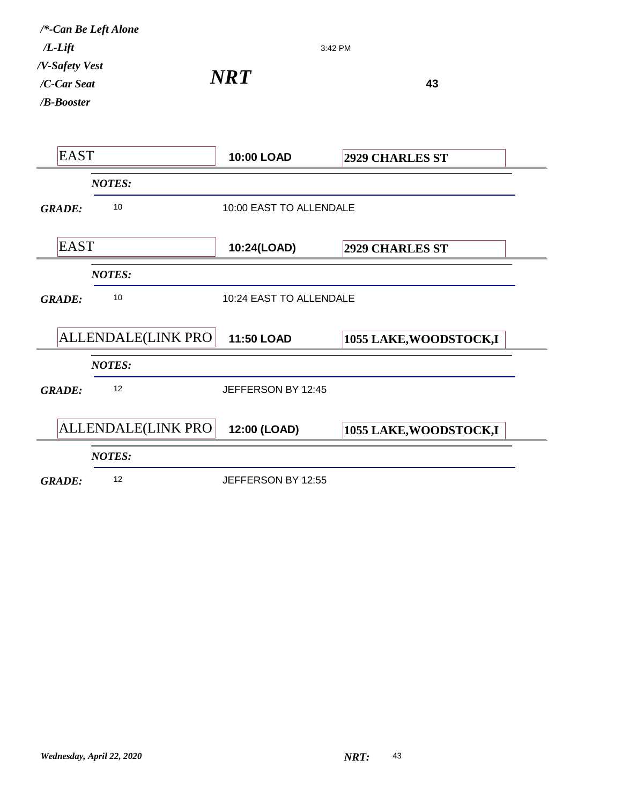| $/L$ - $Lift$                                  | /*-Can Be Left Alone | 3:42 PM                 |                         |  |
|------------------------------------------------|----------------------|-------------------------|-------------------------|--|
| /V-Safety Vest<br>/C-Car Seat<br>$/B$ -Booster |                      | <b>NRT</b>              | 43                      |  |
| <b>EAST</b>                                    |                      | <b>10:00 LOAD</b>       | <b>2929 CHARLES ST</b>  |  |
|                                                | <b>NOTES:</b>        |                         |                         |  |
| <b>GRADE:</b>                                  | 10                   | 10:00 EAST TO ALLENDALE |                         |  |
| <b>EAST</b>                                    |                      | 10:24(LOAD)             | <b>2929 CHARLES ST</b>  |  |
|                                                | <b>NOTES:</b>        |                         |                         |  |
| <b>GRADE:</b>                                  | 10                   | 10:24 EAST TO ALLENDALE |                         |  |
|                                                | ALLENDALE(LINK PRO   | <b>11:50 LOAD</b>       | 1055 LAKE, WOODSTOCK, I |  |
|                                                | <b>NOTES:</b>        |                         |                         |  |
| <b>GRADE:</b>                                  | 12                   | JEFFERSON BY 12:45      |                         |  |
|                                                | ALLENDALE(LINK PRO   | 12:00 (LOAD)            | 1055 LAKE, WOODSTOCK, I |  |
|                                                | <b>NOTES:</b>        |                         |                         |  |
| <b>GRADE:</b>                                  | 12                   | JEFFERSON BY 12:55      |                         |  |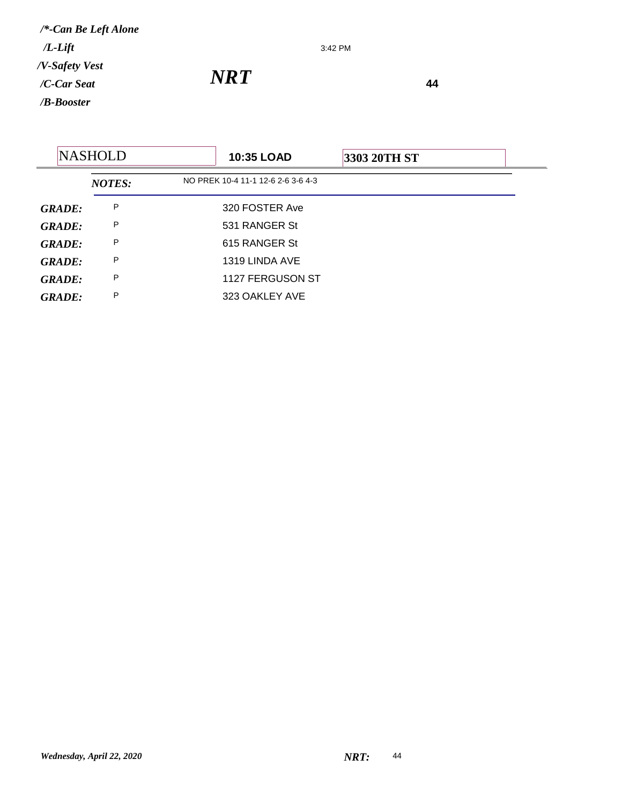3:42 PM

|               | <b>NASHOLD</b> | <b>10:35 LOAD</b>                  | 3303 20TH ST |  |
|---------------|----------------|------------------------------------|--------------|--|
|               | <b>NOTES:</b>  | NO PREK 10-4 11-1 12-6 2-6 3-6 4-3 |              |  |
| <b>GRADE:</b> | P              | 320 FOSTER Ave                     |              |  |
| <b>GRADE:</b> | P              | 531 RANGER St                      |              |  |
| <b>GRADE:</b> | P              | 615 RANGER St                      |              |  |
| <b>GRADE:</b> | P              | 1319 LINDA AVE                     |              |  |
| <b>GRADE:</b> | P              | 1127 FERGUSON ST                   |              |  |
| <b>GRADE:</b> | P              | 323 OAKLEY AVE                     |              |  |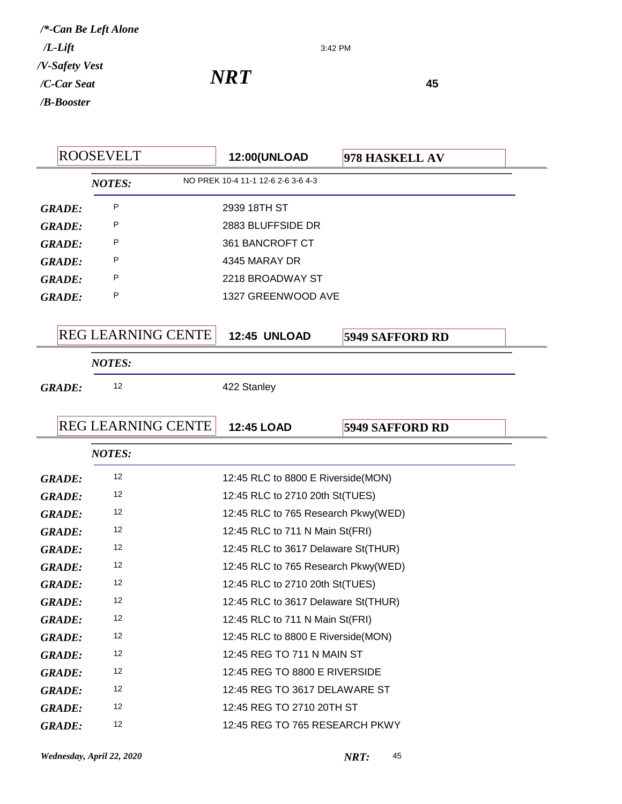3:42 PM

|               | <b>ROOSEVELT</b>          | <b>12:00(UNLOAD</b>                 | 978 HASKELL AV         |
|---------------|---------------------------|-------------------------------------|------------------------|
|               | <b>NOTES:</b>             | NO PREK 10-4 11-1 12-6 2-6 3-6 4-3  |                        |
| <b>GRADE:</b> | P                         | 2939 18TH ST                        |                        |
| <b>GRADE:</b> | P                         | 2883 BLUFFSIDE DR                   |                        |
| <b>GRADE:</b> | P                         | 361 BANCROFT CT                     |                        |
| <b>GRADE:</b> | P                         | 4345 MARAY DR                       |                        |
| <b>GRADE:</b> | P                         | 2218 BROADWAY ST                    |                        |
| <b>GRADE:</b> | P                         | 1327 GREENWOOD AVE                  |                        |
|               |                           |                                     |                        |
|               | <b>REG LEARNING CENTE</b> | <b>12:45 UNLOAD</b>                 | <b>5949 SAFFORD RD</b> |
|               | <b>NOTES:</b>             |                                     |                        |
| <b>GRADE:</b> | 12                        | 422 Stanley                         |                        |
|               |                           |                                     |                        |
|               | <b>REG LEARNING CENTE</b> | <b>12:45 LOAD</b>                   | <b>5949 SAFFORD RD</b> |
|               | <b>NOTES:</b>             |                                     |                        |
| <b>GRADE:</b> | 12                        | 12:45 RLC to 8800 E Riverside(MON)  |                        |
| <b>GRADE:</b> | 12                        | 12:45 RLC to 2710 20th St(TUES)     |                        |
| <b>GRADE:</b> | 12                        | 12:45 RLC to 765 Research Pkwy(WED) |                        |
| <b>GRADE:</b> | 12                        | 12:45 RLC to 711 N Main St(FRI)     |                        |
| <b>GRADE:</b> | 12                        | 12:45 RLC to 3617 Delaware St(THUR) |                        |
| <b>GRADE:</b> | 12                        | 12:45 RLC to 765 Research Pkwy(WED) |                        |
| <b>GRADE:</b> | 12                        | 12:45 RLC to 2710 20th St(TUES)     |                        |
| <b>GRADE:</b> | 12                        | 12:45 RLC to 3617 Delaware St(THUR) |                        |
| <b>GRADE:</b> | 12                        | 12:45 RLC to 711 N Main St(FRI)     |                        |
| <b>GRADE:</b> | 12                        | 12:45 RLC to 8800 E Riverside(MON)  |                        |
| <b>GRADE:</b> | 12                        | 12:45 REG TO 711 N MAIN ST          |                        |
| <b>GRADE:</b> | 12                        | 12:45 REG TO 8800 E RIVERSIDE       |                        |
| <b>GRADE:</b> | 12                        | 12:45 REG TO 3617 DELAWARE ST       |                        |
| <b>GRADE:</b> | 12                        | 12:45 REG TO 2710 20TH ST           |                        |
| <b>GRADE:</b> | 12                        | 12:45 REG TO 765 RESEARCH PKWY      |                        |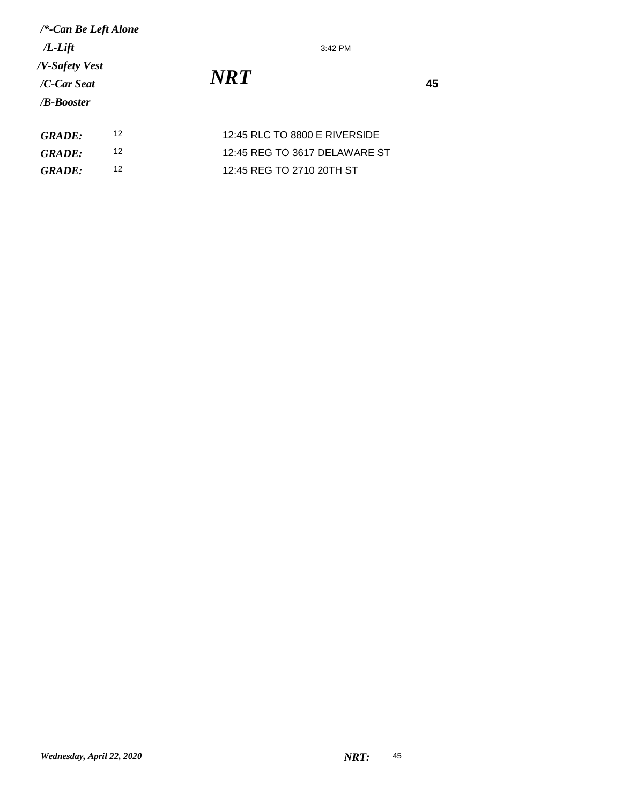3:42 PM

| <b>GRADE:</b> | 12:45 RLC TO 8800 E RIVERSIDE |
|---------------|-------------------------------|
| <b>GRADE:</b> | 12:45 REG TO 3617 DELAWARE ST |
| GRADE:        | 12:45 REG TO 2710 20TH ST     |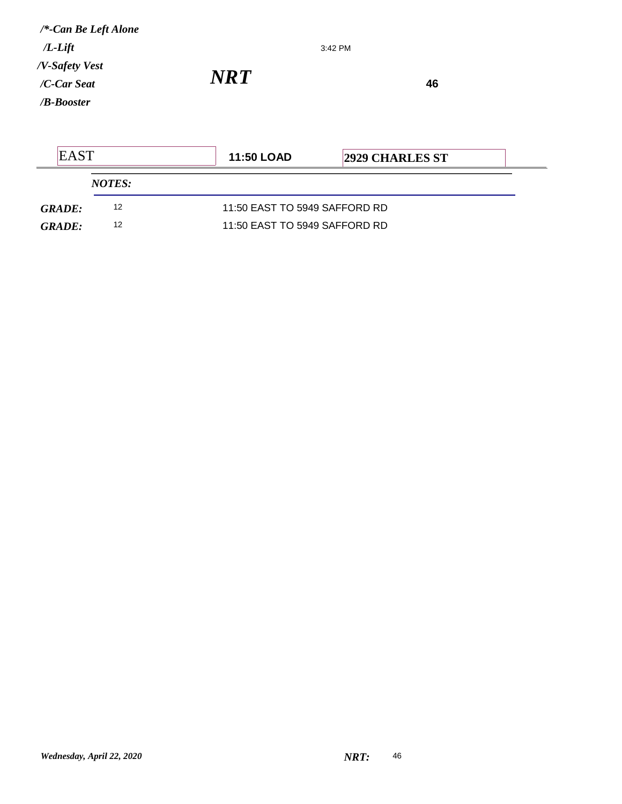| $/*$ -Can Be Left Alone<br>$/L$ - $Lift$ |               | 3:42 PM                |  |
|------------------------------------------|---------------|------------------------|--|
| /V-Safety Vest                           |               |                        |  |
| $/C$ -Car Seat                           | NRT)          | 46                     |  |
| $/B$ -Booster                            |               |                        |  |
|                                          |               |                        |  |
| <b>EAST</b>                              | $11.50$ I OAD | <b>2929 CHARLES ST</b> |  |

| LAJ 1         |               | TH. JU LUAD                   | 14949 UHAKLES ST |  |
|---------------|---------------|-------------------------------|------------------|--|
|               | <i>NOTES:</i> |                               |                  |  |
| <b>GRADE:</b> | 12            | 11:50 EAST TO 5949 SAFFORD RD |                  |  |
| <b>GRADE:</b> | 12            | 11:50 EAST TO 5949 SAFFORD RD |                  |  |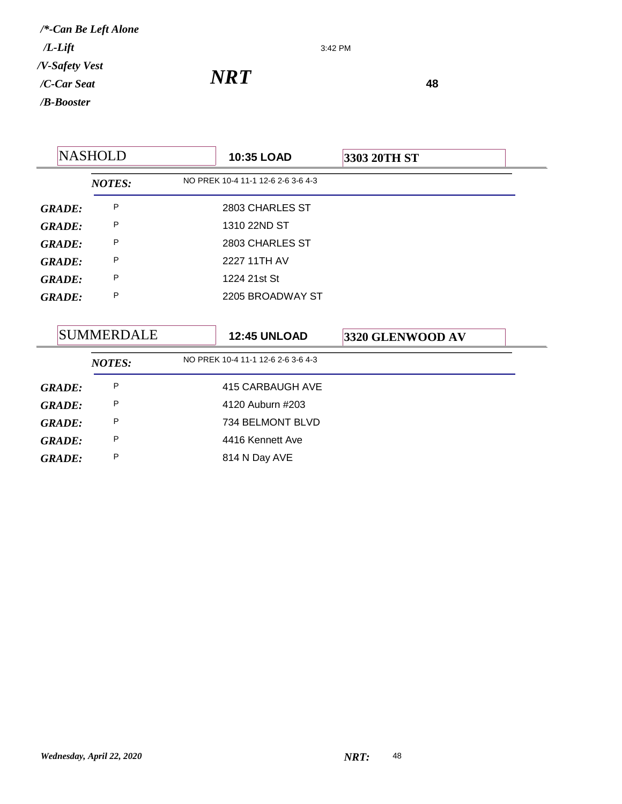3:42 PM

*NRT*<sup>48</sup>

| <b>NASHOLD</b>    |               | 10:35 LOAD | 3303 20TH ST                       |                  |
|-------------------|---------------|------------|------------------------------------|------------------|
|                   | <b>NOTES:</b> |            | NO PREK 10-4 11-1 12-6 2-6 3-6 4-3 |                  |
| <b>GRADE:</b>     | P             |            | 2803 CHARLES ST                    |                  |
| <b>GRADE:</b>     | P             |            | 1310 22ND ST                       |                  |
| <b>GRADE:</b>     | P             |            | 2803 CHARLES ST                    |                  |
| <b>GRADE:</b>     | P             |            | 2227 11TH AV                       |                  |
| <b>GRADE:</b>     | P             |            | 1224 21st St                       |                  |
| <b>GRADE:</b>     | P             |            | 2205 BROADWAY ST                   |                  |
|                   |               |            |                                    |                  |
| <b>SUMMERDALE</b> |               |            | <b>12:45 UNLOAD</b>                | 3320 GLENWOOD AV |
|                   | <b>NOTES:</b> |            | NO PREK 10-4 11-1 12-6 2-6 3-6 4-3 |                  |
| <b>GRADE:</b>     | P             |            | 415 CARBAUGH AVE                   |                  |
| <b>GRADE:</b>     | P             |            | 4120 Auburn #203                   |                  |
| <b>GRADE:</b>     | P             |            | 734 BELMONT BLVD                   |                  |
| <b>GRADE:</b>     | P             |            | 4416 Kennett Ave                   |                  |
| <b>GRADE:</b>     | P             |            | 814 N Day AVE                      |                  |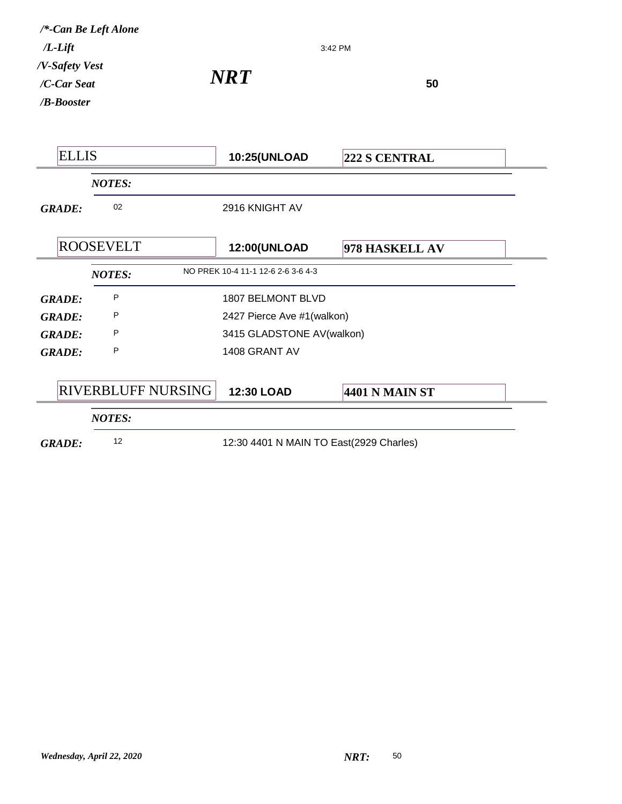| <b>ELLIS</b>  |                                               | <b>10:25(UNLOAD</b>                | 222 S CENTRAL              |  |  |
|---------------|-----------------------------------------------|------------------------------------|----------------------------|--|--|
|               | <b>NOTES:</b>                                 |                                    |                            |  |  |
| <b>GRADE:</b> | 02                                            | 2916 KNIGHT AV                     |                            |  |  |
|               | <b>ROOSEVELT</b>                              | <b>12:00(UNLOAD</b>                | 978 HASKELL AV             |  |  |
|               | <b>NOTES:</b>                                 | NO PREK 10-4 11-1 12-6 2-6 3-6 4-3 |                            |  |  |
| <b>GRADE:</b> | P<br><b>1807 BELMONT BLVD</b>                 |                                    |                            |  |  |
| <b>GRADE:</b> | P                                             |                                    | 2427 Pierce Ave #1(walkon) |  |  |
| <b>GRADE:</b> | P                                             |                                    | 3415 GLADSTONE AV(walkon)  |  |  |
| <b>GRADE:</b> | P                                             | 1408 GRANT AV                      |                            |  |  |
|               | <b>RIVERBLUFF NURSING</b>                     | 12:30 LOAD                         | <b>4401 N MAIN ST</b>      |  |  |
|               | <b>NOTES:</b>                                 |                                    |                            |  |  |
| <b>GRADE:</b> | 12<br>12:30 4401 N MAIN TO East(2929 Charles) |                                    |                            |  |  |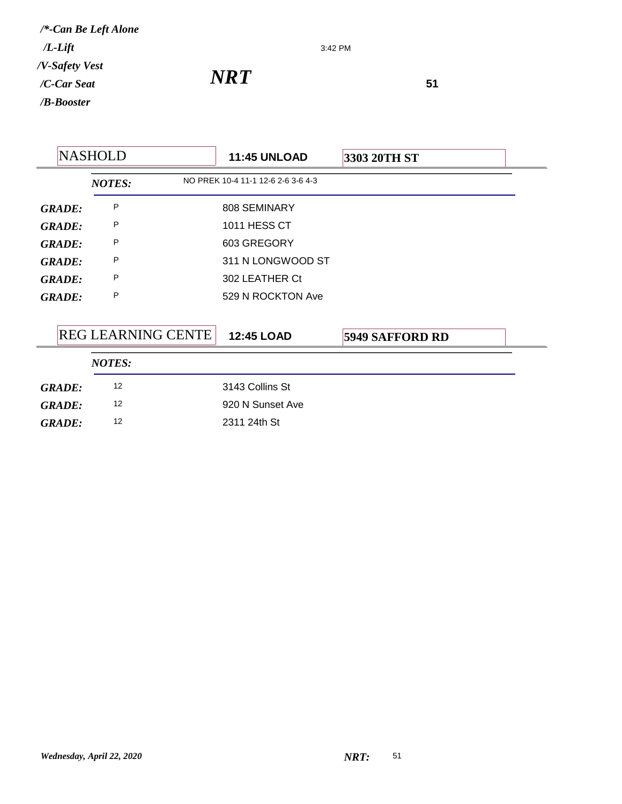3:42 PM

*NRT*<sup>51</sup>

| <b>NASHOLD</b> |  | <b>11:45 UNLOAD</b>       | 3303 20TH ST |                                    |                        |  |
|----------------|--|---------------------------|--------------|------------------------------------|------------------------|--|
|                |  | <b>NOTES:</b>             |              | NO PREK 10-4 11-1 12-6 2-6 3-6 4-3 |                        |  |
| <b>GRADE:</b>  |  | P                         |              | 808 SEMINARY                       |                        |  |
| <b>GRADE:</b>  |  | P                         |              | 1011 HESS CT                       |                        |  |
| <b>GRADE:</b>  |  | P                         |              | 603 GREGORY                        |                        |  |
| <b>GRADE:</b>  |  | P                         |              | 311 N LONGWOOD ST                  |                        |  |
| <b>GRADE:</b>  |  | P                         |              | 302 LEATHER Ct                     |                        |  |
| <b>GRADE:</b>  |  | P                         |              | 529 N ROCKTON Ave                  |                        |  |
|                |  |                           |              |                                    |                        |  |
|                |  | <b>REG LEARNING CENTE</b> |              | <b>12:45 LOAD</b>                  | <b>5949 SAFFORD RD</b> |  |
|                |  | <b>NOTES:</b>             |              |                                    |                        |  |
| <b>GRADE:</b>  |  | 12                        |              | 3143 Collins St                    |                        |  |
| <b>GRADE:</b>  |  | 12                        |              | 920 N Sunset Ave                   |                        |  |
| <b>GRADE:</b>  |  | 12                        |              | 2311 24th St                       |                        |  |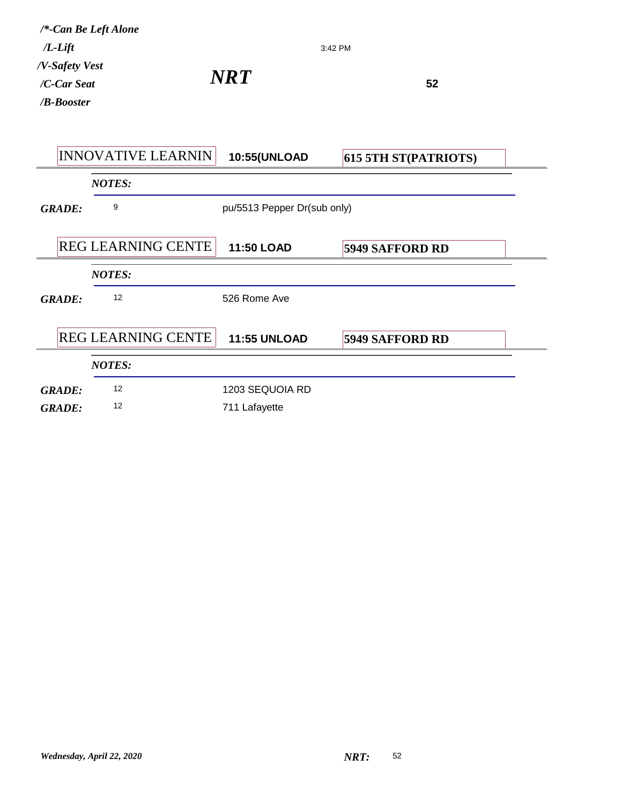| $/L$ -Lift                                  | /*-Can Be Left Alone      |                             | 3:42 PM                     |  |
|---------------------------------------------|---------------------------|-----------------------------|-----------------------------|--|
| /V-Safety Vest<br>/C-Car Seat<br>/B-Booster |                           | NRT)                        | 52                          |  |
|                                             | <b>INNOVATIVE LEARNIN</b> | 10:55(UNLOAD                | <b>615 5TH ST(PATRIOTS)</b> |  |
|                                             | <b>NOTES:</b>             |                             |                             |  |
| <b>GRADE:</b>                               | 9                         | pu/5513 Pepper Dr(sub only) |                             |  |
|                                             | REG LEARNING CENTE        | <b>11:50 LOAD</b>           | <b>5949 SAFFORD RD</b>      |  |
|                                             | <b>NOTES:</b>             |                             |                             |  |
| <b>GRADE:</b>                               | 12                        | 526 Rome Ave                |                             |  |
|                                             | <b>REG LEARNING CENTE</b> | <b>11:55 UNLOAD</b>         | <b>5949 SAFFORD RD</b>      |  |
|                                             | <b>NOTES:</b>             |                             |                             |  |
| <b>GRADE:</b>                               | 12                        | 1203 SEQUOIA RD             |                             |  |
| <b>GRADE:</b>                               | 12                        | 711 Lafayette               |                             |  |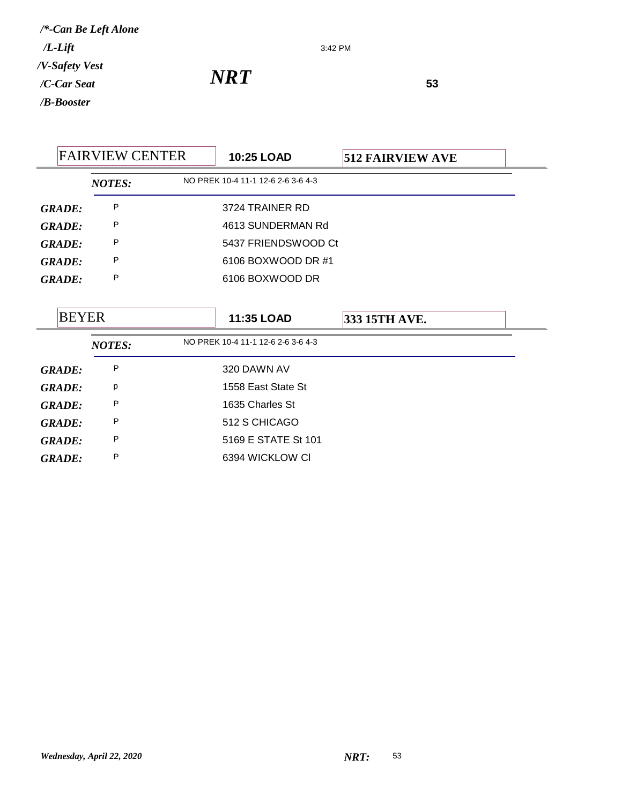3:42 PM

| <b>FAIRVIEW CENTER</b> |               |                   | 10:25 LOAD                                       | <b>512 FAIRVIEW AVE</b> |  |
|------------------------|---------------|-------------------|--------------------------------------------------|-------------------------|--|
|                        | <b>NOTES:</b> |                   | NO PREK 10-4 11-1 12-6 2-6 3-6 4-3               |                         |  |
| <b>GRADE:</b>          | P             | 3724 TRAINER RD   |                                                  |                         |  |
| <b>GRADE:</b>          | P             | 4613 SUNDERMAN Rd |                                                  |                         |  |
| <b>GRADE:</b>          | P             |                   | 5437 FRIENDSWOOD Ct                              |                         |  |
| <b>GRADE:</b>          | P             |                   | 6106 BOXWOOD DR #1                               |                         |  |
| <b>GRADE:</b>          | P             |                   | 6106 BOXWOOD DR                                  |                         |  |
| <b>BEYER</b>           | <b>NOTES:</b> |                   | 11:35 LOAD<br>NO PREK 10-4 11-1 12-6 2-6 3-6 4-3 | 333 15TH AVE.           |  |
| <b>GRADE:</b>          | P             |                   | 320 DAWN AV                                      |                         |  |
| <b>GRADE:</b>          | p             |                   | 1558 East State St                               |                         |  |
| <b>GRADE:</b>          | P             |                   | 1635 Charles St                                  |                         |  |
| <b>GRADE:</b>          | P             |                   | 512 S CHICAGO                                    |                         |  |
| <b>GRADE:</b>          | P             |                   | 5169 E STATE St 101                              |                         |  |
|                        |               |                   | 6394 WICKLOW CI                                  |                         |  |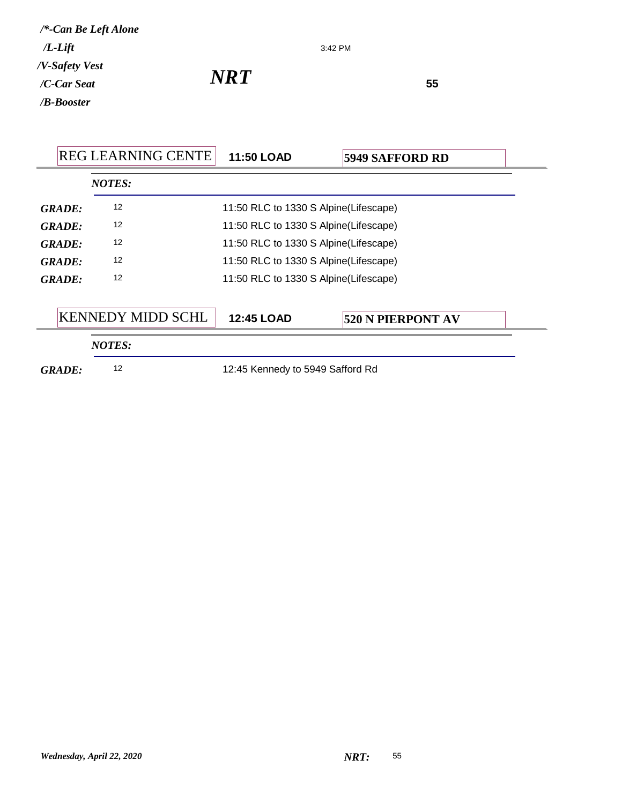|                                                  | <b>REG LEARNING CENTE</b>                   | <b>11:50 LOAD</b>                     | <b>5949 SAFFORD RD</b>   |  |  |
|--------------------------------------------------|---------------------------------------------|---------------------------------------|--------------------------|--|--|
|                                                  | <b>NOTES:</b>                               |                                       |                          |  |  |
| <b>GRADE:</b>                                    | 12                                          | 11:50 RLC to 1330 S Alpine(Lifescape) |                          |  |  |
| <b>GRADE:</b>                                    | 12                                          | 11:50 RLC to 1330 S Alpine(Lifescape) |                          |  |  |
| <b>GRADE:</b>                                    | 12<br>11:50 RLC to 1330 S Alpine(Lifescape) |                                       |                          |  |  |
| GRADE:                                           | 12<br>11:50 RLC to 1330 S Alpine(Lifescape) |                                       |                          |  |  |
| <b>GRADE:</b>                                    | 12<br>11:50 RLC to 1330 S Alpine(Lifescape) |                                       |                          |  |  |
| <b>KENNEDY MIDD SCHL</b>                         |                                             | <b>12:45 LOAD</b>                     | <b>520 N PIERPONT AV</b> |  |  |
|                                                  | <b>NOTES:</b>                               |                                       |                          |  |  |
| 12<br>12:45 Kennedy to 5949 Safford Rd<br>GRADE: |                                             |                                       |                          |  |  |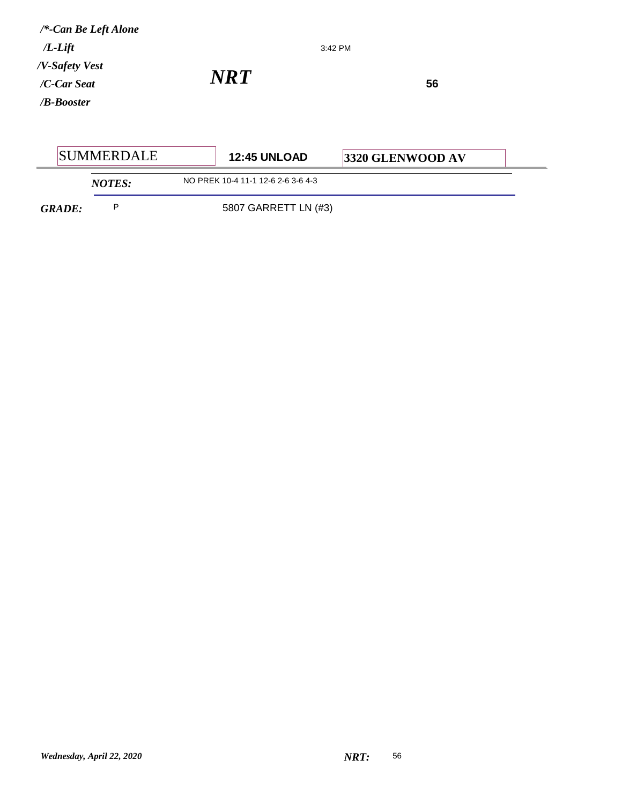| $/*$ -Can Be Left Alone   |            |         |    |  |
|---------------------------|------------|---------|----|--|
| $/L$ - $Lift$             |            | 3:42 PM |    |  |
| /V-Safety Vest            |            |         |    |  |
| /C-Car Seat               | <b>NRT</b> |         | 56 |  |
| / <b><i>B-Booster</i></b> |            |         |    |  |
|                           |            |         |    |  |

| <b>SUMMERDALE</b> |               | <b>12:45 UNLOAD</b>                | <b>3320 GLENWOOD AV</b> |  |
|-------------------|---------------|------------------------------------|-------------------------|--|
|                   | <b>NOTES:</b> | NO PREK 10-4 11-1 12-6 2-6 3-6 4-3 |                         |  |
| <b>GRADE:</b>     |               | 5807 GARRETT LN (#3)               |                         |  |

ń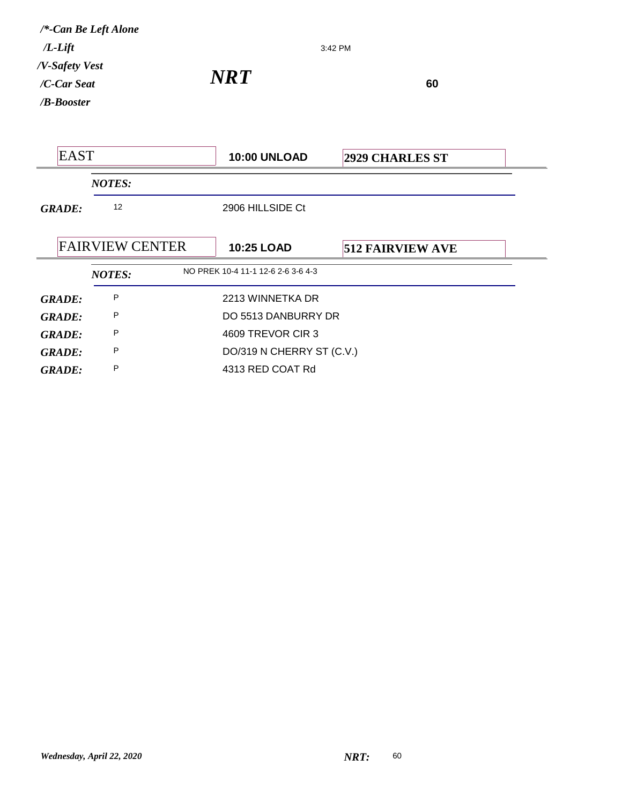| 3:42 PM |  |
|---------|--|
|         |  |

*NRT*<sup>60</sup>

|                                 | <b>EAST</b>            |                                |  | <b>10:00 UNLOAD</b><br><b>2929 CHARLES ST</b> |                         |  |
|---------------------------------|------------------------|--------------------------------|--|-----------------------------------------------|-------------------------|--|
|                                 |                        | <b>NOTES:</b>                  |  |                                               |                         |  |
|                                 | <b>GRADE:</b>          | 12                             |  | 2906 HILLSIDE Ct                              |                         |  |
|                                 |                        |                                |  |                                               |                         |  |
|                                 | <b>FAIRVIEW CENTER</b> |                                |  | <b>10:25 LOAD</b>                             | <b>512 FAIRVIEW AVE</b> |  |
|                                 |                        | <b>NOTES:</b>                  |  | NO PREK 10-4 11-1 12-6 2-6 3-6 4-3            |                         |  |
| P<br>2213 WINNETKA DR<br>GRADE: |                        |                                |  |                                               |                         |  |
|                                 | P<br><b>GRADE:</b>     |                                |  | DO 5513 DANBURRY DR                           |                         |  |
|                                 | <b>GRADE:</b>          | P                              |  | 4609 TREVOR CIR 3                             |                         |  |
|                                 | <b>GRADE:</b>          | P<br>DO/319 N CHERRY ST (C.V.) |  |                                               |                         |  |
|                                 | GRADE:                 | P<br>4313 RED COAT Rd          |  |                                               |                         |  |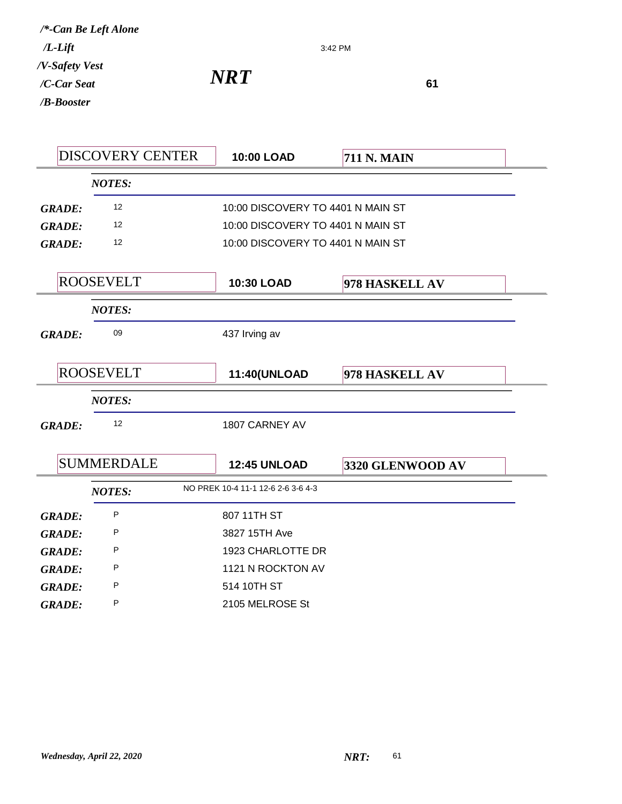*NRT*<sup>61</sup>

|               | <b>DISCOVERY CENTER</b> | 10:00 LOAD                         | <b>711 N. MAIN</b> |  |
|---------------|-------------------------|------------------------------------|--------------------|--|
|               | <b>NOTES:</b>           |                                    |                    |  |
| <b>GRADE:</b> | 12                      | 10:00 DISCOVERY TO 4401 N MAIN ST  |                    |  |
| <b>GRADE:</b> | 12                      | 10:00 DISCOVERY TO 4401 N MAIN ST  |                    |  |
| <b>GRADE:</b> | $12 \overline{ }$       | 10:00 DISCOVERY TO 4401 N MAIN ST  |                    |  |
|               |                         |                                    |                    |  |
|               | <b>ROOSEVELT</b>        | <b>10:30 LOAD</b>                  | 978 HASKELL AV     |  |
|               | <b>NOTES:</b>           |                                    |                    |  |
| <b>GRADE:</b> | 09                      | 437 Irving av                      |                    |  |
|               |                         |                                    |                    |  |
|               | <b>ROOSEVELT</b>        | 11:40(UNLOAD                       | 978 HASKELL AV     |  |
|               | <b>NOTES:</b>           |                                    |                    |  |
| <b>GRADE:</b> | 12                      | 1807 CARNEY AV                     |                    |  |
|               |                         |                                    |                    |  |
|               | <b>SUMMERDALE</b>       | <b>12:45 UNLOAD</b>                | 3320 GLENWOOD AV   |  |
|               | <b>NOTES:</b>           | NO PREK 10-4 11-1 12-6 2-6 3-6 4-3 |                    |  |
| <b>GRADE:</b> | P                       | 807 11TH ST                        |                    |  |
| <b>GRADE:</b> | P                       | 3827 15TH Ave                      |                    |  |
| <b>GRADE:</b> | P                       | 1923 CHARLOTTE DR                  |                    |  |
| <b>GRADE:</b> | P                       | 1121 N ROCKTON AV                  |                    |  |
| <b>GRADE:</b> | P                       | 514 10TH ST                        |                    |  |
| <b>GRADE:</b> | P                       | 2105 MELROSE St                    |                    |  |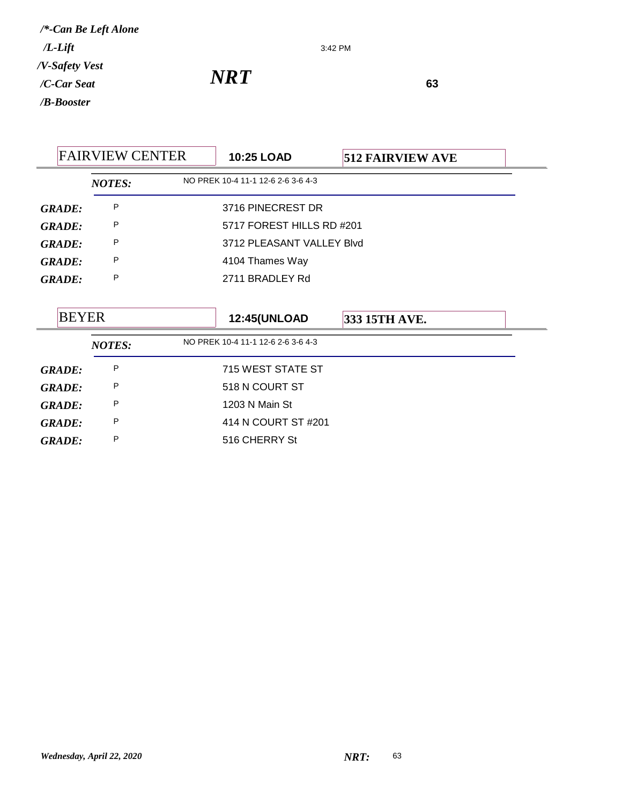3:42 PM

*NRT*<sup>63</sup>

|               | <b>FAIRVIEW CENTER</b> | 10:25 LOAD                                                | <b>512 FAIRVIEW AVE</b> |  |
|---------------|------------------------|-----------------------------------------------------------|-------------------------|--|
|               | <b>NOTES:</b>          | NO PREK 10-4 11-1 12-6 2-6 3-6 4-3                        |                         |  |
| <b>GRADE:</b> | P                      | 3716 PINECREST DR                                         |                         |  |
| <b>GRADE:</b> | P                      | 5717 FOREST HILLS RD #201                                 |                         |  |
| <b>GRADE:</b> | P                      | 3712 PLEASANT VALLEY Blvd                                 |                         |  |
| <b>GRADE:</b> | P                      | 4104 Thames Way                                           |                         |  |
| <b>GRADE:</b> | P                      | 2711 BRADLEY Rd                                           |                         |  |
| <b>BEYER</b>  |                        | <b>12:45(UNLOAD</b><br>NO PREK 10-4 11-1 12-6 2-6 3-6 4-3 | 333 15TH AVE.           |  |
|               | <b>NOTES:</b>          |                                                           |                         |  |
| <b>GRADE:</b> | P                      | 715 WEST STATE ST                                         |                         |  |
| <b>GRADE:</b> | P                      | 518 N COURT ST                                            |                         |  |
| <b>GRADE:</b> | P                      | 1203 N Main St                                            |                         |  |
| <b>GRADE:</b> | P                      | 414 N COURT ST #201                                       |                         |  |
| <b>GRADE:</b> | P                      | 516 CHERRY St                                             |                         |  |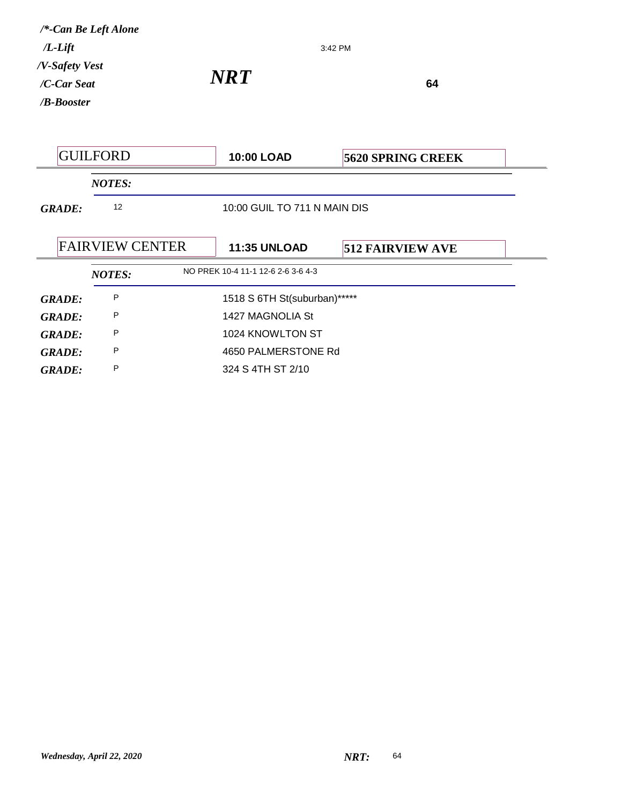| /*-Can Be Left Alone<br>$/L$ -Lift<br>/V-Safety Vest |                        | 3:42 PM<br><b>NRT</b><br>64        |                          |  |  |
|------------------------------------------------------|------------------------|------------------------------------|--------------------------|--|--|
| /C-Car Seat<br>/ <b>B-Booster</b>                    |                        |                                    |                          |  |  |
|                                                      |                        |                                    |                          |  |  |
| <b>GUILFORD</b>                                      |                        | <b>10:00 LOAD</b>                  | <b>5620 SPRING CREEK</b> |  |  |
|                                                      | <b>NOTES:</b>          |                                    |                          |  |  |
| 12<br><b>GRADE:</b>                                  |                        | 10:00 GUIL TO 711 N MAIN DIS       |                          |  |  |
|                                                      | <b>FAIRVIEW CENTER</b> | <b>11:35 UNLOAD</b>                | <b>512 FAIRVIEW AVE</b>  |  |  |
|                                                      | <b>NOTES:</b>          | NO PREK 10-4 11-1 12-6 2-6 3-6 4-3 |                          |  |  |
| <b>GRADE:</b>                                        | P                      | 1518 S 6TH St(suburban)*****       |                          |  |  |
| <b>GRADE:</b>                                        | P                      | 1427 MAGNOLIA St                   |                          |  |  |
| <b>GRADE:</b>                                        | P                      | 1024 KNOWLTON ST                   |                          |  |  |
| <b>GRADE:</b>                                        | P                      | 4650 PALMERSTONE Rd                |                          |  |  |
| <b>GRADE:</b>                                        | P                      | 324 S 4TH ST 2/10                  |                          |  |  |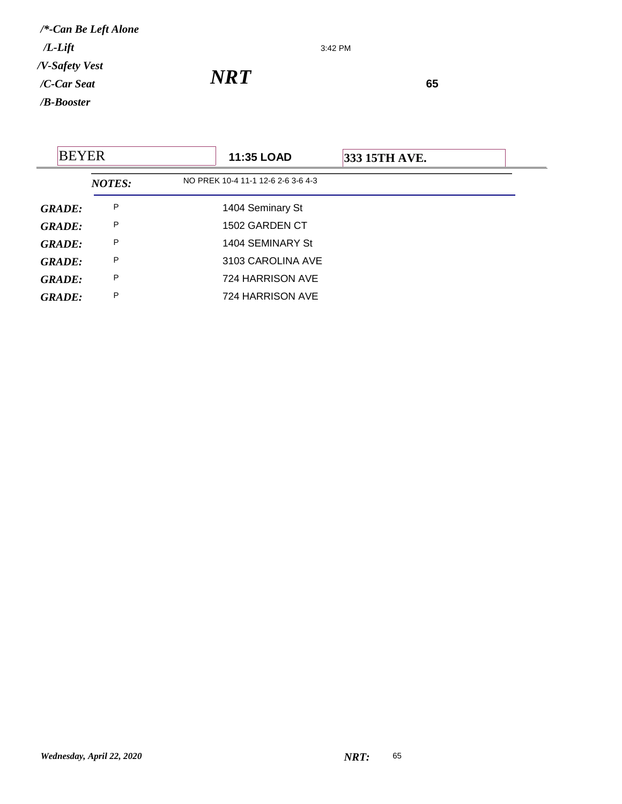3:42 PM

*NRT*<sup>65</sup>

| <b>BEYER</b>  |               | <b>11:35 LOAD</b>                  | 333 15TH AVE. |
|---------------|---------------|------------------------------------|---------------|
|               | <b>NOTES:</b> | NO PREK 10-4 11-1 12-6 2-6 3-6 4-3 |               |
| <b>GRADE:</b> | P             | 1404 Seminary St                   |               |
| <b>GRADE:</b> | P             | 1502 GARDEN CT                     |               |
| <b>GRADE:</b> | P             | 1404 SEMINARY St                   |               |
| <b>GRADE:</b> | P             | 3103 CAROLINA AVE                  |               |
| <b>GRADE:</b> | P             | 724 HARRISON AVE                   |               |
| <b>GRADE:</b> | P             | 724 HARRISON AVE                   |               |
|               |               |                                    |               |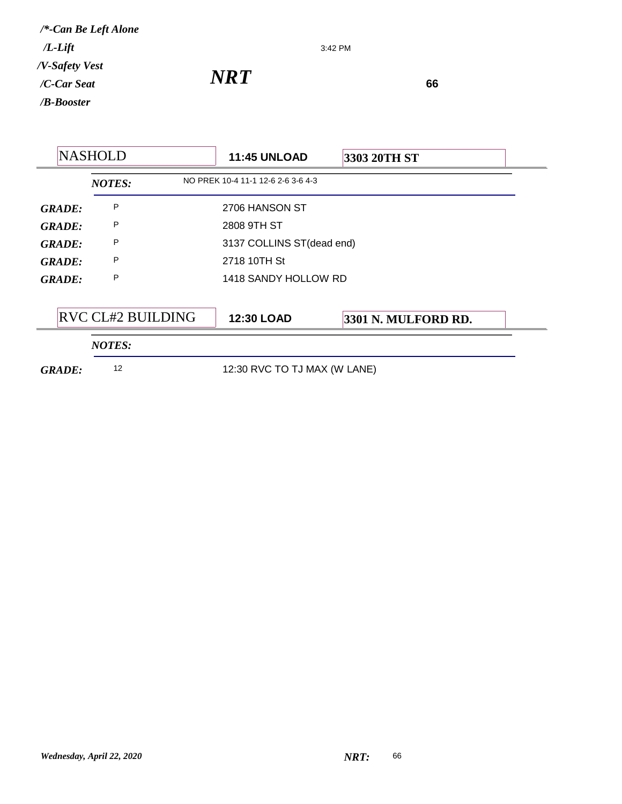3:42 PM

*NRT*<sup>66</sup>

| <b>NASHOLD</b>                                  |                   | <b>11:45 UNLOAD</b><br>3303 20TH ST |                     |  |
|-------------------------------------------------|-------------------|-------------------------------------|---------------------|--|
|                                                 | <b>NOTES:</b>     | NO PREK 10-4 11-1 12-6 2-6 3-6 4-3  |                     |  |
| <b>GRADE:</b>                                   | P                 | 2706 HANSON ST                      |                     |  |
| <b>GRADE:</b>                                   | P                 | 2808 9TH ST                         |                     |  |
| P<br>3137 COLLINS ST(dead end)<br><b>GRADE:</b> |                   |                                     |                     |  |
| <b>GRADE:</b>                                   | P                 | 2718 10TH St                        |                     |  |
| <b>GRADE:</b>                                   | P                 | 1418 SANDY HOLLOW RD                |                     |  |
|                                                 | RVC CL#2 BUILDING | <b>12:30 LOAD</b>                   | 3301 N. MULFORD RD. |  |
|                                                 | <b>NOTES:</b>     |                                     |                     |  |
| <b>GRADE:</b>                                   | 12                | 12:30 RVC TO TJ MAX (W LANE)        |                     |  |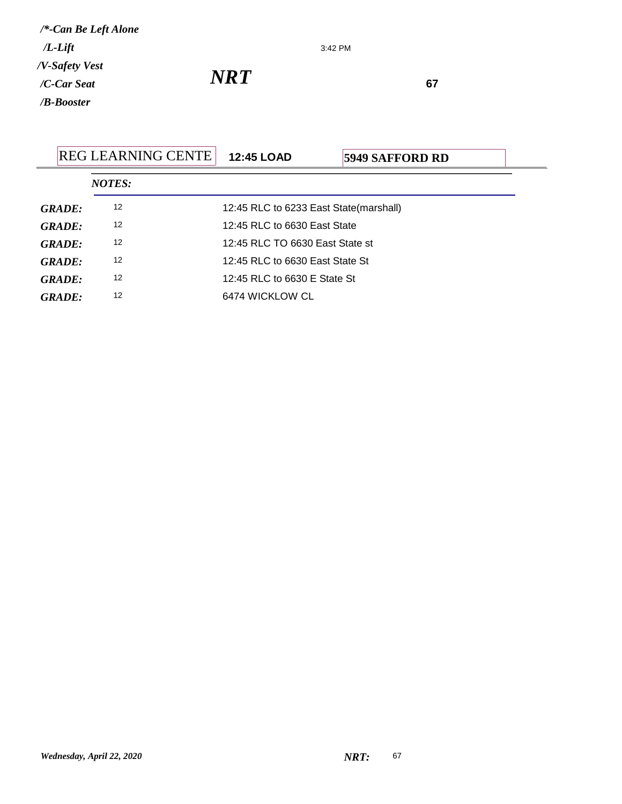3:42 PM

*NRT*<sup>67</sup>

|               | <b>REG LEARNING CENTE</b> | <b>12:45 LOAD</b>                      | <b>5949 SAFFORD RD</b> |  |  |
|---------------|---------------------------|----------------------------------------|------------------------|--|--|
|               | <b>NOTES:</b>             |                                        |                        |  |  |
| GRADE:        | 12                        | 12:45 RLC to 6233 East State(marshall) |                        |  |  |
| GRADE:        | 12                        | 12:45 RLC to 6630 East State           |                        |  |  |
| GRADE:        | 12                        | 12:45 RLC TO 6630 East State st        |                        |  |  |
| GRADE:        | 12                        | 12:45 RLC to 6630 East State St        |                        |  |  |
| GRADE:        | 12                        | 12:45 RLC to 6630 E State St           |                        |  |  |
| <b>GRADE:</b> | 12                        | 6474 WICKLOW CL                        |                        |  |  |
|               |                           |                                        |                        |  |  |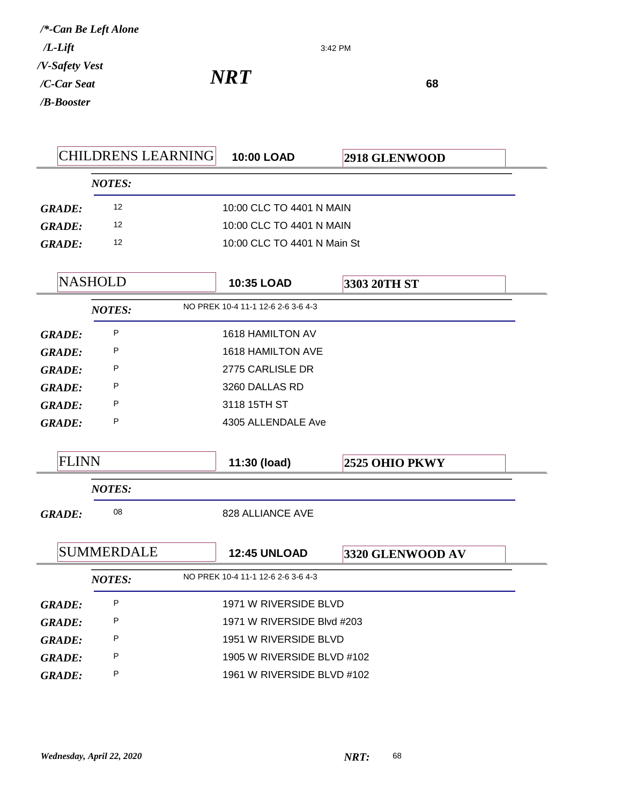3:42 PM

*NRT*<sup>68</sup>

|                                |               | <b>CHILDRENS LEARNING</b> | 10:00 LOAD                         | 2918 GLENWOOD    |  |  |
|--------------------------------|---------------|---------------------------|------------------------------------|------------------|--|--|
|                                |               | <b>NOTES:</b>             |                                    |                  |  |  |
|                                | <b>GRADE:</b> | 12                        | 10:00 CLC TO 4401 N MAIN           |                  |  |  |
| <b>GRADE:</b><br><b>GRADE:</b> |               | 12                        | 10:00 CLC TO 4401 N MAIN           |                  |  |  |
|                                |               | 12                        | 10:00 CLC TO 4401 N Main St        |                  |  |  |
|                                |               |                           |                                    |                  |  |  |
|                                |               | <b>NASHOLD</b>            | 10:35 LOAD                         | 3303 20TH ST     |  |  |
|                                |               | <b>NOTES:</b>             | NO PREK 10-4 11-1 12-6 2-6 3-6 4-3 |                  |  |  |
|                                | <b>GRADE:</b> | P                         | <b>1618 HAMILTON AV</b>            |                  |  |  |
|                                | <b>GRADE:</b> | P                         | 1618 HAMILTON AVE                  |                  |  |  |
|                                | <b>GRADE:</b> | P                         | 2775 CARLISLE DR                   |                  |  |  |
|                                | <b>GRADE:</b> | P                         | 3260 DALLAS RD                     |                  |  |  |
|                                | <b>GRADE:</b> | P                         | 3118 15TH ST                       |                  |  |  |
|                                | <b>GRADE:</b> | P                         | 4305 ALLENDALE Ave                 |                  |  |  |
|                                |               |                           |                                    |                  |  |  |
|                                | <b>FLINN</b>  |                           | 11:30 (load)                       | 2525 OHIO PKWY   |  |  |
|                                |               | <b>NOTES:</b>             |                                    |                  |  |  |
|                                | <b>GRADE:</b> | 08                        | 828 ALLIANCE AVE                   |                  |  |  |
|                                |               |                           |                                    |                  |  |  |
|                                |               | <b>SUMMERDALE</b>         | <b>12:45 UNLOAD</b>                | 3320 GLENWOOD AV |  |  |
|                                |               | <b>NOTES:</b>             | NO PREK 10-4 11-1 12-6 2-6 3-6 4-3 |                  |  |  |
|                                | <b>GRADE:</b> | Ρ                         | 1971 W RIVERSIDE BLVD              |                  |  |  |
|                                | <b>GRADE:</b> | P                         | 1971 W RIVERSIDE Blvd #203         |                  |  |  |
|                                | <b>GRADE:</b> | P                         | 1951 W RIVERSIDE BLVD              |                  |  |  |
|                                | <b>GRADE:</b> | P                         | 1905 W RIVERSIDE BLVD #102         |                  |  |  |
|                                | <b>GRADE:</b> | Ρ                         | 1961 W RIVERSIDE BLVD #102         |                  |  |  |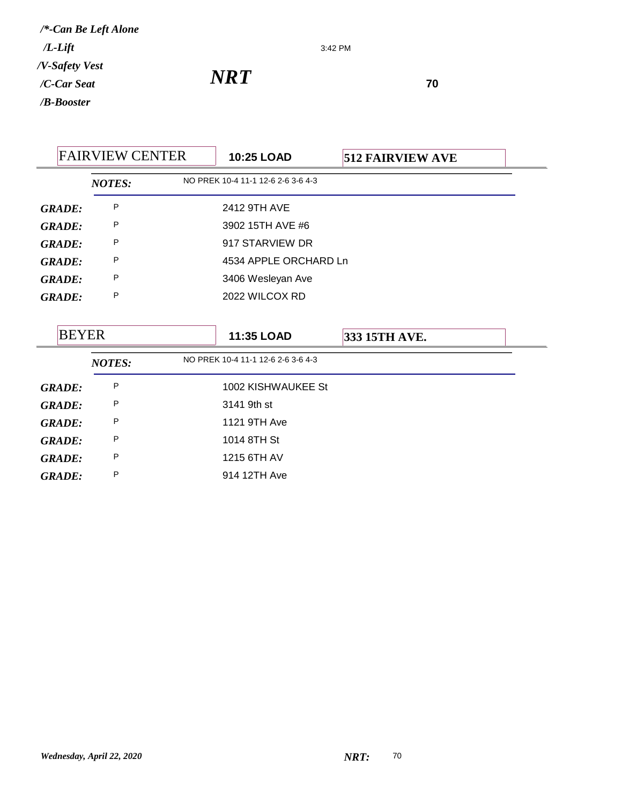3:42 PM

*NRT*<sup>70</sup>

|               | <b>FAIRVIEW CENTER</b> | 10:25 LOAD                         | <b>512 FAIRVIEW AVE</b> |
|---------------|------------------------|------------------------------------|-------------------------|
|               | <b>NOTES:</b>          | NO PREK 10-4 11-1 12-6 2-6 3-6 4-3 |                         |
| <b>GRADE:</b> | P                      | 2412 9TH AVE                       |                         |
| <b>GRADE:</b> | P                      | 3902 15TH AVE #6                   |                         |
| <b>GRADE:</b> | P                      | 917 STARVIEW DR                    |                         |
| <b>GRADE:</b> | P                      | 4534 APPLE ORCHARD Ln              |                         |
| <b>GRADE:</b> | P                      | 3406 Wesleyan Ave                  |                         |
| <b>GRADE:</b> | P                      | 2022 WILCOX RD                     |                         |
|               |                        |                                    |                         |
| <b>BEYER</b>  |                        | 11:35 LOAD                         | 333 15TH AVE.           |
|               | <b>NOTES:</b>          | NO PREK 10-4 11-1 12-6 2-6 3-6 4-3 |                         |
| <b>GRADE:</b> | P                      | 1002 KISHWAUKEE St                 |                         |
| <b>GRADE:</b> | P                      | 3141 9th st                        |                         |
| <b>GRADE:</b> | P                      | 1121 9TH Ave                       |                         |
| <b>GRADE:</b> | P                      | 1014 8TH St                        |                         |
| <b>GRADE:</b> | P                      | 1215 6TH AV                        |                         |
| <b>GRADE:</b> | P                      | 914 12TH Ave                       |                         |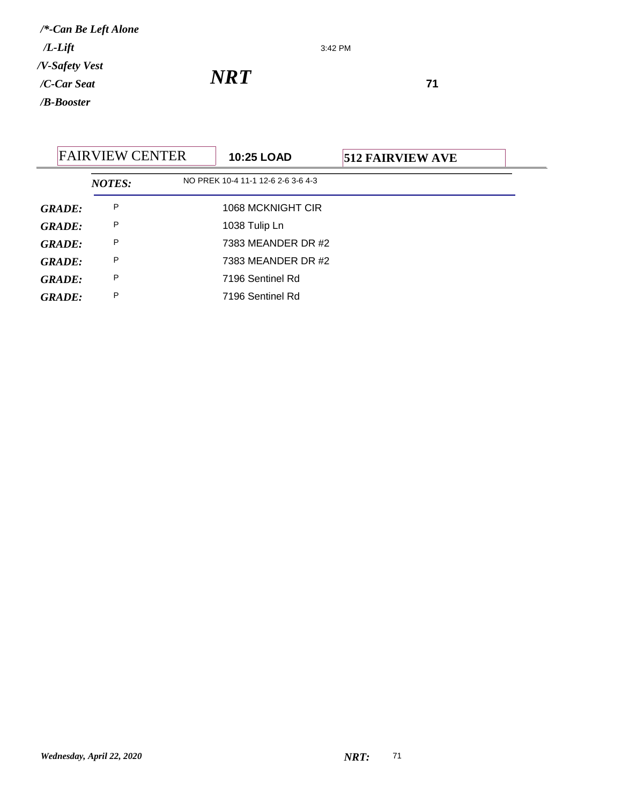3:42 PM

*NRT*<sup>71</sup>

|               | <b>FAIRVIEW CENTER</b> |  | <b>10:25 LOAD</b>                  | <b>512 FAIRVIEW AVE</b> |  |
|---------------|------------------------|--|------------------------------------|-------------------------|--|
|               | <b>NOTES:</b>          |  | NO PREK 10-4 11-1 12-6 2-6 3-6 4-3 |                         |  |
| <b>GRADE:</b> | P                      |  | 1068 MCKNIGHT CIR                  |                         |  |
| <b>GRADE:</b> | P                      |  | 1038 Tulip Ln                      |                         |  |
| <b>GRADE:</b> | P                      |  | 7383 MEANDER DR #2                 |                         |  |
| <b>GRADE:</b> | P                      |  | 7383 MEANDER DR #2                 |                         |  |
| <b>GRADE:</b> | P                      |  | 7196 Sentinel Rd                   |                         |  |
| <b>GRADE:</b> | P                      |  | 7196 Sentinel Rd                   |                         |  |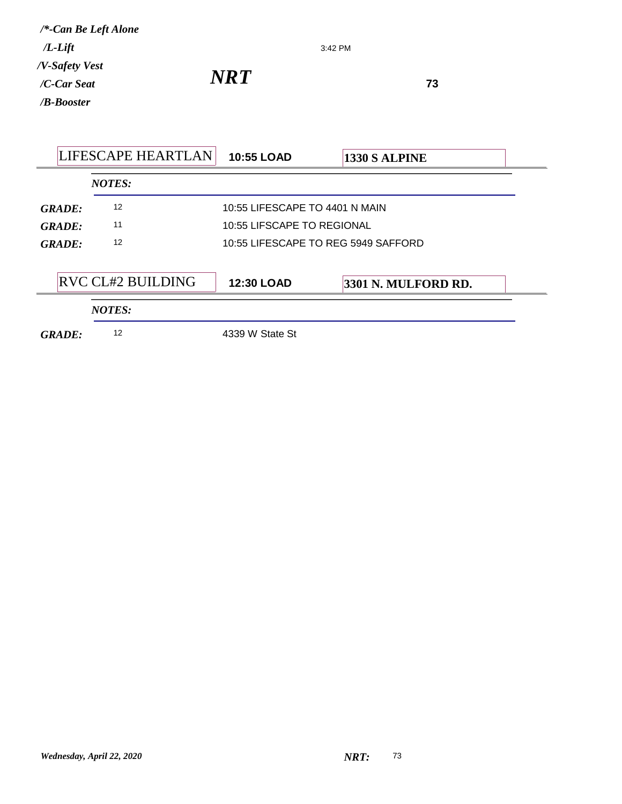| $/L$ -Lift<br>/V-Safety Vest<br>/C-Car Seat<br>/B-Booster | /*-Can Be Left Alone     | 3:42 PM<br><b>NRT</b>               | 73                  |
|-----------------------------------------------------------|--------------------------|-------------------------------------|---------------------|
|                                                           | LIFESCAPE HEARTLAN       | <b>10:55 LOAD</b>                   | 1330 S ALPINE       |
|                                                           | <b>NOTES:</b>            |                                     |                     |
| <b>GRADE:</b>                                             | 12                       | 10:55 LIFESCAPE TO 4401 N MAIN      |                     |
| <b>GRADE:</b>                                             | 11                       | 10:55 LIFSCAPE TO REGIONAL          |                     |
| <b>GRADE:</b>                                             | 12                       | 10:55 LIFESCAPE TO REG 5949 SAFFORD |                     |
|                                                           | <b>RVC CL#2 BUILDING</b> | 12:30 LOAD                          | 3301 N. MULFORD RD. |

*NOTES:*

*GRADE:* <sup>12</sup> 4339 W State St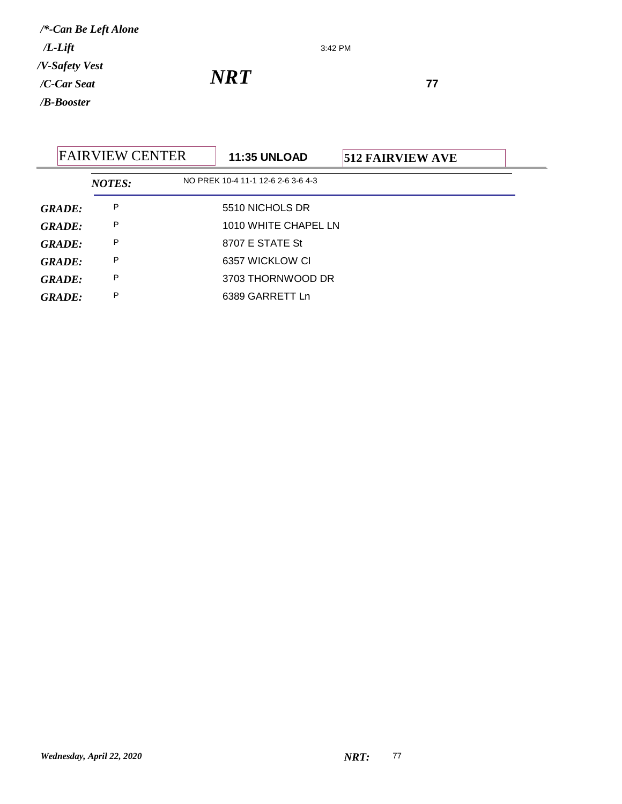3:42 PM

|        | <b>FAIRVIEW CENTER</b> | <b>11:35 UNLOAD</b>                | <b>512 FAIRVIEW AVE</b> |  |
|--------|------------------------|------------------------------------|-------------------------|--|
|        | <b>NOTES:</b>          | NO PREK 10-4 11-1 12-6 2-6 3-6 4-3 |                         |  |
| GRADE: | P                      | 5510 NICHOLS DR                    |                         |  |
| GRADE: | P                      | 1010 WHITE CHAPEL LN               |                         |  |
| GRADE: | P                      | 8707 E STATE St                    |                         |  |
| GRADE: | P                      | 6357 WICKLOW CI                    |                         |  |
| GRADE: | P                      | 3703 THORNWOOD DR                  |                         |  |
| GRADE: | P                      | 6389 GARRETT Ln                    |                         |  |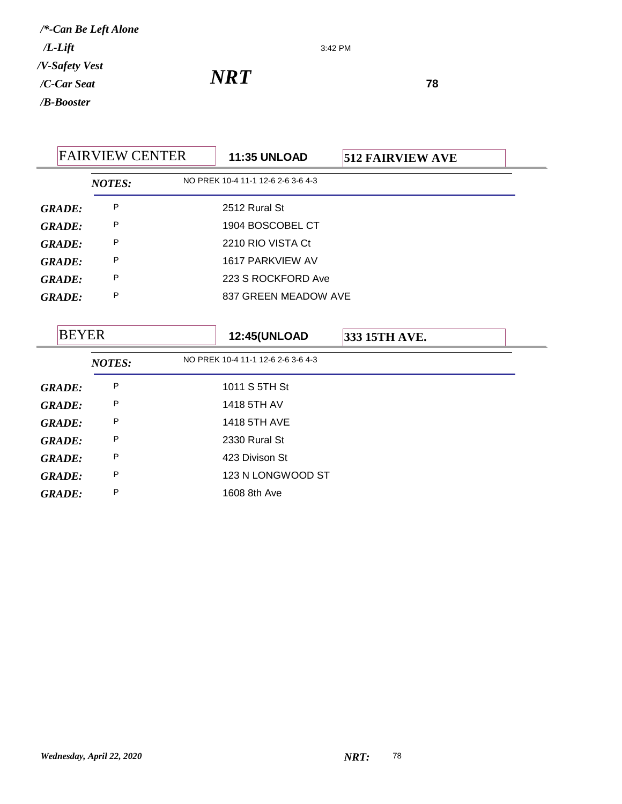3:42 PM

*NRT*<sup>78</sup>

| <b>FAIRVIEW CENTER</b> |               | <b>11:35 UNLOAD</b> | <b>512 FAIRVIEW AVE</b>            |               |  |
|------------------------|---------------|---------------------|------------------------------------|---------------|--|
|                        | <b>NOTES:</b> |                     | NO PREK 10-4 11-1 12-6 2-6 3-6 4-3 |               |  |
| <b>GRADE:</b>          | P             |                     | 2512 Rural St                      |               |  |
| <b>GRADE:</b>          | P             |                     | 1904 BOSCOBEL CT                   |               |  |
| <b>GRADE:</b>          | P             |                     | 2210 RIO VISTA Ct                  |               |  |
| <b>GRADE:</b>          | P             |                     | 1617 PARKVIEW AV                   |               |  |
| <b>GRADE:</b>          | P             |                     | 223 S ROCKFORD Ave                 |               |  |
| <b>GRADE:</b>          | P             |                     | 837 GREEN MEADOW AVE               |               |  |
|                        |               |                     |                                    |               |  |
| <b>BEYER</b>           |               |                     | <b>12:45(UNLOAD</b>                | 333 15TH AVE. |  |
|                        | <b>NOTES:</b> |                     | NO PREK 10-4 11-1 12-6 2-6 3-6 4-3 |               |  |
| <b>GRADE:</b>          | P             |                     | 1011 S 5TH St                      |               |  |
| <b>GRADE:</b>          | P             |                     | 1418 5TH AV                        |               |  |
| <b>GRADE:</b>          | P             |                     | 1418 5TH AVE                       |               |  |
| <b>GRADE:</b>          | P             |                     | 2330 Rural St                      |               |  |
| <b>GRADE:</b>          | P             |                     | 423 Divison St                     |               |  |
| <b>GRADE:</b>          | P             |                     | 123 N LONGWOOD ST                  |               |  |
| <b>GRADE:</b>          | P             |                     | 1608 8th Ave                       |               |  |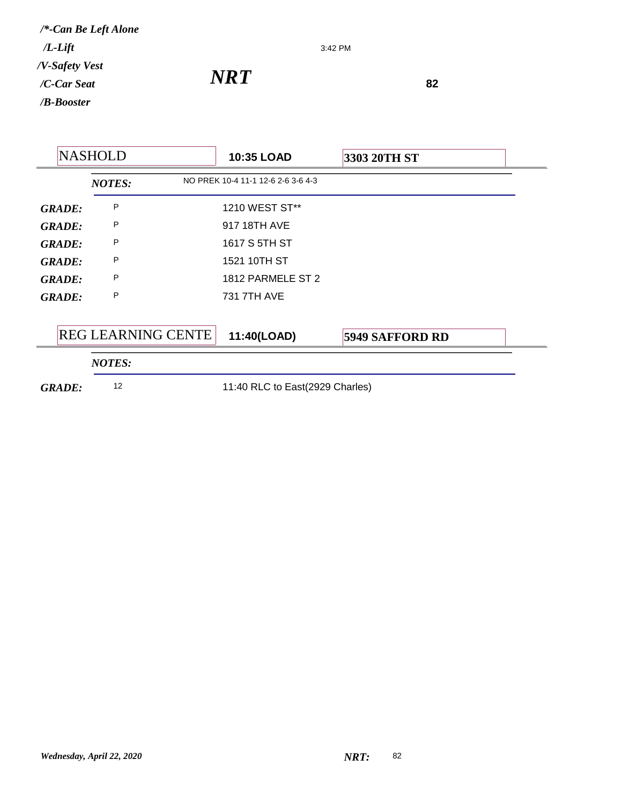3:42 PM

*NRT*<sup>82</sup>

| <b>NASHOLD</b> |  |                           | 10:35 LOAD                         | 3303 20TH ST           |
|----------------|--|---------------------------|------------------------------------|------------------------|
|                |  | <b>NOTES:</b>             | NO PREK 10-4 11-1 12-6 2-6 3-6 4-3 |                        |
| <b>GRADE:</b>  |  | P                         | 1210 WEST ST**                     |                        |
| <b>GRADE:</b>  |  | P                         | 917 18TH AVE                       |                        |
| <b>GRADE:</b>  |  | P                         | 1617 S 5TH ST                      |                        |
| <b>GRADE:</b>  |  | P                         | 1521 10TH ST                       |                        |
| <b>GRADE:</b>  |  | P                         | 1812 PARMELE ST 2                  |                        |
| <b>GRADE:</b>  |  | P                         | 731 7TH AVE                        |                        |
|                |  |                           |                                    |                        |
|                |  | <b>REG LEARNING CENTE</b> | 11:40(LOAD)                        | <b>5949 SAFFORD RD</b> |
|                |  | <b>NOTES:</b>             |                                    |                        |
| <b>GRADE:</b>  |  | 12                        | 11:40 RLC to East(2929 Charles)    |                        |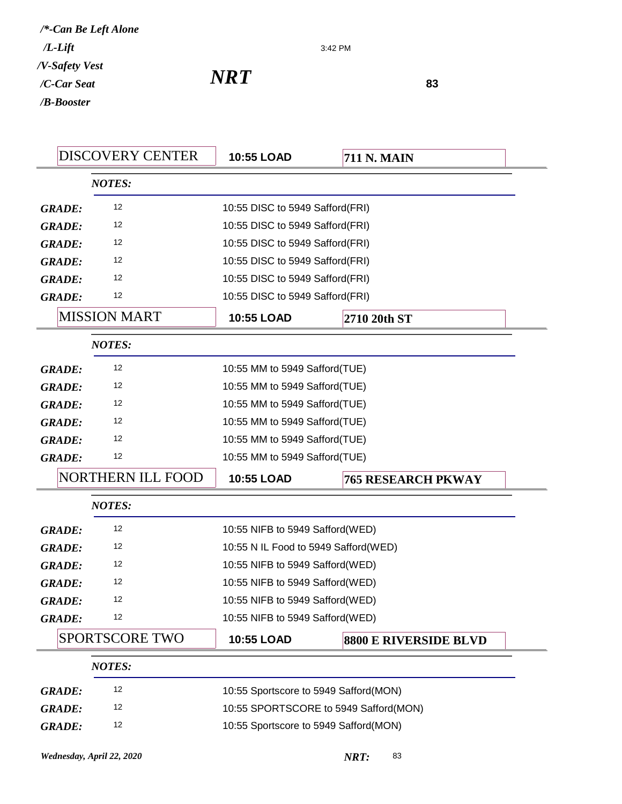| NRT | 83 |
|-----|----|
|     |    |

3:42 PM

| <b>DISCOVERY CENTER</b>  | 10:55 LOAD                            | <b>711 N. MAIN</b>                    |
|--------------------------|---------------------------------------|---------------------------------------|
| <b>NOTES:</b>            |                                       |                                       |
| 12<br><b>GRADE:</b>      | 10:55 DISC to 5949 Safford(FRI)       |                                       |
| 12<br><b>GRADE:</b>      | 10:55 DISC to 5949 Safford(FRI)       |                                       |
| 12<br><b>GRADE:</b>      | 10:55 DISC to 5949 Safford(FRI)       |                                       |
| 12<br><b>GRADE:</b>      | 10:55 DISC to 5949 Safford(FRI)       |                                       |
| 12<br><b>GRADE:</b>      | 10:55 DISC to 5949 Safford(FRI)       |                                       |
| 12<br><b>GRADE:</b>      | 10:55 DISC to 5949 Safford(FRI)       |                                       |
| <b>MISSION MART</b>      | 10:55 LOAD                            | 2710 20th ST                          |
| <b>NOTES:</b>            |                                       |                                       |
| 12<br><b>GRADE:</b>      | 10:55 MM to 5949 Safford(TUE)         |                                       |
| 12<br><b>GRADE:</b>      | 10:55 MM to 5949 Safford(TUE)         |                                       |
| 12<br><b>GRADE:</b>      | 10:55 MM to 5949 Safford(TUE)         |                                       |
| 12<br><b>GRADE:</b>      | 10:55 MM to 5949 Safford(TUE)         |                                       |
| 12<br><b>GRADE:</b>      | 10:55 MM to 5949 Safford(TUE)         |                                       |
|                          |                                       |                                       |
| 12<br><b>GRADE:</b>      | 10:55 MM to 5949 Safford(TUE)         |                                       |
| <b>NORTHERN ILL FOOD</b> | 10:55 LOAD                            | <b>765 RESEARCH PKWAY</b>             |
| <b>NOTES:</b>            |                                       |                                       |
| 12<br><b>GRADE:</b>      | 10:55 NIFB to 5949 Safford(WED)       |                                       |
| 12<br><b>GRADE:</b>      | 10:55 N IL Food to 5949 Safford(WED)  |                                       |
| 12<br><b>GRADE:</b>      | 10:55 NIFB to 5949 Safford(WED)       |                                       |
| 12<br><b>GRADE:</b>      | 10:55 NIFB to 5949 Safford(WED)       |                                       |
| 12<br><b>GRADE:</b>      | 10:55 NIFB to 5949 Safford(WED)       |                                       |
| 12<br><b>GRADE:</b>      | 10:55 NIFB to 5949 Safford(WED)       |                                       |
| <b>SPORTSCORE TWO</b>    | 10:55 LOAD                            | <b>8800 E RIVERSIDE BLVD</b>          |
| <b>NOTES:</b>            |                                       |                                       |
| 12<br><b>GRADE:</b>      | 10:55 Sportscore to 5949 Safford(MON) |                                       |
| 12<br><b>GRADE:</b>      |                                       | 10:55 SPORTSCORE to 5949 Safford(MON) |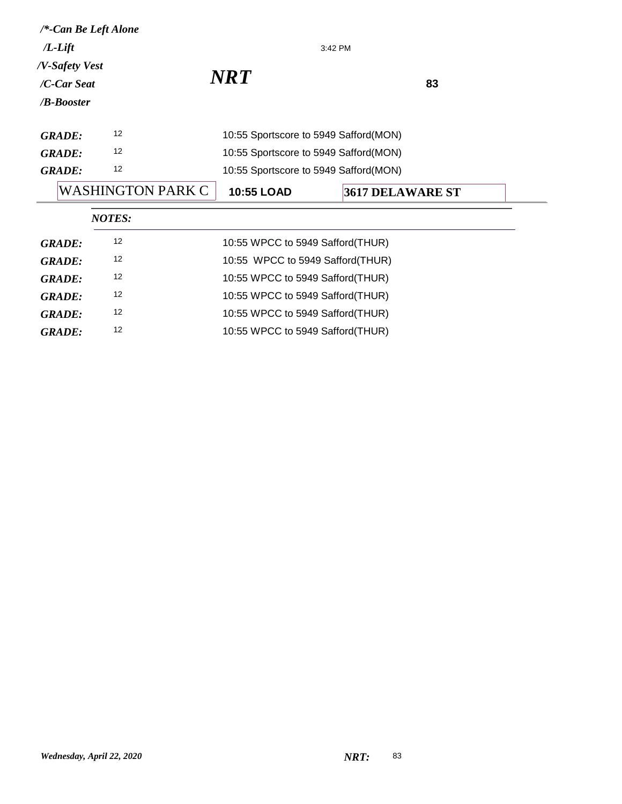| /*-Can Be Left Alone                                |                   |                                       |                         |  |  |
|-----------------------------------------------------|-------------------|---------------------------------------|-------------------------|--|--|
| $/L$ -Lift                                          |                   |                                       | 3:42 PM                 |  |  |
| /V-Safety Vest<br>/C-Car Seat<br>/ <b>B-Booster</b> |                   | <b>NRT</b><br>83                      |                         |  |  |
| <b>GRADE:</b>                                       | 12                | 10:55 Sportscore to 5949 Safford(MON) |                         |  |  |
| <b>GRADE:</b>                                       | 12                | 10:55 Sportscore to 5949 Safford(MON) |                         |  |  |
| 12<br><b>GRADE:</b>                                 |                   | 10:55 Sportscore to 5949 Safford(MON) |                         |  |  |
|                                                     | WASHINGTON PARK C | 10:55 LOAD                            | <b>3617 DELAWARE ST</b> |  |  |
|                                                     | <b>NOTES:</b>     |                                       |                         |  |  |
| <b>GRADE:</b>                                       | 12                | 10:55 WPCC to 5949 Safford(THUR)      |                         |  |  |
| <b>GRADE:</b>                                       | 12                | 10:55 WPCC to 5949 Safford(THUR)      |                         |  |  |
| <b>GRADE:</b>                                       | 12                | 10:55 WPCC to 5949 Safford(THUR)      |                         |  |  |
| <b>GRADE:</b>                                       | 12                | 10:55 WPCC to 5949 Safford (THUR)     |                         |  |  |
| <b>GRADE:</b>                                       | 12                |                                       |                         |  |  |
|                                                     |                   | 10:55 WPCC to 5949 Safford(THUR)      |                         |  |  |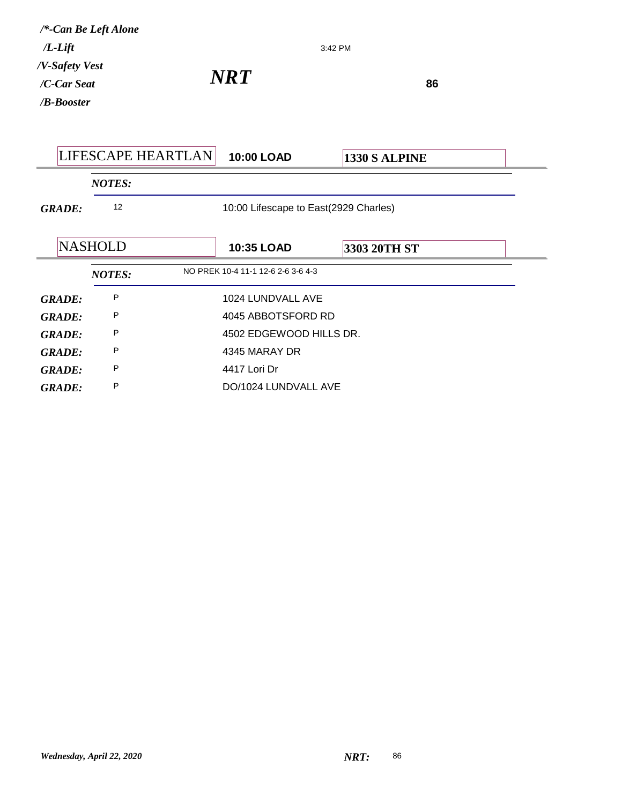| $/L$ -Lift                                          | /*-Can Be Left Alone | 3:42 PM                               |  |               |  |
|-----------------------------------------------------|----------------------|---------------------------------------|--|---------------|--|
| /V-Safety Vest<br>/C-Car Seat<br>/ <b>B-Booster</b> |                      | <b>NRT</b>                            |  | 86            |  |
|                                                     | LIFESCAPE HEARTLAN   | 10:00 LOAD                            |  | 1330 S ALPINE |  |
|                                                     | <b>NOTES:</b>        |                                       |  |               |  |
| <b>GRADE:</b>                                       | 12                   | 10:00 Lifescape to East(2929 Charles) |  |               |  |
|                                                     | <b>NASHOLD</b>       | <b>10:35 LOAD</b>                     |  | 3303 20TH ST  |  |
|                                                     | <b>NOTES:</b>        | NO PREK 10-4 11-1 12-6 2-6 3-6 4-3    |  |               |  |
| <b>GRADE:</b>                                       | P                    | 1024 LUNDVALL AVE                     |  |               |  |
| <b>GRADE:</b>                                       | P                    | 4045 ABBOTSFORD RD                    |  |               |  |
| <b>GRADE:</b>                                       | P                    | 4502 EDGEWOOD HILLS DR.               |  |               |  |
| <b>GRADE:</b>                                       | P                    | 4345 MARAY DR                         |  |               |  |
| <b>GRADE:</b>                                       | P                    | 4417 Lori Dr                          |  |               |  |
| <b>GRADE:</b>                                       | P                    | DO/1024 LUNDVALL AVE                  |  |               |  |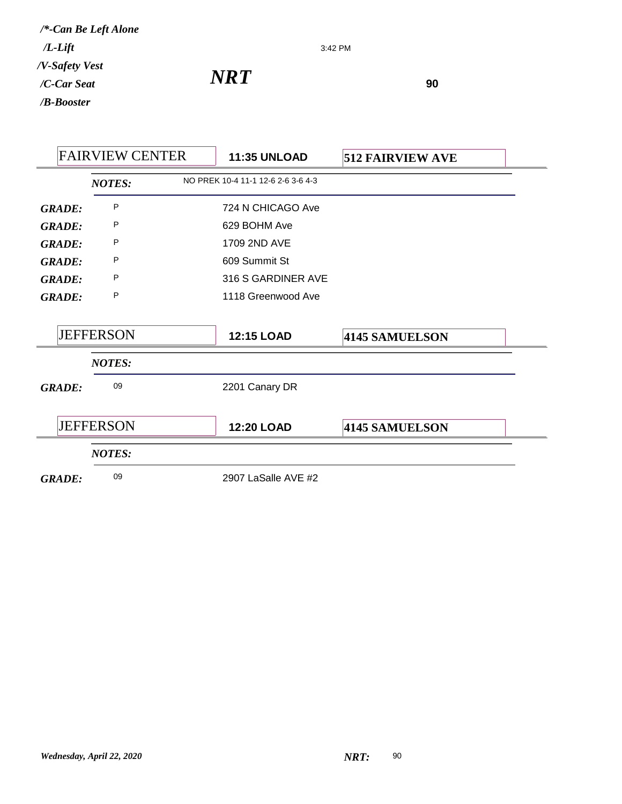3:42 PM

*NRT*<sup>90</sup>

| <b>FAIRVIEW CENTER</b> |                  | <b>11:35 UNLOAD</b> | <b>512 FAIRVIEW AVE</b>            |                |  |
|------------------------|------------------|---------------------|------------------------------------|----------------|--|
|                        | <b>NOTES:</b>    |                     | NO PREK 10-4 11-1 12-6 2-6 3-6 4-3 |                |  |
| <b>GRADE:</b>          | P                |                     | 724 N CHICAGO Ave                  |                |  |
| <b>GRADE:</b>          | P                |                     | 629 BOHM Ave                       |                |  |
| <b>GRADE:</b>          | P                |                     | 1709 2ND AVE                       |                |  |
| <b>GRADE:</b>          | P                |                     | 609 Summit St                      |                |  |
| <b>GRADE:</b>          | P                |                     | 316 S GARDINER AVE                 |                |  |
| <b>GRADE:</b>          | P                |                     | 1118 Greenwood Ave                 |                |  |
|                        | <b>JEFFERSON</b> |                     | <b>12:15 LOAD</b>                  | 4145 SAMUELSON |  |
|                        | <b>NOTES:</b>    |                     |                                    |                |  |
| <b>GRADE:</b>          | 09               |                     | 2201 Canary DR                     |                |  |
|                        | <b>JEFFERSON</b> |                     | <b>12:20 LOAD</b>                  | 4145 SAMUELSON |  |
|                        | <b>NOTES:</b>    |                     |                                    |                |  |
| <b>GRADE:</b>          | 09               |                     | 2907 LaSalle AVE #2                |                |  |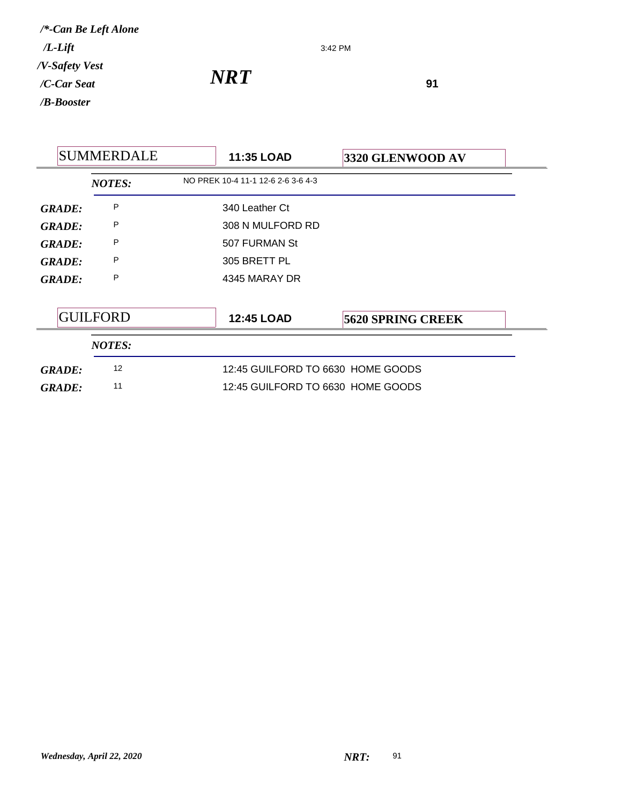3:42 PM

*NRT*<sup>91</sup>

|               | <b>SUMMERDALE</b> | <b>11:35 LOAD</b>                  | 3320 GLENWOOD AV         |
|---------------|-------------------|------------------------------------|--------------------------|
|               | <b>NOTES:</b>     | NO PREK 10-4 11-1 12-6 2-6 3-6 4-3 |                          |
| GRADE:        | P                 | 340 Leather Ct                     |                          |
| <b>GRADE:</b> | P                 | 308 N MULFORD RD                   |                          |
| <b>GRADE:</b> | P                 | 507 FURMAN St                      |                          |
| <b>GRADE:</b> | P                 | 305 BRETT PL                       |                          |
| <b>GRADE:</b> | P                 | 4345 MARAY DR                      |                          |
|               |                   |                                    |                          |
|               | <b>GUILFORD</b>   | <b>12:45 LOAD</b>                  | <b>5620 SPRING CREEK</b> |
|               | <b>NOTES:</b>     |                                    |                          |
| <b>GRADE:</b> | 12                | 12:45 GUILFORD TO 6630 HOME GOODS  |                          |
| <b>GRADE:</b> | 11                | 12:45 GUILFORD TO 6630 HOME GOODS  |                          |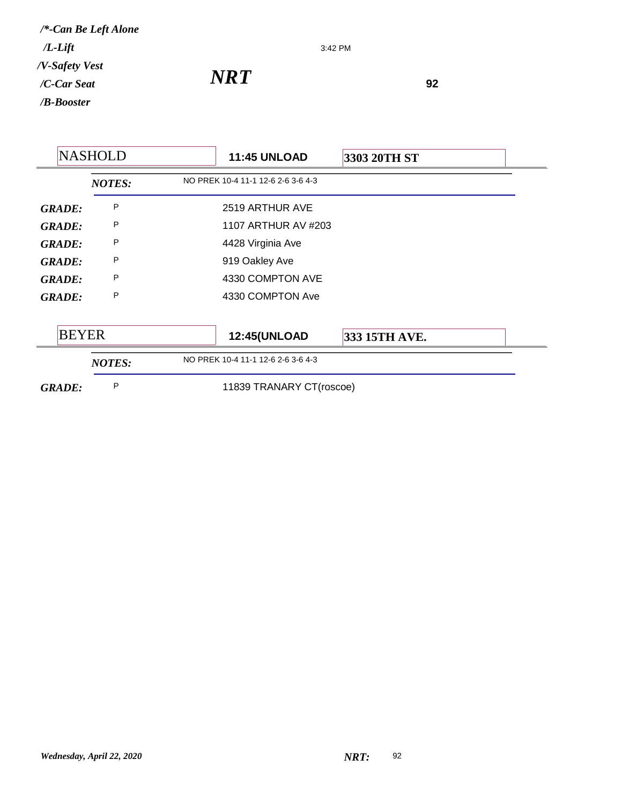3:42 PM

*NRT*<sup>92</sup>

|               | <b>NASHOLD</b> | <b>11:45 UNLOAD</b>                | 3303 20TH ST  |  |
|---------------|----------------|------------------------------------|---------------|--|
|               | <b>NOTES:</b>  | NO PREK 10-4 11-1 12-6 2-6 3-6 4-3 |               |  |
| <b>GRADE:</b> | P              | 2519 ARTHUR AVE                    |               |  |
| <b>GRADE:</b> | P              | 1107 ARTHUR AV #203                |               |  |
| <b>GRADE:</b> | P              | 4428 Virginia Ave                  |               |  |
| <b>GRADE:</b> | P              | 919 Oakley Ave                     |               |  |
| <b>GRADE:</b> | P              | 4330 COMPTON AVE                   |               |  |
| <b>GRADE:</b> | P              | 4330 COMPTON Ave                   |               |  |
| <b>BEYER</b>  |                | <b>12:45(UNLOAD</b>                | 333 15TH AVE. |  |
|               | <b>NOTES:</b>  | NO PREK 10-4 11-1 12-6 2-6 3-6 4-3 |               |  |
| <b>GRADE:</b> | P              | 11839 TRANARY CT(roscoe)           |               |  |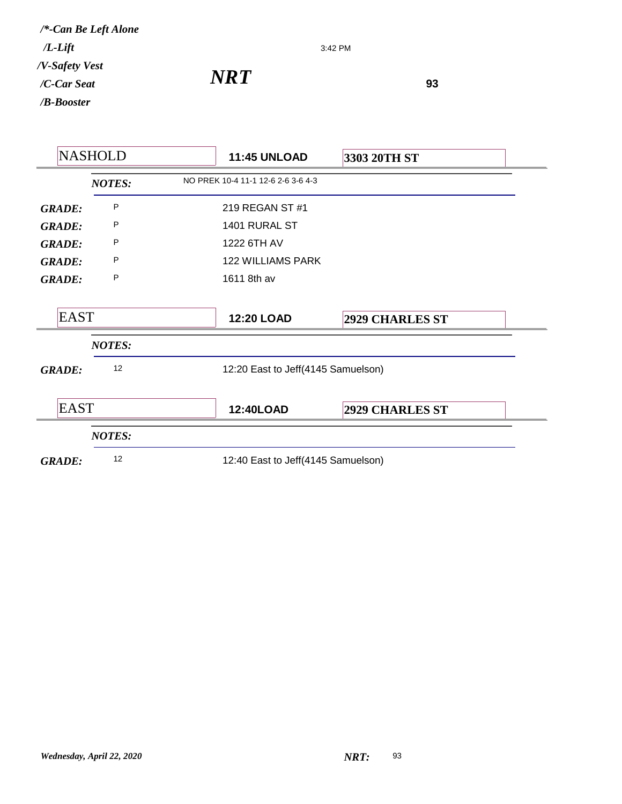3:42 PM

*NRT*<sup>93</sup>

|               | <b>NASHOLD</b> | <b>11:45 UNLOAD</b>                | 3303 20TH ST                       |
|---------------|----------------|------------------------------------|------------------------------------|
|               | <b>NOTES:</b>  | NO PREK 10-4 11-1 12-6 2-6 3-6 4-3 |                                    |
| <b>GRADE:</b> | P              | 219 REGAN ST #1                    |                                    |
| <b>GRADE:</b> | P              | 1401 RURAL ST                      |                                    |
| <b>GRADE:</b> | P              | 1222 6TH AV                        |                                    |
| <b>GRADE:</b> | Ρ              | <b>122 WILLIAMS PARK</b>           |                                    |
| <b>GRADE:</b> | Ρ              | 1611 8th av                        |                                    |
| <b>EAST</b>   |                | <b>12:20 LOAD</b>                  | <b>2929 CHARLES ST</b>             |
|               | <b>NOTES:</b>  |                                    |                                    |
| <b>GRADE:</b> | 12             |                                    | 12:20 East to Jeff(4145 Samuelson) |
| <b>EAST</b>   |                | 12:40LOAD                          | <b>2929 CHARLES ST</b>             |
|               | <b>NOTES:</b>  |                                    |                                    |
| <b>GRADE:</b> | 12             |                                    | 12:40 East to Jeff(4145 Samuelson) |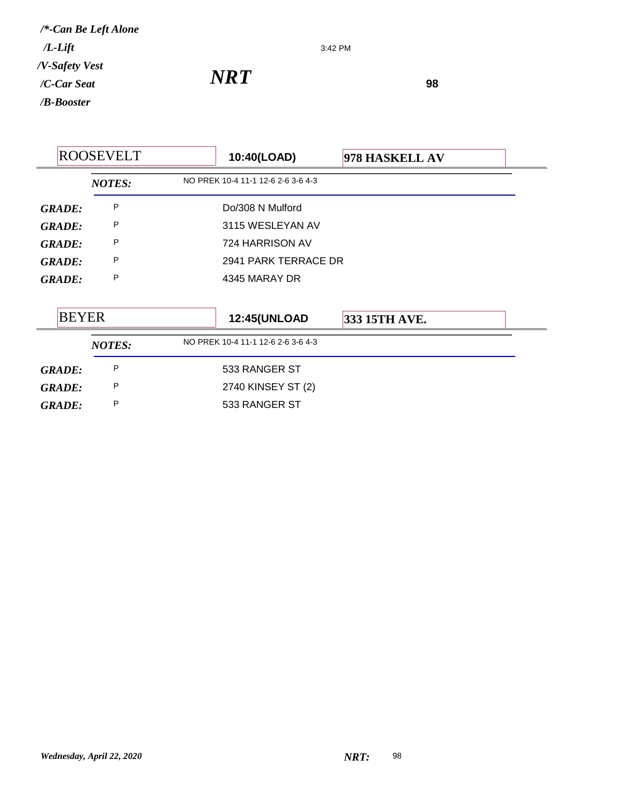3:42 PM

*NRT*<sup>98</sup>

|                    | <b>ROOSEVELT</b> |  | 10:40(LOAD)                         | 978 HASKELL AV |  |
|--------------------|------------------|--|-------------------------------------|----------------|--|
|                    | <b>NOTES:</b>    |  | NO PREK 10-4 11-1 12-6 2-6 3-6 4-3  |                |  |
| <b>GRADE:</b>      | P                |  | Do/308 N Mulford                    |                |  |
| <b>GRADE:</b>      | P                |  | 3115 WESLEYAN AV<br>724 HARRISON AV |                |  |
| <b>GRADE:</b>      | P                |  |                                     |                |  |
| P<br><b>GRADE:</b> |                  |  | 2941 PARK TERRACE DR                |                |  |
| <b>GRADE:</b>      | P                |  | 4345 MARAY DR                       |                |  |
| <b>BEYER</b>       |                  |  | <b>12:45(UNLOAD</b>                 | 333 15TH AVE.  |  |
|                    | <b>NOTES:</b>    |  | NO PREK 10-4 11-1 12-6 2-6 3-6 4-3  |                |  |
| <b>GRADE:</b>      | P                |  | 533 RANGER ST                       |                |  |
| <b>GRADE:</b>      | P                |  | 2740 KINSEY ST (2)                  |                |  |
| <b>GRADE:</b>      | P                |  | 533 RANGER ST                       |                |  |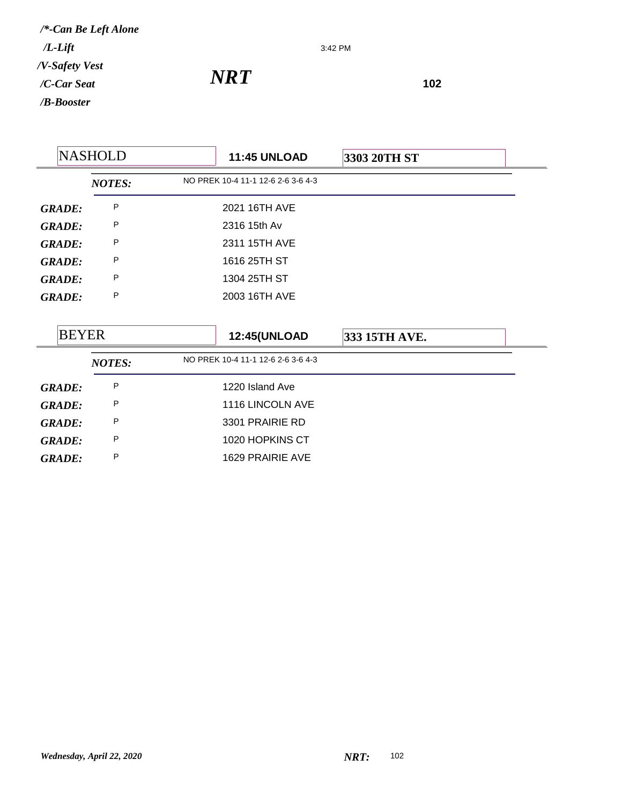3:42 PM

|               | <b>NASHOLD</b> | <b>11:45 UNLOAD</b>                | 3303 20TH ST  |  |
|---------------|----------------|------------------------------------|---------------|--|
|               | <b>NOTES:</b>  | NO PREK 10-4 11-1 12-6 2-6 3-6 4-3 |               |  |
| <b>GRADE:</b> | P              | 2021 16TH AVE                      |               |  |
| <b>GRADE:</b> | P              | 2316 15th Av                       |               |  |
| <b>GRADE:</b> | P              | 2311 15TH AVE                      |               |  |
| <b>GRADE:</b> | P              | 1616 25TH ST                       |               |  |
| <b>GRADE:</b> | P              | 1304 25TH ST                       |               |  |
| <b>GRADE:</b> | P              | 2003 16TH AVE                      |               |  |
|               |                |                                    |               |  |
| <b>BEYER</b>  |                | <b>12:45(UNLOAD</b>                | 333 15TH AVE. |  |
|               | <b>NOTES:</b>  | NO PREK 10-4 11-1 12-6 2-6 3-6 4-3 |               |  |
| <b>GRADE:</b> | P              | 1220 Island Ave                    |               |  |
| <b>GRADE:</b> | P              | 1116 LINCOLN AVE                   |               |  |
| <b>GRADE:</b> | P              | 3301 PRAIRIE RD                    |               |  |
| <b>GRADE:</b> | P              | 1020 HOPKINS CT                    |               |  |
| <b>GRADE:</b> | P              | 1629 PRAIRIE AVE                   |               |  |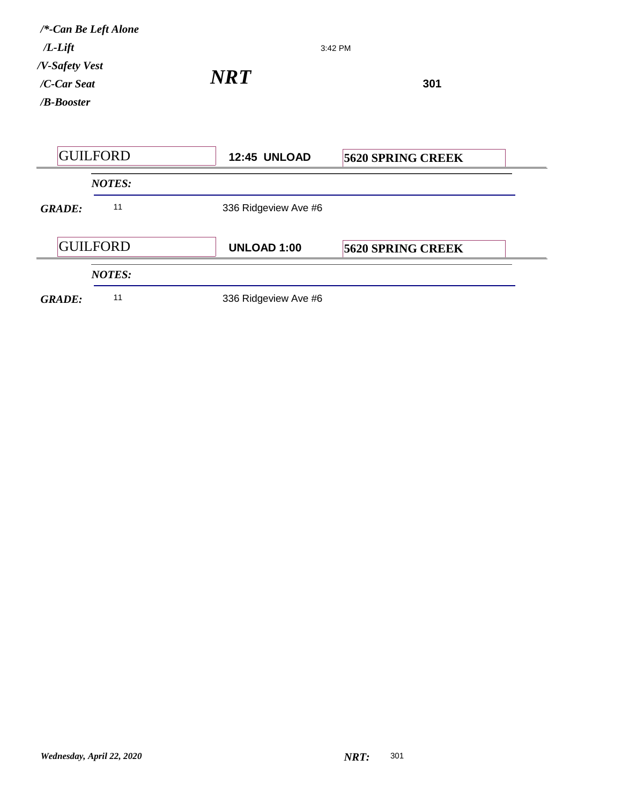| /*-Can Be Left Alone<br>$/L$ -Lift<br>/V-Safety Vest<br>/C-Car Seat<br>/B-Booster |                 | 3:42 PM              |                          |  |
|-----------------------------------------------------------------------------------|-----------------|----------------------|--------------------------|--|
|                                                                                   |                 | <b>NRT</b>           | 301                      |  |
|                                                                                   | <b>GUILFORD</b> | 12:45 UNLOAD         | <b>5620 SPRING CREEK</b> |  |
|                                                                                   | <b>NOTES:</b>   |                      |                          |  |
| <b>GRADE:</b>                                                                     | 11              | 336 Ridgeview Ave #6 |                          |  |
|                                                                                   | <b>GUILFORD</b> | <b>UNLOAD 1:00</b>   | <b>5620 SPRING CREEK</b> |  |
|                                                                                   | <b>NOTES:</b>   |                      |                          |  |
| <b>GRADE:</b>                                                                     | 11              | 336 Ridgeview Ave #6 |                          |  |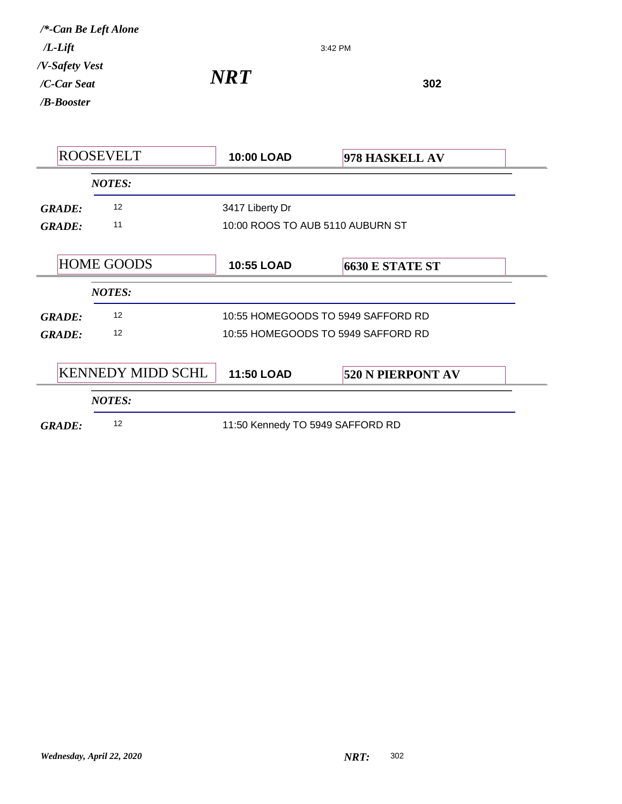3:42 PM

|               | <b>ROOSEVELT</b>         | 10:00 LOAD                         | 978 HASKELL AV           |
|---------------|--------------------------|------------------------------------|--------------------------|
|               | <b>NOTES:</b>            |                                    |                          |
| <b>GRADE:</b> | 12                       | 3417 Liberty Dr                    |                          |
| <b>GRADE:</b> | 11                       | 10:00 ROOS TO AUB 5110 AUBURN ST   |                          |
|               |                          |                                    |                          |
|               | <b>HOME GOODS</b>        | <b>10:55 LOAD</b>                  | <b>6630 E STATE ST</b>   |
|               | <b>NOTES:</b>            |                                    |                          |
| <b>GRADE:</b> | 12                       | 10:55 HOMEGOODS TO 5949 SAFFORD RD |                          |
| <b>GRADE:</b> | 12                       | 10:55 HOMEGOODS TO 5949 SAFFORD RD |                          |
|               |                          |                                    |                          |
|               | <b>KENNEDY MIDD SCHL</b> | <b>11:50 LOAD</b>                  | <b>520 N PIERPONT AV</b> |
|               | <b>NOTES:</b>            |                                    |                          |
| <b>GRADE:</b> | 12                       | 11:50 Kennedy TO 5949 SAFFORD RD   |                          |
|               |                          |                                    |                          |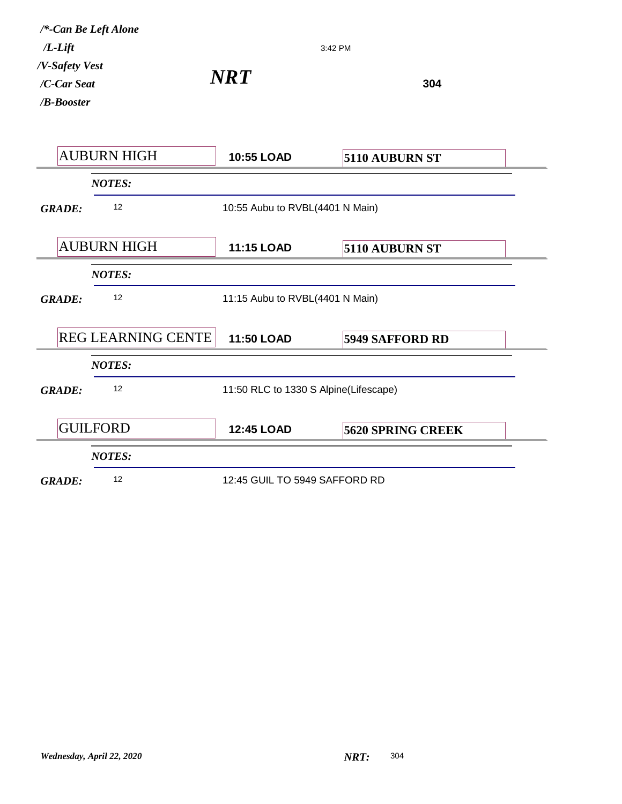| /*-Can Be Left Alone<br>$/L$ - $Lift$       |                           | 3:42 PM                               |                          |
|---------------------------------------------|---------------------------|---------------------------------------|--------------------------|
| /V-Safety Vest<br>/C-Car Seat<br>/B-Booster |                           | <b>NRT</b>                            | 304                      |
|                                             | <b>AUBURN HIGH</b>        | <b>10:55 LOAD</b>                     | 5110 AUBURN ST           |
|                                             | <b>NOTES:</b>             |                                       |                          |
| <b>GRADE:</b>                               | 12                        | 10:55 Aubu to RVBL(4401 N Main)       |                          |
|                                             | <b>AUBURN HIGH</b>        | <b>11:15 LOAD</b>                     | 5110 AUBURN ST           |
|                                             | <b>NOTES:</b>             |                                       |                          |
| <b>GRADE:</b>                               | 12                        | 11:15 Aubu to RVBL(4401 N Main)       |                          |
|                                             | <b>REG LEARNING CENTE</b> | <b>11:50 LOAD</b>                     | <b>5949 SAFFORD RD</b>   |
|                                             | <b>NOTES:</b>             |                                       |                          |
| <b>GRADE:</b>                               | 12                        | 11:50 RLC to 1330 S Alpine(Lifescape) |                          |
|                                             | <b>GUILFORD</b>           | <b>12:45 LOAD</b>                     | <b>5620 SPRING CREEK</b> |
|                                             | <b>NOTES:</b>             |                                       |                          |
| <b>GRADE:</b>                               | 12                        | 12:45 GUIL TO 5949 SAFFORD RD         |                          |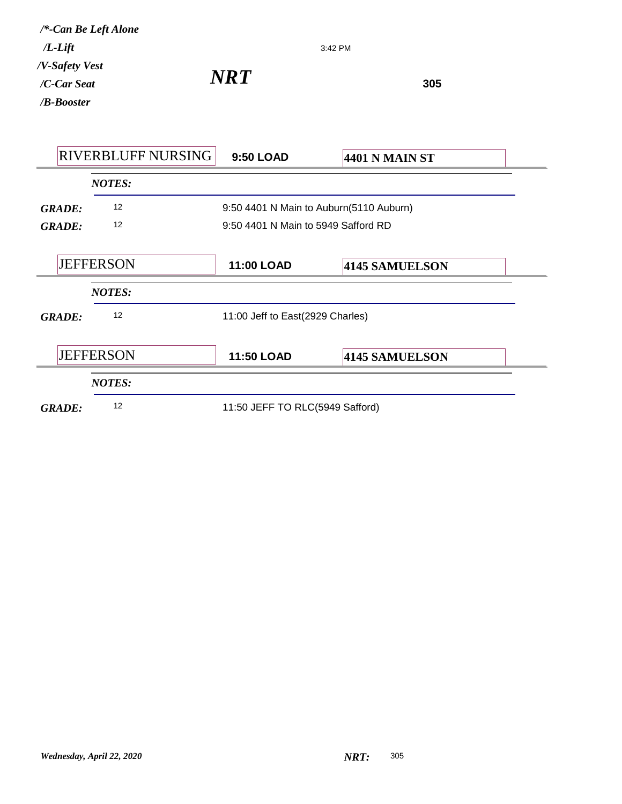| $/L$ -Lift                                     | /*-Can Be Left Alone      |                                     | 3:42 PM                                 |
|------------------------------------------------|---------------------------|-------------------------------------|-----------------------------------------|
| /V-Safety Vest<br>/C-Car Seat<br>$/B$ -Booster |                           | <b>NRT</b>                          | 305                                     |
|                                                | <b>RIVERBLUFF NURSING</b> | 9:50 LOAD                           | <b>4401 N MAIN ST</b>                   |
|                                                | <b>NOTES:</b>             |                                     |                                         |
| <b>GRADE:</b>                                  | 12                        |                                     | 9:50 4401 N Main to Auburn(5110 Auburn) |
| <b>GRADE:</b>                                  | 12                        | 9:50 4401 N Main to 5949 Safford RD |                                         |
|                                                | <b>JEFFERSON</b>          | 11:00 LOAD                          | 4145 SAMUELSON                          |
|                                                | <b>NOTES:</b>             |                                     |                                         |
| <b>GRADE:</b>                                  | 12                        | 11:00 Jeff to East(2929 Charles)    |                                         |
|                                                | <b>JEFFERSON</b>          | 11:50 LOAD                          | 4145 SAMUELSON                          |
|                                                | <b>NOTES:</b>             |                                     |                                         |
| <b>GRADE:</b>                                  | 12                        | 11:50 JEFF TO RLC(5949 Safford)     |                                         |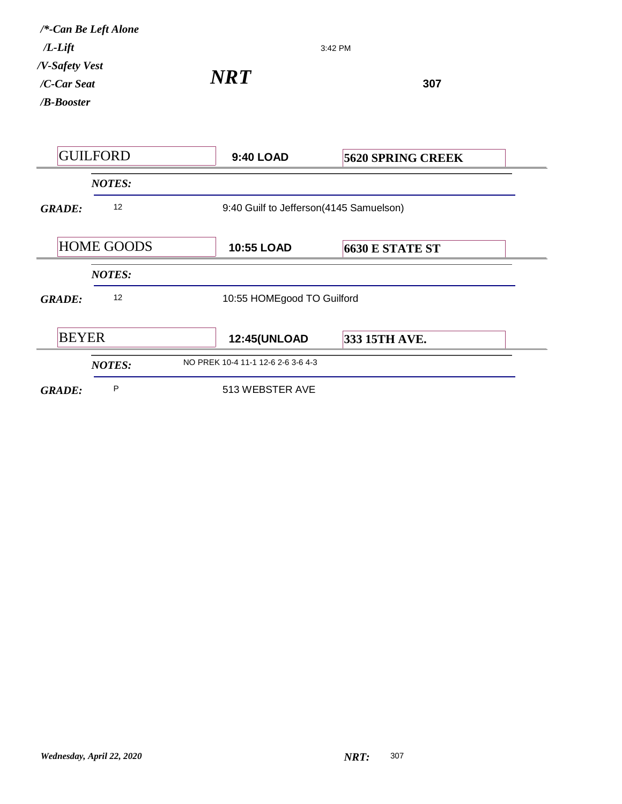| $/L$ - $Lift$                               | /*-Can Be Left Alone |                                         | 3:42 PM                  |  |
|---------------------------------------------|----------------------|-----------------------------------------|--------------------------|--|
| /V-Safety Vest<br>/C-Car Seat<br>/B-Booster |                      | <b>NRT</b>                              | 307                      |  |
|                                             | <b>GUILFORD</b>      | <b>9:40 LOAD</b>                        | <b>5620 SPRING CREEK</b> |  |
|                                             | <b>NOTES:</b>        |                                         |                          |  |
| <b>GRADE:</b>                               | 12                   | 9:40 Guilf to Jefferson(4145 Samuelson) |                          |  |
|                                             | <b>HOME GOODS</b>    | 10:55 LOAD                              | <b>6630 E STATE ST</b>   |  |
|                                             | <b>NOTES:</b>        |                                         |                          |  |
| <b>GRADE:</b>                               | 12                   | 10:55 HOMEgood TO Guilford              |                          |  |
| <b>BEYER</b>                                |                      | <b>12:45(UNLOAD</b>                     | 333 15TH AVE.            |  |
|                                             | <b>NOTES:</b>        | NO PREK 10-4 11-1 12-6 2-6 3-6 4-3      |                          |  |
| <b>GRADE:</b>                               | P                    | 513 WEBSTER AVE                         |                          |  |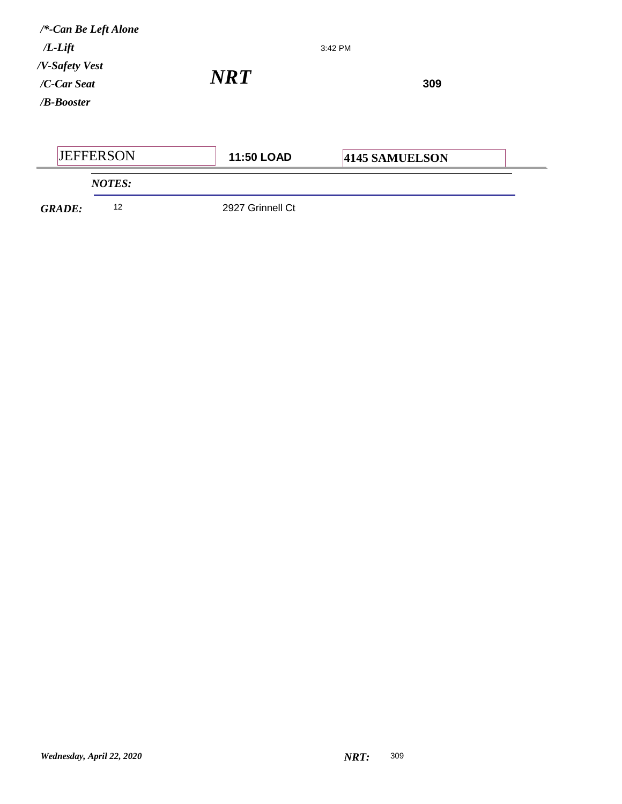| $/*$ -Can Be Left Alone<br>$/L$ - $Lift$          |                                              | 3:42 PM        |  |
|---------------------------------------------------|----------------------------------------------|----------------|--|
| /V-Safety Vest<br>$/C$ -Car Seat<br>$/B$ -Booster | $\boldsymbol{N}\boldsymbol{R}\boldsymbol{T}$ | 309            |  |
| <b>JEFFERSON</b>                                  | 11:50 LOAD                                   | 4145 SAMUELSON |  |
| <b>NOTES:</b>                                     |                                              |                |  |

*GRADE:* <sup>12</sup> 2927 Grinnell Ct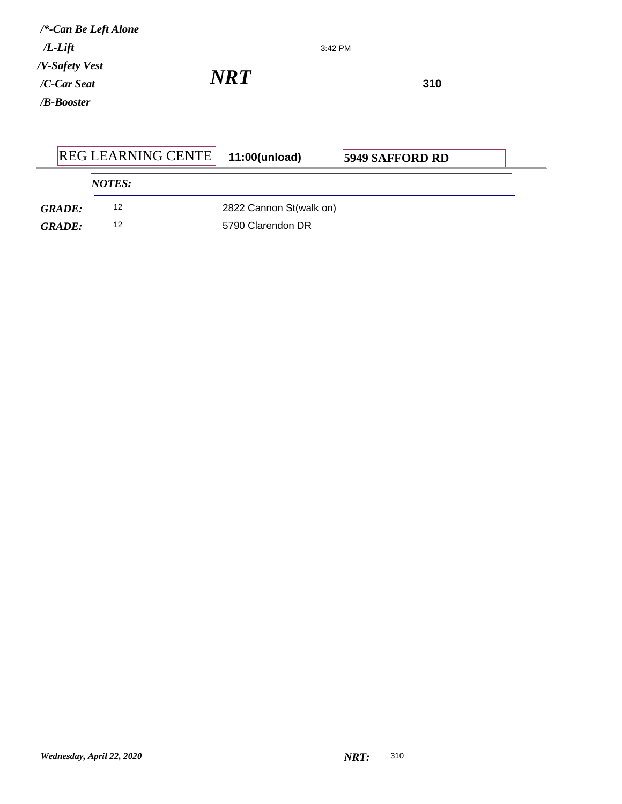| /*-Can Be Left Alone<br>$/L$ - $Lift$          |            | 3:42 PM |     |  |
|------------------------------------------------|------------|---------|-----|--|
| /V-Safety Vest<br>/C-Car Seat<br>$/B$ -Booster | <b>NRT</b> |         | 310 |  |

|               | <b>REG LEARNING CENTE</b> | 11:00(unload)           | <b>5949 SAFFORD RD</b> |  |
|---------------|---------------------------|-------------------------|------------------------|--|
|               | <b>NOTES:</b>             |                         |                        |  |
| <b>GRADE:</b> | 12                        | 2822 Cannon St(walk on) |                        |  |
| <b>GRADE:</b> | 12                        | 5790 Clarendon DR       |                        |  |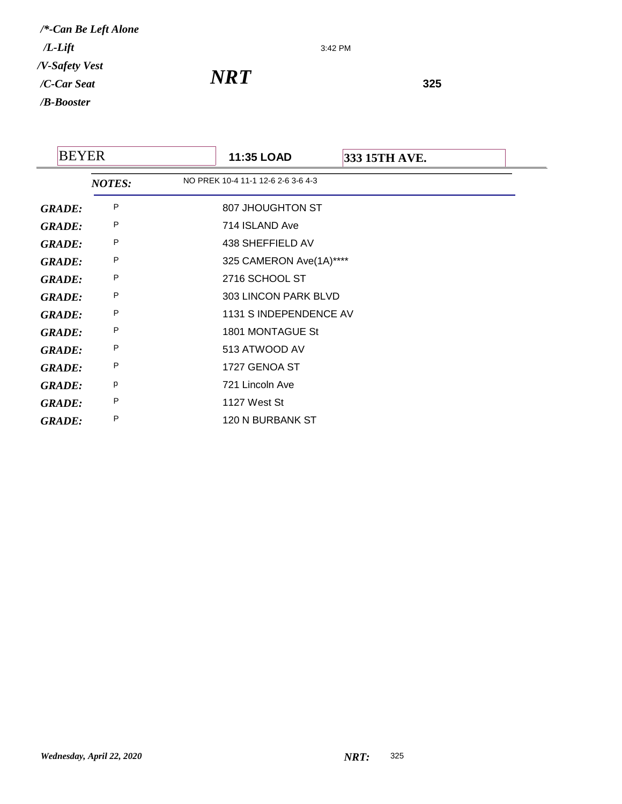3:42 PM

| <b>BEYER</b>  |               | 11:35 LOAD                         | 333 15TH AVE. |  |
|---------------|---------------|------------------------------------|---------------|--|
|               | <b>NOTES:</b> | NO PREK 10-4 11-1 12-6 2-6 3-6 4-3 |               |  |
| <b>GRADE:</b> | P             | 807 JHOUGHTON ST                   |               |  |
| <b>GRADE:</b> | P             | 714 ISLAND Ave                     |               |  |
| <b>GRADE:</b> | P             | 438 SHEFFIELD AV                   |               |  |
| <b>GRADE:</b> | P             | 325 CAMERON Ave(1A)****            |               |  |
| <b>GRADE:</b> | P             | 2716 SCHOOL ST                     |               |  |
| <b>GRADE:</b> | P             | 303 LINCON PARK BLVD               |               |  |
| <b>GRADE:</b> | P             | 1131 SINDEPENDENCE AV              |               |  |
| <b>GRADE:</b> | P             | 1801 MONTAGUE St                   |               |  |
| <b>GRADE:</b> | P             | 513 ATWOOD AV                      |               |  |
| <b>GRADE:</b> | P             | 1727 GENOA ST                      |               |  |
| <b>GRADE:</b> | р             | 721 Lincoln Ave                    |               |  |
| <b>GRADE:</b> | P             | 1127 West St                       |               |  |
| <b>GRADE:</b> | P             | 120 N BURBANK ST                   |               |  |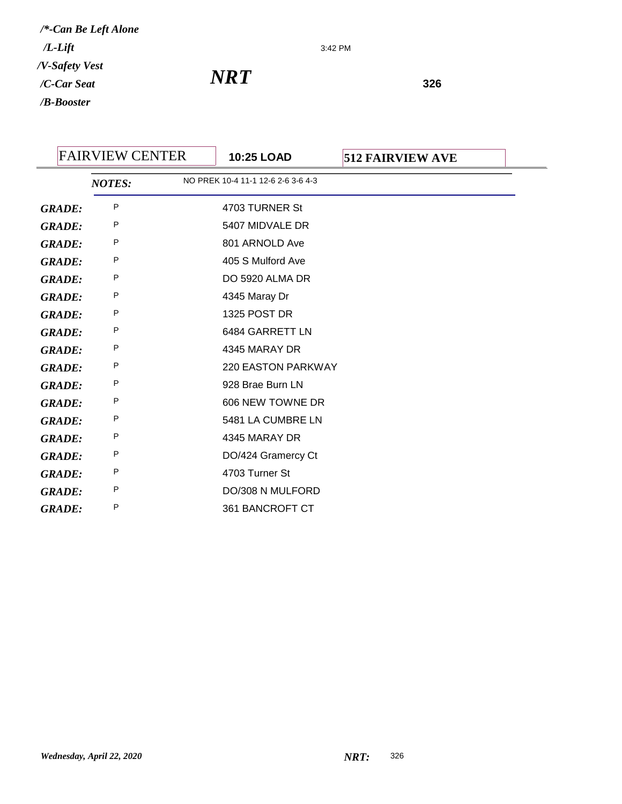3:42 PM

| <b>FAIRVIEW CENTER</b> |               | 10:25 LOAD | <b>512 FAIRVIEW AVE</b>            |  |  |
|------------------------|---------------|------------|------------------------------------|--|--|
|                        | <b>NOTES:</b> |            | NO PREK 10-4 11-1 12-6 2-6 3-6 4-3 |  |  |
| <b>GRADE:</b>          | P             |            | 4703 TURNER St                     |  |  |
| <b>GRADE:</b>          | P             |            | 5407 MIDVALE DR                    |  |  |
| <b>GRADE:</b>          | P             |            | 801 ARNOLD Ave                     |  |  |
| <b>GRADE:</b>          | P             |            | 405 S Mulford Ave                  |  |  |
| <b>GRADE:</b>          | P             |            | DO 5920 ALMA DR                    |  |  |
| <b>GRADE:</b>          | P             |            | 4345 Maray Dr                      |  |  |
| <b>GRADE:</b>          | P             |            | 1325 POST DR                       |  |  |
| <b>GRADE:</b>          | P             |            | 6484 GARRETT LN                    |  |  |
| <b>GRADE:</b>          | P             |            | 4345 MARAY DR                      |  |  |
| <b>GRADE:</b>          | P             |            | 220 EASTON PARKWAY                 |  |  |
| <b>GRADE:</b>          | P             |            | 928 Brae Burn LN                   |  |  |
| <b>GRADE:</b>          | P             |            | 606 NEW TOWNE DR                   |  |  |
| <b>GRADE:</b>          | P             |            | 5481 LA CUMBRE LN                  |  |  |
| <b>GRADE:</b>          | P             |            | 4345 MARAY DR                      |  |  |
| <b>GRADE:</b>          | P             |            | DO/424 Gramercy Ct                 |  |  |
| <b>GRADE:</b>          | P             |            | 4703 Turner St                     |  |  |
| <b>GRADE:</b>          | P             |            | DO/308 N MULFORD                   |  |  |
| <b>GRADE:</b>          | P             |            | 361 BANCROFT CT                    |  |  |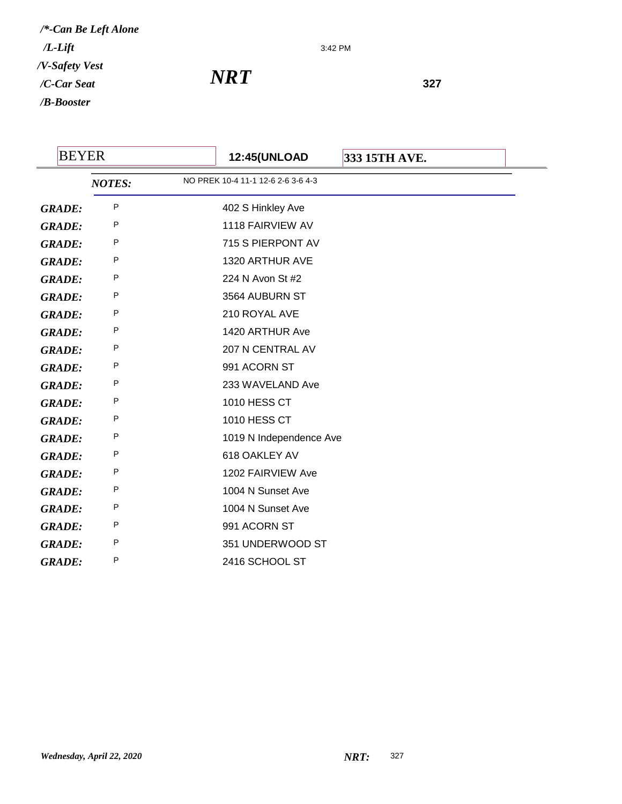3:42 PM

| <b>BEYER</b>  |               | <b>12:45(UNLOAD</b><br>333 15TH AVE. |  |
|---------------|---------------|--------------------------------------|--|
|               | <b>NOTES:</b> | NO PREK 10-4 11-1 12-6 2-6 3-6 4-3   |  |
| <b>GRADE:</b> | P             | 402 S Hinkley Ave                    |  |
| <b>GRADE:</b> | P             | 1118 FAIRVIEW AV                     |  |
| <b>GRADE:</b> | P             | 715 S PIERPONT AV                    |  |
| <b>GRADE:</b> | P             | 1320 ARTHUR AVE                      |  |
| <b>GRADE:</b> | P             | 224 N Avon St #2                     |  |
| <b>GRADE:</b> | P             | 3564 AUBURN ST                       |  |
| <b>GRADE:</b> | P             | 210 ROYAL AVE                        |  |
| <b>GRADE:</b> | P             | 1420 ARTHUR Ave                      |  |
| <b>GRADE:</b> | P             | 207 N CENTRAL AV                     |  |
| <b>GRADE:</b> | P             | 991 ACORN ST                         |  |
| <b>GRADE:</b> | P             | 233 WAVELAND Ave                     |  |
| <b>GRADE:</b> | P             | 1010 HESS CT                         |  |
| <b>GRADE:</b> | P             | 1010 HESS CT                         |  |
| <b>GRADE:</b> | P             | 1019 N Independence Ave              |  |
| <b>GRADE:</b> | P             | 618 OAKLEY AV                        |  |
| <b>GRADE:</b> | P             | 1202 FAIRVIEW Ave                    |  |
| <b>GRADE:</b> | P             | 1004 N Sunset Ave                    |  |
| <b>GRADE:</b> | P             | 1004 N Sunset Ave                    |  |
| <b>GRADE:</b> | P             | 991 ACORN ST                         |  |
| <b>GRADE:</b> | P             | 351 UNDERWOOD ST                     |  |
| <b>GRADE:</b> | P             | 2416 SCHOOL ST                       |  |
|               |               |                                      |  |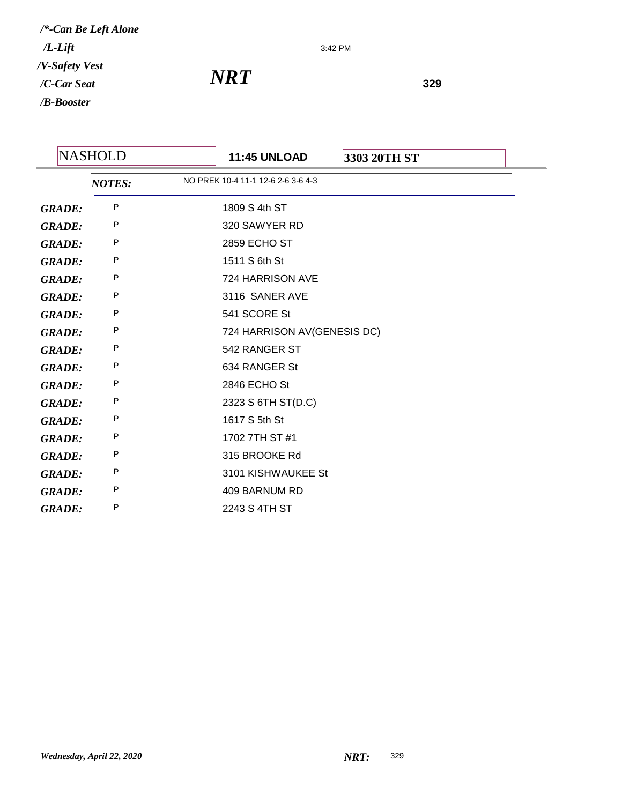3:42 PM

|               | <b>NASHOLD</b> | <b>11:45 UNLOAD</b>                | 3303 20TH ST |  |
|---------------|----------------|------------------------------------|--------------|--|
|               | <b>NOTES:</b>  | NO PREK 10-4 11-1 12-6 2-6 3-6 4-3 |              |  |
| <b>GRADE:</b> | P              | 1809 S 4th ST                      |              |  |
| <b>GRADE:</b> | P              | 320 SAWYER RD                      |              |  |
| <b>GRADE:</b> | P              | <b>2859 ECHO ST</b>                |              |  |
| <b>GRADE:</b> | P              | 1511 S 6th St                      |              |  |
| <b>GRADE:</b> | Ρ              | 724 HARRISON AVE                   |              |  |
| <b>GRADE:</b> | Ρ              | 3116 SANER AVE                     |              |  |
| <b>GRADE:</b> | P              | 541 SCORE St                       |              |  |
| <b>GRADE:</b> | P              | 724 HARRISON AV(GENESIS DC)        |              |  |
| <b>GRADE:</b> | P              | 542 RANGER ST                      |              |  |
| <b>GRADE:</b> | Ρ              | 634 RANGER St                      |              |  |
| <b>GRADE:</b> | P              | 2846 ECHO St                       |              |  |
| <b>GRADE:</b> | P              | 2323 S 6TH ST(D.C)                 |              |  |
| <b>GRADE:</b> | P              | 1617 S 5th St                      |              |  |
| <b>GRADE:</b> | Ρ              | 1702 7TH ST #1                     |              |  |
| <b>GRADE:</b> | P              | 315 BROOKE Rd                      |              |  |
| <b>GRADE:</b> | P              | 3101 KISHWAUKEE St                 |              |  |
| <b>GRADE:</b> | P              | 409 BARNUM RD                      |              |  |
| <b>GRADE:</b> | P              | 2243 S 4TH ST                      |              |  |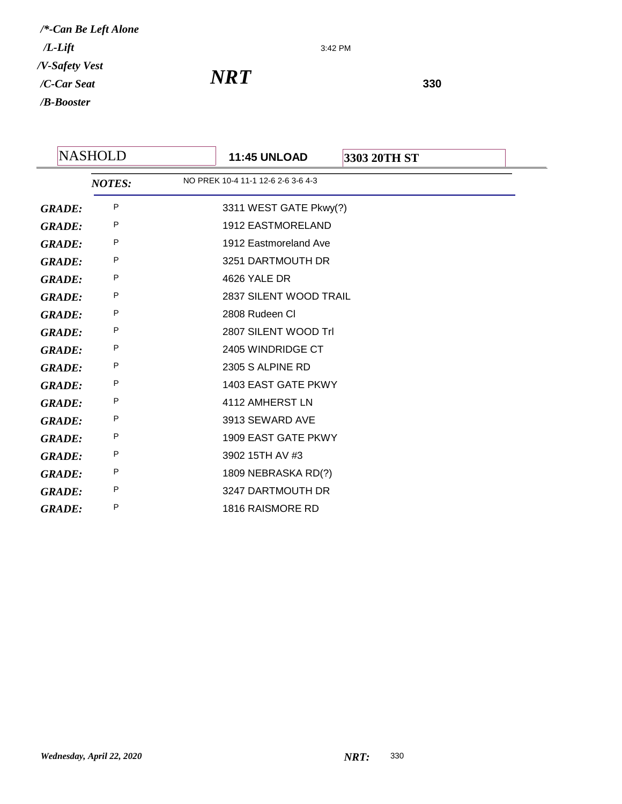3:42 PM

| <b>NASHOLD</b> | <b>11:45 UNLOAD</b>      | 3303 20TH ST                                                                           |
|----------------|--------------------------|----------------------------------------------------------------------------------------|
| <b>NOTES:</b>  |                          |                                                                                        |
| P              |                          |                                                                                        |
| P              | <b>1912 EASTMORELAND</b> |                                                                                        |
| P              | 1912 Eastmoreland Ave    |                                                                                        |
| P              | 3251 DARTMOUTH DR        |                                                                                        |
| Ρ              | 4626 YALE DR             |                                                                                        |
| P              |                          |                                                                                        |
| P              | 2808 Rudeen CI           |                                                                                        |
| P              | 2807 SILENT WOOD Trl     |                                                                                        |
| P              | 2405 WINDRIDGE CT        |                                                                                        |
| P              | 2305 S ALPINE RD         |                                                                                        |
| P              | 1403 EAST GATE PKWY      |                                                                                        |
| P              | 4112 AMHERST LN          |                                                                                        |
| P              | 3913 SEWARD AVE          |                                                                                        |
| P              | 1909 EAST GATE PKWY      |                                                                                        |
| Ρ              | 3902 15TH AV #3          |                                                                                        |
| P              | 1809 NEBRASKA RD(?)      |                                                                                        |
| P              | 3247 DARTMOUTH DR        |                                                                                        |
| P              | 1816 RAISMORE RD         |                                                                                        |
|                |                          | NO PREK 10-4 11-1 12-6 2-6 3-6 4-3<br>3311 WEST GATE Pkwy(?)<br>2837 SILENT WOOD TRAIL |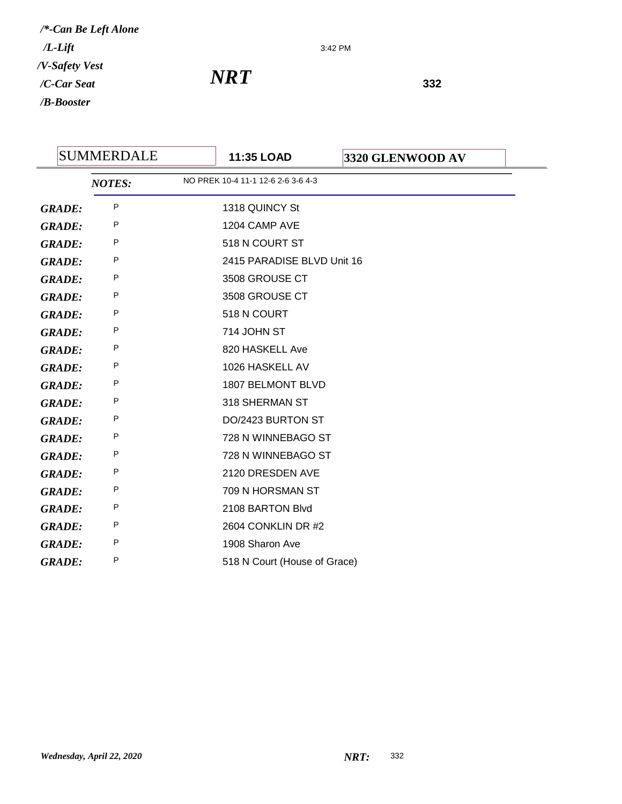3:42 PM

|               | <b>SUMMERDALE</b> | 11:35 LOAD                         | 3320 GLENWOOD AV |
|---------------|-------------------|------------------------------------|------------------|
|               | <b>NOTES:</b>     | NO PREK 10-4 11-1 12-6 2-6 3-6 4-3 |                  |
| <b>GRADE:</b> | P                 | 1318 QUINCY St                     |                  |
| <b>GRADE:</b> | P                 | 1204 CAMP AVE                      |                  |
| <b>GRADE:</b> | P                 | 518 N COURT ST                     |                  |
| <b>GRADE:</b> | P                 | 2415 PARADISE BLVD Unit 16         |                  |
| <b>GRADE:</b> | P                 | 3508 GROUSE CT                     |                  |
| <b>GRADE:</b> | P                 | 3508 GROUSE CT                     |                  |
| <b>GRADE:</b> | P                 | 518 N COURT                        |                  |
| <b>GRADE:</b> | P                 | 714 JOHN ST                        |                  |
| <b>GRADE:</b> | P                 | 820 HASKELL Ave                    |                  |
| <b>GRADE:</b> | P                 | 1026 HASKELL AV                    |                  |
| <b>GRADE:</b> | P                 | 1807 BELMONT BLVD                  |                  |
| <b>GRADE:</b> | P                 | 318 SHERMAN ST                     |                  |
| <b>GRADE:</b> | P                 | DO/2423 BURTON ST                  |                  |
| <b>GRADE:</b> | P                 | 728 N WINNEBAGO ST                 |                  |
| <b>GRADE:</b> | P                 | 728 N WINNEBAGO ST                 |                  |
| <b>GRADE:</b> | P                 | 2120 DRESDEN AVE                   |                  |
| <b>GRADE:</b> | Ρ                 | 709 N HORSMAN ST                   |                  |
| <b>GRADE:</b> | P                 | 2108 BARTON Blvd                   |                  |
| <b>GRADE:</b> | P                 | 2604 CONKLIN DR #2                 |                  |
| <b>GRADE:</b> | P                 | 1908 Sharon Ave                    |                  |
| <b>GRADE:</b> | P                 | 518 N Court (House of Grace)       |                  |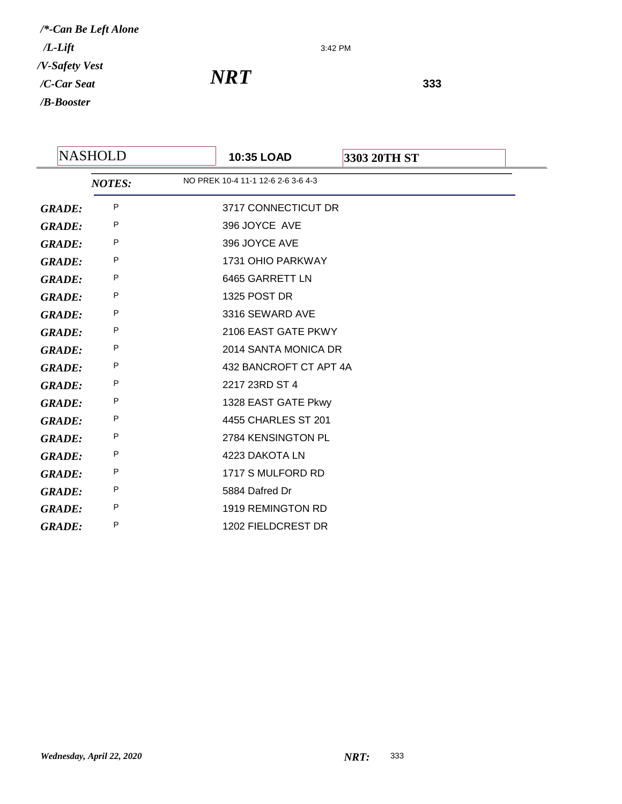3:42 PM

|               | <b>NASHOLD</b> |               | 10:35 LOAD                         | 3303 20TH ST |
|---------------|----------------|---------------|------------------------------------|--------------|
|               |                | <b>NOTES:</b> | NO PREK 10-4 11-1 12-6 2-6 3-6 4-3 |              |
| <b>GRADE:</b> |                | P             | 3717 CONNECTICUT DR                |              |
| <b>GRADE:</b> |                | P             | 396 JOYCE AVE                      |              |
| <b>GRADE:</b> |                | P             | 396 JOYCE AVE                      |              |
| <b>GRADE:</b> |                | P             | 1731 OHIO PARKWAY                  |              |
| <b>GRADE:</b> |                | P             | 6465 GARRETT LN                    |              |
| <b>GRADE:</b> |                | P             | 1325 POST DR                       |              |
| <b>GRADE:</b> |                | P             | 3316 SEWARD AVE                    |              |
| <b>GRADE:</b> |                | P             | 2106 EAST GATE PKWY                |              |
| <b>GRADE:</b> |                | P             | 2014 SANTA MONICA DR               |              |
| <b>GRADE:</b> |                | P             | 432 BANCROFT CT APT 4A             |              |
| <b>GRADE:</b> |                | P             | 2217 23RD ST 4                     |              |
| <b>GRADE:</b> |                | P             | 1328 EAST GATE Pkwy                |              |
| <b>GRADE:</b> |                | P             | 4455 CHARLES ST 201                |              |
| <b>GRADE:</b> |                | P             | 2784 KENSINGTON PL                 |              |
| <b>GRADE:</b> |                | P             | 4223 DAKOTA LN                     |              |
| <b>GRADE:</b> |                | P             | 1717 S MULFORD RD                  |              |
| <b>GRADE:</b> |                | P             | 5884 Dafred Dr                     |              |
| <b>GRADE:</b> |                | P             | 1919 REMINGTON RD                  |              |
| <b>GRADE:</b> |                | P             | 1202 FIELDCREST DR                 |              |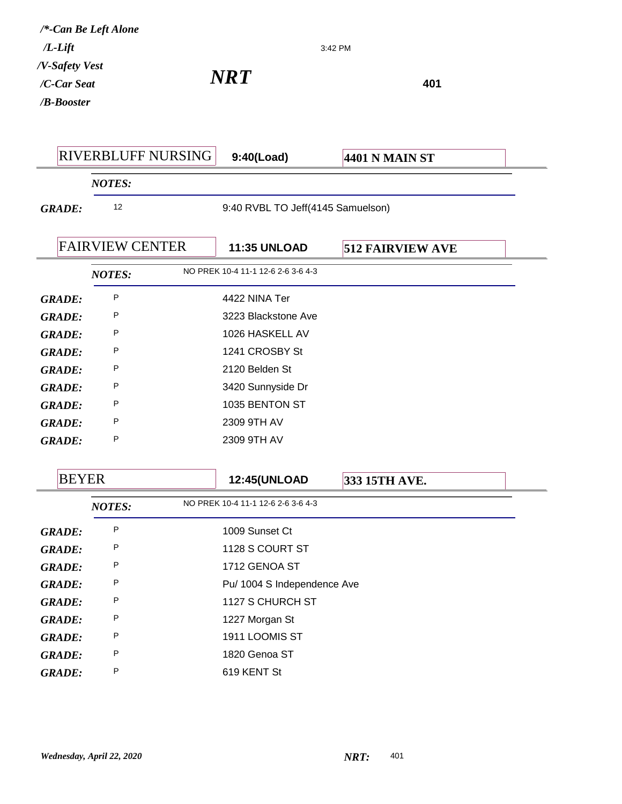|                | /*-Can Be Left Alone   |                    |                                    |                         |     |  |
|----------------|------------------------|--------------------|------------------------------------|-------------------------|-----|--|
| $/L$ - $Lift$  |                        |                    |                                    | 3:42 PM                 |     |  |
| /V-Safety Vest |                        |                    | <b>NRT</b>                         |                         |     |  |
| /C-Car Seat    |                        |                    |                                    |                         | 401 |  |
| /B-Booster     |                        |                    |                                    |                         |     |  |
|                |                        |                    |                                    |                         |     |  |
|                |                        | RIVERBLUFF NURSING | 9:40(Load)                         | <b>4401 N MAIN ST</b>   |     |  |
|                | <b>NOTES:</b>          |                    |                                    |                         |     |  |
| <b>GRADE:</b>  | 12                     |                    | 9:40 RVBL TO Jeff(4145 Samuelson)  |                         |     |  |
|                |                        |                    |                                    |                         |     |  |
|                | <b>FAIRVIEW CENTER</b> |                    | <b>11:35 UNLOAD</b>                | <b>512 FAIRVIEW AVE</b> |     |  |
|                | <b>NOTES:</b>          |                    | NO PREK 10-4 11-1 12-6 2-6 3-6 4-3 |                         |     |  |
| <b>GRADE:</b>  | P                      |                    | 4422 NINA Ter                      |                         |     |  |
| <b>GRADE:</b>  | P                      |                    | 3223 Blackstone Ave                |                         |     |  |
| <b>GRADE:</b>  | P                      |                    | 1026 HASKELL AV                    |                         |     |  |
| <b>GRADE:</b>  | P                      |                    | 1241 CROSBY St                     |                         |     |  |
| <b>GRADE:</b>  | P                      |                    | 2120 Belden St                     |                         |     |  |
| <b>GRADE:</b>  | P                      |                    | 3420 Sunnyside Dr                  |                         |     |  |
| <b>GRADE:</b>  | P                      |                    | 1035 BENTON ST                     |                         |     |  |
| <b>GRADE:</b>  | P                      |                    | 2309 9TH AV                        |                         |     |  |
| <b>GRADE:</b>  | P                      |                    | 2309 9TH AV                        |                         |     |  |
|                |                        |                    |                                    |                         |     |  |
| <b>BEYER</b>   |                        |                    | <b>12:45(UNLOAD</b>                | 333 15TH AVE.           |     |  |
|                | <b>NOTES:</b>          |                    | NO PREK 10-4 11-1 12-6 2-6 3-6 4-3 |                         |     |  |
| <b>GRADE:</b>  | P                      |                    | 1009 Sunset Ct                     |                         |     |  |
| <b>GRADE:</b>  | P                      |                    | 1128 S COURT ST                    |                         |     |  |
| <b>GRADE:</b>  | P                      |                    | 1712 GENOA ST                      |                         |     |  |
| <b>GRADE:</b>  | P                      |                    | Pu/ 1004 S Independence Ave        |                         |     |  |
| <b>GRADE:</b>  | P                      |                    | 1127 S CHURCH ST                   |                         |     |  |
| <b>GRADE:</b>  | P                      |                    | 1227 Morgan St                     |                         |     |  |
| <b>GRADE:</b>  | P                      |                    | 1911 LOOMIS ST                     |                         |     |  |
| <b>GRADE:</b>  | P                      |                    | 1820 Genoa ST                      |                         |     |  |
| <b>GRADE:</b>  | P                      |                    | 619 KENT St                        |                         |     |  |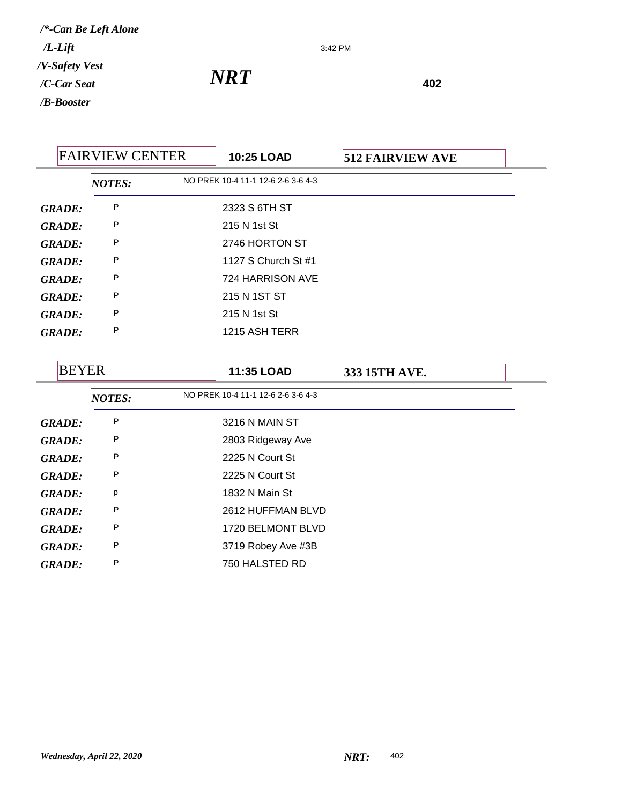3:42 PM

| <b>FAIRVIEW CENTER</b> |               | <b>10:25 LOAD</b>                  | <b>512 FAIRVIEW AVE</b> |  |
|------------------------|---------------|------------------------------------|-------------------------|--|
|                        | <b>NOTES:</b> | NO PREK 10-4 11-1 12-6 2-6 3-6 4-3 |                         |  |
| <b>GRADE:</b>          | P             | 2323 S 6TH ST                      |                         |  |
| <b>GRADE:</b>          | P             | 215 N 1st St                       |                         |  |
| <b>GRADE:</b>          | P             | 2746 HORTON ST                     |                         |  |
| <b>GRADE:</b>          | P             | 1127 S Church St #1                |                         |  |
| <b>GRADE:</b>          | P             | 724 HARRISON AVE                   |                         |  |
| <b>GRADE:</b>          | P             | 215 N 1ST ST                       |                         |  |
| <b>GRADE:</b>          | P             | 215 N 1st St                       |                         |  |
| <b>GRADE:</b>          | P             | 1215 ASH TERR                      |                         |  |
| <b>BEYER</b>           |               | 11:35 LOAD                         | 333 15TH AVE.           |  |
|                        | <b>NOTES:</b> | NO PREK 10-4 11-1 12-6 2-6 3-6 4-3 |                         |  |
| <b>GRADE:</b>          | P             | 3216 N MAIN ST                     |                         |  |

| <i><b>GKADE:</b></i> |   | וכ מומומו מו <i>א</i> כ |
|----------------------|---|-------------------------|
| <b>GRADE:</b>        | P | 2803 Ridgeway Ave       |
| <b>GRADE:</b>        | P | 2225 N Court St         |
| <b>GRADE:</b>        | P | 2225 N Court St         |
| <b>GRADE:</b>        | p | 1832 N Main St          |
| <b>GRADE:</b>        | P | 2612 HUFFMAN BLVD       |
| <b>GRADE:</b>        | P | 1720 BELMONT BLVD       |
| <b>GRADE:</b>        | P | 3719 Robey Ave #3B      |
| <b>GRADE:</b>        | P | 750 HALSTED RD          |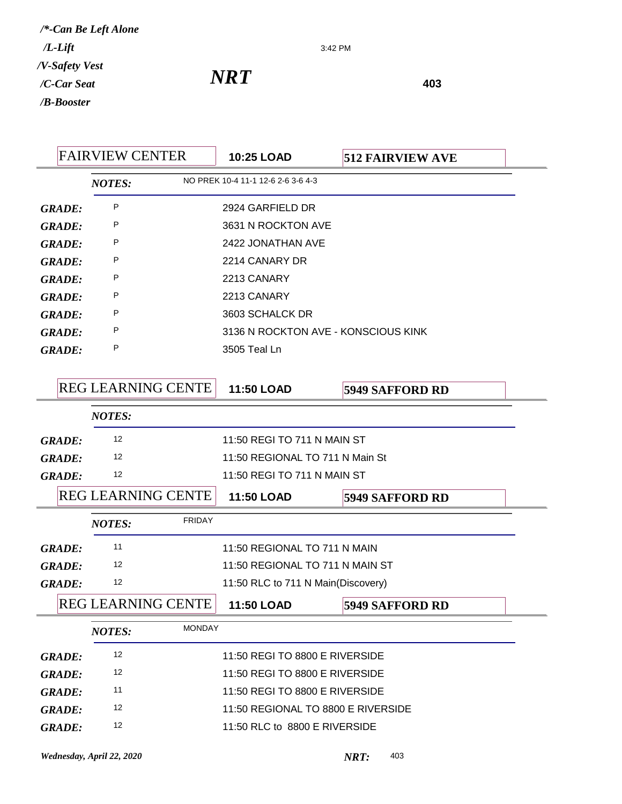3:42 PM

| <b>FAIRVIEW CENTER</b> |               | 10:25 LOAD    | <b>512 FAIRVIEW AVE</b>   |                                     |                        |
|------------------------|---------------|---------------|---------------------------|-------------------------------------|------------------------|
|                        |               | <b>NOTES:</b> |                           | NO PREK 10-4 11-1 12-6 2-6 3-6 4-3  |                        |
|                        | <b>GRADE:</b> | P             |                           | 2924 GARFIELD DR                    |                        |
|                        | <b>GRADE:</b> | P             |                           | 3631 N ROCKTON AVE                  |                        |
|                        | <b>GRADE:</b> | P             |                           | 2422 JONATHAN AVE                   |                        |
|                        | <b>GRADE:</b> | P             |                           | 2214 CANARY DR                      |                        |
|                        | <b>GRADE:</b> | P             |                           | 2213 CANARY                         |                        |
|                        | <b>GRADE:</b> | P             |                           | 2213 CANARY                         |                        |
|                        | <b>GRADE:</b> | P             |                           | 3603 SCHALCK DR                     |                        |
|                        | <b>GRADE:</b> | P             |                           | 3136 N ROCKTON AVE - KONSCIOUS KINK |                        |
|                        | <b>GRADE:</b> | P             |                           | 3505 Teal Ln                        |                        |
|                        |               |               |                           |                                     |                        |
|                        |               |               | <b>REG LEARNING CENTE</b> | 11:50 LOAD                          | <b>5949 SAFFORD RD</b> |
|                        |               | <b>NOTES:</b> |                           |                                     |                        |
|                        | <b>GRADE:</b> | 12            |                           | 11:50 REGI TO 711 N MAIN ST         |                        |
|                        | <b>GRADE:</b> | 12            |                           | 11:50 REGIONAL TO 711 N Main St     |                        |
|                        | <b>GRADE:</b> | 12            |                           | 11:50 REGI TO 711 N MAIN ST         |                        |
|                        |               |               | <b>REG LEARNING CENTE</b> | 11:50 LOAD                          | <b>5949 SAFFORD RD</b> |
|                        |               | <b>NOTES:</b> | <b>FRIDAY</b>             |                                     |                        |
|                        | <b>GRADE:</b> | 11            |                           | 11:50 REGIONAL TO 711 N MAIN        |                        |
|                        | <b>GRADE:</b> | 12            |                           | 11:50 REGIONAL TO 711 N MAIN ST     |                        |
|                        | <b>GRADE:</b> | 12            |                           | 11:50 RLC to 711 N Main(Discovery)  |                        |
|                        |               |               | REG LEARNING CENTE        | 11:50 LOAD                          | <b>5949 SAFFORD RD</b> |
|                        |               | <b>NOTES:</b> | <b>MONDAY</b>             |                                     |                        |
|                        | <b>GRADE:</b> | 12            |                           | 11:50 REGI TO 8800 E RIVERSIDE      |                        |
|                        | <b>GRADE:</b> | 12            |                           | 11:50 REGI TO 8800 E RIVERSIDE      |                        |
|                        | <b>GRADE:</b> | 11            |                           | 11:50 REGI TO 8800 E RIVERSIDE      |                        |
|                        | <b>GRADE:</b> | 12            |                           | 11:50 REGIONAL TO 8800 E RIVERSIDE  |                        |
|                        | <b>GRADE:</b> | 12            |                           | 11:50 RLC to 8800 E RIVERSIDE       |                        |
|                        |               |               |                           |                                     |                        |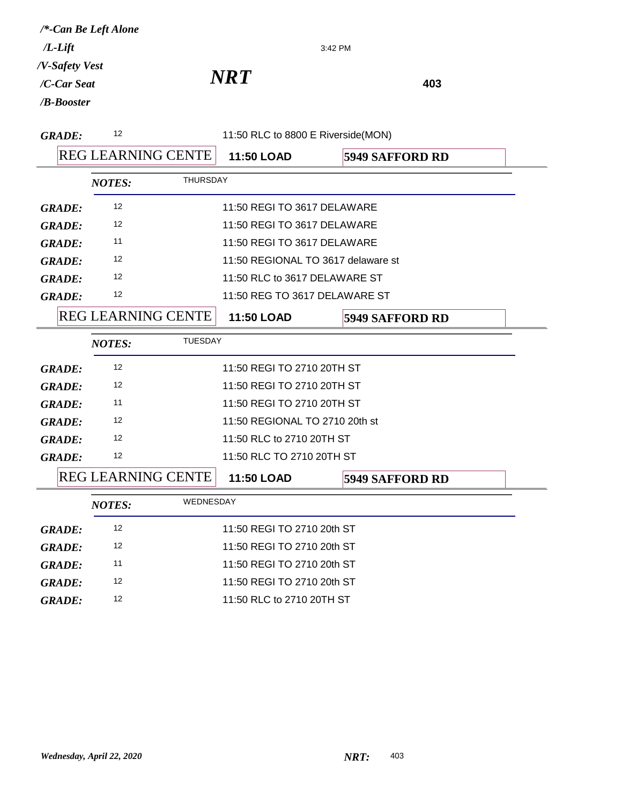|                | /*-Can Be Left Alone      |                 |                                    |                        |  |
|----------------|---------------------------|-----------------|------------------------------------|------------------------|--|
| $/L$ -Lift     |                           | 3:42 PM         |                                    |                        |  |
| /V-Safety Vest |                           |                 |                                    |                        |  |
| /C-Car Seat    |                           |                 | NRT                                | 403                    |  |
| /B-Booster     |                           |                 |                                    |                        |  |
| <b>GRADE:</b>  | 12                        |                 | 11:50 RLC to 8800 E Riverside(MON) |                        |  |
|                | <b>REG LEARNING CENTE</b> |                 | 11:50 LOAD                         | <b>5949 SAFFORD RD</b> |  |
|                | <b>NOTES:</b>             | <b>THURSDAY</b> |                                    |                        |  |
| <b>GRADE:</b>  | 12                        |                 | 11:50 REGI TO 3617 DELAWARE        |                        |  |
| <b>GRADE:</b>  | 12                        |                 | 11:50 REGI TO 3617 DELAWARE        |                        |  |
| <b>GRADE:</b>  | 11                        |                 | 11:50 REGI TO 3617 DELAWARE        |                        |  |
| <b>GRADE:</b>  | 12                        |                 | 11:50 REGIONAL TO 3617 delaware st |                        |  |
| <b>GRADE:</b>  | 12                        |                 | 11:50 RLC to 3617 DELAWARE ST      |                        |  |
| <b>GRADE:</b>  | 12                        |                 | 11:50 REG TO 3617 DELAWARE ST      |                        |  |
|                | <b>REG LEARNING CENTE</b> |                 | 11:50 LOAD                         | <b>5949 SAFFORD RD</b> |  |
|                | <b>NOTES:</b>             | <b>TUESDAY</b>  |                                    |                        |  |
| <b>GRADE:</b>  | 12                        |                 | 11:50 REGI TO 2710 20TH ST         |                        |  |
| <b>GRADE:</b>  | 12                        |                 | 11:50 REGI TO 2710 20TH ST         |                        |  |
| <b>GRADE:</b>  | 11                        |                 | 11:50 REGI TO 2710 20TH ST         |                        |  |
| <b>GRADE:</b>  | 12                        |                 | 11:50 REGIONAL TO 2710 20th st     |                        |  |
| <b>GRADE:</b>  | 12                        |                 | 11:50 RLC to 2710 20TH ST          |                        |  |
| <b>GRADE:</b>  | 12                        |                 | 11:50 RLC TO 2710 20TH ST          |                        |  |
|                | <b>REG LEARNING CENTE</b> |                 | 11:50 LOAD                         | <b>5949 SAFFORD RD</b> |  |
|                | <b>NOTES:</b>             | WEDNESDAY       |                                    |                        |  |
| <b>GRADE:</b>  | 12                        |                 | 11:50 REGI TO 2710 20th ST         |                        |  |
| <b>GRADE:</b>  | 12                        |                 | 11:50 REGI TO 2710 20th ST         |                        |  |
| <b>GRADE:</b>  | 11                        |                 | 11:50 REGI TO 2710 20th ST         |                        |  |
| <b>GRADE:</b>  | 12                        |                 | 11:50 REGI TO 2710 20th ST         |                        |  |
| <b>GRADE:</b>  | 12                        |                 | 11:50 RLC to 2710 20TH ST          |                        |  |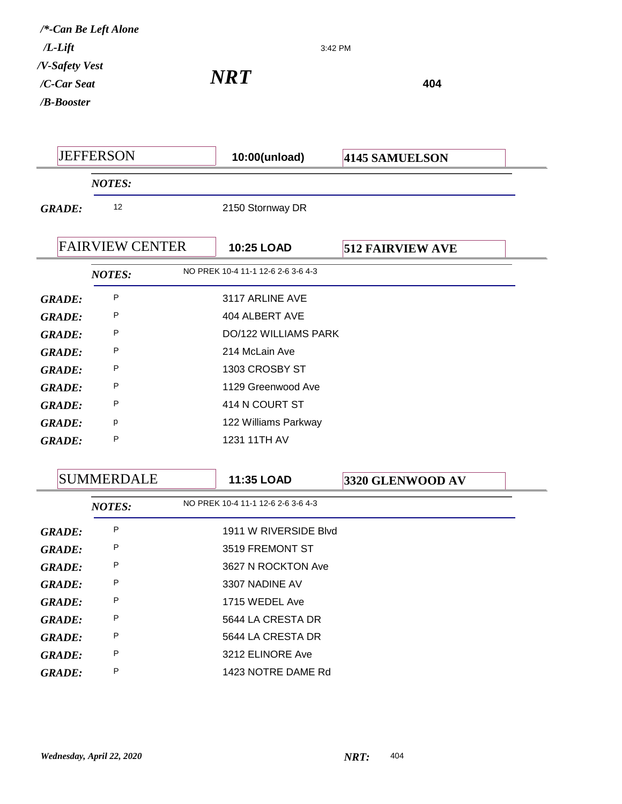*NRT* 404 3:42 PM */B-Booster /C-Car Seat /V-Safety Vest /L-Lift /\*-Can Be Left Alone* JEFFERSON **10:00(unload) 4145 SAMUELSON** *NOTES: GRADE:* <sup>12</sup> 2150 Stornway DR FAIRVIEW CENTER **10:25 LOAD 512 FAIRVIEW AVE** *NOTES:* NO PREK 10-4 11-1 12-6 2-6 3-6 4-3 *GRADE:* <sup>P</sup> 3117 ARLINE AVE *GRADE:* P 404 ALBERT AVE *GRADE:* P DO/122 WILLIAMS PARK *GRADE:* <sup>P</sup> 214 McLain Ave *GRADE:* <sup>P</sup> 1303 CROSBY ST *GRADE:* <sup>P</sup> 1129 Greenwood Ave *GRADE:* <sup>P</sup> 414 N COURT ST *GRADE:* <sup>p</sup> 122 Williams Parkway *GRADE:* <sup>P</sup> 1231 11TH AV SUMMERDALE **11:35 LOAD 3320 GLENWOOD AV** *NOTES:* NO PREK 10-4 11-1 12-6 2-6 3-6 4-3 *GRADE:* P 1911 W RIVERSIDE Blvd

*GRADE:* <sup>P</sup> 3519 FREMONT ST *GRADE:* <sup>P</sup> 3627 N ROCKTON Ave *GRADE:* <sup>P</sup> 3307 NADINE AV *GRADE:* <sup>P</sup> 1715 WEDEL Ave *GRADE:* <sup>P</sup> 5644 LA CRESTA DR *GRADE:* <sup>P</sup> 5644 LA CRESTA DR *GRADE:* <sup>P</sup> 3212 ELINORE Ave *GRADE:* <sup>P</sup> 1423 NOTRE DAME Rd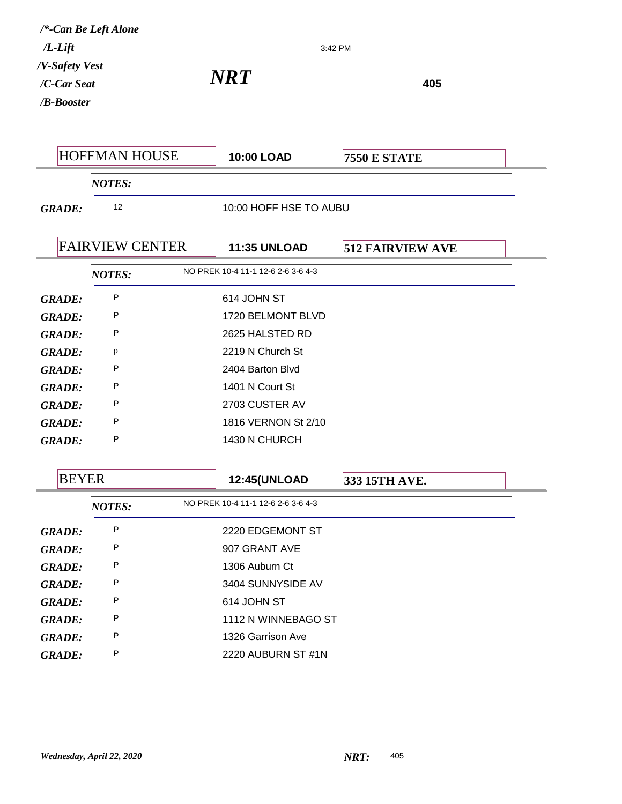|                | /*-Can Be Left Alone   |                                    |                         |
|----------------|------------------------|------------------------------------|-------------------------|
| $/L$ -Lift     |                        |                                    | 3:42 PM                 |
| /V-Safety Vest |                        | <b>NRT</b>                         |                         |
| /C-Car Seat    |                        |                                    | 405                     |
| /B-Booster     |                        |                                    |                         |
|                |                        |                                    |                         |
|                | <b>HOFFMAN HOUSE</b>   | 10:00 LOAD                         | <b>7550 E STATE</b>     |
|                | <b>NOTES:</b>          |                                    |                         |
| <b>GRADE:</b>  | 12                     | 10:00 HOFF HSE TO AUBU             |                         |
|                |                        |                                    |                         |
|                | <b>FAIRVIEW CENTER</b> | <b>11:35 UNLOAD</b>                | <b>512 FAIRVIEW AVE</b> |
|                | <b>NOTES:</b>          | NO PREK 10-4 11-1 12-6 2-6 3-6 4-3 |                         |
| <b>GRADE:</b>  | P                      | 614 JOHN ST                        |                         |
| <b>GRADE:</b>  | P                      | 1720 BELMONT BLVD                  |                         |
| <b>GRADE:</b>  | P                      | 2625 HALSTED RD                    |                         |
| <b>GRADE:</b>  | p                      | 2219 N Church St                   |                         |
| <b>GRADE:</b>  | P                      | 2404 Barton Blvd                   |                         |
| <b>GRADE:</b>  | P                      | 1401 N Court St                    |                         |
| <b>GRADE:</b>  | P                      | 2703 CUSTER AV                     |                         |
| <b>GRADE:</b>  | P                      | 1816 VERNON St 2/10                |                         |
| <b>GRADE:</b>  | P                      | 1430 N CHURCH                      |                         |
|                |                        |                                    |                         |
| <b>BEYER</b>   |                        | <b>12:45(UNLOAD</b>                | 333 15TH AVE.           |
|                | <b>NOTES:</b>          | NO PREK 10-4 11-1 12-6 2-6 3-6 4-3 |                         |
| <b>GRADE:</b>  | Ρ                      | 2220 EDGEMONT ST                   |                         |
| <b>GRADE:</b>  | Ρ                      | 907 GRANT AVE                      |                         |
| <b>GRADE:</b>  | Ρ                      | 1306 Auburn Ct                     |                         |
| <b>GRADE:</b>  | Ρ                      | 3404 SUNNYSIDE AV                  |                         |
| <b>GRADE:</b>  | P                      | 614 JOHN ST                        |                         |
| <b>GRADE:</b>  | Ρ                      | 1112 N WINNEBAGO ST                |                         |
| <b>GRADE:</b>  | Ρ                      | 1326 Garrison Ave                  |                         |
| <b>GRADE:</b>  | Ρ                      | 2220 AUBURN ST #1N                 |                         |
|                |                        |                                    |                         |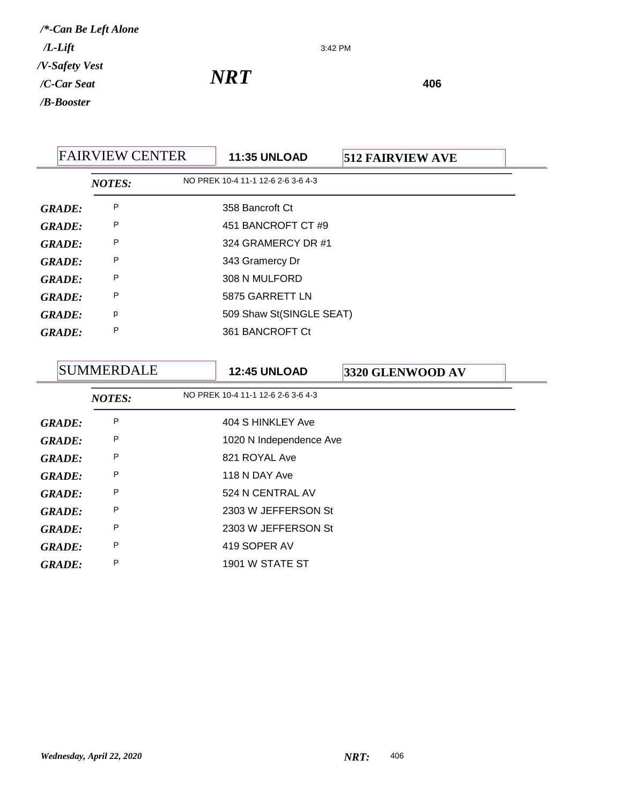3:42 PM

| <b>FAIRVIEW CENTER</b> |               | <b>11:35 UNLOAD</b> | <b>512 FAIRVIEW AVE</b>            |  |  |
|------------------------|---------------|---------------------|------------------------------------|--|--|
|                        | <b>NOTES:</b> |                     | NO PREK 10-4 11-1 12-6 2-6 3-6 4-3 |  |  |
| <b>GRADE:</b>          | P             |                     | 358 Bancroft Ct                    |  |  |
| <b>GRADE:</b>          | P             |                     | 451 BANCROFT CT #9                 |  |  |
| <b>GRADE:</b>          | P             |                     | 324 GRAMERCY DR #1                 |  |  |
| <b>GRADE:</b>          | P             |                     | 343 Gramercy Dr                    |  |  |
| <b>GRADE:</b>          | P             |                     | 308 N MULFORD                      |  |  |
| <b>GRADE:</b>          | P             |                     | 5875 GARRETT LN                    |  |  |
| <b>GRADE:</b>          | р             |                     | 509 Shaw St(SINGLE SEAT)           |  |  |
| <b>GRADE:</b>          | P             |                     | 361 BANCROFT Ct                    |  |  |
|                        |               |                     |                                    |  |  |

|               | <b>SUMMERDALE</b> | <b>12:45 UNLOAD</b>                | 3320 GLENWOOD AV |
|---------------|-------------------|------------------------------------|------------------|
|               | <b>NOTES:</b>     | NO PREK 10-4 11-1 12-6 2-6 3-6 4-3 |                  |
| <b>GRADE:</b> | P                 | 404 S HINKLEY Ave                  |                  |
| <b>GRADE:</b> | P                 | 1020 N Independence Ave            |                  |
| <b>GRADE:</b> | P                 | 821 ROYAL Ave                      |                  |
| <b>GRADE:</b> | P                 | 118 N DAY Ave                      |                  |
| <b>GRADE:</b> | P                 | 524 N CENTRAL AV                   |                  |
| <b>GRADE:</b> | P                 | 2303 W JEFFERSON St                |                  |
| <b>GRADE:</b> | P                 | 2303 W JEFFERSON St                |                  |
| <b>GRADE:</b> | P                 | 419 SOPER AV                       |                  |
| <b>GRADE:</b> | P                 | 1901 W STATE ST                    |                  |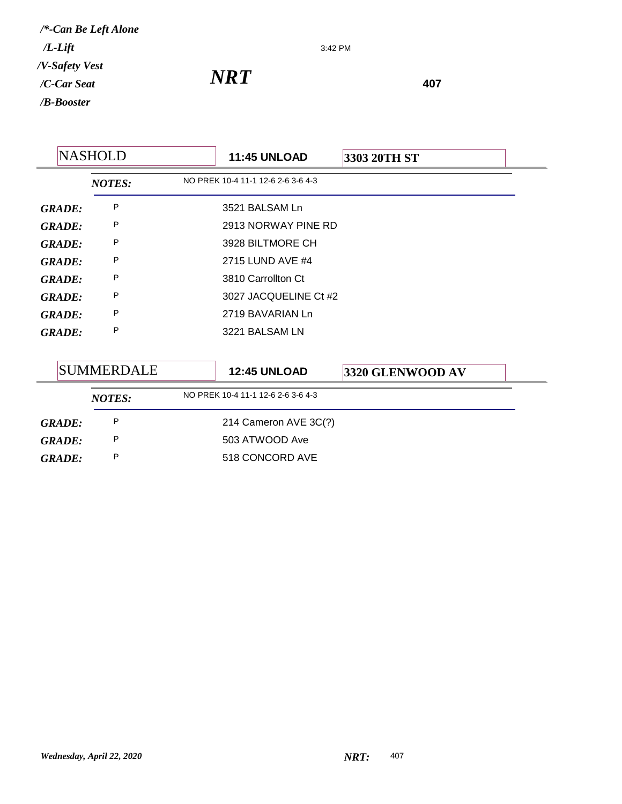3:42 PM

*NRT* 407

| <b>NASHOLD</b> |                   | <b>11:45 UNLOAD</b> | 3303 20TH ST                       |                  |
|----------------|-------------------|---------------------|------------------------------------|------------------|
|                | <b>NOTES:</b>     |                     | NO PREK 10-4 11-1 12-6 2-6 3-6 4-3 |                  |
| <b>GRADE:</b>  | P                 |                     | 3521 BALSAM Ln                     |                  |
| <b>GRADE:</b>  | P                 |                     | 2913 NORWAY PINE RD                |                  |
| <b>GRADE:</b>  | P                 |                     | 3928 BILTMORE CH                   |                  |
| <b>GRADE:</b>  | P                 |                     | 2715 LUND AVE #4                   |                  |
| <b>GRADE:</b>  | P                 |                     | 3810 Carrollton Ct                 |                  |
| <b>GRADE:</b>  | P                 |                     | 3027 JACQUELINE Ct #2              |                  |
| <b>GRADE:</b>  | P                 |                     | 2719 BAVARIAN Ln                   |                  |
| <b>GRADE:</b>  | P                 |                     | 3221 BALSAM LN                     |                  |
|                |                   |                     |                                    |                  |
|                | <b>SUMMERDALE</b> |                     | <b>12:45 UNLOAD</b>                | 3320 GLENWOOD AV |
|                | <b>NOTES:</b>     |                     | NO PREK 10-4 11-1 12-6 2-6 3-6 4-3 |                  |
| <b>GRADE:</b>  | P                 |                     | 214 Cameron AVE 3C(?)              |                  |

GRADE: P 503 ATWOOD Ave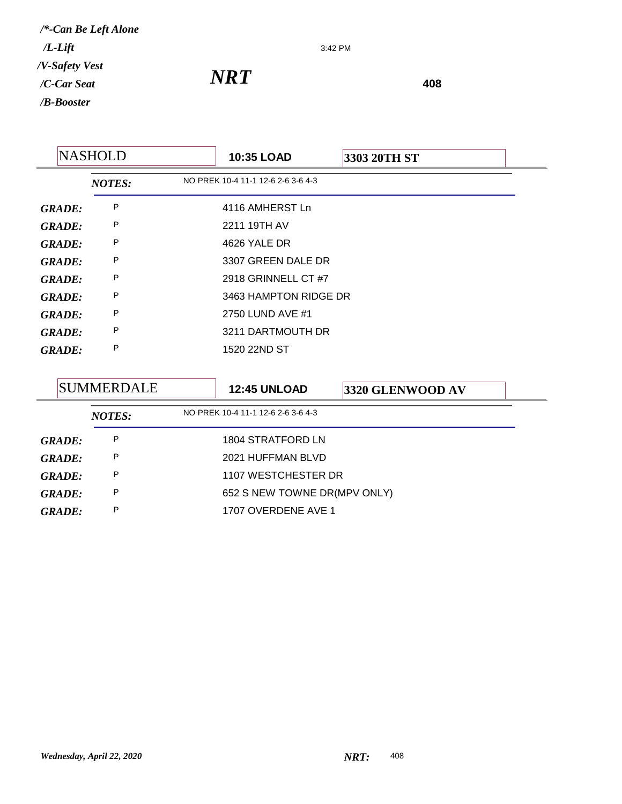3:42 PM

|               | <b>NASHOLD</b> | <b>10:35 LOAD</b>                  | 3303 20TH ST |  |
|---------------|----------------|------------------------------------|--------------|--|
|               | <b>NOTES:</b>  | NO PREK 10-4 11-1 12-6 2-6 3-6 4-3 |              |  |
| <b>GRADE:</b> | P              | 4116 AMHERST Ln                    |              |  |
| <b>GRADE:</b> | P              | 2211 19TH AV                       |              |  |
| <b>GRADE:</b> | Ρ              | 4626 YALE DR                       |              |  |
| <b>GRADE:</b> | P              | 3307 GREEN DALE DR                 |              |  |
| <b>GRADE:</b> | P              | 2918 GRINNELL CT #7                |              |  |
| <b>GRADE:</b> | P              | 3463 HAMPTON RIDGE DR              |              |  |
| <b>GRADE:</b> | Ρ              | 2750 LUND AVE #1                   |              |  |
| <b>GRADE:</b> | P              | 3211 DARTMOUTH DR                  |              |  |
| <b>GRADE:</b> | P              | 1520 22ND ST                       |              |  |

| <b>SUMMERDALE</b> |               | <b>12:45 UNLOAD</b> | <b>3320 GLENWOOD AV</b>            |  |  |
|-------------------|---------------|---------------------|------------------------------------|--|--|
|                   | <b>NOTES:</b> |                     | NO PREK 10-4 11-1 12-6 2-6 3-6 4-3 |  |  |
| <b>GRADE:</b>     | P             |                     | 1804 STRATFORD LN                  |  |  |
| <b>GRADE:</b>     | P             |                     | 2021 HUFFMAN BLVD                  |  |  |
| <b>GRADE:</b>     | P             |                     | 1107 WESTCHESTER DR                |  |  |
| <b>GRADE:</b>     | P             |                     | 652 S NEW TOWNE DR(MPV ONLY)       |  |  |
| GRADE:            | P             |                     | 1707 OVERDENE AVE 1                |  |  |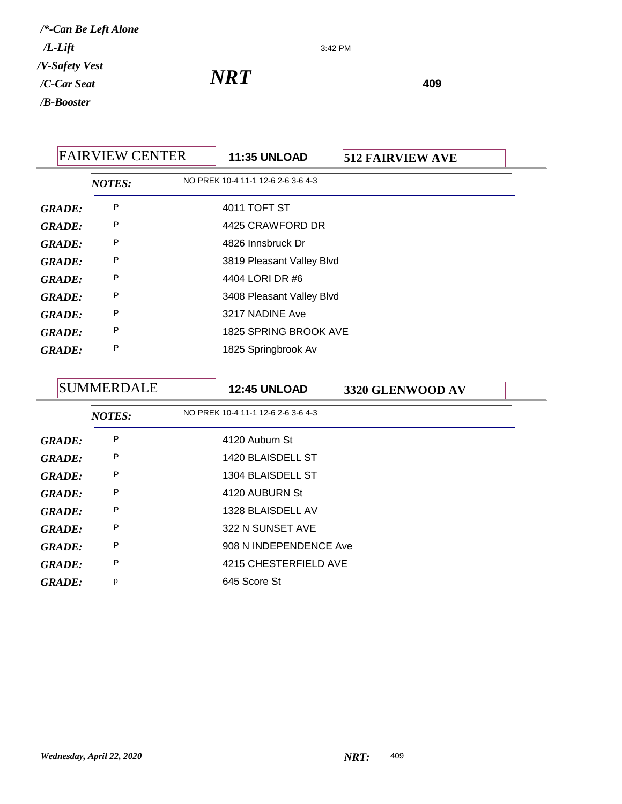3:42 PM

*NRT* 409

FAIRVIEW CENTER **11:35 UNLOAD 512 FAIRVIEW AVE** *NOTES:* NO PREK 10-4 11-1 12-6 2-6 3-6 4-3 *GRADE:* P 4011 TOFT ST *GRADE:* <sup>P</sup> 4425 CRAWFORD DR *GRADE:* <sup>P</sup> 4826 Innsbruck Dr GRADE: P 3819 Pleasant Valley Blvd *GRADE:* <sup>P</sup> 4404 LORI DR #6 GRADE: P 3408 Pleasant Valley Blvd GRADE: P 3217 NADINE Ave *GRADE:* <sup>P</sup> 1825 SPRING BROOK AVE *GRADE:* <sup>P</sup> 1825 Springbrook Av

|               | SUMMERDALE    | <b>12:45 UNLOAD</b>                | 3320 GLENWOOD AV |  |
|---------------|---------------|------------------------------------|------------------|--|
|               | <b>NOTES:</b> | NO PREK 10-4 11-1 12-6 2-6 3-6 4-3 |                  |  |
| GRADE:        | P             | 4120 Auburn St                     |                  |  |
| <b>GRADE:</b> | P             | 1420 BLAISDELL ST                  |                  |  |
| GRADE:        | P             | 1304 BLAISDELL ST                  |                  |  |
| GRADE:        | P             | 4120 AUBURN St                     |                  |  |
| GRADE:        | P             | 1328 BLAISDELL AV                  |                  |  |
| GRADE:        | P             | 322 N SUNSET AVE                   |                  |  |
| <b>GRADE:</b> | P             | 908 N INDEPENDENCE Ave             |                  |  |
| <b>GRADE:</b> | P             | 4215 CHESTERFIELD AVE              |                  |  |
| <b>GRADE:</b> | p             | 645 Score St                       |                  |  |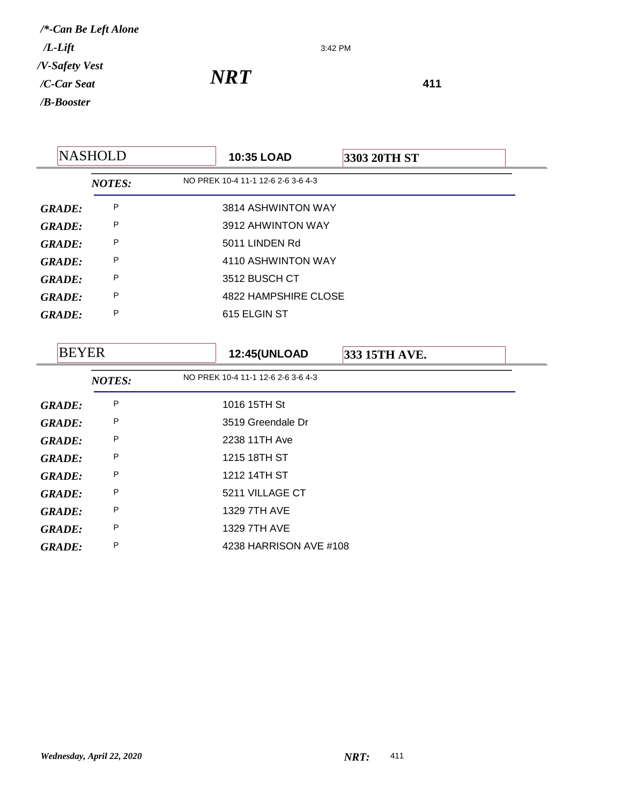3:42 PM

*NRT* **<sup>411</sup>**

5

|               | <b>NASHOLD</b> | 10:35 LOAD                         | 3303 20TH ST |  |  |
|---------------|----------------|------------------------------------|--------------|--|--|
|               | <b>NOTES:</b>  | NO PREK 10-4 11-1 12-6 2-6 3-6 4-3 |              |  |  |
| <b>GRADE:</b> | P              | 3814 ASHWINTON WAY                 |              |  |  |
| <b>GRADE:</b> | P              | 3912 AHWINTON WAY                  |              |  |  |
| <b>GRADE:</b> | P              | 5011 LINDEN Rd                     |              |  |  |
| <b>GRADE:</b> | P              | 4110 ASHWINTON WAY                 |              |  |  |
| <b>GRADE:</b> | P              | 3512 BUSCH CT                      |              |  |  |
| <b>GRADE:</b> | P              | 4822 HAMPSHIRE CLOSE               |              |  |  |
| <b>GRADE:</b> | Ρ              | 615 ELGIN ST                       |              |  |  |
|               |                |                                    |              |  |  |

| <b>BEYER</b>  |               | <b>12:45(UNLOAD</b>                | 333 15TH AVE. |  |
|---------------|---------------|------------------------------------|---------------|--|
|               | <b>NOTES:</b> | NO PREK 10-4 11-1 12-6 2-6 3-6 4-3 |               |  |
| <b>GRADE:</b> | P             | 1016 15TH St                       |               |  |
| <b>GRADE:</b> | P             | 3519 Greendale Dr                  |               |  |
| <b>GRADE:</b> | P             | 2238 11TH Ave                      |               |  |
| <b>GRADE:</b> | P             | 1215 18TH ST                       |               |  |
| <b>GRADE:</b> | P             | 1212 14TH ST                       |               |  |
| <b>GRADE:</b> | P             | 5211 VILLAGE CT                    |               |  |
| <b>GRADE:</b> | P             | 1329 7TH AVE                       |               |  |
| <b>GRADE:</b> | P             | 1329 7TH AVE                       |               |  |
| <b>GRADE:</b> | P             | 4238 HARRISON AVE #108             |               |  |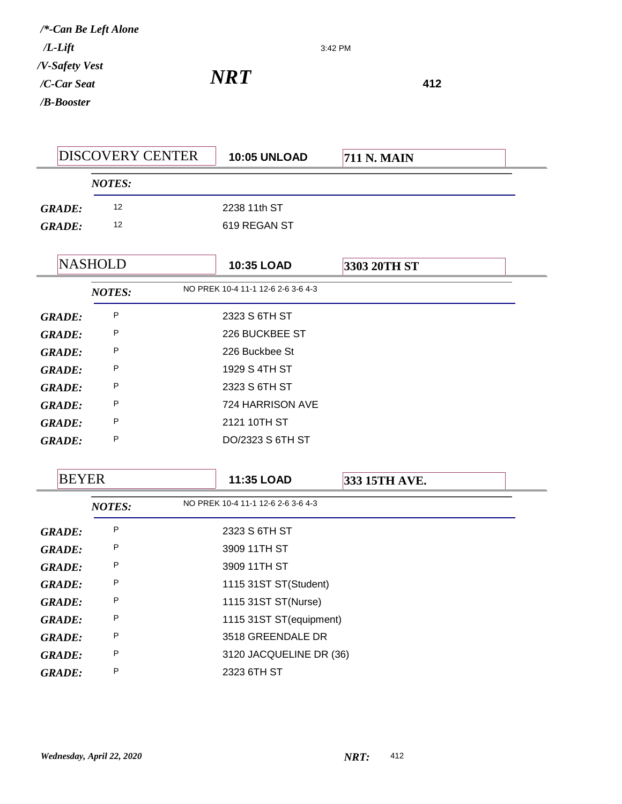3:42 PM

|               | <b>DISCOVERY CENTER</b> | <b>10:05 UNLOAD</b>                | <b>711 N. MAIN</b> |  |
|---------------|-------------------------|------------------------------------|--------------------|--|
|               | <b>NOTES:</b>           |                                    |                    |  |
| <b>GRADE:</b> | 12                      | 2238 11th ST                       |                    |  |
| <b>GRADE:</b> | 12                      | 619 REGAN ST                       |                    |  |
|               |                         |                                    |                    |  |
|               | <b>NASHOLD</b>          | 10:35 LOAD                         | 3303 20TH ST       |  |
|               | <b>NOTES:</b>           | NO PREK 10-4 11-1 12-6 2-6 3-6 4-3 |                    |  |
| <b>GRADE:</b> | P                       | 2323 S 6TH ST                      |                    |  |
| <b>GRADE:</b> | P                       | 226 BUCKBEE ST                     |                    |  |
| <b>GRADE:</b> | P                       | 226 Buckbee St                     |                    |  |
| <b>GRADE:</b> | P                       | 1929 S 4TH ST                      |                    |  |
| <b>GRADE:</b> | P                       | 2323 S 6TH ST                      |                    |  |
| <b>GRADE:</b> | P                       | 724 HARRISON AVE                   |                    |  |
| <b>GRADE:</b> | P                       | 2121 10TH ST                       |                    |  |
| <b>GRADE:</b> | P                       | DO/2323 S 6TH ST                   |                    |  |
|               |                         |                                    |                    |  |
| <b>BEYER</b>  |                         | 11:35 LOAD                         | 333 15TH AVE.      |  |
|               | <b>NOTES:</b>           | NO PREK 10-4 11-1 12-6 2-6 3-6 4-3 |                    |  |
| <b>GRADE:</b> | P                       | 2323 S 6TH ST                      |                    |  |
| <b>GRADE:</b> | P                       | 3909 11TH ST                       |                    |  |
| <b>GRADE:</b> | P                       | 3909 11TH ST                       |                    |  |
| <b>GRADE:</b> | Ρ                       | 1115 31ST ST(Student)              |                    |  |
| <b>GRADE:</b> | P                       | 1115 31ST ST(Nurse)                |                    |  |
| <b>GRADE:</b> | P                       | 1115 31ST ST(equipment)            |                    |  |
| <b>GRADE:</b> | P                       | 3518 GREENDALE DR                  |                    |  |
| <b>GRADE:</b> | P                       | 3120 JACQUELINE DR (36)            |                    |  |
| <b>GRADE:</b> | P                       | 2323 6TH ST                        |                    |  |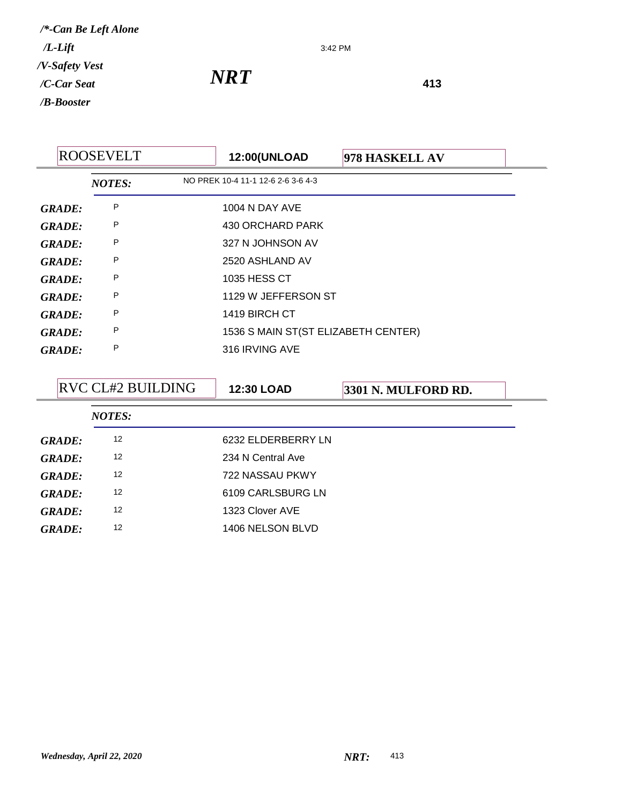3:42 PM

|               | <b>ROOSEVELT</b> | <b>12:00(UNLOAD</b>                 | 978 HASKELL AV |  |
|---------------|------------------|-------------------------------------|----------------|--|
|               | <b>NOTES:</b>    | NO PREK 10-4 11-1 12-6 2-6 3-6 4-3  |                |  |
| <b>GRADE:</b> | P                | <b>1004 N DAY AVE</b>               |                |  |
| <b>GRADE:</b> | P                | 430 ORCHARD PARK                    |                |  |
| <b>GRADE:</b> | P                | 327 N JOHNSON AV                    |                |  |
| GRADE:        | P                | 2520 ASHLAND AV                     |                |  |
| GRADE:        | P                | 1035 HESS CT                        |                |  |
| <b>GRADE:</b> | P                | 1129 W JEFFERSON ST                 |                |  |
| <b>GRADE:</b> | P                | 1419 BIRCH CT                       |                |  |
| <b>GRADE:</b> | P                | 1536 S MAIN ST(ST ELIZABETH CENTER) |                |  |
| GRADE:        | P                | 316 IRVING AVE                      |                |  |
|               |                  |                                     |                |  |

|               | <b>RVC CL#2 BUILDING</b> | <b>12:30 LOAD</b>  | 3301 N. MULFORD RD. |
|---------------|--------------------------|--------------------|---------------------|
|               | <b>NOTES:</b>            |                    |                     |
| <b>GRADE:</b> | 12                       | 6232 ELDERBERRY LN |                     |
| <b>GRADE:</b> | 12                       | 234 N Central Ave  |                     |
| <b>GRADE:</b> | 12                       | 722 NASSAU PKWY    |                     |
| <b>GRADE:</b> | 12                       | 6109 CARLSBURG LN  |                     |
| <b>GRADE:</b> | 12                       | 1323 Clover AVE    |                     |
| GRADE:        | 12                       | 1406 NELSON BLVD   |                     |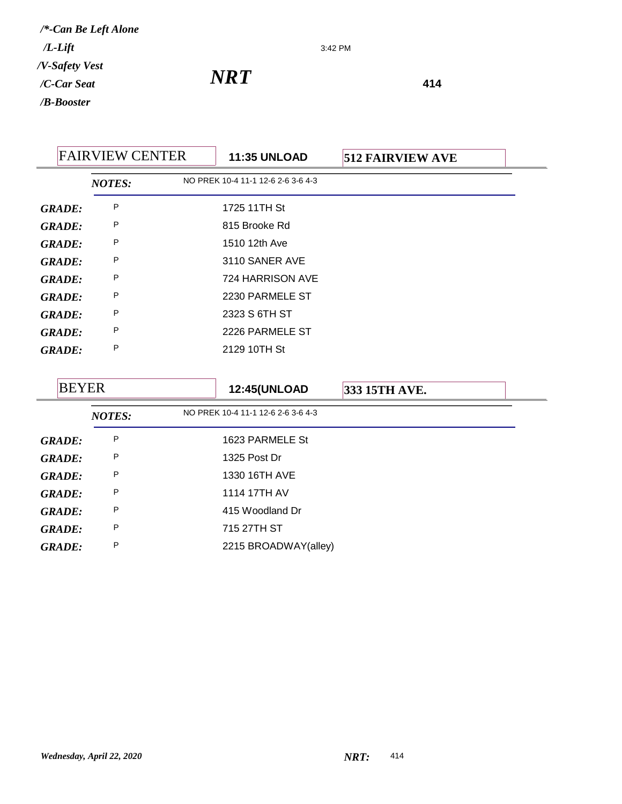3:42 PM

|               | <b>FAIRVIEW CENTER</b> | <b>11:35 UNLOAD</b>                | <b>512 FAIRVIEW AVE</b> |  |
|---------------|------------------------|------------------------------------|-------------------------|--|
|               | <b>NOTES:</b>          | NO PREK 10-4 11-1 12-6 2-6 3-6 4-3 |                         |  |
| <b>GRADE:</b> | P                      | 1725 11TH St                       |                         |  |
| <b>GRADE:</b> | P                      | 815 Brooke Rd                      |                         |  |
| <b>GRADE:</b> | P                      | 1510 12th Ave                      |                         |  |
| <b>GRADE:</b> | P                      | 3110 SANER AVE                     |                         |  |
| <b>GRADE:</b> | P                      | 724 HARRISON AVE                   |                         |  |
| GRADE:        | P                      | 2230 PARMELE ST                    |                         |  |
| <b>GRADE:</b> | P                      | 2323 S 6TH ST                      |                         |  |
| GRADE:        | P                      | 2226 PARMELE ST                    |                         |  |
| <b>GRADE:</b> | P                      | 2129 10TH St                       |                         |  |

| <b>BEYER</b><br><b>NOTES:</b> |   | <b>12:45(UNLOAD</b>                | 333 15TH AVE. |  |
|-------------------------------|---|------------------------------------|---------------|--|
|                               |   | NO PREK 10-4 11-1 12-6 2-6 3-6 4-3 |               |  |
| <b>GRADE:</b>                 | P | 1623 PARMELE St                    |               |  |
| <b>GRADE:</b>                 | P | 1325 Post Dr                       |               |  |
| <b>GRADE:</b>                 | Ρ | 1330 16TH AVE                      |               |  |
| <b>GRADE:</b>                 | P | 1114 17TH AV                       |               |  |
| <b>GRADE:</b>                 | Ρ | 415 Woodland Dr                    |               |  |
| <b>GRADE:</b>                 | P | 715 27TH ST                        |               |  |
| <b>GRADE:</b>                 | Ρ | 2215 BROADWAY(alley)               |               |  |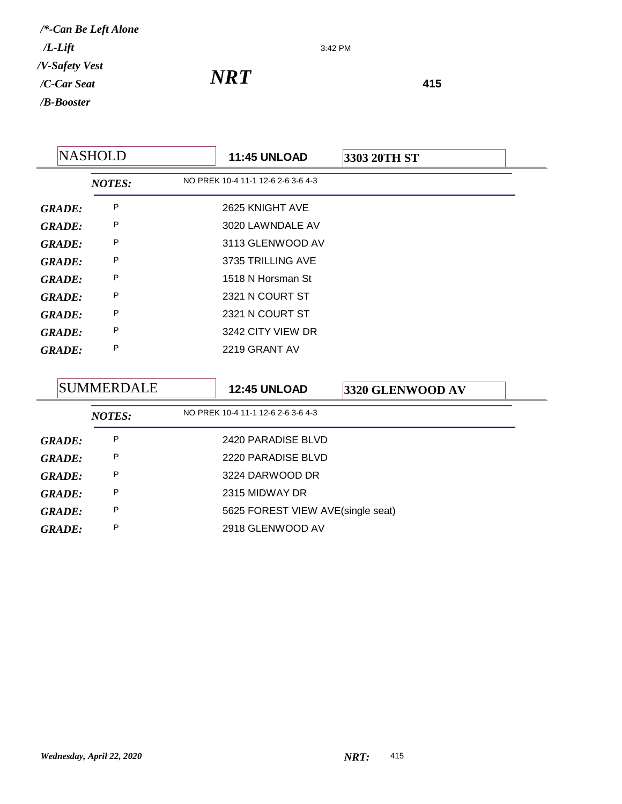3:42 PM

| <b>NASHOLD</b><br><b>11:45 UNLOAD</b><br>3303 20TH ST |               |                                    |  |
|-------------------------------------------------------|---------------|------------------------------------|--|
|                                                       | <b>NOTES:</b> | NO PREK 10-4 11-1 12-6 2-6 3-6 4-3 |  |
| <b>GRADE:</b>                                         | P             | 2625 KNIGHT AVE                    |  |
| <b>GRADE:</b>                                         | P             | 3020 LAWNDALE AV                   |  |
| <b>GRADE:</b>                                         | P             | 3113 GLENWOOD AV                   |  |
| <b>GRADE:</b>                                         | P             | 3735 TRILLING AVE                  |  |
| <b>GRADE:</b>                                         | P             | 1518 N Horsman St                  |  |
| <b>GRADE:</b>                                         | P             | 2321 N COURT ST                    |  |
| <b>GRADE:</b>                                         | P             | 2321 N COURT ST                    |  |
| <b>GRADE:</b>                                         | P             | 3242 CITY VIEW DR                  |  |
| <b>GRADE:</b>                                         | P             | 2219 GRANT AV                      |  |

|               | SUMMERDALE    |  | <b>12:45 UNLOAD</b>                | 3320 GLENWOOD AV |  |
|---------------|---------------|--|------------------------------------|------------------|--|
|               | <b>NOTES:</b> |  | NO PREK 10-4 11-1 12-6 2-6 3-6 4-3 |                  |  |
| <b>GRADE:</b> | P             |  | 2420 PARADISE BLVD                 |                  |  |
| <b>GRADE:</b> | P             |  | 2220 PARADISE BLVD                 |                  |  |
| GRADE:        | P             |  | 3224 DARWOOD DR                    |                  |  |
| <b>GRADE:</b> | P             |  | 2315 MIDWAY DR                     |                  |  |
| <b>GRADE:</b> | P             |  | 5625 FOREST VIEW AVE(single seat)  |                  |  |
| <b>GRADE:</b> | P             |  | 2918 GLENWOOD AV                   |                  |  |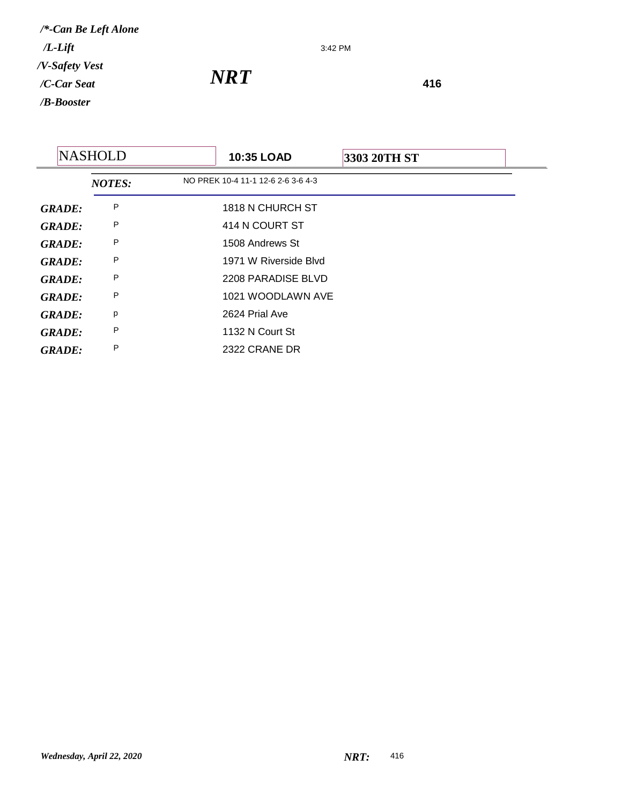3:42 PM

|               | <b>NASHOLD</b> | 10:35 LOAD                         | 3303 20TH ST |  |
|---------------|----------------|------------------------------------|--------------|--|
|               | <b>NOTES:</b>  | NO PREK 10-4 11-1 12-6 2-6 3-6 4-3 |              |  |
| <b>GRADE:</b> | P              | 1818 N CHURCH ST                   |              |  |
| <b>GRADE:</b> | P              | 414 N COURT ST                     |              |  |
| <b>GRADE:</b> | P              | 1508 Andrews St                    |              |  |
| <b>GRADE:</b> | P              | 1971 W Riverside Blyd              |              |  |
| <b>GRADE:</b> | P              | 2208 PARADISE BLVD                 |              |  |
| <b>GRADE:</b> | P              | 1021 WOODLAWN AVE                  |              |  |
| <b>GRADE:</b> | p              | 2624 Prial Ave                     |              |  |
| <b>GRADE:</b> | P              | 1132 N Court St                    |              |  |
| <b>GRADE:</b> | P              | 2322 CRANE DR                      |              |  |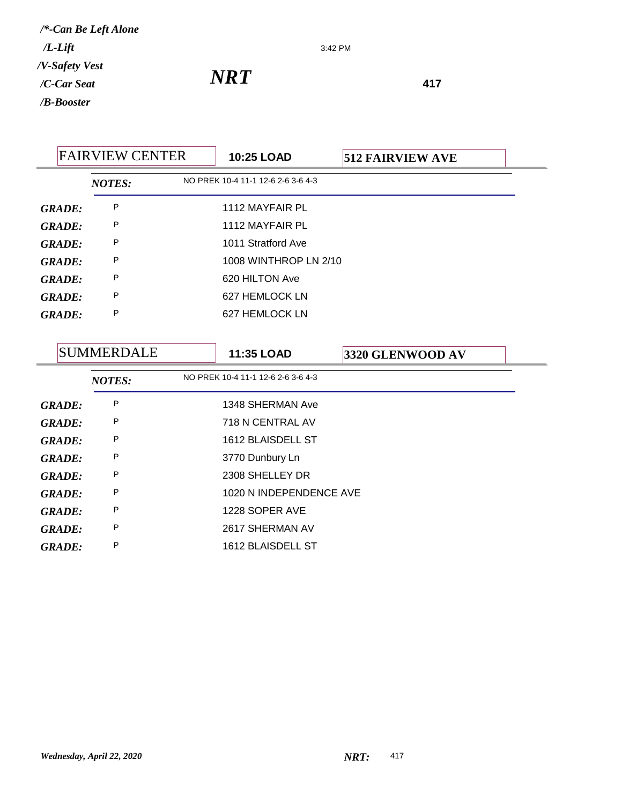3:42 PM

|               | <b>FAIRVIEW CENTER</b> |  | <b>10:25 LOAD</b>                  | <b>512 FAIRVIEW AVE</b> |  |
|---------------|------------------------|--|------------------------------------|-------------------------|--|
|               | <b>NOTES:</b>          |  | NO PREK 10-4 11-1 12-6 2-6 3-6 4-3 |                         |  |
| <b>GRADE:</b> | P                      |  | 1112 MAYFAIR PL                    |                         |  |
| <b>GRADE:</b> | P                      |  | 1112 MAYFAIR PL                    |                         |  |
| GRADE:        | P                      |  | 1011 Stratford Ave                 |                         |  |
| GRADE:        | P                      |  | 1008 WINTHROP LN 2/10              |                         |  |
| <b>GRADE:</b> | P                      |  | 620 HILTON Ave                     |                         |  |
| <b>GRADE:</b> | P                      |  | 627 HEMLOCK LN                     |                         |  |
| GRADE:        | P                      |  | 627 HEMLOCK LN                     |                         |  |
|               |                        |  |                                    |                         |  |

| SUMMERDALE    |               | <b>11:35 LOAD</b> | 3320 GLENWOOD AV                   |  |  |
|---------------|---------------|-------------------|------------------------------------|--|--|
|               | <b>NOTES:</b> |                   | NO PREK 10-4 11-1 12-6 2-6 3-6 4-3 |  |  |
| <b>GRADE:</b> | P             |                   | 1348 SHERMAN Ave                   |  |  |
| <b>GRADE:</b> | P             |                   | 718 N CENTRAL AV                   |  |  |
| <b>GRADE:</b> | P             |                   | 1612 BLAISDELL ST                  |  |  |
| <b>GRADE:</b> | P             |                   | 3770 Dunbury Ln                    |  |  |
| <b>GRADE:</b> | Ρ             |                   | 2308 SHELLEY DR                    |  |  |
| <b>GRADE:</b> | P             |                   | 1020 N INDEPENDENCE AVE            |  |  |
| <b>GRADE:</b> | P             |                   | 1228 SOPER AVE                     |  |  |
| <b>GRADE:</b> | P             |                   | 2617 SHERMAN AV                    |  |  |
| <b>GRADE:</b> | P             |                   | 1612 BLAISDELL ST                  |  |  |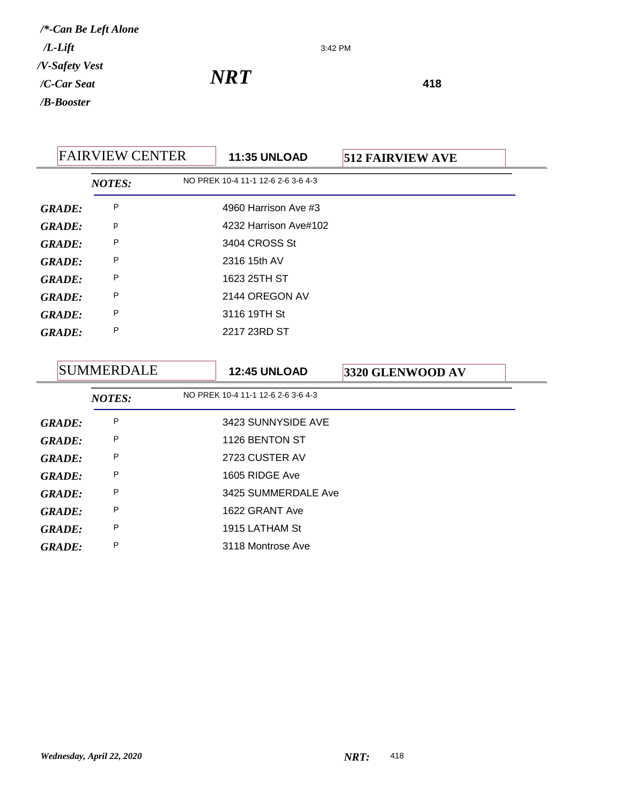3:42 PM

| <b>FAIRVIEW CENTER</b> |                   | <b>11:35 UNLOAD</b> | <b>512 FAIRVIEW AVE</b>            |                  |  |
|------------------------|-------------------|---------------------|------------------------------------|------------------|--|
|                        | <b>NOTES:</b>     |                     | NO PREK 10-4 11-1 12-6 2-6 3-6 4-3 |                  |  |
| <b>GRADE:</b>          | P                 |                     | 4960 Harrison Ave #3               |                  |  |
| <b>GRADE:</b>          | p                 |                     | 4232 Harrison Ave#102              |                  |  |
| <b>GRADE:</b>          | P                 |                     | 3404 CROSS St                      |                  |  |
| <b>GRADE:</b>          | P                 |                     | 2316 15th AV                       |                  |  |
| <b>GRADE:</b>          | P                 |                     | 1623 25TH ST                       |                  |  |
| <b>GRADE:</b>          | P                 |                     | 2144 OREGON AV                     |                  |  |
| <b>GRADE:</b>          | P                 |                     | 3116 19TH St                       |                  |  |
| <b>GRADE:</b>          | P                 |                     | 2217 23RD ST                       |                  |  |
|                        |                   |                     |                                    |                  |  |
|                        | <b>SUMMERDALE</b> |                     | <b>12:45 UNLOAD</b>                | 3320 GLENWOOD AV |  |

|               | <b>NOTES:</b> | NO PREK 10-4 11-1 12-6 2-6 3-6 4-3 |
|---------------|---------------|------------------------------------|
| <b>GRADE:</b> | P             | 3423 SUNNYSIDE AVE                 |
| <b>GRADE:</b> | P             | 1126 BENTON ST                     |
| <b>GRADE:</b> | P             | 2723 CUSTER AV                     |
| <b>GRADE:</b> | P             | 1605 RIDGE Ave                     |
| <b>GRADE:</b> | P             | 3425 SUMMERDALE Ave                |
| GRADE:        | P             | 1622 GRANT Ave                     |
| <b>GRADE:</b> | P             | 1915 LATHAM St                     |
| <b>GRADE:</b> | P             | 3118 Montrose Ave                  |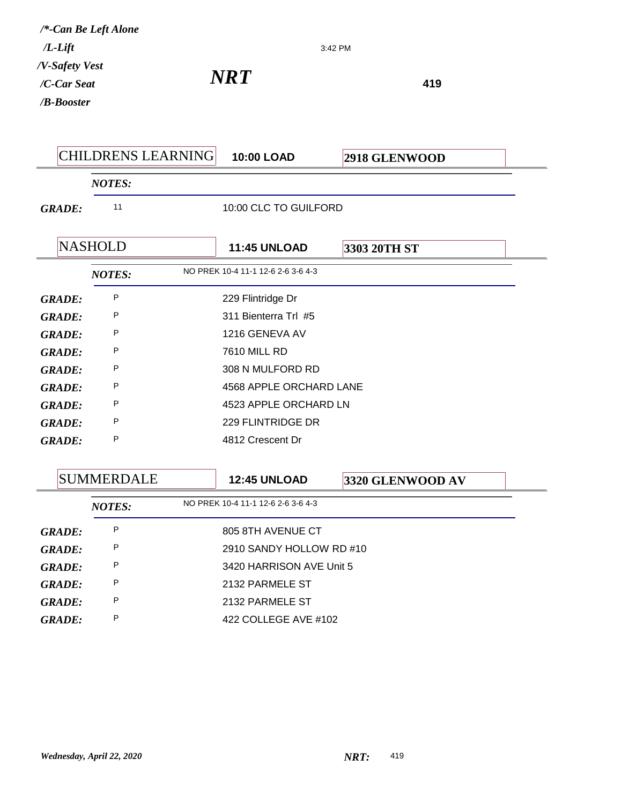| $/L$ -Lift                                  | /*-Can Be Left Alone |                                    |                          | 3:42 PM          |  |
|---------------------------------------------|----------------------|------------------------------------|--------------------------|------------------|--|
| /V-Safety Vest<br>/C-Car Seat<br>/B-Booster |                      | <b>NRT</b>                         |                          | 419              |  |
|                                             | CHILDRENS LEARNING   |                                    | <b>10:00 LOAD</b>        | 2918 GLENWOOD    |  |
|                                             | <b>NOTES:</b>        |                                    |                          |                  |  |
| <b>GRADE:</b>                               | 11                   |                                    | 10:00 CLC TO GUILFORD    |                  |  |
|                                             | <b>NASHOLD</b>       |                                    | <b>11:45 UNLOAD</b>      | 3303 20TH ST     |  |
|                                             | <b>NOTES:</b>        | NO PREK 10-4 11-1 12-6 2-6 3-6 4-3 |                          |                  |  |
| <b>GRADE:</b>                               | P                    |                                    | 229 Flintridge Dr        |                  |  |
| <b>GRADE:</b>                               | P                    |                                    | 311 Bienterra Trl #5     |                  |  |
| <b>GRADE:</b>                               | P                    |                                    | 1216 GENEVA AV           |                  |  |
| <b>GRADE:</b>                               | P                    | <b>7610 MILL RD</b>                |                          |                  |  |
| <b>GRADE:</b>                               | P                    |                                    | 308 N MULFORD RD         |                  |  |
| <b>GRADE:</b>                               | P                    |                                    | 4568 APPLE ORCHARD LANE  |                  |  |
| <b>GRADE:</b>                               | P                    |                                    | 4523 APPLE ORCHARD LN    |                  |  |
| <b>GRADE:</b>                               | P                    |                                    | 229 FLINTRIDGE DR        |                  |  |
| <b>GRADE:</b>                               | P                    |                                    | 4812 Crescent Dr         |                  |  |
|                                             | <b>SUMMERDALE</b>    |                                    | <b>12:45 UNLOAD</b>      | 3320 GLENWOOD AV |  |
|                                             | <b>NOTES:</b>        | NO PREK 10-4 11-1 12-6 2-6 3-6 4-3 |                          |                  |  |
| <b>GRADE:</b>                               | P                    |                                    | 805 8TH AVENUE CT        |                  |  |
| <b>GRADE:</b>                               | P                    |                                    | 2910 SANDY HOLLOW RD #10 |                  |  |
| <b>GRADE:</b>                               | P                    |                                    | 3420 HARRISON AVE Unit 5 |                  |  |
| <b>GRADE:</b>                               | P                    |                                    | 2132 PARMELE ST          |                  |  |
| <b>GRADE:</b>                               | P                    |                                    | 2132 PARMELE ST          |                  |  |
| <b>GRADE:</b>                               | P                    | 422 COLLEGE AVE #102               |                          |                  |  |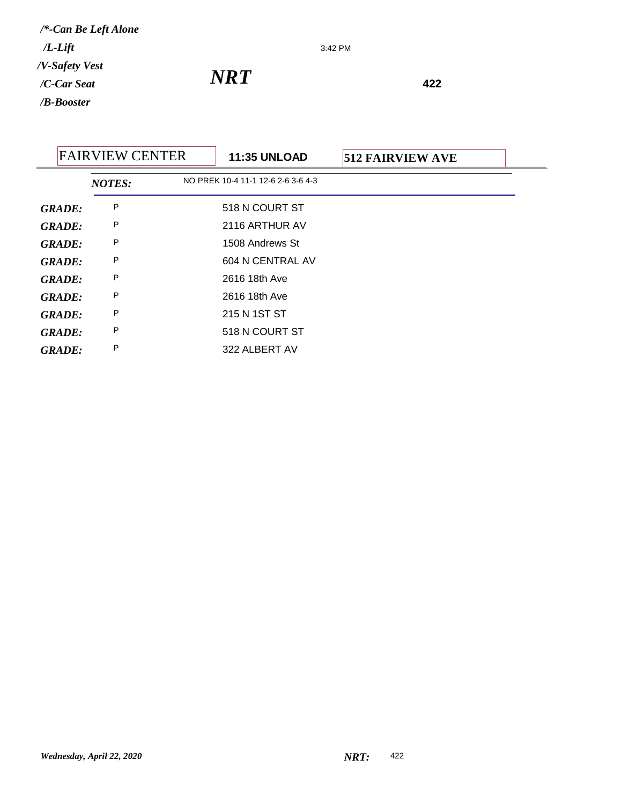3:42 PM

*NRT* **<sup>422</sup>**

## FAIRVIEW CENTER **11:35 UNLOAD 512 FAIRVIEW AVE** *NOTES:* NO PREK 10-4 11-1 12-6 2-6 3-6 4-3 *GRADE:* P 518 N COURT ST *GRADE:* <sup>P</sup> 2116 ARTHUR AV *GRADE:* <sup>P</sup> 1508 Andrews St *GRADE:* P 604 N CENTRAL AV *GRADE:* <sup>P</sup> 2616 18th Ave *GRADE:* <sup>P</sup> 2616 18th Ave *GRADE:* <sup>P</sup> 215 N 1ST ST **GRADE:** P 518 N COURT ST *GRADE:* <sup>P</sup> 322 ALBERT AV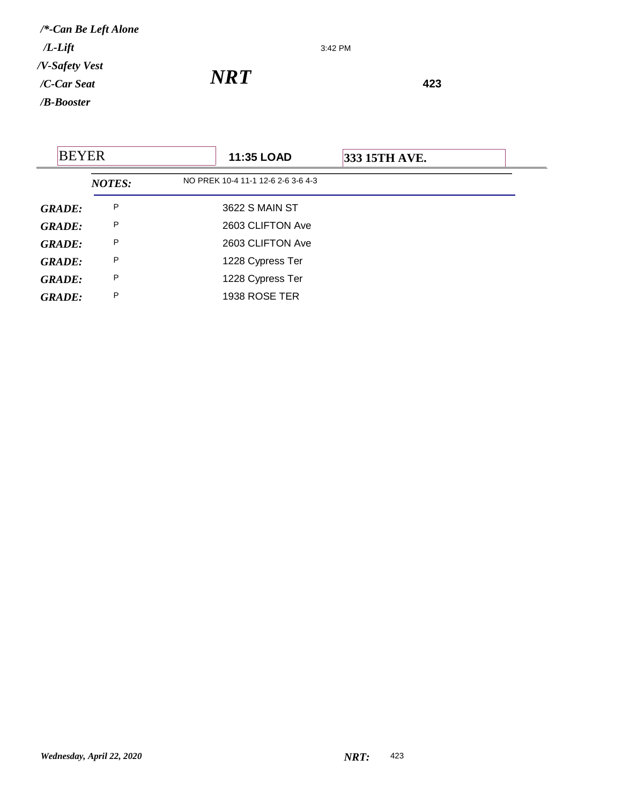3:42 PM

| <b>BEYER</b>  |               | <b>11:35 LOAD</b>                  | 333 15TH AVE. |  |
|---------------|---------------|------------------------------------|---------------|--|
|               | <b>NOTES:</b> | NO PREK 10-4 11-1 12-6 2-6 3-6 4-3 |               |  |
| <b>GRADE:</b> | P             | 3622 S MAIN ST                     |               |  |
| <b>GRADE:</b> | P             | 2603 CLIFTON Ave                   |               |  |
| <b>GRADE:</b> | P             | 2603 CLIFTON Ave                   |               |  |
| <b>GRADE:</b> | P             | 1228 Cypress Ter                   |               |  |
| <b>GRADE:</b> | P             | 1228 Cypress Ter                   |               |  |
| <b>GRADE:</b> | P             | 1938 ROSE TER                      |               |  |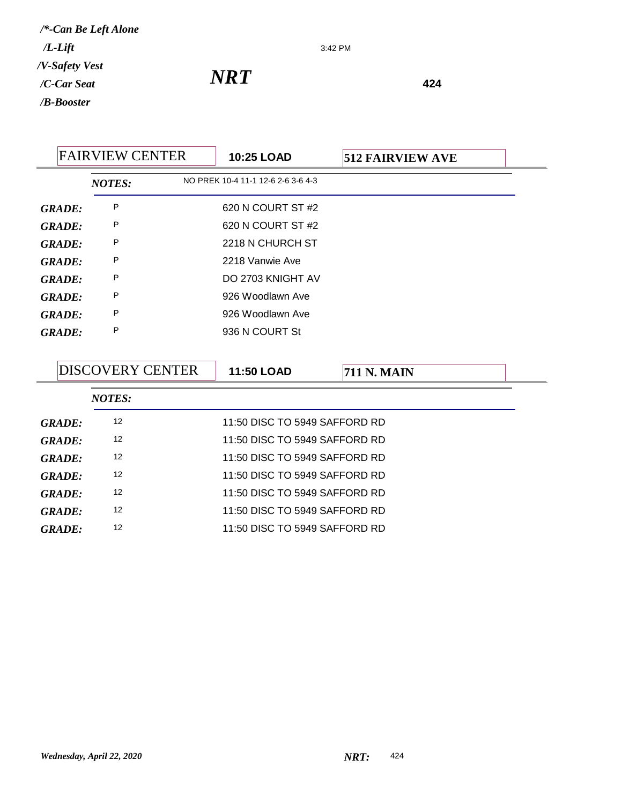3:42 PM

| <b>FAIRVIEW CENTER</b> |               | 10:25 LOAD | <b>512 FAIRVIEW AVE</b>            |  |
|------------------------|---------------|------------|------------------------------------|--|
|                        | <b>NOTES:</b> |            | NO PREK 10-4 11-1 12-6 2-6 3-6 4-3 |  |
| <b>GRADE:</b>          | P             |            | 620 N COURT ST #2                  |  |
| <b>GRADE:</b>          | P             |            | 620 N COURT ST #2                  |  |
| <b>GRADE:</b>          | P             |            | 2218 N CHURCH ST                   |  |
| <b>GRADE:</b>          | P             |            | 2218 Vanwie Ave                    |  |
| <b>GRADE:</b>          | P             |            | DO 2703 KNIGHT AV                  |  |
| <b>GRADE:</b>          | P             |            | 926 Woodlawn Ave                   |  |
| <b>GRADE:</b>          | P             |            | 926 Woodlawn Ave                   |  |
| <b>GRADE:</b>          | P             |            | 936 N COURT St                     |  |
|                        |               |            |                                    |  |

|               | <b>DISCOVERY CENTER</b> |               | <b>11:50 LOAD</b>             | <b>711 N. MAIN</b> |  |
|---------------|-------------------------|---------------|-------------------------------|--------------------|--|
|               |                         | <b>NOTES:</b> |                               |                    |  |
| <b>GRADE:</b> |                         | 12            | 11:50 DISC TO 5949 SAFFORD RD |                    |  |
| GRADE:        |                         | 12            | 11:50 DISC TO 5949 SAFFORD RD |                    |  |
| GRADE:        |                         | 12            | 11:50 DISC TO 5949 SAFFORD RD |                    |  |
| GRADE:        |                         | 12            | 11:50 DISC TO 5949 SAFFORD RD |                    |  |
| GRADE:        |                         | 12            | 11:50 DISC TO 5949 SAFFORD RD |                    |  |
| GRADE:        |                         | 12            | 11:50 DISC TO 5949 SAFFORD RD |                    |  |
| GRADE:        |                         | 12            | 11:50 DISC TO 5949 SAFFORD RD |                    |  |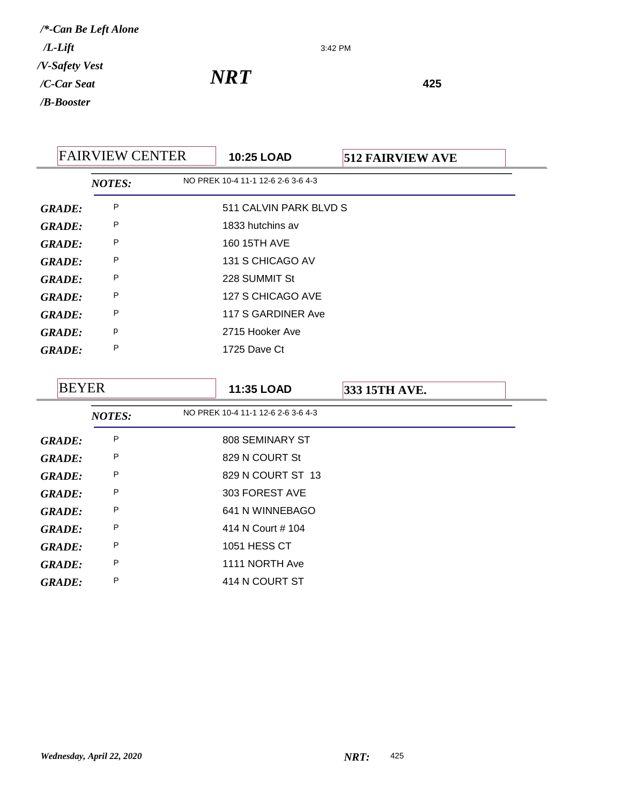3:42 PM

| <b>FAIRVIEW CENTER</b> |               | <b>10:25 LOAD</b> | <b>512 FAIRVIEW AVE</b>            |  |  |
|------------------------|---------------|-------------------|------------------------------------|--|--|
|                        | <b>NOTES:</b> |                   | NO PREK 10-4 11-1 12-6 2-6 3-6 4-3 |  |  |
| <b>GRADE:</b>          | P             |                   | 511 CALVIN PARK BLVD S             |  |  |
| <b>GRADE:</b>          | P             |                   | 1833 hutchins av                   |  |  |
| <b>GRADE:</b>          | P             |                   | 160 15TH AVE                       |  |  |
| <b>GRADE:</b>          | P             |                   | 131 S CHICAGO AV                   |  |  |
| <b>GRADE:</b>          | P             |                   | 228 SUMMIT St                      |  |  |
| <b>GRADE:</b>          | P             |                   | 127 S CHICAGO AVE                  |  |  |
| <b>GRADE:</b>          | P             |                   | 117 S GARDINER Ave                 |  |  |
| <b>GRADE:</b>          | p             |                   | 2715 Hooker Ave                    |  |  |
| <b>GRADE:</b>          | P             |                   | 1725 Dave Ct                       |  |  |

| <b>BEYER</b>  |               | 11:35 LOAD                         | 333 15TH AVE. |  |
|---------------|---------------|------------------------------------|---------------|--|
|               | <b>NOTES:</b> | NO PREK 10-4 11-1 12-6 2-6 3-6 4-3 |               |  |
| <b>GRADE:</b> | P             | 808 SEMINARY ST                    |               |  |
| <b>GRADE:</b> | P             | 829 N COURT St                     |               |  |
| <b>GRADE:</b> | P             | 829 N COURT ST 13                  |               |  |
| <b>GRADE:</b> | P             | 303 FOREST AVE                     |               |  |
| <b>GRADE:</b> | P             | 641 N WINNEBAGO                    |               |  |
| <b>GRADE:</b> | P             | 414 N Court # 104                  |               |  |
| <b>GRADE:</b> | P             | 1051 HESS CT                       |               |  |
| <b>GRADE:</b> | P             | 1111 NORTH Ave                     |               |  |
| <b>GRADE:</b> | P             | 414 N COURT ST                     |               |  |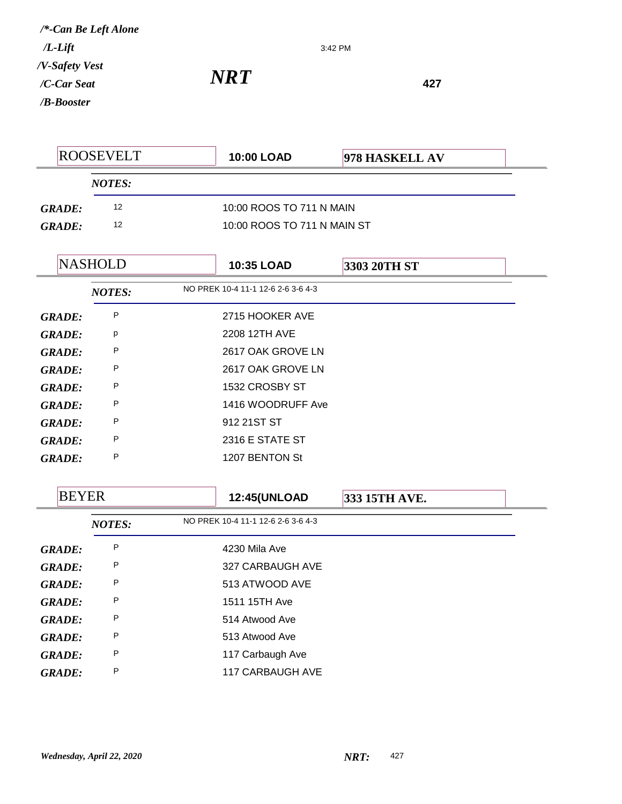## *NRT* **<sup>427</sup>**

*GRADE:* <sup>P</sup> 2617 OAK GROVE LN *GRADE:* <sup>P</sup> 1532 CROSBY ST

*GRADE:* <sup>P</sup> 1416 WOODRUFF Ave

*GRADE:* <sup>P</sup> 912 21ST ST

*GRADE:* <sup>P</sup> 2316 E STATE ST *GRADE:* <sup>P</sup> 1207 BENTON St

| <b>ROOSEVELT</b> |                | <b>10:00 LOAD</b>                                       | 978 HASKELL AV                     |              |  |
|------------------|----------------|---------------------------------------------------------|------------------------------------|--------------|--|
|                  | <b>NOTES:</b>  |                                                         |                                    |              |  |
| <b>GRADE:</b>    | 12             | 10:00 ROOS TO 711 N MAIN<br>10:00 ROOS TO 711 N MAIN ST |                                    |              |  |
| <b>GRADE:</b>    | 12             |                                                         |                                    |              |  |
|                  | <b>NASHOLD</b> |                                                         | <b>10:35 LOAD</b>                  | 3303 20TH ST |  |
|                  | <b>NOTES:</b>  |                                                         | NO PREK 10-4 11-1 12-6 2-6 3-6 4-3 |              |  |
| GRADE:           | P              |                                                         | 2715 HOOKER AVE                    |              |  |
| <b>GRADE:</b>    | p              |                                                         | 2208 12TH AVE                      |              |  |
| <b>GRADE:</b>    | P              |                                                         | 2617 OAK GROVE LN                  |              |  |

3:42 PM

| <b>BEYER</b>  |               | <b>12:45(UNLOAD</b>                | 333 15TH AVE. |
|---------------|---------------|------------------------------------|---------------|
|               | <b>NOTES:</b> | NO PREK 10-4 11-1 12-6 2-6 3-6 4-3 |               |
| <b>GRADE:</b> | P             | 4230 Mila Ave                      |               |
| <b>GRADE:</b> | P             | 327 CARBAUGH AVE                   |               |
| <b>GRADE:</b> | P             | 513 ATWOOD AVE                     |               |
| <b>GRADE:</b> | P             | 1511 15TH Ave                      |               |
| <b>GRADE:</b> | P             | 514 Atwood Ave                     |               |
| <b>GRADE:</b> | P             | 513 Atwood Ave                     |               |
| <b>GRADE:</b> | P             | 117 Carbaugh Ave                   |               |
| <b>GRADE:</b> | P             | <b>117 CARBAUGH AVE</b>            |               |